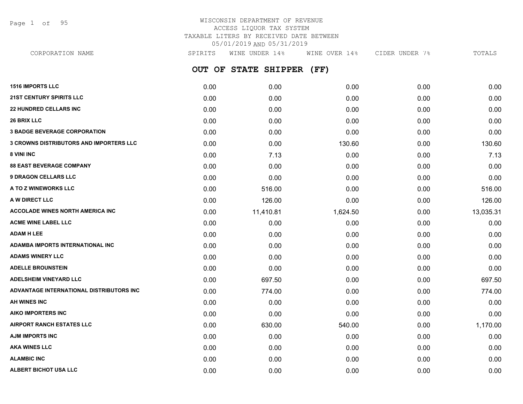Page 1 of 95

## WISCONSIN DEPARTMENT OF REVENUE ACCESS LIQUOR TAX SYSTEM TAXABLE LITERS BY RECEIVED DATE BETWEEN 05/01/2019 AND 05/31/2019

**OUT OF STATE SHIPPER (FF) 1516 IMPORTS LLC** 0.00 0.00 0.00 0.00 0.00 **21ST CENTURY SPIRITS LLC** 0.00 0.00 0.00 0.00 0.00 **22 HUNDRED CELLARS INC** 0.00 0.00 0.00 0.00 0.00 **26 BRIX LLC** 0.00 0.00 0.00 0.00 0.00 **3 BADGE BEVERAGE CORPORATION** 0.00 0.00 0.00 0.00 0.00 **3 CROWNS DISTRIBUTORS AND IMPORTERS LLC** 0.00 0.00 130.60 0.00 130.60 **8 VINI INC** 0.00 **8 VINI INC** 0.00 **0.00 1.13** 0.00 0.00 0.00 0.00 0.113 **88 EAST BEVERAGE COMPANY** 0.00 0.00 0.00 0.00 0.00 **9 DRAGON CELLARS LLC** 0.00 0.00 0.00 0.00 0.00 **A TO Z WINEWORKS LLC** 6.00 616.00 516.00 516.00 516.00 516.00 516.00 0.00 516.00 **A W DIRECT LLC** 0.00 126.00 0.00 0.00 126.00 **ACCOLADE WINES NORTH AMERICA INC 11,600** 11,410.81 11,420.81 1,624.50 0.00 13,035.31 **ACME WINE LABEL LLC** 0.00 0.00 0.00 0.00 0.00 **ADAM H LEE** 0.00 0.00 0.00 0.00 0.00 **ADAMBA IMPORTS INTERNATIONAL INC** 0.00 0.00 0.00 0.00 0.00 **ADAMS WINERY LLC** 0.00 0.00 0.00 0.00 0.00 **ADELLE BROUNSTEIN** 0.00 0.00 0.00 0.00 0.00 **ADELSHEIM VINEYARD LLC** 0.00 697.50 0.00 0.00 697.50 **ADVANTAGE INTERNATIONAL DISTRIBUTORS INC** 0.00 774.00 0.00 0.00 774.00 **AH WINES INC** 0.00 0.00 0.00 0.00 0.00 **AIKO IMPORTERS INC** 0.00 0.00 0.00 0.00 0.00 **AIRPORT RANCH ESTATES LLC** 0.00 630.00 540.00 0.00 1,170.00 **AJM IMPORTS INC** 0.00 0.00 0.00 0.00 0.00 **AKA WINES LLC** 0.00 0.00 0.00 0.00 0.00 **ALAMBIC INC** 0.00 0.00 0.00 0.00 0.00 CORPORATION NAME SPIRITS WINE UNDER 14% WINE OVER 14% CIDER UNDER 7% TOTALS

**ALBERT BICHOT USA LLC** 0.00 0.00 0.00 0.00 0.00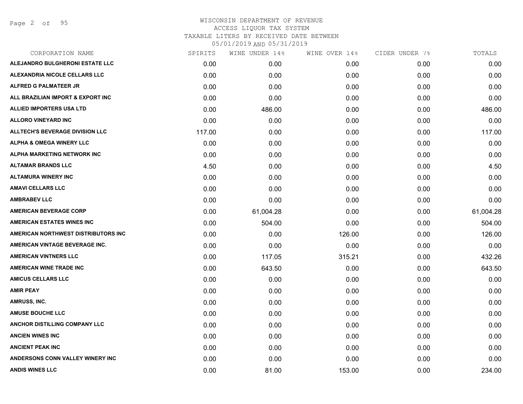Page 2 of 95

| CORPORATION NAME                        | SPIRITS | WINE UNDER 14% | WINE OVER 14% | CIDER UNDER 7% | TOTALS    |
|-----------------------------------------|---------|----------------|---------------|----------------|-----------|
| ALEJANDRO BULGHERONI ESTATE LLC         | 0.00    | 0.00           | 0.00          | 0.00           | 0.00      |
| <b>ALEXANDRIA NICOLE CELLARS LLC</b>    | 0.00    | 0.00           | 0.00          | 0.00           | 0.00      |
| ALFRED G PALMATEER JR                   | 0.00    | 0.00           | 0.00          | 0.00           | 0.00      |
| ALL BRAZILIAN IMPORT & EXPORT INC       | 0.00    | 0.00           | 0.00          | 0.00           | 0.00      |
| <b>ALLIED IMPORTERS USA LTD</b>         | 0.00    | 486.00         | 0.00          | 0.00           | 486.00    |
| <b>ALLORO VINEYARD INC</b>              | 0.00    | 0.00           | 0.00          | 0.00           | 0.00      |
| <b>ALLTECH'S BEVERAGE DIVISION LLC</b>  | 117.00  | 0.00           | 0.00          | 0.00           | 117.00    |
| <b>ALPHA &amp; OMEGA WINERY LLC</b>     | 0.00    | 0.00           | 0.00          | 0.00           | 0.00      |
| <b>ALPHA MARKETING NETWORK INC</b>      | 0.00    | 0.00           | 0.00          | 0.00           | 0.00      |
| <b>ALTAMAR BRANDS LLC</b>               | 4.50    | 0.00           | 0.00          | 0.00           | 4.50      |
| <b>ALTAMURA WINERY INC</b>              | 0.00    | 0.00           | 0.00          | 0.00           | 0.00      |
| <b>AMAVI CELLARS LLC</b>                | 0.00    | 0.00           | 0.00          | 0.00           | 0.00      |
| <b>AMBRABEV LLC</b>                     | 0.00    | 0.00           | 0.00          | 0.00           | 0.00      |
| <b>AMERICAN BEVERAGE CORP</b>           | 0.00    | 61,004.28      | 0.00          | 0.00           | 61,004.28 |
| <b>AMERICAN ESTATES WINES INC</b>       | 0.00    | 504.00         | 0.00          | 0.00           | 504.00    |
| AMERICAN NORTHWEST DISTRIBUTORS INC     | 0.00    | 0.00           | 126.00        | 0.00           | 126.00    |
| AMERICAN VINTAGE BEVERAGE INC.          | 0.00    | 0.00           | 0.00          | 0.00           | 0.00      |
| <b>AMERICAN VINTNERS LLC</b>            | 0.00    | 117.05         | 315.21        | 0.00           | 432.26    |
| <b>AMERICAN WINE TRADE INC</b>          | 0.00    | 643.50         | 0.00          | 0.00           | 643.50    |
| <b>AMICUS CELLARS LLC</b>               | 0.00    | 0.00           | 0.00          | 0.00           | 0.00      |
| <b>AMIR PEAY</b>                        | 0.00    | 0.00           | 0.00          | 0.00           | 0.00      |
| AMRUSS, INC.                            | 0.00    | 0.00           | 0.00          | 0.00           | 0.00      |
| <b>AMUSE BOUCHE LLC</b>                 | 0.00    | 0.00           | 0.00          | 0.00           | 0.00      |
| <b>ANCHOR DISTILLING COMPANY LLC</b>    | 0.00    | 0.00           | 0.00          | 0.00           | 0.00      |
| <b>ANCIEN WINES INC</b>                 | 0.00    | 0.00           | 0.00          | 0.00           | 0.00      |
| <b>ANCIENT PEAK INC</b>                 | 0.00    | 0.00           | 0.00          | 0.00           | 0.00      |
| <b>ANDERSONS CONN VALLEY WINERY INC</b> | 0.00    | 0.00           | 0.00          | 0.00           | 0.00      |
| <b>ANDIS WINES LLC</b>                  | 0.00    | 81.00          | 153.00        | 0.00           | 234.00    |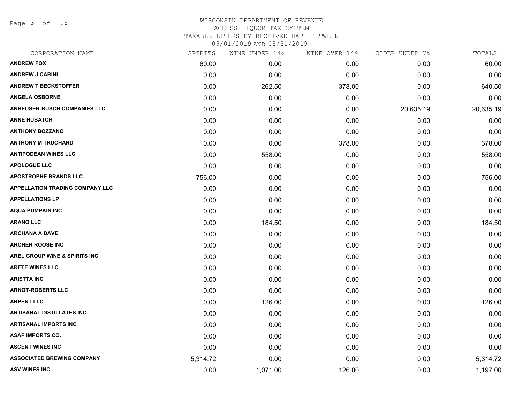Page 3 of 95

| CORPORATION NAME                         | SPIRITS  | WINE UNDER 14% | WINE OVER 14% | CIDER UNDER 7% | TOTALS    |
|------------------------------------------|----------|----------------|---------------|----------------|-----------|
| <b>ANDREW FOX</b>                        | 60.00    | 0.00           | 0.00          | 0.00           | 60.00     |
| <b>ANDREW J CARINI</b>                   | 0.00     | 0.00           | 0.00          | 0.00           | 0.00      |
| <b>ANDREW T BECKSTOFFER</b>              | 0.00     | 262.50         | 378.00        | 0.00           | 640.50    |
| <b>ANGELA OSBORNE</b>                    | 0.00     | 0.00           | 0.00          | 0.00           | 0.00      |
| <b>ANHEUSER-BUSCH COMPANIES LLC</b>      | 0.00     | 0.00           | 0.00          | 20,635.19      | 20,635.19 |
| <b>ANNE HUBATCH</b>                      | 0.00     | 0.00           | 0.00          | 0.00           | 0.00      |
| <b>ANTHONY BOZZANO</b>                   | 0.00     | 0.00           | 0.00          | 0.00           | 0.00      |
| <b>ANTHONY M TRUCHARD</b>                | 0.00     | 0.00           | 378.00        | 0.00           | 378.00    |
| <b>ANTIPODEAN WINES LLC</b>              | 0.00     | 558.00         | 0.00          | 0.00           | 558.00    |
| <b>APOLOGUE LLC</b>                      | 0.00     | 0.00           | 0.00          | 0.00           | 0.00      |
| <b>APOSTROPHE BRANDS LLC</b>             | 756.00   | 0.00           | 0.00          | 0.00           | 756.00    |
| <b>APPELLATION TRADING COMPANY LLC</b>   | 0.00     | 0.00           | 0.00          | 0.00           | 0.00      |
| <b>APPELLATIONS LP</b>                   | 0.00     | 0.00           | 0.00          | 0.00           | 0.00      |
| <b>AQUA PUMPKIN INC</b>                  | 0.00     | 0.00           | 0.00          | 0.00           | 0.00      |
| <b>ARANO LLC</b>                         | 0.00     | 184.50         | 0.00          | 0.00           | 184.50    |
| ARCHANA A DAVE                           | 0.00     | 0.00           | 0.00          | 0.00           | 0.00      |
| <b>ARCHER ROOSE INC</b>                  | 0.00     | 0.00           | 0.00          | 0.00           | 0.00      |
| <b>AREL GROUP WINE &amp; SPIRITS INC</b> | 0.00     | 0.00           | 0.00          | 0.00           | 0.00      |
| <b>ARETE WINES LLC</b>                   | 0.00     | 0.00           | 0.00          | 0.00           | 0.00      |
| ARIETTA INC                              | 0.00     | 0.00           | 0.00          | 0.00           | 0.00      |
| <b>ARNOT-ROBERTS LLC</b>                 | 0.00     | 0.00           | 0.00          | 0.00           | 0.00      |
| <b>ARPENT LLC</b>                        | 0.00     | 126.00         | 0.00          | 0.00           | 126.00    |
| <b>ARTISANAL DISTILLATES INC.</b>        | 0.00     | 0.00           | 0.00          | 0.00           | 0.00      |
| ARTISANAL IMPORTS INC                    | 0.00     | 0.00           | 0.00          | 0.00           | 0.00      |
| <b>ASAP IMPORTS CO.</b>                  | 0.00     | 0.00           | 0.00          | 0.00           | 0.00      |
| <b>ASCENT WINES INC</b>                  | 0.00     | 0.00           | 0.00          | 0.00           | 0.00      |
| <b>ASSOCIATED BREWING COMPANY</b>        | 5,314.72 | 0.00           | 0.00          | 0.00           | 5,314.72  |
| <b>ASV WINES INC</b>                     | 0.00     | 1,071.00       | 126.00        | 0.00           | 1,197.00  |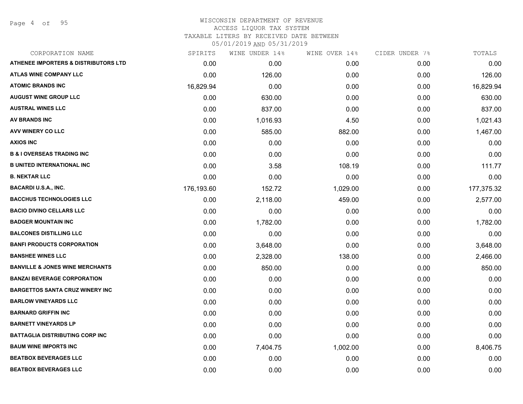Page 4 of 95

## WISCONSIN DEPARTMENT OF REVENUE ACCESS LIQUOR TAX SYSTEM TAXABLE LITERS BY RECEIVED DATE BETWEEN

| CORPORATION NAME                                | SPIRITS    | WINE UNDER 14% | WINE OVER 14% | CIDER UNDER 7% | TOTALS     |
|-------------------------------------------------|------------|----------------|---------------|----------------|------------|
| <b>ATHENEE IMPORTERS &amp; DISTRIBUTORS LTD</b> | 0.00       | 0.00           | 0.00          | 0.00           | 0.00       |
| <b>ATLAS WINE COMPANY LLC</b>                   | 0.00       | 126.00         | 0.00          | 0.00           | 126.00     |
| <b>ATOMIC BRANDS INC</b>                        | 16,829.94  | 0.00           | 0.00          | 0.00           | 16,829.94  |
| <b>AUGUST WINE GROUP LLC</b>                    | 0.00       | 630.00         | 0.00          | 0.00           | 630.00     |
| <b>AUSTRAL WINES LLC</b>                        | 0.00       | 837.00         | 0.00          | 0.00           | 837.00     |
| AV BRANDS INC                                   | 0.00       | 1,016.93       | 4.50          | 0.00           | 1,021.43   |
| AVV WINERY CO LLC                               | 0.00       | 585.00         | 882.00        | 0.00           | 1,467.00   |
| <b>AXIOS INC</b>                                | 0.00       | 0.00           | 0.00          | 0.00           | 0.00       |
| <b>B &amp; I OVERSEAS TRADING INC</b>           | 0.00       | 0.00           | 0.00          | 0.00           | 0.00       |
| <b>B UNITED INTERNATIONAL INC</b>               | 0.00       | 3.58           | 108.19        | 0.00           | 111.77     |
| <b>B. NEKTAR LLC</b>                            | 0.00       | 0.00           | 0.00          | 0.00           | 0.00       |
| <b>BACARDI U.S.A., INC.</b>                     | 176,193.60 | 152.72         | 1,029.00      | 0.00           | 177,375.32 |
| <b>BACCHUS TECHNOLOGIES LLC</b>                 | 0.00       | 2,118.00       | 459.00        | 0.00           | 2,577.00   |
| <b>BACIO DIVINO CELLARS LLC</b>                 | 0.00       | 0.00           | 0.00          | 0.00           | 0.00       |
| <b>BADGER MOUNTAIN INC</b>                      | 0.00       | 1,782.00       | 0.00          | 0.00           | 1,782.00   |
| <b>BALCONES DISTILLING LLC</b>                  | 0.00       | 0.00           | 0.00          | 0.00           | 0.00       |
| <b>BANFI PRODUCTS CORPORATION</b>               | 0.00       | 3,648.00       | 0.00          | 0.00           | 3,648.00   |
| <b>BANSHEE WINES LLC</b>                        | 0.00       | 2,328.00       | 138.00        | 0.00           | 2,466.00   |
| <b>BANVILLE &amp; JONES WINE MERCHANTS</b>      | 0.00       | 850.00         | 0.00          | 0.00           | 850.00     |
| <b>BANZAI BEVERAGE CORPORATION</b>              | 0.00       | 0.00           | 0.00          | 0.00           | 0.00       |
| <b>BARGETTOS SANTA CRUZ WINERY INC</b>          | 0.00       | 0.00           | 0.00          | 0.00           | 0.00       |
| <b>BARLOW VINEYARDS LLC</b>                     | 0.00       | 0.00           | 0.00          | 0.00           | 0.00       |
| <b>BARNARD GRIFFIN INC</b>                      | 0.00       | 0.00           | 0.00          | 0.00           | 0.00       |
| <b>BARNETT VINEYARDS LP</b>                     | 0.00       | 0.00           | 0.00          | 0.00           | 0.00       |
| <b>BATTAGLIA DISTRIBUTING CORP INC</b>          | 0.00       | 0.00           | 0.00          | 0.00           | 0.00       |
| <b>BAUM WINE IMPORTS INC</b>                    | 0.00       | 7,404.75       | 1,002.00      | 0.00           | 8,406.75   |
| <b>BEATBOX BEVERAGES LLC</b>                    | 0.00       | 0.00           | 0.00          | 0.00           | 0.00       |
| <b>BEATBOX BEVERAGES LLC</b>                    | 0.00       | 0.00           | 0.00          | 0.00           | 0.00       |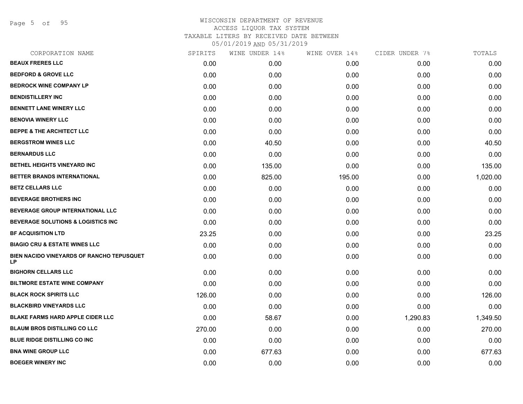Page 5 of 95

| CORPORATION NAME                                | SPIRITS | WINE UNDER 14% | WINE OVER 14% | CIDER UNDER 7% | TOTALS   |
|-------------------------------------------------|---------|----------------|---------------|----------------|----------|
| <b>BEAUX FRERES LLC</b>                         | 0.00    | 0.00           | 0.00          | 0.00           | 0.00     |
| <b>BEDFORD &amp; GROVE LLC</b>                  | 0.00    | 0.00           | 0.00          | 0.00           | 0.00     |
| <b>BEDROCK WINE COMPANY LP</b>                  | 0.00    | 0.00           | 0.00          | 0.00           | 0.00     |
| <b>BENDISTILLERY INC</b>                        | 0.00    | 0.00           | 0.00          | 0.00           | 0.00     |
| <b>BENNETT LANE WINERY LLC</b>                  | 0.00    | 0.00           | 0.00          | 0.00           | 0.00     |
| <b>BENOVIA WINERY LLC</b>                       | 0.00    | 0.00           | 0.00          | 0.00           | 0.00     |
| <b>BEPPE &amp; THE ARCHITECT LLC</b>            | 0.00    | 0.00           | 0.00          | 0.00           | 0.00     |
| <b>BERGSTROM WINES LLC</b>                      | 0.00    | 40.50          | 0.00          | 0.00           | 40.50    |
| <b>BERNARDUS LLC</b>                            | 0.00    | 0.00           | 0.00          | 0.00           | 0.00     |
| BETHEL HEIGHTS VINEYARD INC                     | 0.00    | 135.00         | 0.00          | 0.00           | 135.00   |
| BETTER BRANDS INTERNATIONAL                     | 0.00    | 825.00         | 195.00        | 0.00           | 1,020.00 |
| <b>BETZ CELLARS LLC</b>                         | 0.00    | 0.00           | 0.00          | 0.00           | 0.00     |
| <b>BEVERAGE BROTHERS INC</b>                    | 0.00    | 0.00           | 0.00          | 0.00           | 0.00     |
| <b>BEVERAGE GROUP INTERNATIONAL LLC</b>         | 0.00    | 0.00           | 0.00          | 0.00           | 0.00     |
| <b>BEVERAGE SOLUTIONS &amp; LOGISTICS INC</b>   | 0.00    | 0.00           | 0.00          | 0.00           | 0.00     |
| <b>BF ACQUISITION LTD</b>                       | 23.25   | 0.00           | 0.00          | 0.00           | 23.25    |
| <b>BIAGIO CRU &amp; ESTATE WINES LLC</b>        | 0.00    | 0.00           | 0.00          | 0.00           | 0.00     |
| BIEN NACIDO VINEYARDS OF RANCHO TEPUSQUET<br>LP | 0.00    | 0.00           | 0.00          | 0.00           | 0.00     |
| <b>BIGHORN CELLARS LLC</b>                      | 0.00    | 0.00           | 0.00          | 0.00           | 0.00     |
| <b>BILTMORE ESTATE WINE COMPANY</b>             | 0.00    | 0.00           | 0.00          | 0.00           | 0.00     |
| <b>BLACK ROCK SPIRITS LLC</b>                   | 126.00  | 0.00           | 0.00          | 0.00           | 126.00   |
| <b>BLACKBIRD VINEYARDS LLC</b>                  | 0.00    | 0.00           | 0.00          | 0.00           | 0.00     |
| <b>BLAKE FARMS HARD APPLE CIDER LLC</b>         | 0.00    | 58.67          | 0.00          | 1,290.83       | 1,349.50 |
| <b>BLAUM BROS DISTILLING CO LLC</b>             | 270.00  | 0.00           | 0.00          | 0.00           | 270.00   |
| <b>BLUE RIDGE DISTILLING CO INC</b>             | 0.00    | 0.00           | 0.00          | 0.00           | 0.00     |
| <b>BNA WINE GROUP LLC</b>                       | 0.00    | 677.63         | 0.00          | 0.00           | 677.63   |
| <b>BOEGER WINERY INC</b>                        | 0.00    | 0.00           | 0.00          | 0.00           | 0.00     |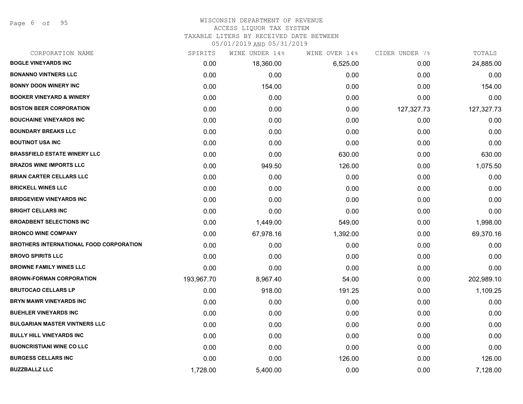Page 6 of 95

## WISCONSIN DEPARTMENT OF REVENUE ACCESS LIQUOR TAX SYSTEM

TAXABLE LITERS BY RECEIVED DATE BETWEEN

| CORPORATION NAME                               | SPIRITS    | WINE UNDER 14% | WINE OVER 14% | CIDER UNDER 7% | TOTALS     |
|------------------------------------------------|------------|----------------|---------------|----------------|------------|
| <b>BOGLE VINEYARDS INC</b>                     | 0.00       | 18,360.00      | 6,525.00      | 0.00           | 24,885.00  |
| <b>BONANNO VINTNERS LLC</b>                    | 0.00       | 0.00           | 0.00          | 0.00           | 0.00       |
| <b>BONNY DOON WINERY INC</b>                   | 0.00       | 154.00         | 0.00          | 0.00           | 154.00     |
| <b>BOOKER VINEYARD &amp; WINERY</b>            | 0.00       | 0.00           | 0.00          | 0.00           | 0.00       |
| <b>BOSTON BEER CORPORATION</b>                 | 0.00       | 0.00           | 0.00          | 127,327.73     | 127,327.73 |
| <b>BOUCHAINE VINEYARDS INC</b>                 | 0.00       | 0.00           | 0.00          | 0.00           | 0.00       |
| <b>BOUNDARY BREAKS LLC</b>                     | 0.00       | 0.00           | 0.00          | 0.00           | 0.00       |
| <b>BOUTINOT USA INC</b>                        | 0.00       | 0.00           | 0.00          | 0.00           | 0.00       |
| <b>BRASSFIELD ESTATE WINERY LLC</b>            | 0.00       | 0.00           | 630.00        | 0.00           | 630.00     |
| <b>BRAZOS WINE IMPORTS LLC</b>                 | 0.00       | 949.50         | 126.00        | 0.00           | 1,075.50   |
| <b>BRIAN CARTER CELLARS LLC</b>                | 0.00       | 0.00           | 0.00          | 0.00           | 0.00       |
| <b>BRICKELL WINES LLC</b>                      | 0.00       | 0.00           | 0.00          | 0.00           | 0.00       |
| <b>BRIDGEVIEW VINEYARDS INC</b>                | 0.00       | 0.00           | 0.00          | 0.00           | 0.00       |
| <b>BRIGHT CELLARS INC</b>                      | 0.00       | 0.00           | 0.00          | 0.00           | 0.00       |
| <b>BROADBENT SELECTIONS INC</b>                | 0.00       | 1,449.00       | 549.00        | 0.00           | 1,998.00   |
| <b>BRONCO WINE COMPANY</b>                     | 0.00       | 67,978.16      | 1,392.00      | 0.00           | 69,370.16  |
| <b>BROTHERS INTERNATIONAL FOOD CORPORATION</b> | 0.00       | 0.00           | 0.00          | 0.00           | 0.00       |
| <b>BROVO SPIRITS LLC</b>                       | 0.00       | 0.00           | 0.00          | 0.00           | 0.00       |
| <b>BROWNE FAMILY WINES LLC</b>                 | 0.00       | 0.00           | 0.00          | 0.00           | 0.00       |
| <b>BROWN-FORMAN CORPORATION</b>                | 193,967.70 | 8,967.40       | 54.00         | 0.00           | 202,989.10 |
| <b>BRUTOCAO CELLARS LP</b>                     | 0.00       | 918.00         | 191.25        | 0.00           | 1,109.25   |
| BRYN MAWR VINEYARDS INC                        | 0.00       | 0.00           | 0.00          | 0.00           | 0.00       |
| <b>BUEHLER VINEYARDS INC</b>                   | 0.00       | 0.00           | 0.00          | 0.00           | 0.00       |
| <b>BULGARIAN MASTER VINTNERS LLC</b>           | 0.00       | 0.00           | 0.00          | 0.00           | 0.00       |
| <b>BULLY HILL VINEYARDS INC</b>                | 0.00       | 0.00           | 0.00          | 0.00           | 0.00       |
| <b>BUONCRISTIANI WINE CO LLC</b>               | 0.00       | 0.00           | 0.00          | 0.00           | 0.00       |
| <b>BURGESS CELLARS INC</b>                     | 0.00       | 0.00           | 126.00        | 0.00           | 126.00     |
| <b>BUZZBALLZ LLC</b>                           | 1,728.00   | 5,400.00       | 0.00          | 0.00           | 7,128.00   |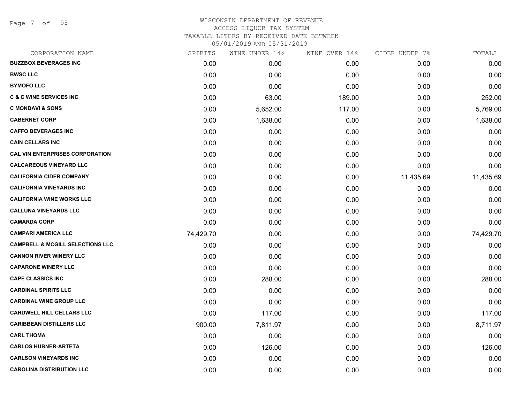Page 7 of 95

### WISCONSIN DEPARTMENT OF REVENUE ACCESS LIQUOR TAX SYSTEM TAXABLE LITERS BY RECEIVED DATE BETWEEN

| CORPORATION NAME                            | SPIRITS   | WINE UNDER 14% | WINE OVER 14% | CIDER UNDER 7% | TOTALS    |
|---------------------------------------------|-----------|----------------|---------------|----------------|-----------|
| <b>BUZZBOX BEVERAGES INC</b>                | 0.00      | 0.00           | 0.00          | 0.00           | 0.00      |
| <b>BWSC LLC</b>                             | 0.00      | 0.00           | 0.00          | 0.00           | 0.00      |
| <b>BYMOFO LLC</b>                           | 0.00      | 0.00           | 0.00          | 0.00           | 0.00      |
| <b>C &amp; C WINE SERVICES INC</b>          | 0.00      | 63.00          | 189.00        | 0.00           | 252.00    |
| <b>C MONDAVI &amp; SONS</b>                 | 0.00      | 5,652.00       | 117.00        | 0.00           | 5,769.00  |
| <b>CABERNET CORP</b>                        | 0.00      | 1,638.00       | 0.00          | 0.00           | 1,638.00  |
| <b>CAFFO BEVERAGES INC</b>                  | 0.00      | 0.00           | 0.00          | 0.00           | 0.00      |
| <b>CAIN CELLARS INC</b>                     | 0.00      | 0.00           | 0.00          | 0.00           | 0.00      |
| <b>CAL VIN ENTERPRISES CORPORATION</b>      | 0.00      | 0.00           | 0.00          | 0.00           | 0.00      |
| <b>CALCAREOUS VINEYARD LLC</b>              | 0.00      | 0.00           | 0.00          | 0.00           | 0.00      |
| <b>CALIFORNIA CIDER COMPANY</b>             | 0.00      | 0.00           | 0.00          | 11,435.69      | 11,435.69 |
| <b>CALIFORNIA VINEYARDS INC</b>             | 0.00      | 0.00           | 0.00          | 0.00           | 0.00      |
| <b>CALIFORNIA WINE WORKS LLC</b>            | 0.00      | 0.00           | 0.00          | 0.00           | 0.00      |
| <b>CALLUNA VINEYARDS LLC</b>                | 0.00      | 0.00           | 0.00          | 0.00           | 0.00      |
| <b>CAMARDA CORP</b>                         | 0.00      | 0.00           | 0.00          | 0.00           | 0.00      |
| <b>CAMPARI AMERICA LLC</b>                  | 74,429.70 | 0.00           | 0.00          | 0.00           | 74,429.70 |
| <b>CAMPBELL &amp; MCGILL SELECTIONS LLC</b> | 0.00      | 0.00           | 0.00          | 0.00           | 0.00      |
| <b>CANNON RIVER WINERY LLC</b>              | 0.00      | 0.00           | 0.00          | 0.00           | 0.00      |
| <b>CAPARONE WINERY LLC</b>                  | 0.00      | 0.00           | 0.00          | 0.00           | 0.00      |
| <b>CAPE CLASSICS INC</b>                    | 0.00      | 288.00         | 0.00          | 0.00           | 288.00    |
| <b>CARDINAL SPIRITS LLC</b>                 | 0.00      | 0.00           | 0.00          | 0.00           | 0.00      |
| <b>CARDINAL WINE GROUP LLC</b>              | 0.00      | 0.00           | 0.00          | 0.00           | 0.00      |
| <b>CARDWELL HILL CELLARS LLC</b>            | 0.00      | 117.00         | 0.00          | 0.00           | 117.00    |
| <b>CARIBBEAN DISTILLERS LLC</b>             | 900.00    | 7,811.97       | 0.00          | 0.00           | 8,711.97  |
| <b>CARL THOMA</b>                           | 0.00      | 0.00           | 0.00          | 0.00           | 0.00      |
| <b>CARLOS HUBNER-ARTETA</b>                 | 0.00      | 126.00         | 0.00          | 0.00           | 126.00    |
| <b>CARLSON VINEYARDS INC</b>                | 0.00      | 0.00           | 0.00          | 0.00           | 0.00      |
| <b>CAROLINA DISTRIBUTION LLC</b>            | 0.00      | 0.00           | 0.00          | 0.00           | 0.00      |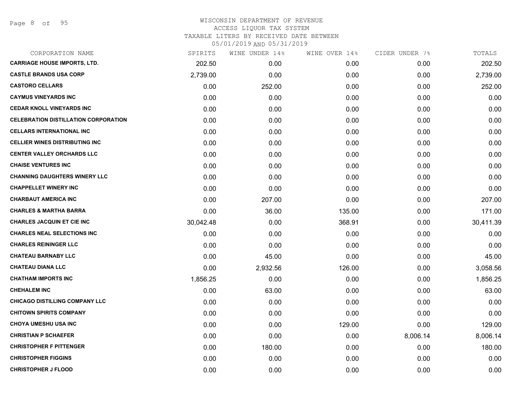### WISCONSIN DEPARTMENT OF REVENUE ACCESS LIQUOR TAX SYSTEM TAXABLE LITERS BY RECEIVED DATE BETWEEN

| CORPORATION NAME                            | SPIRITS   | WINE UNDER 14% | WINE OVER 14% | CIDER UNDER 7% | TOTALS    |
|---------------------------------------------|-----------|----------------|---------------|----------------|-----------|
| <b>CARRIAGE HOUSE IMPORTS, LTD.</b>         | 202.50    | 0.00           | 0.00          | 0.00           | 202.50    |
| <b>CASTLE BRANDS USA CORP</b>               | 2,739.00  | 0.00           | 0.00          | 0.00           | 2,739.00  |
| <b>CASTORO CELLARS</b>                      | 0.00      | 252.00         | 0.00          | 0.00           | 252.00    |
| <b>CAYMUS VINEYARDS INC</b>                 | 0.00      | 0.00           | 0.00          | 0.00           | 0.00      |
| <b>CEDAR KNOLL VINEYARDS INC</b>            | 0.00      | 0.00           | 0.00          | 0.00           | 0.00      |
| <b>CELEBRATION DISTILLATION CORPORATION</b> | 0.00      | 0.00           | 0.00          | 0.00           | 0.00      |
| <b>CELLARS INTERNATIONAL INC</b>            | 0.00      | 0.00           | 0.00          | 0.00           | 0.00      |
| <b>CELLIER WINES DISTRIBUTING INC</b>       | 0.00      | 0.00           | 0.00          | 0.00           | 0.00      |
| <b>CENTER VALLEY ORCHARDS LLC</b>           | 0.00      | 0.00           | 0.00          | 0.00           | 0.00      |
| <b>CHAISE VENTURES INC</b>                  | 0.00      | 0.00           | 0.00          | 0.00           | 0.00      |
| <b>CHANNING DAUGHTERS WINERY LLC</b>        | 0.00      | 0.00           | 0.00          | 0.00           | 0.00      |
| <b>CHAPPELLET WINERY INC</b>                | 0.00      | 0.00           | 0.00          | 0.00           | 0.00      |
| <b>CHARBAUT AMERICA INC</b>                 | 0.00      | 207.00         | 0.00          | 0.00           | 207.00    |
| <b>CHARLES &amp; MARTHA BARRA</b>           | 0.00      | 36.00          | 135.00        | 0.00           | 171.00    |
| <b>CHARLES JACQUIN ET CIE INC</b>           | 30,042.48 | 0.00           | 368.91        | 0.00           | 30,411.39 |
| <b>CHARLES NEAL SELECTIONS INC</b>          | 0.00      | 0.00           | 0.00          | 0.00           | 0.00      |
| <b>CHARLES REININGER LLC</b>                | 0.00      | 0.00           | 0.00          | 0.00           | 0.00      |
| <b>CHATEAU BARNABY LLC</b>                  | 0.00      | 45.00          | 0.00          | 0.00           | 45.00     |
| <b>CHATEAU DIANA LLC</b>                    | 0.00      | 2,932.56       | 126.00        | 0.00           | 3,058.56  |
| <b>CHATHAM IMPORTS INC</b>                  | 1,856.25  | 0.00           | 0.00          | 0.00           | 1,856.25  |
| <b>CHEHALEM INC</b>                         | 0.00      | 63.00          | 0.00          | 0.00           | 63.00     |
| <b>CHICAGO DISTILLING COMPANY LLC</b>       | 0.00      | 0.00           | 0.00          | 0.00           | 0.00      |
| <b>CHITOWN SPIRITS COMPANY</b>              | 0.00      | 0.00           | 0.00          | 0.00           | 0.00      |
| <b>CHOYA UMESHU USA INC</b>                 | 0.00      | 0.00           | 129.00        | 0.00           | 129.00    |
| <b>CHRISTIAN P SCHAEFER</b>                 | 0.00      | 0.00           | 0.00          | 8,006.14       | 8,006.14  |
| <b>CHRISTOPHER F PITTENGER</b>              | 0.00      | 180.00         | 0.00          | 0.00           | 180.00    |
| <b>CHRISTOPHER FIGGINS</b>                  | 0.00      | 0.00           | 0.00          | 0.00           | 0.00      |
| <b>CHRISTOPHER J FLOOD</b>                  | 0.00      | 0.00           | 0.00          | 0.00           | 0.00      |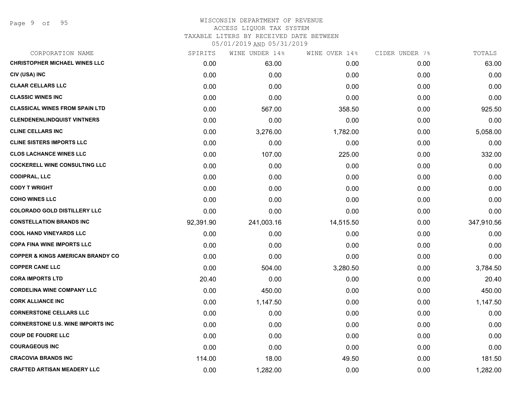## WISCONSIN DEPARTMENT OF REVENUE ACCESS LIQUOR TAX SYSTEM TAXABLE LITERS BY RECEIVED DATE BETWEEN

| CORPORATION NAME                             | SPIRITS   | WINE UNDER 14% | WINE OVER 14% | CIDER UNDER 7% | TOTALS     |
|----------------------------------------------|-----------|----------------|---------------|----------------|------------|
| <b>CHRISTOPHER MICHAEL WINES LLC</b>         | 0.00      | 63.00          | 0.00          | 0.00           | 63.00      |
| CIV (USA) INC                                | 0.00      | 0.00           | 0.00          | 0.00           | 0.00       |
| <b>CLAAR CELLARS LLC</b>                     | 0.00      | 0.00           | 0.00          | 0.00           | 0.00       |
| <b>CLASSIC WINES INC</b>                     | 0.00      | 0.00           | 0.00          | 0.00           | 0.00       |
| <b>CLASSICAL WINES FROM SPAIN LTD</b>        | 0.00      | 567.00         | 358.50        | 0.00           | 925.50     |
| <b>CLENDENENLINDQUIST VINTNERS</b>           | 0.00      | 0.00           | 0.00          | 0.00           | 0.00       |
| <b>CLINE CELLARS INC</b>                     | 0.00      | 3,276.00       | 1,782.00      | 0.00           | 5,058.00   |
| <b>CLINE SISTERS IMPORTS LLC</b>             | 0.00      | 0.00           | 0.00          | 0.00           | 0.00       |
| <b>CLOS LACHANCE WINES LLC</b>               | 0.00      | 107.00         | 225.00        | 0.00           | 332.00     |
| <b>COCKERELL WINE CONSULTING LLC</b>         | 0.00      | 0.00           | 0.00          | 0.00           | 0.00       |
| <b>CODIPRAL, LLC</b>                         | 0.00      | 0.00           | 0.00          | 0.00           | 0.00       |
| <b>CODY T WRIGHT</b>                         | 0.00      | 0.00           | 0.00          | 0.00           | 0.00       |
| <b>COHO WINES LLC</b>                        | 0.00      | 0.00           | 0.00          | 0.00           | 0.00       |
| <b>COLORADO GOLD DISTILLERY LLC</b>          | 0.00      | 0.00           | 0.00          | 0.00           | 0.00       |
| <b>CONSTELLATION BRANDS INC</b>              | 92,391.90 | 241,003.16     | 14,515.50     | 0.00           | 347,910.56 |
| <b>COOL HAND VINEYARDS LLC</b>               | 0.00      | 0.00           | 0.00          | 0.00           | 0.00       |
| <b>COPA FINA WINE IMPORTS LLC</b>            | 0.00      | 0.00           | 0.00          | 0.00           | 0.00       |
| <b>COPPER &amp; KINGS AMERICAN BRANDY CO</b> | 0.00      | 0.00           | 0.00          | 0.00           | 0.00       |
| <b>COPPER CANE LLC</b>                       | 0.00      | 504.00         | 3,280.50      | 0.00           | 3,784.50   |
| <b>CORA IMPORTS LTD</b>                      | 20.40     | 0.00           | 0.00          | 0.00           | 20.40      |
| <b>CORDELINA WINE COMPANY LLC</b>            | 0.00      | 450.00         | 0.00          | 0.00           | 450.00     |
| <b>CORK ALLIANCE INC</b>                     | 0.00      | 1,147.50       | 0.00          | 0.00           | 1,147.50   |
| <b>CORNERSTONE CELLARS LLC</b>               | 0.00      | 0.00           | 0.00          | 0.00           | 0.00       |
| <b>CORNERSTONE U.S. WINE IMPORTS INC</b>     | 0.00      | 0.00           | 0.00          | 0.00           | 0.00       |
| <b>COUP DE FOUDRE LLC</b>                    | 0.00      | 0.00           | 0.00          | 0.00           | 0.00       |
| <b>COURAGEOUS INC</b>                        | 0.00      | 0.00           | 0.00          | 0.00           | 0.00       |
| <b>CRACOVIA BRANDS INC</b>                   | 114.00    | 18.00          | 49.50         | 0.00           | 181.50     |
| <b>CRAFTED ARTISAN MEADERY LLC</b>           | 0.00      | 1,282.00       | 0.00          | 0.00           | 1,282.00   |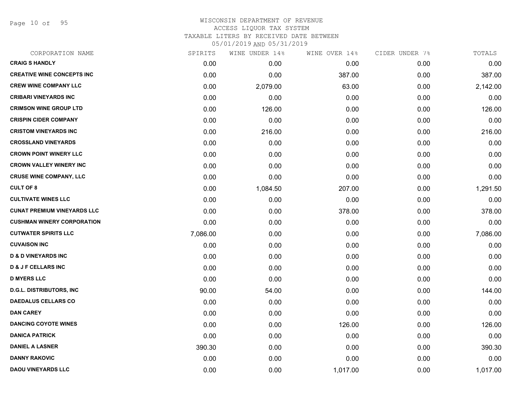Page 10 of 95

| CORPORATION NAME                   | SPIRITS  | WINE UNDER 14% | WINE OVER 14% | CIDER UNDER 7% | TOTALS   |
|------------------------------------|----------|----------------|---------------|----------------|----------|
| <b>CRAIG S HANDLY</b>              | 0.00     | 0.00           | 0.00          | 0.00           | 0.00     |
| <b>CREATIVE WINE CONCEPTS INC</b>  | 0.00     | 0.00           | 387.00        | 0.00           | 387.00   |
| <b>CREW WINE COMPANY LLC</b>       | 0.00     | 2,079.00       | 63.00         | 0.00           | 2,142.00 |
| <b>CRIBARI VINEYARDS INC</b>       | 0.00     | 0.00           | 0.00          | 0.00           | 0.00     |
| <b>CRIMSON WINE GROUP LTD</b>      | 0.00     | 126.00         | 0.00          | 0.00           | 126.00   |
| <b>CRISPIN CIDER COMPANY</b>       | 0.00     | 0.00           | 0.00          | 0.00           | 0.00     |
| <b>CRISTOM VINEYARDS INC</b>       | 0.00     | 216.00         | 0.00          | 0.00           | 216.00   |
| <b>CROSSLAND VINEYARDS</b>         | 0.00     | 0.00           | 0.00          | 0.00           | 0.00     |
| <b>CROWN POINT WINERY LLC</b>      | 0.00     | 0.00           | 0.00          | 0.00           | 0.00     |
| <b>CROWN VALLEY WINERY INC</b>     | 0.00     | 0.00           | 0.00          | 0.00           | 0.00     |
| <b>CRUSE WINE COMPANY, LLC</b>     | 0.00     | 0.00           | 0.00          | 0.00           | 0.00     |
| <b>CULT OF 8</b>                   | 0.00     | 1,084.50       | 207.00        | 0.00           | 1,291.50 |
| <b>CULTIVATE WINES LLC</b>         | 0.00     | 0.00           | 0.00          | 0.00           | 0.00     |
| <b>CUNAT PREMIUM VINEYARDS LLC</b> | 0.00     | 0.00           | 378.00        | 0.00           | 378.00   |
| <b>CUSHMAN WINERY CORPORATION</b>  | 0.00     | 0.00           | 0.00          | 0.00           | 0.00     |
| <b>CUTWATER SPIRITS LLC</b>        | 7,086.00 | 0.00           | 0.00          | 0.00           | 7,086.00 |
| <b>CUVAISON INC</b>                | 0.00     | 0.00           | 0.00          | 0.00           | 0.00     |
| <b>D &amp; D VINEYARDS INC</b>     | 0.00     | 0.00           | 0.00          | 0.00           | 0.00     |
| <b>D &amp; J F CELLARS INC</b>     | 0.00     | 0.00           | 0.00          | 0.00           | 0.00     |
| <b>D MYERS LLC</b>                 | 0.00     | 0.00           | 0.00          | 0.00           | 0.00     |
| <b>D.G.L. DISTRIBUTORS, INC</b>    | 90.00    | 54.00          | 0.00          | 0.00           | 144.00   |
| <b>DAEDALUS CELLARS CO</b>         | 0.00     | 0.00           | 0.00          | 0.00           | 0.00     |
| <b>DAN CAREY</b>                   | 0.00     | 0.00           | 0.00          | 0.00           | 0.00     |
| <b>DANCING COYOTE WINES</b>        | 0.00     | 0.00           | 126.00        | 0.00           | 126.00   |
| <b>DANICA PATRICK</b>              | 0.00     | 0.00           | 0.00          | 0.00           | 0.00     |
| <b>DANIEL A LASNER</b>             | 390.30   | 0.00           | 0.00          | 0.00           | 390.30   |
| <b>DANNY RAKOVIC</b>               | 0.00     | 0.00           | 0.00          | 0.00           | 0.00     |
| <b>DAOU VINEYARDS LLC</b>          | 0.00     | 0.00           | 1,017.00      | 0.00           | 1,017.00 |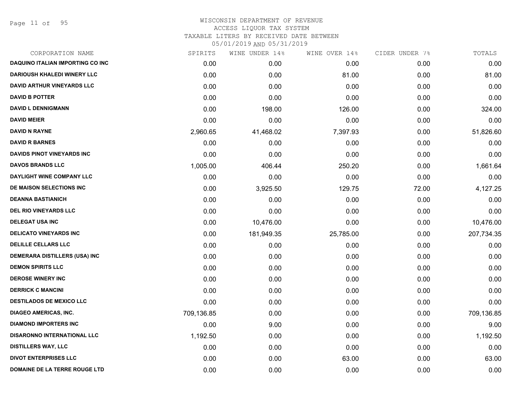Page 11 of 95

| CORPORATION NAME                        | SPIRITS    | WINE UNDER 14% | WINE OVER 14% | CIDER UNDER 7% | TOTALS     |
|-----------------------------------------|------------|----------------|---------------|----------------|------------|
| <b>DAQUINO ITALIAN IMPORTING CO INC</b> | 0.00       | 0.00           | 0.00          | 0.00           | 0.00       |
| <b>DARIOUSH KHALEDI WINERY LLC</b>      | 0.00       | 0.00           | 81.00         | 0.00           | 81.00      |
| <b>DAVID ARTHUR VINEYARDS LLC</b>       | 0.00       | 0.00           | 0.00          | 0.00           | 0.00       |
| <b>DAVID B POTTER</b>                   | 0.00       | 0.00           | 0.00          | 0.00           | 0.00       |
| <b>DAVID L DENNIGMANN</b>               | 0.00       | 198.00         | 126.00        | 0.00           | 324.00     |
| <b>DAVID MEIER</b>                      | 0.00       | 0.00           | 0.00          | 0.00           | 0.00       |
| <b>DAVID N RAYNE</b>                    | 2,960.65   | 41,468.02      | 7,397.93      | 0.00           | 51,826.60  |
| <b>DAVID R BARNES</b>                   | 0.00       | 0.00           | 0.00          | 0.00           | 0.00       |
| <b>DAVIDS PINOT VINEYARDS INC</b>       | 0.00       | 0.00           | 0.00          | 0.00           | 0.00       |
| <b>DAVOS BRANDS LLC</b>                 | 1,005.00   | 406.44         | 250.20        | 0.00           | 1,661.64   |
| DAYLIGHT WINE COMPANY LLC               | 0.00       | 0.00           | 0.00          | 0.00           | 0.00       |
| DE MAISON SELECTIONS INC                | 0.00       | 3,925.50       | 129.75        | 72.00          | 4,127.25   |
| <b>DEANNA BASTIANICH</b>                | 0.00       | 0.00           | 0.00          | 0.00           | 0.00       |
| <b>DEL RIO VINEYARDS LLC</b>            | 0.00       | 0.00           | 0.00          | 0.00           | 0.00       |
| <b>DELEGAT USA INC</b>                  | 0.00       | 10,476.00      | 0.00          | 0.00           | 10,476.00  |
| <b>DELICATO VINEYARDS INC</b>           | 0.00       | 181,949.35     | 25,785.00     | 0.00           | 207,734.35 |
| <b>DELILLE CELLARS LLC</b>              | 0.00       | 0.00           | 0.00          | 0.00           | 0.00       |
| <b>DEMERARA DISTILLERS (USA) INC</b>    | 0.00       | 0.00           | 0.00          | 0.00           | 0.00       |
| <b>DEMON SPIRITS LLC</b>                | 0.00       | 0.00           | 0.00          | 0.00           | 0.00       |
| <b>DEROSE WINERY INC</b>                | 0.00       | 0.00           | 0.00          | 0.00           | 0.00       |
| <b>DERRICK C MANCINI</b>                | 0.00       | 0.00           | 0.00          | 0.00           | 0.00       |
| <b>DESTILADOS DE MEXICO LLC</b>         | 0.00       | 0.00           | 0.00          | 0.00           | 0.00       |
| <b>DIAGEO AMERICAS, INC.</b>            | 709,136.85 | 0.00           | 0.00          | 0.00           | 709,136.85 |
| <b>DIAMOND IMPORTERS INC</b>            | 0.00       | 9.00           | 0.00          | 0.00           | 9.00       |
| <b>DISARONNO INTERNATIONAL LLC</b>      | 1,192.50   | 0.00           | 0.00          | 0.00           | 1,192.50   |
| <b>DISTILLERS WAY, LLC</b>              | 0.00       | 0.00           | 0.00          | 0.00           | 0.00       |
| <b>DIVOT ENTERPRISES LLC</b>            | 0.00       | 0.00           | 63.00         | 0.00           | 63.00      |
| DOMAINE DE LA TERRE ROUGE LTD           | 0.00       | 0.00           | 0.00          | 0.00           | 0.00       |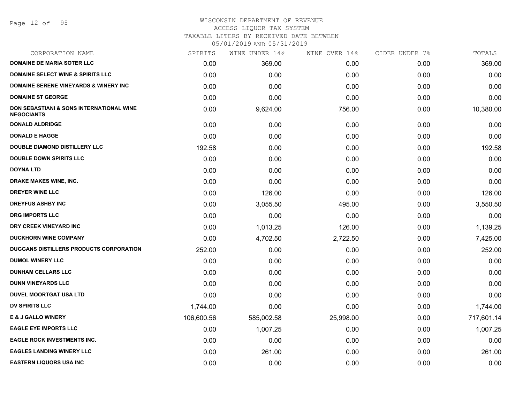# WISCONSIN DEPARTMENT OF REVENUE

ACCESS LIQUOR TAX SYSTEM

TAXABLE LITERS BY RECEIVED DATE BETWEEN

| CORPORATION NAME                                                         | SPIRITS    | WINE UNDER 14% | WINE OVER 14% | CIDER UNDER 7% | TOTALS     |
|--------------------------------------------------------------------------|------------|----------------|---------------|----------------|------------|
| <b>DOMAINE DE MARIA SOTER LLC</b>                                        | 0.00       | 369.00         | 0.00          | 0.00           | 369.00     |
| <b>DOMAINE SELECT WINE &amp; SPIRITS LLC</b>                             | 0.00       | 0.00           | 0.00          | 0.00           | 0.00       |
| <b>DOMAINE SERENE VINEYARDS &amp; WINERY INC</b>                         | 0.00       | 0.00           | 0.00          | 0.00           | 0.00       |
| <b>DOMAINE ST GEORGE</b>                                                 | 0.00       | 0.00           | 0.00          | 0.00           | 0.00       |
| <b>DON SEBASTIANI &amp; SONS INTERNATIONAL WINE</b><br><b>NEGOCIANTS</b> | 0.00       | 9,624.00       | 756.00        | 0.00           | 10,380.00  |
| <b>DONALD ALDRIDGE</b>                                                   | 0.00       | 0.00           | 0.00          | 0.00           | 0.00       |
| <b>DONALD E HAGGE</b>                                                    | 0.00       | 0.00           | 0.00          | 0.00           | 0.00       |
| <b>DOUBLE DIAMOND DISTILLERY LLC</b>                                     | 192.58     | 0.00           | 0.00          | 0.00           | 192.58     |
| <b>DOUBLE DOWN SPIRITS LLC</b>                                           | 0.00       | 0.00           | 0.00          | 0.00           | 0.00       |
| <b>DOYNA LTD</b>                                                         | 0.00       | 0.00           | 0.00          | 0.00           | 0.00       |
| <b>DRAKE MAKES WINE, INC.</b>                                            | 0.00       | 0.00           | 0.00          | 0.00           | 0.00       |
| <b>DREYER WINE LLC</b>                                                   | 0.00       | 126.00         | 0.00          | 0.00           | 126.00     |
| <b>DREYFUS ASHBY INC</b>                                                 | 0.00       | 3,055.50       | 495.00        | 0.00           | 3,550.50   |
| <b>DRG IMPORTS LLC</b>                                                   | 0.00       | 0.00           | 0.00          | 0.00           | 0.00       |
| DRY CREEK VINEYARD INC                                                   | 0.00       | 1,013.25       | 126.00        | 0.00           | 1,139.25   |
| <b>DUCKHORN WINE COMPANY</b>                                             | 0.00       | 4,702.50       | 2,722.50      | 0.00           | 7,425.00   |
| DUGGANS DISTILLERS PRODUCTS CORPORATION                                  | 252.00     | 0.00           | 0.00          | 0.00           | 252.00     |
| <b>DUMOL WINERY LLC</b>                                                  | 0.00       | 0.00           | 0.00          | 0.00           | 0.00       |
| <b>DUNHAM CELLARS LLC</b>                                                | 0.00       | 0.00           | 0.00          | 0.00           | 0.00       |
| <b>DUNN VINEYARDS LLC</b>                                                | 0.00       | 0.00           | 0.00          | 0.00           | 0.00       |
| <b>DUVEL MOORTGAT USA LTD</b>                                            | 0.00       | 0.00           | 0.00          | 0.00           | 0.00       |
| <b>DV SPIRITS LLC</b>                                                    | 1,744.00   | 0.00           | 0.00          | 0.00           | 1,744.00   |
| <b>E &amp; J GALLO WINERY</b>                                            | 106,600.56 | 585,002.58     | 25,998.00     | 0.00           | 717,601.14 |
| <b>EAGLE EYE IMPORTS LLC</b>                                             | 0.00       | 1,007.25       | 0.00          | 0.00           | 1,007.25   |
| <b>EAGLE ROCK INVESTMENTS INC.</b>                                       | 0.00       | 0.00           | 0.00          | 0.00           | 0.00       |
| <b>EAGLES LANDING WINERY LLC</b>                                         | 0.00       | 261.00         | 0.00          | 0.00           | 261.00     |
| <b>EASTERN LIQUORS USA INC</b>                                           | 0.00       | 0.00           | 0.00          | 0.00           | 0.00       |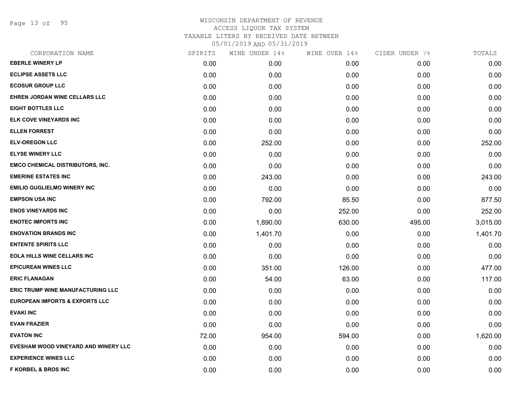Page 13 of 95

| CORPORATION NAME                          | SPIRITS | WINE UNDER 14% | WINE OVER 14% | CIDER UNDER 7% | TOTALS   |
|-------------------------------------------|---------|----------------|---------------|----------------|----------|
| <b>EBERLE WINERY LP</b>                   | 0.00    | 0.00           | 0.00          | 0.00           | 0.00     |
| <b>ECLIPSE ASSETS LLC</b>                 | 0.00    | 0.00           | 0.00          | 0.00           | 0.00     |
| <b>ECOSUR GROUP LLC</b>                   | 0.00    | 0.00           | 0.00          | 0.00           | 0.00     |
| EHREN JORDAN WINE CELLARS LLC             | 0.00    | 0.00           | 0.00          | 0.00           | 0.00     |
| <b>EIGHT BOTTLES LLC</b>                  | 0.00    | 0.00           | 0.00          | 0.00           | 0.00     |
| <b>ELK COVE VINEYARDS INC</b>             | 0.00    | 0.00           | 0.00          | 0.00           | 0.00     |
| <b>ELLEN FORREST</b>                      | 0.00    | 0.00           | 0.00          | 0.00           | 0.00     |
| <b>ELV-OREGON LLC</b>                     | 0.00    | 252.00         | 0.00          | 0.00           | 252.00   |
| <b>ELYSE WINERY LLC</b>                   | 0.00    | 0.00           | 0.00          | 0.00           | 0.00     |
| <b>EMCO CHEMICAL DISTRIBUTORS, INC.</b>   | 0.00    | 0.00           | 0.00          | 0.00           | 0.00     |
| <b>EMERINE ESTATES INC</b>                | 0.00    | 243.00         | 0.00          | 0.00           | 243.00   |
| <b>EMILIO GUGLIELMO WINERY INC</b>        | 0.00    | 0.00           | 0.00          | 0.00           | 0.00     |
| <b>EMPSON USA INC</b>                     | 0.00    | 792.00         | 85.50         | 0.00           | 877.50   |
| <b>ENOS VINEYARDS INC</b>                 | 0.00    | 0.00           | 252.00        | 0.00           | 252.00   |
| <b>ENOTEC IMPORTS INC</b>                 | 0.00    | 1,890.00       | 630.00        | 495.00         | 3,015.00 |
| <b>ENOVATION BRANDS INC</b>               | 0.00    | 1,401.70       | 0.00          | 0.00           | 1,401.70 |
| <b>ENTENTE SPIRITS LLC</b>                | 0.00    | 0.00           | 0.00          | 0.00           | 0.00     |
| <b>EOLA HILLS WINE CELLARS INC</b>        | 0.00    | 0.00           | 0.00          | 0.00           | 0.00     |
| <b>EPICUREAN WINES LLC</b>                | 0.00    | 351.00         | 126.00        | 0.00           | 477.00   |
| <b>ERIC FLANAGAN</b>                      | 0.00    | 54.00          | 63.00         | 0.00           | 117.00   |
| <b>ERIC TRUMP WINE MANUFACTURING LLC</b>  | 0.00    | 0.00           | 0.00          | 0.00           | 0.00     |
| <b>EUROPEAN IMPORTS &amp; EXPORTS LLC</b> | 0.00    | 0.00           | 0.00          | 0.00           | 0.00     |
| <b>EVAKI INC</b>                          | 0.00    | 0.00           | 0.00          | 0.00           | 0.00     |
| <b>EVAN FRAZIER</b>                       | 0.00    | 0.00           | 0.00          | 0.00           | 0.00     |
| <b>EVATON INC</b>                         | 72.00   | 954.00         | 594.00        | 0.00           | 1,620.00 |
| EVESHAM WOOD VINEYARD AND WINERY LLC      | 0.00    | 0.00           | 0.00          | 0.00           | 0.00     |
| <b>EXPERIENCE WINES LLC</b>               | 0.00    | 0.00           | 0.00          | 0.00           | 0.00     |
| <b>F KORBEL &amp; BROS INC</b>            | 0.00    | 0.00           | 0.00          | 0.00           | 0.00     |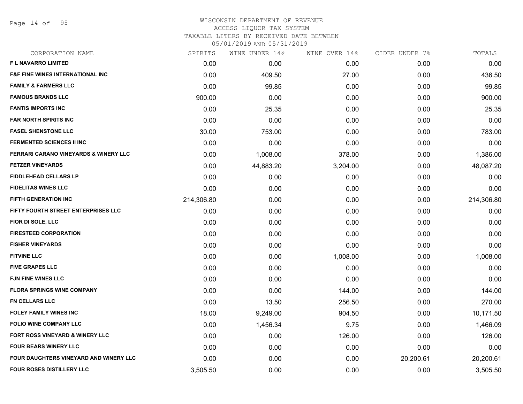Page 14 of 95

## WISCONSIN DEPARTMENT OF REVENUE ACCESS LIQUOR TAX SYSTEM TAXABLE LITERS BY RECEIVED DATE BETWEEN

| CORPORATION NAME                            | SPIRITS    | WINE UNDER 14% | WINE OVER 14% | CIDER UNDER 7% | TOTALS     |
|---------------------------------------------|------------|----------------|---------------|----------------|------------|
| <b>FL NAVARRO LIMITED</b>                   | 0.00       | 0.00           | 0.00          | 0.00           | 0.00       |
| <b>F&amp;F FINE WINES INTERNATIONAL INC</b> | 0.00       | 409.50         | 27.00         | 0.00           | 436.50     |
| <b>FAMILY &amp; FARMERS LLC</b>             | 0.00       | 99.85          | 0.00          | 0.00           | 99.85      |
| <b>FAMOUS BRANDS LLC</b>                    | 900.00     | 0.00           | 0.00          | 0.00           | 900.00     |
| <b>FANTIS IMPORTS INC</b>                   | 0.00       | 25.35          | 0.00          | 0.00           | 25.35      |
| <b>FAR NORTH SPIRITS INC</b>                | 0.00       | 0.00           | 0.00          | 0.00           | 0.00       |
| <b>FASEL SHENSTONE LLC</b>                  | 30.00      | 753.00         | 0.00          | 0.00           | 783.00     |
| <b>FERMENTED SCIENCES II INC</b>            | 0.00       | 0.00           | 0.00          | 0.00           | 0.00       |
| FERRARI CARANO VINEYARDS & WINERY LLC       | 0.00       | 1,008.00       | 378.00        | 0.00           | 1,386.00   |
| <b>FETZER VINEYARDS</b>                     | 0.00       | 44,883.20      | 3,204.00      | 0.00           | 48,087.20  |
| <b>FIDDLEHEAD CELLARS LP</b>                | 0.00       | 0.00           | 0.00          | 0.00           | 0.00       |
| <b>FIDELITAS WINES LLC</b>                  | 0.00       | 0.00           | 0.00          | 0.00           | 0.00       |
| <b>FIFTH GENERATION INC</b>                 | 214,306.80 | 0.00           | 0.00          | 0.00           | 214,306.80 |
| FIFTY FOURTH STREET ENTERPRISES LLC         | 0.00       | 0.00           | 0.00          | 0.00           | 0.00       |
| FIOR DI SOLE, LLC                           | 0.00       | 0.00           | 0.00          | 0.00           | 0.00       |
| <b>FIRESTEED CORPORATION</b>                | 0.00       | 0.00           | 0.00          | 0.00           | 0.00       |
| <b>FISHER VINEYARDS</b>                     | 0.00       | 0.00           | 0.00          | 0.00           | 0.00       |
| <b>FITVINE LLC</b>                          | 0.00       | 0.00           | 1,008.00      | 0.00           | 1,008.00   |
| <b>FIVE GRAPES LLC</b>                      | 0.00       | 0.00           | 0.00          | 0.00           | 0.00       |
| <b>FJN FINE WINES LLC</b>                   | 0.00       | 0.00           | 0.00          | 0.00           | 0.00       |
| <b>FLORA SPRINGS WINE COMPANY</b>           | 0.00       | 0.00           | 144.00        | 0.00           | 144.00     |
| <b>FN CELLARS LLC</b>                       | 0.00       | 13.50          | 256.50        | 0.00           | 270.00     |
| <b>FOLEY FAMILY WINES INC</b>               | 18.00      | 9,249.00       | 904.50        | 0.00           | 10,171.50  |
| <b>FOLIO WINE COMPANY LLC</b>               | 0.00       | 1,456.34       | 9.75          | 0.00           | 1,466.09   |
| <b>FORT ROSS VINEYARD &amp; WINERY LLC</b>  | 0.00       | 0.00           | 126.00        | 0.00           | 126.00     |
| <b>FOUR BEARS WINERY LLC</b>                | 0.00       | 0.00           | 0.00          | 0.00           | 0.00       |
| FOUR DAUGHTERS VINEYARD AND WINERY LLC      | 0.00       | 0.00           | 0.00          | 20,200.61      | 20,200.61  |
| FOUR ROSES DISTILLERY LLC                   | 3,505.50   | 0.00           | 0.00          | 0.00           | 3,505.50   |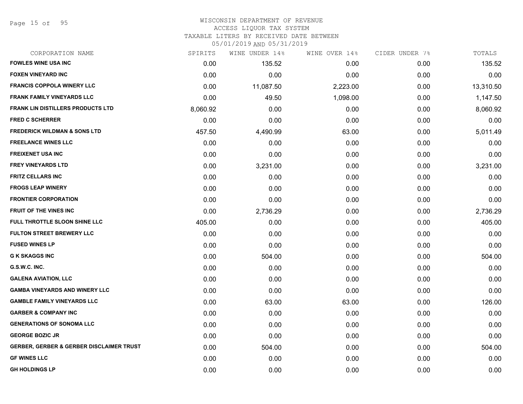Page 15 of 95

#### WISCONSIN DEPARTMENT OF REVENUE ACCESS LIQUOR TAX SYSTEM

TAXABLE LITERS BY RECEIVED DATE BETWEEN

| CORPORATION NAME                                    | SPIRITS  | WINE UNDER 14% | WINE OVER 14% | CIDER UNDER 7% | TOTALS    |
|-----------------------------------------------------|----------|----------------|---------------|----------------|-----------|
| <b>FOWLES WINE USA INC</b>                          | 0.00     | 135.52         | 0.00          | 0.00           | 135.52    |
| <b>FOXEN VINEYARD INC</b>                           | 0.00     | 0.00           | 0.00          | 0.00           | 0.00      |
| <b>FRANCIS COPPOLA WINERY LLC</b>                   | 0.00     | 11,087.50      | 2,223.00      | 0.00           | 13,310.50 |
| <b>FRANK FAMILY VINEYARDS LLC</b>                   | 0.00     | 49.50          | 1,098.00      | 0.00           | 1,147.50  |
| <b>FRANK LIN DISTILLERS PRODUCTS LTD</b>            | 8,060.92 | 0.00           | 0.00          | 0.00           | 8,060.92  |
| <b>FRED C SCHERRER</b>                              | 0.00     | 0.00           | 0.00          | 0.00           | 0.00      |
| <b>FREDERICK WILDMAN &amp; SONS LTD</b>             | 457.50   | 4,490.99       | 63.00         | 0.00           | 5,011.49  |
| <b>FREELANCE WINES LLC</b>                          | 0.00     | 0.00           | 0.00          | 0.00           | 0.00      |
| <b>FREIXENET USA INC</b>                            | 0.00     | 0.00           | 0.00          | 0.00           | 0.00      |
| <b>FREY VINEYARDS LTD</b>                           | 0.00     | 3,231.00       | 0.00          | 0.00           | 3,231.00  |
| <b>FRITZ CELLARS INC</b>                            | 0.00     | 0.00           | 0.00          | 0.00           | 0.00      |
| <b>FROGS LEAP WINERY</b>                            | 0.00     | 0.00           | 0.00          | 0.00           | 0.00      |
| <b>FRONTIER CORPORATION</b>                         | 0.00     | 0.00           | 0.00          | 0.00           | 0.00      |
| <b>FRUIT OF THE VINES INC</b>                       | 0.00     | 2,736.29       | 0.00          | 0.00           | 2,736.29  |
| FULL THROTTLE SLOON SHINE LLC                       | 405.00   | 0.00           | 0.00          | 0.00           | 405.00    |
| <b>FULTON STREET BREWERY LLC</b>                    | 0.00     | 0.00           | 0.00          | 0.00           | 0.00      |
| <b>FUSED WINES LP</b>                               | 0.00     | 0.00           | 0.00          | 0.00           | 0.00      |
| <b>G K SKAGGS INC</b>                               | 0.00     | 504.00         | 0.00          | 0.00           | 504.00    |
| G.S.W.C. INC.                                       | 0.00     | 0.00           | 0.00          | 0.00           | 0.00      |
| <b>GALENA AVIATION, LLC</b>                         | 0.00     | 0.00           | 0.00          | 0.00           | 0.00      |
| <b>GAMBA VINEYARDS AND WINERY LLC</b>               | 0.00     | 0.00           | 0.00          | 0.00           | 0.00      |
| <b>GAMBLE FAMILY VINEYARDS LLC</b>                  | 0.00     | 63.00          | 63.00         | 0.00           | 126.00    |
| <b>GARBER &amp; COMPANY INC</b>                     | 0.00     | 0.00           | 0.00          | 0.00           | 0.00      |
| <b>GENERATIONS OF SONOMA LLC</b>                    | 0.00     | 0.00           | 0.00          | 0.00           | 0.00      |
| <b>GEORGE BOZIC JR</b>                              | 0.00     | 0.00           | 0.00          | 0.00           | 0.00      |
| <b>GERBER, GERBER &amp; GERBER DISCLAIMER TRUST</b> | 0.00     | 504.00         | 0.00          | 0.00           | 504.00    |
| <b>GF WINES LLC</b>                                 | 0.00     | 0.00           | 0.00          | 0.00           | 0.00      |
| <b>GH HOLDINGS LP</b>                               | 0.00     | 0.00           | 0.00          | 0.00           | 0.00      |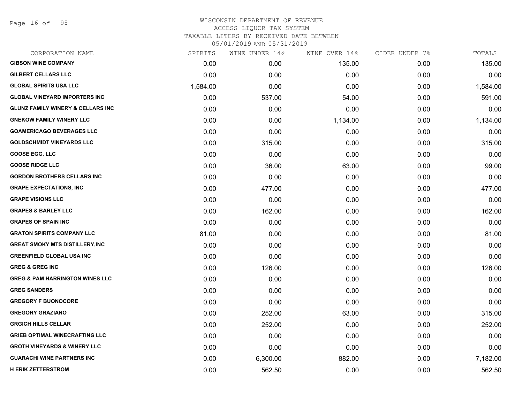Page 16 of 95

| CORPORATION NAME                             | SPIRITS  | WINE UNDER 14% | WINE OVER 14% | CIDER UNDER 7% | TOTALS   |
|----------------------------------------------|----------|----------------|---------------|----------------|----------|
| <b>GIBSON WINE COMPANY</b>                   | 0.00     | 0.00           | 135.00        | 0.00           | 135.00   |
| <b>GILBERT CELLARS LLC</b>                   | 0.00     | 0.00           | 0.00          | 0.00           | 0.00     |
| <b>GLOBAL SPIRITS USA LLC</b>                | 1,584.00 | 0.00           | 0.00          | 0.00           | 1,584.00 |
| <b>GLOBAL VINEYARD IMPORTERS INC</b>         | 0.00     | 537.00         | 54.00         | 0.00           | 591.00   |
| <b>GLUNZ FAMILY WINERY &amp; CELLARS INC</b> | 0.00     | 0.00           | 0.00          | 0.00           | 0.00     |
| <b>GNEKOW FAMILY WINERY LLC</b>              | 0.00     | 0.00           | 1,134.00      | 0.00           | 1,134.00 |
| <b>GOAMERICAGO BEVERAGES LLC</b>             | 0.00     | 0.00           | 0.00          | 0.00           | 0.00     |
| <b>GOLDSCHMIDT VINEYARDS LLC</b>             | 0.00     | 315.00         | 0.00          | 0.00           | 315.00   |
| <b>GOOSE EGG, LLC</b>                        | 0.00     | 0.00           | 0.00          | 0.00           | 0.00     |
| <b>GOOSE RIDGE LLC</b>                       | 0.00     | 36.00          | 63.00         | 0.00           | 99.00    |
| <b>GORDON BROTHERS CELLARS INC</b>           | 0.00     | 0.00           | 0.00          | 0.00           | 0.00     |
| <b>GRAPE EXPECTATIONS, INC</b>               | 0.00     | 477.00         | 0.00          | 0.00           | 477.00   |
| <b>GRAPE VISIONS LLC</b>                     | 0.00     | 0.00           | 0.00          | 0.00           | 0.00     |
| <b>GRAPES &amp; BARLEY LLC</b>               | 0.00     | 162.00         | 0.00          | 0.00           | 162.00   |
| <b>GRAPES OF SPAIN INC</b>                   | 0.00     | 0.00           | 0.00          | 0.00           | 0.00     |
| <b>GRATON SPIRITS COMPANY LLC</b>            | 81.00    | 0.00           | 0.00          | 0.00           | 81.00    |
| <b>GREAT SMOKY MTS DISTILLERY, INC</b>       | 0.00     | 0.00           | 0.00          | 0.00           | 0.00     |
| <b>GREENFIELD GLOBAL USA INC</b>             | 0.00     | 0.00           | 0.00          | 0.00           | 0.00     |
| <b>GREG &amp; GREG INC</b>                   | 0.00     | 126.00         | 0.00          | 0.00           | 126.00   |
| <b>GREG &amp; PAM HARRINGTON WINES LLC</b>   | 0.00     | 0.00           | 0.00          | 0.00           | 0.00     |
| <b>GREG SANDERS</b>                          | 0.00     | 0.00           | 0.00          | 0.00           | 0.00     |
| <b>GREGORY F BUONOCORE</b>                   | 0.00     | 0.00           | 0.00          | 0.00           | 0.00     |
| <b>GREGORY GRAZIANO</b>                      | 0.00     | 252.00         | 63.00         | 0.00           | 315.00   |
| <b>GRGICH HILLS CELLAR</b>                   | 0.00     | 252.00         | 0.00          | 0.00           | 252.00   |
| <b>GRIEB OPTIMAL WINECRAFTING LLC</b>        | 0.00     | 0.00           | 0.00          | 0.00           | 0.00     |
| <b>GROTH VINEYARDS &amp; WINERY LLC</b>      | 0.00     | 0.00           | 0.00          | 0.00           | 0.00     |
| <b>GUARACHI WINE PARTNERS INC</b>            | 0.00     | 6,300.00       | 882.00        | 0.00           | 7,182.00 |
| <b>H ERIK ZETTERSTROM</b>                    | 0.00     | 562.50         | 0.00          | 0.00           | 562.50   |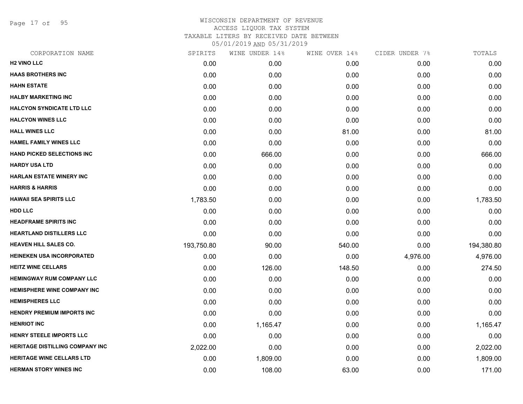Page 17 of 95

| CORPORATION NAME                       | SPIRITS    | WINE UNDER 14% | WINE OVER 14% | CIDER UNDER 7% | TOTALS     |
|----------------------------------------|------------|----------------|---------------|----------------|------------|
| <b>H2 VINO LLC</b>                     | 0.00       | 0.00           | 0.00          | 0.00           | 0.00       |
| <b>HAAS BROTHERS INC</b>               | 0.00       | 0.00           | 0.00          | 0.00           | 0.00       |
| <b>HAHN ESTATE</b>                     | 0.00       | 0.00           | 0.00          | 0.00           | 0.00       |
| <b>HALBY MARKETING INC</b>             | 0.00       | 0.00           | 0.00          | 0.00           | 0.00       |
| <b>HALCYON SYNDICATE LTD LLC</b>       | 0.00       | 0.00           | 0.00          | 0.00           | 0.00       |
| <b>HALCYON WINES LLC</b>               | 0.00       | 0.00           | 0.00          | 0.00           | 0.00       |
| <b>HALL WINES LLC</b>                  | 0.00       | 0.00           | 81.00         | 0.00           | 81.00      |
| <b>HAMEL FAMILY WINES LLC</b>          | 0.00       | 0.00           | 0.00          | 0.00           | 0.00       |
| <b>HAND PICKED SELECTIONS INC</b>      | 0.00       | 666.00         | 0.00          | 0.00           | 666.00     |
| <b>HARDY USA LTD</b>                   | 0.00       | 0.00           | 0.00          | 0.00           | 0.00       |
| <b>HARLAN ESTATE WINERY INC</b>        | 0.00       | 0.00           | 0.00          | 0.00           | 0.00       |
| <b>HARRIS &amp; HARRIS</b>             | 0.00       | 0.00           | 0.00          | 0.00           | 0.00       |
| <b>HAWAII SEA SPIRITS LLC</b>          | 1,783.50   | 0.00           | 0.00          | 0.00           | 1,783.50   |
| <b>HDD LLC</b>                         | 0.00       | 0.00           | 0.00          | 0.00           | 0.00       |
| <b>HEADFRAME SPIRITS INC</b>           | 0.00       | 0.00           | 0.00          | 0.00           | 0.00       |
| <b>HEARTLAND DISTILLERS LLC</b>        | 0.00       | 0.00           | 0.00          | 0.00           | 0.00       |
| <b>HEAVEN HILL SALES CO.</b>           | 193,750.80 | 90.00          | 540.00        | 0.00           | 194,380.80 |
| <b>HEINEKEN USA INCORPORATED</b>       | 0.00       | 0.00           | 0.00          | 4,976.00       | 4,976.00   |
| <b>HEITZ WINE CELLARS</b>              | 0.00       | 126.00         | 148.50        | 0.00           | 274.50     |
| <b>HEMINGWAY RUM COMPANY LLC</b>       | 0.00       | 0.00           | 0.00          | 0.00           | 0.00       |
| <b>HEMISPHERE WINE COMPANY INC</b>     | 0.00       | 0.00           | 0.00          | 0.00           | 0.00       |
| <b>HEMISPHERES LLC</b>                 | 0.00       | 0.00           | 0.00          | 0.00           | 0.00       |
| <b>HENDRY PREMIUM IMPORTS INC</b>      | 0.00       | 0.00           | 0.00          | 0.00           | 0.00       |
| <b>HENRIOT INC</b>                     | 0.00       | 1,165.47       | 0.00          | 0.00           | 1,165.47   |
| <b>HENRY STEELE IMPORTS LLC</b>        | 0.00       | 0.00           | 0.00          | 0.00           | 0.00       |
| <b>HERITAGE DISTILLING COMPANY INC</b> | 2,022.00   | 0.00           | 0.00          | 0.00           | 2,022.00   |
| <b>HERITAGE WINE CELLARS LTD</b>       | 0.00       | 1,809.00       | 0.00          | 0.00           | 1,809.00   |
| <b>HERMAN STORY WINES INC</b>          | 0.00       | 108.00         | 63.00         | 0.00           | 171.00     |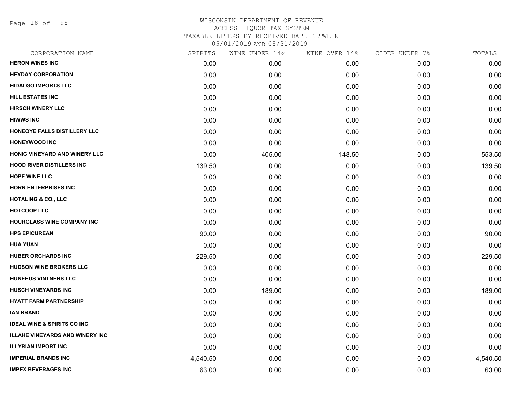Page 18 of 95

| CORPORATION NAME                       | SPIRITS  | WINE UNDER 14% | WINE OVER 14% | CIDER UNDER 7% | TOTALS   |
|----------------------------------------|----------|----------------|---------------|----------------|----------|
| <b>HERON WINES INC</b>                 | 0.00     | 0.00           | 0.00          | 0.00           | 0.00     |
| <b>HEYDAY CORPORATION</b>              | 0.00     | 0.00           | 0.00          | 0.00           | 0.00     |
| <b>HIDALGO IMPORTS LLC</b>             | 0.00     | 0.00           | 0.00          | 0.00           | 0.00     |
| <b>HILL ESTATES INC</b>                | 0.00     | 0.00           | 0.00          | 0.00           | 0.00     |
| <b>HIRSCH WINERY LLC</b>               | 0.00     | 0.00           | 0.00          | 0.00           | 0.00     |
| <b>HIWWS INC</b>                       | 0.00     | 0.00           | 0.00          | 0.00           | 0.00     |
| HONEOYE FALLS DISTILLERY LLC           | 0.00     | 0.00           | 0.00          | 0.00           | 0.00     |
| <b>HONEYWOOD INC</b>                   | 0.00     | 0.00           | 0.00          | 0.00           | 0.00     |
| HONIG VINEYARD AND WINERY LLC          | 0.00     | 405.00         | 148.50        | 0.00           | 553.50   |
| <b>HOOD RIVER DISTILLERS INC</b>       | 139.50   | 0.00           | 0.00          | 0.00           | 139.50   |
| <b>HOPE WINE LLC</b>                   | 0.00     | 0.00           | 0.00          | 0.00           | 0.00     |
| <b>HORN ENTERPRISES INC</b>            | 0.00     | 0.00           | 0.00          | 0.00           | 0.00     |
| <b>HOTALING &amp; CO., LLC</b>         | 0.00     | 0.00           | 0.00          | 0.00           | 0.00     |
| <b>HOTCOOP LLC</b>                     | 0.00     | 0.00           | 0.00          | 0.00           | 0.00     |
| HOURGLASS WINE COMPANY INC             | 0.00     | 0.00           | 0.00          | 0.00           | 0.00     |
| <b>HPS EPICUREAN</b>                   | 90.00    | 0.00           | 0.00          | 0.00           | 90.00    |
| <b>HUA YUAN</b>                        | 0.00     | 0.00           | 0.00          | 0.00           | 0.00     |
| <b>HUBER ORCHARDS INC</b>              | 229.50   | 0.00           | 0.00          | 0.00           | 229.50   |
| HUDSON WINE BROKERS LLC                | 0.00     | 0.00           | 0.00          | 0.00           | 0.00     |
| <b>HUNEEUS VINTNERS LLC</b>            | 0.00     | 0.00           | 0.00          | 0.00           | 0.00     |
| <b>HUSCH VINEYARDS INC</b>             | 0.00     | 189.00         | 0.00          | 0.00           | 189.00   |
| <b>HYATT FARM PARTNERSHIP</b>          | 0.00     | 0.00           | 0.00          | 0.00           | 0.00     |
| <b>IAN BRAND</b>                       | 0.00     | 0.00           | 0.00          | 0.00           | 0.00     |
| <b>IDEAL WINE &amp; SPIRITS CO INC</b> | 0.00     | 0.00           | 0.00          | 0.00           | 0.00     |
| <b>ILLAHE VINEYARDS AND WINERY INC</b> | 0.00     | 0.00           | 0.00          | 0.00           | 0.00     |
| <b>ILLYRIAN IMPORT INC</b>             | 0.00     | 0.00           | 0.00          | 0.00           | 0.00     |
| <b>IMPERIAL BRANDS INC</b>             | 4,540.50 | 0.00           | 0.00          | 0.00           | 4,540.50 |
| <b>IMPEX BEVERAGES INC</b>             | 63.00    | 0.00           | 0.00          | 0.00           | 63.00    |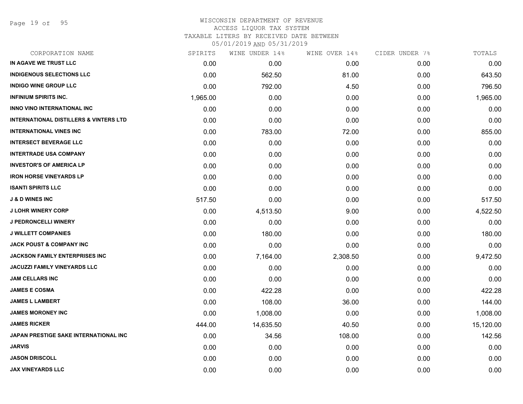Page 19 of 95

### WISCONSIN DEPARTMENT OF REVENUE ACCESS LIQUOR TAX SYSTEM TAXABLE LITERS BY RECEIVED DATE BETWEEN

| CORPORATION NAME                                  | SPIRITS  | WINE UNDER 14% | WINE OVER 14% | CIDER UNDER 7% | TOTALS    |
|---------------------------------------------------|----------|----------------|---------------|----------------|-----------|
| IN AGAVE WE TRUST LLC                             | 0.00     | 0.00           | 0.00          | 0.00           | 0.00      |
| <b>INDIGENOUS SELECTIONS LLC</b>                  | 0.00     | 562.50         | 81.00         | 0.00           | 643.50    |
| <b>INDIGO WINE GROUP LLC</b>                      | 0.00     | 792.00         | 4.50          | 0.00           | 796.50    |
| <b>INFINIUM SPIRITS INC.</b>                      | 1,965.00 | 0.00           | 0.00          | 0.00           | 1,965.00  |
| <b>INNO VINO INTERNATIONAL INC</b>                | 0.00     | 0.00           | 0.00          | 0.00           | 0.00      |
| <b>INTERNATIONAL DISTILLERS &amp; VINTERS LTD</b> | 0.00     | 0.00           | 0.00          | 0.00           | 0.00      |
| <b>INTERNATIONAL VINES INC</b>                    | 0.00     | 783.00         | 72.00         | 0.00           | 855.00    |
| <b>INTERSECT BEVERAGE LLC</b>                     | 0.00     | 0.00           | 0.00          | 0.00           | 0.00      |
| <b>INTERTRADE USA COMPANY</b>                     | 0.00     | 0.00           | 0.00          | 0.00           | 0.00      |
| <b>INVESTOR'S OF AMERICA LP</b>                   | 0.00     | 0.00           | 0.00          | 0.00           | 0.00      |
| <b>IRON HORSE VINEYARDS LP</b>                    | 0.00     | 0.00           | 0.00          | 0.00           | 0.00      |
| <b>ISANTI SPIRITS LLC</b>                         | 0.00     | 0.00           | 0.00          | 0.00           | 0.00      |
| <b>J &amp; D WINES INC</b>                        | 517.50   | 0.00           | 0.00          | 0.00           | 517.50    |
| <b>J LOHR WINERY CORP</b>                         | 0.00     | 4,513.50       | 9.00          | 0.00           | 4,522.50  |
| <b>J PEDRONCELLI WINERY</b>                       | 0.00     | 0.00           | 0.00          | 0.00           | 0.00      |
| <b>J WILLETT COMPANIES</b>                        | 0.00     | 180.00         | 0.00          | 0.00           | 180.00    |
| <b>JACK POUST &amp; COMPANY INC</b>               | 0.00     | 0.00           | 0.00          | 0.00           | 0.00      |
| JACKSON FAMILY ENTERPRISES INC                    | 0.00     | 7,164.00       | 2,308.50      | 0.00           | 9,472.50  |
| JACUZZI FAMILY VINEYARDS LLC                      | 0.00     | 0.00           | 0.00          | 0.00           | 0.00      |
| <b>JAM CELLARS INC</b>                            | 0.00     | 0.00           | 0.00          | 0.00           | 0.00      |
| <b>JAMES E COSMA</b>                              | 0.00     | 422.28         | 0.00          | 0.00           | 422.28    |
| <b>JAMES L LAMBERT</b>                            | 0.00     | 108.00         | 36.00         | 0.00           | 144.00    |
| <b>JAMES MORONEY INC</b>                          | 0.00     | 1,008.00       | 0.00          | 0.00           | 1,008.00  |
| <b>JAMES RICKER</b>                               | 444.00   | 14,635.50      | 40.50         | 0.00           | 15,120.00 |
| JAPAN PRESTIGE SAKE INTERNATIONAL INC             | 0.00     | 34.56          | 108.00        | 0.00           | 142.56    |
| <b>JARVIS</b>                                     | 0.00     | 0.00           | 0.00          | 0.00           | 0.00      |
| <b>JASON DRISCOLL</b>                             | 0.00     | 0.00           | 0.00          | 0.00           | 0.00      |
| <b>JAX VINEYARDS LLC</b>                          | 0.00     | 0.00           | 0.00          | 0.00           | 0.00      |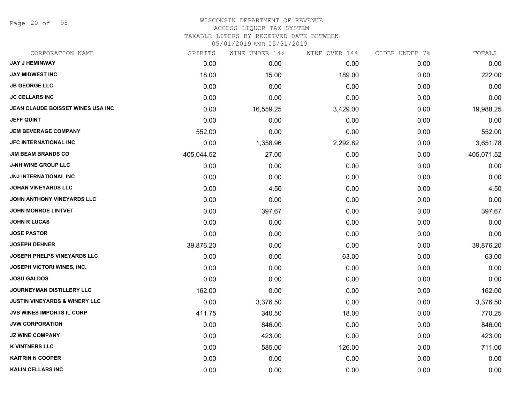Page 20 of 95

# WISCONSIN DEPARTMENT OF REVENUE

ACCESS LIQUOR TAX SYSTEM

TAXABLE LITERS BY RECEIVED DATE BETWEEN

| CORPORATION NAME                         | SPIRITS    | WINE UNDER 14% | WINE OVER 14% | CIDER UNDER 7% | TOTALS     |
|------------------------------------------|------------|----------------|---------------|----------------|------------|
| <b>JAY J HEMINWAY</b>                    | 0.00       | 0.00           | 0.00          | 0.00           | 0.00       |
| <b>JAY MIDWEST INC</b>                   | 18.00      | 15.00          | 189.00        | 0.00           | 222.00     |
| <b>JB GEORGE LLC</b>                     | 0.00       | 0.00           | 0.00          | 0.00           | 0.00       |
| <b>JC CELLARS INC</b>                    | 0.00       | 0.00           | 0.00          | 0.00           | 0.00       |
| JEAN CLAUDE BOISSET WINES USA INC        | 0.00       | 16,559.25      | 3,429.00      | 0.00           | 19,988.25  |
| <b>JEFF QUINT</b>                        | 0.00       | 0.00           | 0.00          | 0.00           | 0.00       |
| <b>JEM BEVERAGE COMPANY</b>              | 552.00     | 0.00           | 0.00          | 0.00           | 552.00     |
| <b>JFC INTERNATIONAL INC</b>             | 0.00       | 1,358.96       | 2,292.82      | 0.00           | 3,651.78   |
| <b>JIM BEAM BRANDS CO</b>                | 405,044.52 | 27.00          | 0.00          | 0.00           | 405,071.52 |
| <b>J-NH WINE GROUP LLC</b>               | 0.00       | 0.00           | 0.00          | 0.00           | 0.00       |
| <b>JNJ INTERNATIONAL INC</b>             | 0.00       | 0.00           | 0.00          | 0.00           | 0.00       |
| <b>JOHAN VINEYARDS LLC</b>               | 0.00       | 4.50           | 0.00          | 0.00           | 4.50       |
| JOHN ANTHONY VINEYARDS LLC               | 0.00       | 0.00           | 0.00          | 0.00           | 0.00       |
| <b>JOHN MONROE LINTVET</b>               | 0.00       | 397.67         | 0.00          | 0.00           | 397.67     |
| <b>JOHN R LUCAS</b>                      | 0.00       | 0.00           | 0.00          | 0.00           | 0.00       |
| <b>JOSE PASTOR</b>                       | 0.00       | 0.00           | 0.00          | 0.00           | 0.00       |
| <b>JOSEPH DEHNER</b>                     | 39,876.20  | 0.00           | 0.00          | 0.00           | 39,876.20  |
| JOSEPH PHELPS VINEYARDS LLC              | 0.00       | 0.00           | 63.00         | 0.00           | 63.00      |
| JOSEPH VICTORI WINES, INC.               | 0.00       | 0.00           | 0.00          | 0.00           | 0.00       |
| <b>JOSU GALDOS</b>                       | 0.00       | 0.00           | 0.00          | 0.00           | 0.00       |
| JOURNEYMAN DISTILLERY LLC                | 162.00     | 0.00           | 0.00          | 0.00           | 162.00     |
| <b>JUSTIN VINEYARDS &amp; WINERY LLC</b> | 0.00       | 3,376.50       | 0.00          | 0.00           | 3,376.50   |
| <b>JVS WINES IMPORTS IL CORP</b>         | 411.75     | 340.50         | 18.00         | 0.00           | 770.25     |
| <b>JVW CORPORATION</b>                   | 0.00       | 846.00         | 0.00          | 0.00           | 846.00     |
| <b>JZ WINE COMPANY</b>                   | 0.00       | 423.00         | 0.00          | 0.00           | 423.00     |
| <b>K VINTNERS LLC</b>                    | 0.00       | 585.00         | 126.00        | 0.00           | 711.00     |
| <b>KAITRIN N COOPER</b>                  | 0.00       | 0.00           | 0.00          | 0.00           | 0.00       |
| <b>KALIN CELLARS INC</b>                 | 0.00       | 0.00           | 0.00          | 0.00           | 0.00       |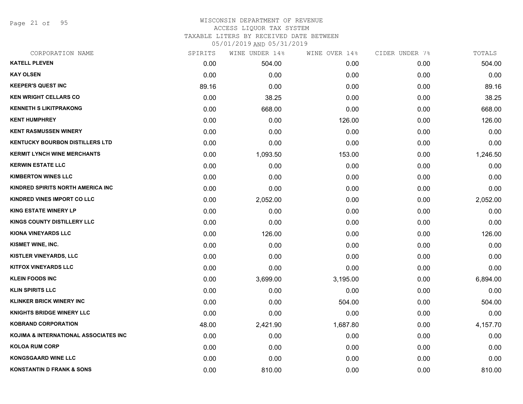Page 21 of 95

## WISCONSIN DEPARTMENT OF REVENUE ACCESS LIQUOR TAX SYSTEM TAXABLE LITERS BY RECEIVED DATE BETWEEN

| CORPORATION NAME                       | SPIRITS | WINE UNDER 14% | WINE OVER 14% | CIDER UNDER 7% | TOTALS   |
|----------------------------------------|---------|----------------|---------------|----------------|----------|
| <b>KATELL PLEVEN</b>                   | 0.00    | 504.00         | 0.00          | 0.00           | 504.00   |
| <b>KAY OLSEN</b>                       | 0.00    | 0.00           | 0.00          | 0.00           | 0.00     |
| <b>KEEPER'S QUEST INC</b>              | 89.16   | 0.00           | 0.00          | 0.00           | 89.16    |
| <b>KEN WRIGHT CELLARS CO</b>           | 0.00    | 38.25          | 0.00          | 0.00           | 38.25    |
| <b>KENNETH S LIKITPRAKONG</b>          | 0.00    | 668.00         | 0.00          | 0.00           | 668.00   |
| <b>KENT HUMPHREY</b>                   | 0.00    | 0.00           | 126.00        | 0.00           | 126.00   |
| <b>KENT RASMUSSEN WINERY</b>           | 0.00    | 0.00           | 0.00          | 0.00           | 0.00     |
| <b>KENTUCKY BOURBON DISTILLERS LTD</b> | 0.00    | 0.00           | 0.00          | 0.00           | 0.00     |
| <b>KERMIT LYNCH WINE MERCHANTS</b>     | 0.00    | 1,093.50       | 153.00        | 0.00           | 1,246.50 |
| <b>KERWIN ESTATE LLC</b>               | 0.00    | 0.00           | 0.00          | 0.00           | 0.00     |
| <b>KIMBERTON WINES LLC</b>             | 0.00    | 0.00           | 0.00          | 0.00           | 0.00     |
| KINDRED SPIRITS NORTH AMERICA INC      | 0.00    | 0.00           | 0.00          | 0.00           | 0.00     |
| KINDRED VINES IMPORT CO LLC            | 0.00    | 2,052.00       | 0.00          | 0.00           | 2,052.00 |
| <b>KING ESTATE WINERY LP</b>           | 0.00    | 0.00           | 0.00          | 0.00           | 0.00     |
| <b>KINGS COUNTY DISTILLERY LLC</b>     | 0.00    | 0.00           | 0.00          | 0.00           | 0.00     |
| <b>KIONA VINEYARDS LLC</b>             | 0.00    | 126.00         | 0.00          | 0.00           | 126.00   |
| KISMET WINE, INC.                      | 0.00    | 0.00           | 0.00          | 0.00           | 0.00     |
| <b>KISTLER VINEYARDS, LLC</b>          | 0.00    | 0.00           | 0.00          | 0.00           | 0.00     |
| <b>KITFOX VINEYARDS LLC</b>            | 0.00    | 0.00           | 0.00          | 0.00           | 0.00     |
| <b>KLEIN FOODS INC</b>                 | 0.00    | 3,699.00       | 3,195.00      | 0.00           | 6,894.00 |
| KLIN SPIRITS LLC                       | 0.00    | 0.00           | 0.00          | 0.00           | 0.00     |
| <b>KLINKER BRICK WINERY INC</b>        | 0.00    | 0.00           | 504.00        | 0.00           | 504.00   |
| <b>KNIGHTS BRIDGE WINERY LLC</b>       | 0.00    | 0.00           | 0.00          | 0.00           | 0.00     |
| <b>KOBRAND CORPORATION</b>             | 48.00   | 2,421.90       | 1,687.80      | 0.00           | 4,157.70 |
| KOJIMA & INTERNATIONAL ASSOCIATES INC  | 0.00    | 0.00           | 0.00          | 0.00           | 0.00     |
| <b>KOLOA RUM CORP</b>                  | 0.00    | 0.00           | 0.00          | 0.00           | 0.00     |
| <b>KONGSGAARD WINE LLC</b>             | 0.00    | 0.00           | 0.00          | 0.00           | 0.00     |
| <b>KONSTANTIN D FRANK &amp; SONS</b>   | 0.00    | 810.00         | 0.00          | 0.00           | 810.00   |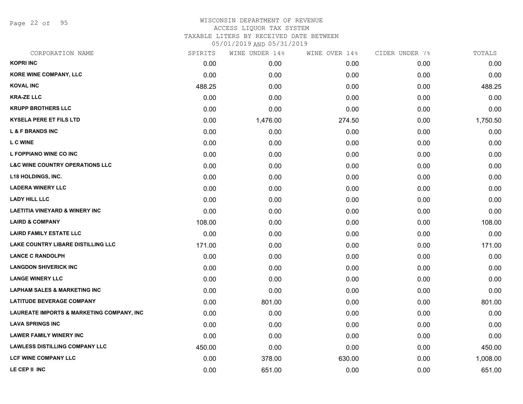Page 22 of 95

### WISCONSIN DEPARTMENT OF REVENUE ACCESS LIQUOR TAX SYSTEM TAXABLE LITERS BY RECEIVED DATE BETWEEN

| CORPORATION NAME                                     | SPIRITS | WINE UNDER 14% | WINE OVER 14% | CIDER UNDER 7% | TOTALS   |
|------------------------------------------------------|---------|----------------|---------------|----------------|----------|
| <b>KOPRI INC</b>                                     | 0.00    | 0.00           | 0.00          | 0.00           | 0.00     |
| <b>KORE WINE COMPANY, LLC</b>                        | 0.00    | 0.00           | 0.00          | 0.00           | 0.00     |
| <b>KOVAL INC</b>                                     | 488.25  | 0.00           | 0.00          | 0.00           | 488.25   |
| <b>KRA-ZE LLC</b>                                    | 0.00    | 0.00           | 0.00          | 0.00           | 0.00     |
| <b>KRUPP BROTHERS LLC</b>                            | 0.00    | 0.00           | 0.00          | 0.00           | 0.00     |
| <b>KYSELA PERE ET FILS LTD</b>                       | 0.00    | 1,476.00       | 274.50        | 0.00           | 1,750.50 |
| <b>L &amp; F BRANDS INC</b>                          | 0.00    | 0.00           | 0.00          | 0.00           | 0.00     |
| <b>L C WINE</b>                                      | 0.00    | 0.00           | 0.00          | 0.00           | 0.00     |
| L FOPPIANO WINE CO INC                               | 0.00    | 0.00           | 0.00          | 0.00           | 0.00     |
| <b>L&amp;C WINE COUNTRY OPERATIONS LLC</b>           | 0.00    | 0.00           | 0.00          | 0.00           | 0.00     |
| <b>L18 HOLDINGS, INC.</b>                            | 0.00    | 0.00           | 0.00          | 0.00           | 0.00     |
| <b>LADERA WINERY LLC</b>                             | 0.00    | 0.00           | 0.00          | 0.00           | 0.00     |
| <b>LADY HILL LLC</b>                                 | 0.00    | 0.00           | 0.00          | 0.00           | 0.00     |
| <b>LAETITIA VINEYARD &amp; WINERY INC</b>            | 0.00    | 0.00           | 0.00          | 0.00           | 0.00     |
| <b>LAIRD &amp; COMPANY</b>                           | 108.00  | 0.00           | 0.00          | 0.00           | 108.00   |
| <b>LAIRD FAMILY ESTATE LLC</b>                       | 0.00    | 0.00           | 0.00          | 0.00           | 0.00     |
| <b>LAKE COUNTRY LIBARE DISTILLING LLC</b>            | 171.00  | 0.00           | 0.00          | 0.00           | 171.00   |
| <b>LANCE C RANDOLPH</b>                              | 0.00    | 0.00           | 0.00          | 0.00           | 0.00     |
| <b>LANGDON SHIVERICK INC</b>                         | 0.00    | 0.00           | 0.00          | 0.00           | 0.00     |
| <b>LANGE WINERY LLC</b>                              | 0.00    | 0.00           | 0.00          | 0.00           | 0.00     |
| <b>LAPHAM SALES &amp; MARKETING INC</b>              | 0.00    | 0.00           | 0.00          | 0.00           | 0.00     |
| <b>LATITUDE BEVERAGE COMPANY</b>                     | 0.00    | 801.00         | 0.00          | 0.00           | 801.00   |
| <b>LAUREATE IMPORTS &amp; MARKETING COMPANY, INC</b> | 0.00    | 0.00           | 0.00          | 0.00           | 0.00     |
| <b>LAVA SPRINGS INC</b>                              | 0.00    | 0.00           | 0.00          | 0.00           | 0.00     |
| <b>LAWER FAMILY WINERY INC</b>                       | 0.00    | 0.00           | 0.00          | 0.00           | 0.00     |
| <b>LAWLESS DISTILLING COMPANY LLC</b>                | 450.00  | 0.00           | 0.00          | 0.00           | 450.00   |
| LCF WINE COMPANY LLC                                 | 0.00    | 378.00         | 630.00        | 0.00           | 1,008.00 |
| LE CEP II INC                                        | 0.00    | 651.00         | 0.00          | 0.00           | 651.00   |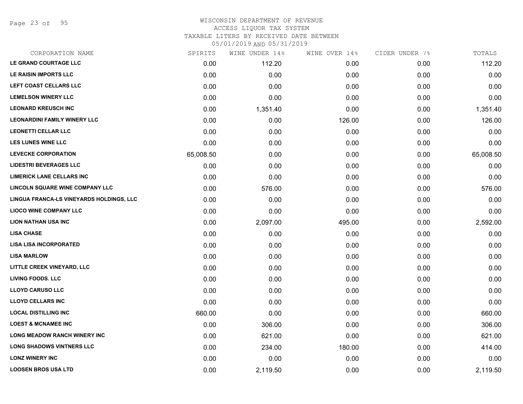Page 23 of 95

#### WISCONSIN DEPARTMENT OF REVENUE ACCESS LIQUOR TAX SYSTEM

TAXABLE LITERS BY RECEIVED DATE BETWEEN

| CORPORATION NAME                         | SPIRITS   | WINE UNDER 14% | WINE OVER 14% | CIDER UNDER 7% | TOTALS    |
|------------------------------------------|-----------|----------------|---------------|----------------|-----------|
| LE GRAND COURTAGE LLC                    | 0.00      | 112.20         | 0.00          | 0.00           | 112.20    |
| LE RAISIN IMPORTS LLC                    | 0.00      | 0.00           | 0.00          | 0.00           | 0.00      |
| LEFT COAST CELLARS LLC                   | 0.00      | 0.00           | 0.00          | 0.00           | 0.00      |
| <b>LEMELSON WINERY LLC</b>               | 0.00      | 0.00           | 0.00          | 0.00           | 0.00      |
| <b>LEONARD KREUSCH INC</b>               | 0.00      | 1,351.40       | 0.00          | 0.00           | 1,351.40  |
| <b>LEONARDINI FAMILY WINERY LLC</b>      | 0.00      | 0.00           | 126.00        | 0.00           | 126.00    |
| <b>LEONETTI CELLAR LLC</b>               | 0.00      | 0.00           | 0.00          | 0.00           | 0.00      |
| <b>LES LUNES WINE LLC</b>                | 0.00      | 0.00           | 0.00          | 0.00           | 0.00      |
| <b>LEVECKE CORPORATION</b>               | 65,008.50 | 0.00           | 0.00          | 0.00           | 65,008.50 |
| <b>LIDESTRI BEVERAGES LLC</b>            | 0.00      | 0.00           | 0.00          | 0.00           | 0.00      |
| <b>LIMERICK LANE CELLARS INC</b>         | 0.00      | 0.00           | 0.00          | 0.00           | 0.00      |
| LINCOLN SQUARE WINE COMPANY LLC          | 0.00      | 576.00         | 0.00          | 0.00           | 576.00    |
| LINGUA FRANCA-LS VINEYARDS HOLDINGS, LLC | 0.00      | 0.00           | 0.00          | 0.00           | 0.00      |
| <b>LIOCO WINE COMPANY LLC</b>            | 0.00      | 0.00           | 0.00          | 0.00           | 0.00      |
| <b>LION NATHAN USA INC</b>               | 0.00      | 2,097.00       | 495.00        | 0.00           | 2,592.00  |
| <b>LISA CHASE</b>                        | 0.00      | 0.00           | 0.00          | 0.00           | 0.00      |
| <b>LISA LISA INCORPORATED</b>            | 0.00      | 0.00           | 0.00          | 0.00           | 0.00      |
| <b>LISA MARLOW</b>                       | 0.00      | 0.00           | 0.00          | 0.00           | 0.00      |
| LITTLE CREEK VINEYARD, LLC               | 0.00      | 0.00           | 0.00          | 0.00           | 0.00      |
| <b>LIVING FOODS. LLC</b>                 | 0.00      | 0.00           | 0.00          | 0.00           | 0.00      |
| <b>LLOYD CARUSO LLC</b>                  | 0.00      | 0.00           | 0.00          | 0.00           | 0.00      |
| <b>LLOYD CELLARS INC</b>                 | 0.00      | 0.00           | 0.00          | 0.00           | 0.00      |
| <b>LOCAL DISTILLING INC</b>              | 660.00    | 0.00           | 0.00          | 0.00           | 660.00    |
| <b>LOEST &amp; MCNAMEE INC</b>           | 0.00      | 306.00         | 0.00          | 0.00           | 306.00    |
| <b>LONG MEADOW RANCH WINERY INC</b>      | 0.00      | 621.00         | 0.00          | 0.00           | 621.00    |
| <b>LONG SHADOWS VINTNERS LLC</b>         | 0.00      | 234.00         | 180.00        | 0.00           | 414.00    |
| <b>LONZ WINERY INC</b>                   | 0.00      | 0.00           | 0.00          | 0.00           | 0.00      |
| <b>LOOSEN BROS USA LTD</b>               | 0.00      | 2,119.50       | 0.00          | 0.00           | 2,119.50  |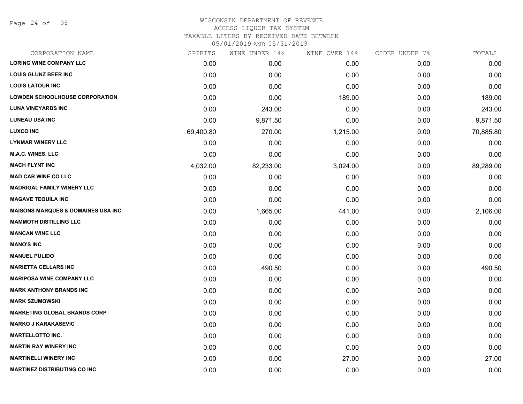Page 24 of 95

### WISCONSIN DEPARTMENT OF REVENUE ACCESS LIQUOR TAX SYSTEM TAXABLE LITERS BY RECEIVED DATE BETWEEN

| CORPORATION NAME                              | SPIRITS   | WINE UNDER 14% | WINE OVER 14% | CIDER UNDER 7% | TOTALS    |
|-----------------------------------------------|-----------|----------------|---------------|----------------|-----------|
| <b>LORING WINE COMPANY LLC</b>                | 0.00      | 0.00           | 0.00          | 0.00           | 0.00      |
| <b>LOUIS GLUNZ BEER INC</b>                   | 0.00      | 0.00           | 0.00          | 0.00           | 0.00      |
| <b>LOUIS LATOUR INC</b>                       | 0.00      | 0.00           | 0.00          | 0.00           | 0.00      |
| <b>LOWDEN SCHOOLHOUSE CORPORATION</b>         | 0.00      | 0.00           | 189.00        | 0.00           | 189.00    |
| <b>LUNA VINEYARDS INC</b>                     | 0.00      | 243.00         | 0.00          | 0.00           | 243.00    |
| <b>LUNEAU USA INC</b>                         | 0.00      | 9,871.50       | 0.00          | 0.00           | 9,871.50  |
| <b>LUXCO INC</b>                              | 69,400.80 | 270.00         | 1,215.00      | 0.00           | 70,885.80 |
| <b>LYNMAR WINERY LLC</b>                      | 0.00      | 0.00           | 0.00          | 0.00           | 0.00      |
| M.A.C. WINES, LLC                             | 0.00      | 0.00           | 0.00          | 0.00           | 0.00      |
| <b>MACH FLYNT INC</b>                         | 4,032.00  | 82,233.00      | 3,024.00      | 0.00           | 89,289.00 |
| <b>MAD CAR WINE CO LLC</b>                    | 0.00      | 0.00           | 0.00          | 0.00           | 0.00      |
| <b>MADRIGAL FAMILY WINERY LLC</b>             | 0.00      | 0.00           | 0.00          | 0.00           | 0.00      |
| <b>MAGAVE TEQUILA INC</b>                     | 0.00      | 0.00           | 0.00          | 0.00           | 0.00      |
| <b>MAISONS MARQUES &amp; DOMAINES USA INC</b> | 0.00      | 1,665.00       | 441.00        | 0.00           | 2,106.00  |
| <b>MAMMOTH DISTILLING LLC</b>                 | 0.00      | 0.00           | 0.00          | 0.00           | 0.00      |
| <b>MANCAN WINE LLC</b>                        | 0.00      | 0.00           | 0.00          | 0.00           | 0.00      |
| <b>MANO'S INC</b>                             | 0.00      | 0.00           | 0.00          | 0.00           | 0.00      |
| <b>MANUEL PULIDO</b>                          | 0.00      | 0.00           | 0.00          | 0.00           | 0.00      |
| <b>MARIETTA CELLARS INC</b>                   | 0.00      | 490.50         | 0.00          | 0.00           | 490.50    |
| <b>MARIPOSA WINE COMPANY LLC</b>              | 0.00      | 0.00           | 0.00          | 0.00           | 0.00      |
| <b>MARK ANTHONY BRANDS INC</b>                | 0.00      | 0.00           | 0.00          | 0.00           | 0.00      |
| <b>MARK SZUMOWSKI</b>                         | 0.00      | 0.00           | 0.00          | 0.00           | 0.00      |
| <b>MARKETING GLOBAL BRANDS CORP</b>           | 0.00      | 0.00           | 0.00          | 0.00           | 0.00      |
| <b>MARKO J KARAKASEVIC</b>                    | 0.00      | 0.00           | 0.00          | 0.00           | 0.00      |
| <b>MARTELLOTTO INC.</b>                       | 0.00      | 0.00           | 0.00          | 0.00           | 0.00      |
| <b>MARTIN RAY WINERY INC</b>                  | 0.00      | 0.00           | 0.00          | 0.00           | 0.00      |
| <b>MARTINELLI WINERY INC</b>                  | 0.00      | 0.00           | 27.00         | 0.00           | 27.00     |
| <b>MARTINEZ DISTRIBUTING CO INC</b>           | 0.00      | 0.00           | 0.00          | 0.00           | 0.00      |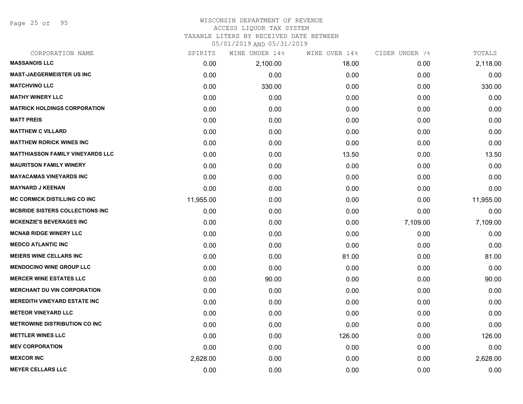Page 25 of 95

#### WISCONSIN DEPARTMENT OF REVENUE ACCESS LIQUOR TAX SYSTEM

TAXABLE LITERS BY RECEIVED DATE BETWEEN

| CORPORATION NAME                        | SPIRITS   | WINE UNDER 14% | WINE OVER 14% | CIDER UNDER 7% | TOTALS    |
|-----------------------------------------|-----------|----------------|---------------|----------------|-----------|
| <b>MASSANOIS LLC</b>                    | 0.00      | 2,100.00       | 18.00         | 0.00           | 2,118.00  |
| <b>MAST-JAEGERMEISTER US INC</b>        | 0.00      | 0.00           | 0.00          | 0.00           | 0.00      |
| <b>MATCHVINO LLC</b>                    | 0.00      | 330.00         | 0.00          | 0.00           | 330.00    |
| <b>MATHY WINERY LLC</b>                 | 0.00      | 0.00           | 0.00          | 0.00           | 0.00      |
| <b>MATRICK HOLDINGS CORPORATION</b>     | 0.00      | 0.00           | 0.00          | 0.00           | 0.00      |
| <b>MATT PREIS</b>                       | 0.00      | 0.00           | 0.00          | 0.00           | 0.00      |
| <b>MATTHEW C VILLARD</b>                | 0.00      | 0.00           | 0.00          | 0.00           | 0.00      |
| <b>MATTHEW RORICK WINES INC</b>         | 0.00      | 0.00           | 0.00          | 0.00           | 0.00      |
| <b>MATTHIASSON FAMILY VINEYARDS LLC</b> | 0.00      | 0.00           | 13.50         | 0.00           | 13.50     |
| <b>MAURITSON FAMILY WINERY</b>          | 0.00      | 0.00           | 0.00          | 0.00           | 0.00      |
| <b>MAYACAMAS VINEYARDS INC</b>          | 0.00      | 0.00           | 0.00          | 0.00           | 0.00      |
| <b>MAYNARD J KEENAN</b>                 | 0.00      | 0.00           | 0.00          | 0.00           | 0.00      |
| <b>MC CORMICK DISTILLING CO INC</b>     | 11,955.00 | 0.00           | 0.00          | 0.00           | 11,955.00 |
| <b>MCBRIDE SISTERS COLLECTIONS INC.</b> | 0.00      | 0.00           | 0.00          | 0.00           | 0.00      |
| <b>MCKENZIE'S BEVERAGES INC</b>         | 0.00      | 0.00           | 0.00          | 7,109.00       | 7,109.00  |
| <b>MCNAB RIDGE WINERY LLC</b>           | 0.00      | 0.00           | 0.00          | 0.00           | 0.00      |
| <b>MEDCO ATLANTIC INC</b>               | 0.00      | 0.00           | 0.00          | 0.00           | 0.00      |
| <b>MEIERS WINE CELLARS INC</b>          | 0.00      | 0.00           | 81.00         | 0.00           | 81.00     |
| <b>MENDOCINO WINE GROUP LLC</b>         | 0.00      | 0.00           | 0.00          | 0.00           | 0.00      |
| <b>MERCER WINE ESTATES LLC</b>          | 0.00      | 90.00          | 0.00          | 0.00           | 90.00     |
| <b>MERCHANT DU VIN CORPORATION</b>      | 0.00      | 0.00           | 0.00          | 0.00           | 0.00      |
| <b>MEREDITH VINEYARD ESTATE INC</b>     | 0.00      | 0.00           | 0.00          | 0.00           | 0.00      |
| <b>METEOR VINEYARD LLC</b>              | 0.00      | 0.00           | 0.00          | 0.00           | 0.00      |
| <b>METROWINE DISTRIBUTION CO INC</b>    | 0.00      | 0.00           | 0.00          | 0.00           | 0.00      |
| <b>METTLER WINES LLC</b>                | 0.00      | 0.00           | 126.00        | 0.00           | 126.00    |
| <b>MEV CORPORATION</b>                  | 0.00      | 0.00           | 0.00          | 0.00           | 0.00      |
| <b>MEXCOR INC</b>                       | 2,628.00  | 0.00           | 0.00          | 0.00           | 2,628.00  |
| <b>MEYER CELLARS LLC</b>                | 0.00      | 0.00           | 0.00          | 0.00           | 0.00      |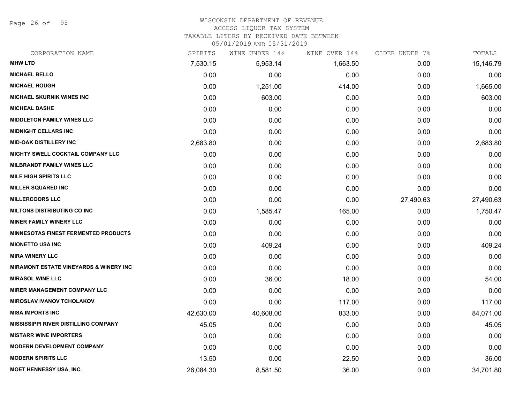Page 26 of 95

## WISCONSIN DEPARTMENT OF REVENUE

#### ACCESS LIQUOR TAX SYSTEM

TAXABLE LITERS BY RECEIVED DATE BETWEEN

| CORPORATION NAME                                  | SPIRITS   | WINE UNDER 14% | WINE OVER 14% | CIDER UNDER 7% | TOTALS    |
|---------------------------------------------------|-----------|----------------|---------------|----------------|-----------|
| <b>MHW LTD</b>                                    | 7,530.15  | 5,953.14       | 1,663.50      | 0.00           | 15,146.79 |
| <b>MICHAEL BELLO</b>                              | 0.00      | 0.00           | 0.00          | 0.00           | 0.00      |
| <b>MICHAEL HOUGH</b>                              | 0.00      | 1,251.00       | 414.00        | 0.00           | 1,665.00  |
| <b>MICHAEL SKURNIK WINES INC</b>                  | 0.00      | 603.00         | 0.00          | 0.00           | 603.00    |
| <b>MICHEAL DASHE</b>                              | 0.00      | 0.00           | 0.00          | 0.00           | 0.00      |
| <b>MIDDLETON FAMILY WINES LLC</b>                 | 0.00      | 0.00           | 0.00          | 0.00           | 0.00      |
| <b>MIDNIGHT CELLARS INC</b>                       | 0.00      | 0.00           | 0.00          | 0.00           | 0.00      |
| <b>MID-OAK DISTILLERY INC</b>                     | 2,683.80  | 0.00           | 0.00          | 0.00           | 2,683.80  |
| MIGHTY SWELL COCKTAIL COMPANY LLC                 | 0.00      | 0.00           | 0.00          | 0.00           | 0.00      |
| <b>MILBRANDT FAMILY WINES LLC</b>                 | 0.00      | 0.00           | 0.00          | 0.00           | 0.00      |
| <b>MILE HIGH SPIRITS LLC</b>                      | 0.00      | 0.00           | 0.00          | 0.00           | 0.00      |
| <b>MILLER SQUARED INC</b>                         | 0.00      | 0.00           | 0.00          | 0.00           | 0.00      |
| <b>MILLERCOORS LLC</b>                            | 0.00      | 0.00           | 0.00          | 27,490.63      | 27,490.63 |
| <b>MILTONS DISTRIBUTING CO INC</b>                | 0.00      | 1,585.47       | 165.00        | 0.00           | 1,750.47  |
| <b>MINER FAMILY WINERY LLC</b>                    | 0.00      | 0.00           | 0.00          | 0.00           | 0.00      |
| <b>MINNESOTAS FINEST FERMENTED PRODUCTS</b>       | 0.00      | 0.00           | 0.00          | 0.00           | 0.00      |
| <b>MIONETTO USA INC</b>                           | 0.00      | 409.24         | 0.00          | 0.00           | 409.24    |
| <b>MIRA WINERY LLC</b>                            | 0.00      | 0.00           | 0.00          | 0.00           | 0.00      |
| <b>MIRAMONT ESTATE VINEYARDS &amp; WINERY INC</b> | 0.00      | 0.00           | 0.00          | 0.00           | 0.00      |
| <b>MIRASOL WINE LLC</b>                           | 0.00      | 36.00          | 18.00         | 0.00           | 54.00     |
| <b>MIRER MANAGEMENT COMPANY LLC</b>               | 0.00      | 0.00           | 0.00          | 0.00           | 0.00      |
| <b>MIROSLAV IVANOV TCHOLAKOV</b>                  | 0.00      | 0.00           | 117.00        | 0.00           | 117.00    |
| <b>MISA IMPORTS INC</b>                           | 42,630.00 | 40,608.00      | 833.00        | 0.00           | 84,071.00 |
| <b>MISSISSIPPI RIVER DISTILLING COMPANY</b>       | 45.05     | 0.00           | 0.00          | 0.00           | 45.05     |
| <b>MISTARR WINE IMPORTERS</b>                     | 0.00      | 0.00           | 0.00          | 0.00           | 0.00      |
| <b>MODERN DEVELOPMENT COMPANY</b>                 | 0.00      | 0.00           | 0.00          | 0.00           | 0.00      |
| <b>MODERN SPIRITS LLC</b>                         | 13.50     | 0.00           | 22.50         | 0.00           | 36.00     |
| <b>MOET HENNESSY USA, INC.</b>                    | 26,084.30 | 8,581.50       | 36.00         | 0.00           | 34,701.80 |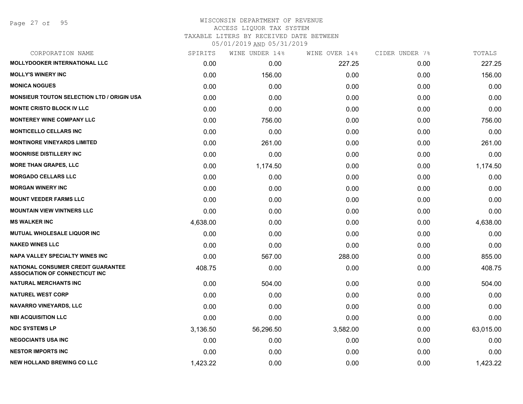## WISCONSIN DEPARTMENT OF REVENUE ACCESS LIQUOR TAX SYSTEM

TAXABLE LITERS BY RECEIVED DATE BETWEEN

| CORPORATION NAME                                                                   | SPIRITS  | WINE UNDER 14% | WINE OVER 14% | CIDER UNDER 7% | TOTALS    |
|------------------------------------------------------------------------------------|----------|----------------|---------------|----------------|-----------|
| <b>MOLLYDOOKER INTERNATIONAL LLC</b>                                               | 0.00     | 0.00           | 227.25        | 0.00           | 227.25    |
| <b>MOLLY'S WINERY INC</b>                                                          | 0.00     | 156.00         | 0.00          | 0.00           | 156.00    |
| <b>MONICA NOGUES</b>                                                               | 0.00     | 0.00           | 0.00          | 0.00           | 0.00      |
| <b>MONSIEUR TOUTON SELECTION LTD / ORIGIN USA</b>                                  | 0.00     | 0.00           | 0.00          | 0.00           | 0.00      |
| <b>MONTE CRISTO BLOCK IV LLC</b>                                                   | 0.00     | 0.00           | 0.00          | 0.00           | 0.00      |
| <b>MONTEREY WINE COMPANY LLC</b>                                                   | 0.00     | 756.00         | 0.00          | 0.00           | 756.00    |
| <b>MONTICELLO CELLARS INC</b>                                                      | 0.00     | 0.00           | 0.00          | 0.00           | 0.00      |
| <b>MONTINORE VINEYARDS LIMITED</b>                                                 | 0.00     | 261.00         | 0.00          | 0.00           | 261.00    |
| <b>MOONRISE DISTILLERY INC</b>                                                     | 0.00     | 0.00           | 0.00          | 0.00           | 0.00      |
| <b>MORE THAN GRAPES, LLC</b>                                                       | 0.00     | 1,174.50       | 0.00          | 0.00           | 1,174.50  |
| <b>MORGADO CELLARS LLC</b>                                                         | 0.00     | 0.00           | 0.00          | 0.00           | 0.00      |
| <b>MORGAN WINERY INC</b>                                                           | 0.00     | 0.00           | 0.00          | 0.00           | 0.00      |
| <b>MOUNT VEEDER FARMS LLC</b>                                                      | 0.00     | 0.00           | 0.00          | 0.00           | 0.00      |
| <b>MOUNTAIN VIEW VINTNERS LLC</b>                                                  | 0.00     | 0.00           | 0.00          | 0.00           | 0.00      |
| <b>MS WALKER INC</b>                                                               | 4,638.00 | 0.00           | 0.00          | 0.00           | 4,638.00  |
| <b>MUTUAL WHOLESALE LIQUOR INC</b>                                                 | 0.00     | 0.00           | 0.00          | 0.00           | 0.00      |
| <b>NAKED WINES LLC</b>                                                             | 0.00     | 0.00           | 0.00          | 0.00           | 0.00      |
| <b>NAPA VALLEY SPECIALTY WINES INC</b>                                             | 0.00     | 567.00         | 288.00        | 0.00           | 855.00    |
| <b>NATIONAL CONSUMER CREDIT GUARANTEE</b><br><b>ASSOCIATION OF CONNECTICUT INC</b> | 408.75   | 0.00           | 0.00          | 0.00           | 408.75    |
| <b>NATURAL MERCHANTS INC</b>                                                       | 0.00     | 504.00         | 0.00          | 0.00           | 504.00    |
| <b>NATUREL WEST CORP</b>                                                           | 0.00     | 0.00           | 0.00          | 0.00           | 0.00      |
| NAVARRO VINEYARDS, LLC                                                             | 0.00     | 0.00           | 0.00          | 0.00           | 0.00      |
| <b>NBI ACQUISITION LLC</b>                                                         | 0.00     | 0.00           | 0.00          | 0.00           | 0.00      |
| <b>NDC SYSTEMS LP</b>                                                              | 3,136.50 | 56,296.50      | 3,582.00      | 0.00           | 63,015.00 |
| <b>NEGOCIANTS USA INC</b>                                                          | 0.00     | 0.00           | 0.00          | 0.00           | 0.00      |
| <b>NESTOR IMPORTS INC</b>                                                          | 0.00     | 0.00           | 0.00          | 0.00           | 0.00      |
| <b>NEW HOLLAND BREWING CO LLC</b>                                                  | 1,423.22 | 0.00           | 0.00          | 0.00           | 1,423.22  |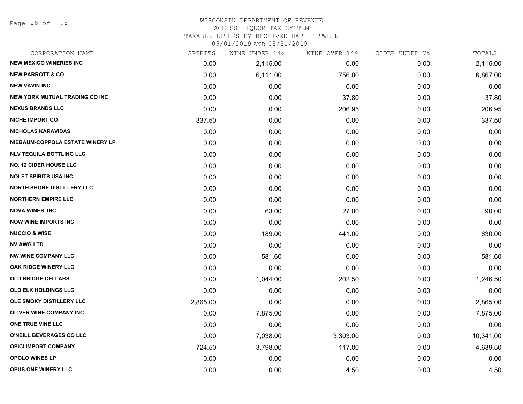Page 28 of 95

#### WISCONSIN DEPARTMENT OF REVENUE ACCESS LIQUOR TAX SYSTEM

TAXABLE LITERS BY RECEIVED DATE BETWEEN

| CORPORATION NAME                  | SPIRITS  | WINE UNDER 14% | WINE OVER 14% | CIDER UNDER 7% | TOTALS    |
|-----------------------------------|----------|----------------|---------------|----------------|-----------|
| <b>NEW MEXICO WINERIES INC</b>    | 0.00     | 2,115.00       | 0.00          | 0.00           | 2,115.00  |
| <b>NEW PARROTT &amp; CO</b>       | 0.00     | 6,111.00       | 756.00        | 0.00           | 6,867.00  |
| <b>NEW VAVIN INC</b>              | 0.00     | 0.00           | 0.00          | 0.00           | 0.00      |
| NEW YORK MUTUAL TRADING CO INC    | 0.00     | 0.00           | 37.80         | 0.00           | 37.80     |
| <b>NEXUS BRANDS LLC</b>           | 0.00     | 0.00           | 206.95        | 0.00           | 206.95    |
| <b>NICHE IMPORT CO</b>            | 337.50   | 0.00           | 0.00          | 0.00           | 337.50    |
| <b>NICHOLAS KARAVIDAS</b>         | 0.00     | 0.00           | 0.00          | 0.00           | 0.00      |
| NIEBAUM-COPPOLA ESTATE WINERY LP  | 0.00     | 0.00           | 0.00          | 0.00           | 0.00      |
| <b>NLV TEQUILA BOTTLING LLC</b>   | 0.00     | 0.00           | 0.00          | 0.00           | 0.00      |
| <b>NO. 12 CIDER HOUSE LLC</b>     | 0.00     | 0.00           | 0.00          | 0.00           | 0.00      |
| <b>NOLET SPIRITS USA INC</b>      | 0.00     | 0.00           | 0.00          | 0.00           | 0.00      |
| <b>NORTH SHORE DISTILLERY LLC</b> | 0.00     | 0.00           | 0.00          | 0.00           | 0.00      |
| <b>NORTHERN EMPIRE LLC</b>        | 0.00     | 0.00           | 0.00          | 0.00           | 0.00      |
| <b>NOVA WINES, INC.</b>           | 0.00     | 63.00          | 27.00         | 0.00           | 90.00     |
| <b>NOW WINE IMPORTS INC</b>       | 0.00     | 0.00           | 0.00          | 0.00           | 0.00      |
| <b>NUCCIO &amp; WISE</b>          | 0.00     | 189.00         | 441.00        | 0.00           | 630.00    |
| <b>NV AWG LTD</b>                 | 0.00     | 0.00           | 0.00          | 0.00           | 0.00      |
| <b>NW WINE COMPANY LLC</b>        | 0.00     | 581.60         | 0.00          | 0.00           | 581.60    |
| OAK RIDGE WINERY LLC              | 0.00     | 0.00           | 0.00          | 0.00           | 0.00      |
| <b>OLD BRIDGE CELLARS</b>         | 0.00     | 1,044.00       | 202.50        | 0.00           | 1,246.50  |
| <b>OLD ELK HOLDINGS LLC</b>       | 0.00     | 0.00           | 0.00          | 0.00           | 0.00      |
| OLE SMOKY DISTILLERY LLC          | 2,865.00 | 0.00           | 0.00          | 0.00           | 2,865.00  |
| OLIVER WINE COMPANY INC           | 0.00     | 7,875.00       | 0.00          | 0.00           | 7,875.00  |
| ONE TRUE VINE LLC                 | 0.00     | 0.00           | 0.00          | 0.00           | 0.00      |
| O'NEILL BEVERAGES CO LLC          | 0.00     | 7,038.00       | 3,303.00      | 0.00           | 10,341.00 |
| <b>OPICI IMPORT COMPANY</b>       | 724.50   | 3,798.00       | 117.00        | 0.00           | 4,639.50  |
| <b>OPOLO WINES LP</b>             | 0.00     | 0.00           | 0.00          | 0.00           | 0.00      |
| <b>OPUS ONE WINERY LLC</b>        | 0.00     | 0.00           | 4.50          | 0.00           | 4.50      |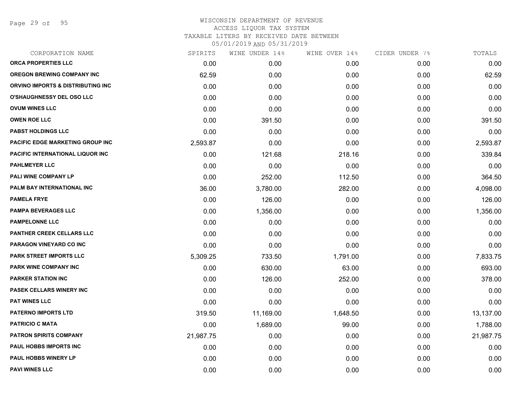Page 29 of 95

| CORPORATION NAME                  | SPIRITS   | WINE UNDER 14% | WINE OVER 14% | CIDER UNDER 7% | TOTALS    |
|-----------------------------------|-----------|----------------|---------------|----------------|-----------|
| ORCA PROPERTIES LLC               | 0.00      | 0.00           | 0.00          | 0.00           | 0.00      |
| <b>OREGON BREWING COMPANY INC</b> | 62.59     | 0.00           | 0.00          | 0.00           | 62.59     |
| ORVINO IMPORTS & DISTRIBUTING INC | 0.00      | 0.00           | 0.00          | 0.00           | 0.00      |
| O'SHAUGHNESSY DEL OSO LLC         | 0.00      | 0.00           | 0.00          | 0.00           | 0.00      |
| <b>OVUM WINES LLC</b>             | 0.00      | 0.00           | 0.00          | 0.00           | 0.00      |
| <b>OWEN ROE LLC</b>               | 0.00      | 391.50         | 0.00          | 0.00           | 391.50    |
| <b>PABST HOLDINGS LLC</b>         | 0.00      | 0.00           | 0.00          | 0.00           | 0.00      |
| PACIFIC EDGE MARKETING GROUP INC  | 2,593.87  | 0.00           | 0.00          | 0.00           | 2,593.87  |
| PACIFIC INTERNATIONAL LIQUOR INC  | 0.00      | 121.68         | 218.16        | 0.00           | 339.84    |
| <b>PAHLMEYER LLC</b>              | 0.00      | 0.00           | 0.00          | 0.00           | 0.00      |
| <b>PALI WINE COMPANY LP</b>       | 0.00      | 252.00         | 112.50        | 0.00           | 364.50    |
| PALM BAY INTERNATIONAL INC        | 36.00     | 3,780.00       | 282.00        | 0.00           | 4,098.00  |
| <b>PAMELA FRYE</b>                | 0.00      | 126.00         | 0.00          | 0.00           | 126.00    |
| <b>PAMPA BEVERAGES LLC</b>        | 0.00      | 1,356.00       | 0.00          | 0.00           | 1,356.00  |
| <b>PAMPELONNE LLC</b>             | 0.00      | 0.00           | 0.00          | 0.00           | 0.00      |
| <b>PANTHER CREEK CELLARS LLC</b>  | 0.00      | 0.00           | 0.00          | 0.00           | 0.00      |
| PARAGON VINEYARD CO INC           | 0.00      | 0.00           | 0.00          | 0.00           | 0.00      |
| <b>PARK STREET IMPORTS LLC</b>    | 5,309.25  | 733.50         | 1,791.00      | 0.00           | 7,833.75  |
| PARK WINE COMPANY INC             | 0.00      | 630.00         | 63.00         | 0.00           | 693.00    |
| <b>PARKER STATION INC</b>         | 0.00      | 126.00         | 252.00        | 0.00           | 378.00    |
| PASEK CELLARS WINERY INC          | 0.00      | 0.00           | 0.00          | 0.00           | 0.00      |
| <b>PAT WINES LLC</b>              | 0.00      | 0.00           | 0.00          | 0.00           | 0.00      |
| <b>PATERNO IMPORTS LTD</b>        | 319.50    | 11,169.00      | 1,648.50      | 0.00           | 13,137.00 |
| <b>PATRICIO C MATA</b>            | 0.00      | 1,689.00       | 99.00         | 0.00           | 1,788.00  |
| <b>PATRON SPIRITS COMPANY</b>     | 21,987.75 | 0.00           | 0.00          | 0.00           | 21,987.75 |
| PAUL HOBBS IMPORTS INC            | 0.00      | 0.00           | 0.00          | 0.00           | 0.00      |
| PAUL HOBBS WINERY LP              | 0.00      | 0.00           | 0.00          | 0.00           | 0.00      |
| <b>PAVI WINES LLC</b>             | 0.00      | 0.00           | 0.00          | 0.00           | 0.00      |
|                                   |           |                |               |                |           |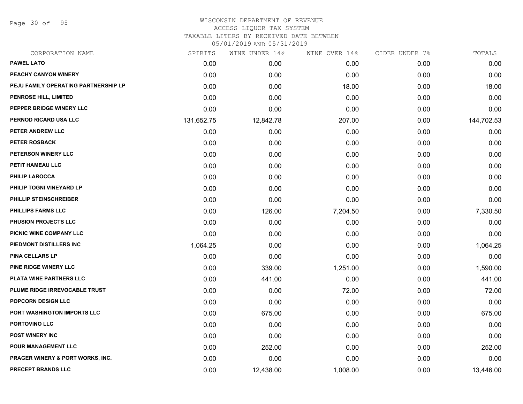Page 30 of 95

## WISCONSIN DEPARTMENT OF REVENUE ACCESS LIQUOR TAX SYSTEM TAXABLE LITERS BY RECEIVED DATE BETWEEN

| CORPORATION NAME                            | SPIRITS    | WINE UNDER 14% | WINE OVER 14% | CIDER UNDER 7% | TOTALS     |
|---------------------------------------------|------------|----------------|---------------|----------------|------------|
| <b>PAWEL LATO</b>                           | 0.00       | 0.00           | 0.00          | 0.00           | 0.00       |
| PEACHY CANYON WINERY                        | 0.00       | 0.00           | 0.00          | 0.00           | 0.00       |
| PEJU FAMILY OPERATING PARTNERSHIP LP        | 0.00       | 0.00           | 18.00         | 0.00           | 18.00      |
| <b>PENROSE HILL, LIMITED</b>                | 0.00       | 0.00           | 0.00          | 0.00           | 0.00       |
| PEPPER BRIDGE WINERY LLC                    | 0.00       | 0.00           | 0.00          | 0.00           | 0.00       |
| PERNOD RICARD USA LLC                       | 131,652.75 | 12,842.78      | 207.00        | 0.00           | 144,702.53 |
| PETER ANDREW LLC                            | 0.00       | 0.00           | 0.00          | 0.00           | 0.00       |
| <b>PETER ROSBACK</b>                        | 0.00       | 0.00           | 0.00          | 0.00           | 0.00       |
| PETERSON WINERY LLC                         | 0.00       | 0.00           | 0.00          | 0.00           | 0.00       |
| PETIT HAMEAU LLC                            | 0.00       | 0.00           | 0.00          | 0.00           | 0.00       |
| <b>PHILIP LAROCCA</b>                       | 0.00       | 0.00           | 0.00          | 0.00           | 0.00       |
| PHILIP TOGNI VINEYARD LP                    | 0.00       | 0.00           | 0.00          | 0.00           | 0.00       |
| PHILLIP STEINSCHREIBER                      | 0.00       | 0.00           | 0.00          | 0.00           | 0.00       |
| <b>PHILLIPS FARMS LLC</b>                   | 0.00       | 126.00         | 7,204.50      | 0.00           | 7,330.50   |
| PHUSION PROJECTS LLC                        | 0.00       | 0.00           | 0.00          | 0.00           | 0.00       |
| PICNIC WINE COMPANY LLC                     | 0.00       | 0.00           | 0.00          | 0.00           | 0.00       |
| PIEDMONT DISTILLERS INC                     | 1,064.25   | 0.00           | 0.00          | 0.00           | 1,064.25   |
| PINA CELLARS LP                             | 0.00       | 0.00           | 0.00          | 0.00           | 0.00       |
| <b>PINE RIDGE WINERY LLC</b>                | 0.00       | 339.00         | 1,251.00      | 0.00           | 1,590.00   |
| PLATA WINE PARTNERS LLC                     | 0.00       | 441.00         | 0.00          | 0.00           | 441.00     |
| PLUME RIDGE IRREVOCABLE TRUST               | 0.00       | 0.00           | 72.00         | 0.00           | 72.00      |
| POPCORN DESIGN LLC                          | 0.00       | 0.00           | 0.00          | 0.00           | 0.00       |
| PORT WASHINGTON IMPORTS LLC                 | 0.00       | 675.00         | 0.00          | 0.00           | 675.00     |
| PORTOVINO LLC                               | 0.00       | 0.00           | 0.00          | 0.00           | 0.00       |
| <b>POST WINERY INC</b>                      | 0.00       | 0.00           | 0.00          | 0.00           | 0.00       |
| <b>POUR MANAGEMENT LLC</b>                  | 0.00       | 252.00         | 0.00          | 0.00           | 252.00     |
| <b>PRAGER WINERY &amp; PORT WORKS, INC.</b> | 0.00       | 0.00           | 0.00          | 0.00           | 0.00       |
| <b>PRECEPT BRANDS LLC</b>                   | 0.00       | 12,438.00      | 1,008.00      | 0.00           | 13,446.00  |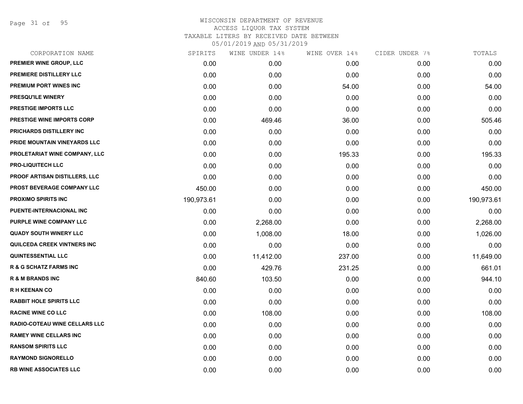Page 31 of 95

| CORPORATION NAME                     | SPIRITS    | WINE UNDER 14% | WINE OVER 14% | CIDER UNDER 7% | TOTALS     |
|--------------------------------------|------------|----------------|---------------|----------------|------------|
| PREMIER WINE GROUP, LLC              | 0.00       | 0.00           | 0.00          | 0.00           | 0.00       |
| PREMIERE DISTILLERY LLC              | 0.00       | 0.00           | 0.00          | 0.00           | 0.00       |
| PREMIUM PORT WINES INC               | 0.00       | 0.00           | 54.00         | 0.00           | 54.00      |
| PRESQU'ILE WINERY                    | 0.00       | 0.00           | 0.00          | 0.00           | 0.00       |
| <b>PRESTIGE IMPORTS LLC</b>          | 0.00       | 0.00           | 0.00          | 0.00           | 0.00       |
| PRESTIGE WINE IMPORTS CORP           | 0.00       | 469.46         | 36.00         | 0.00           | 505.46     |
| PRICHARDS DISTILLERY INC             | 0.00       | 0.00           | 0.00          | 0.00           | 0.00       |
| PRIDE MOUNTAIN VINEYARDS LLC         | 0.00       | 0.00           | 0.00          | 0.00           | 0.00       |
| PROLETARIAT WINE COMPANY, LLC        | 0.00       | 0.00           | 195.33        | 0.00           | 195.33     |
| <b>PRO-LIQUITECH LLC</b>             | 0.00       | 0.00           | 0.00          | 0.00           | 0.00       |
| <b>PROOF ARTISAN DISTILLERS, LLC</b> | 0.00       | 0.00           | 0.00          | 0.00           | 0.00       |
| PROST BEVERAGE COMPANY LLC           | 450.00     | 0.00           | 0.00          | 0.00           | 450.00     |
| PROXIMO SPIRITS INC                  | 190,973.61 | 0.00           | 0.00          | 0.00           | 190,973.61 |
| PUENTE-INTERNACIONAL INC             | 0.00       | 0.00           | 0.00          | 0.00           | 0.00       |
| PURPLE WINE COMPANY LLC              | 0.00       | 2,268.00       | 0.00          | 0.00           | 2,268.00   |
| <b>QUADY SOUTH WINERY LLC</b>        | 0.00       | 1,008.00       | 18.00         | 0.00           | 1,026.00   |
| QUILCEDA CREEK VINTNERS INC          | 0.00       | 0.00           | 0.00          | 0.00           | 0.00       |
| QUINTESSENTIAL LLC                   | 0.00       | 11,412.00      | 237.00        | 0.00           | 11,649.00  |
| <b>R &amp; G SCHATZ FARMS INC</b>    | 0.00       | 429.76         | 231.25        | 0.00           | 661.01     |
| <b>R &amp; M BRANDS INC</b>          | 840.60     | 103.50         | 0.00          | 0.00           | 944.10     |
| <b>RH KEENAN CO</b>                  | 0.00       | 0.00           | 0.00          | 0.00           | 0.00       |
| <b>RABBIT HOLE SPIRITS LLC</b>       | 0.00       | 0.00           | 0.00          | 0.00           | 0.00       |
| <b>RACINE WINE CO LLC</b>            | 0.00       | 108.00         | 0.00          | 0.00           | 108.00     |
| <b>RADIO-COTEAU WINE CELLARS LLC</b> | 0.00       | 0.00           | 0.00          | 0.00           | 0.00       |
| <b>RAMEY WINE CELLARS INC</b>        | 0.00       | 0.00           | 0.00          | 0.00           | 0.00       |
| <b>RANSOM SPIRITS LLC</b>            | 0.00       | 0.00           | 0.00          | 0.00           | 0.00       |
| <b>RAYMOND SIGNORELLO</b>            | 0.00       | 0.00           | 0.00          | 0.00           | 0.00       |
| <b>RB WINE ASSOCIATES LLC</b>        | 0.00       | 0.00           | 0.00          | 0.00           | 0.00       |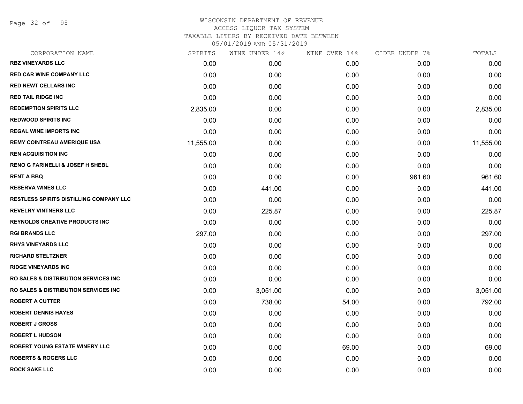Page 32 of 95

| SPIRITS   | WINE UNDER 14% | WINE OVER 14% | CIDER UNDER 7% | TOTALS    |
|-----------|----------------|---------------|----------------|-----------|
| 0.00      | 0.00           | 0.00          | 0.00           | 0.00      |
| 0.00      | 0.00           | 0.00          | 0.00           | 0.00      |
| 0.00      | 0.00           | 0.00          | 0.00           | 0.00      |
| 0.00      | 0.00           | 0.00          | 0.00           | 0.00      |
| 2,835.00  | 0.00           | 0.00          | 0.00           | 2,835.00  |
| 0.00      | 0.00           | 0.00          | 0.00           | 0.00      |
| 0.00      | 0.00           | 0.00          | 0.00           | 0.00      |
| 11,555.00 | 0.00           | 0.00          | 0.00           | 11,555.00 |
| 0.00      | 0.00           | 0.00          | 0.00           | 0.00      |
| 0.00      | 0.00           | 0.00          | 0.00           | 0.00      |
| 0.00      | 0.00           | 0.00          | 961.60         | 961.60    |
| 0.00      | 441.00         | 0.00          | 0.00           | 441.00    |
| 0.00      | 0.00           | 0.00          | 0.00           | 0.00      |
| 0.00      | 225.87         | 0.00          | 0.00           | 225.87    |
| 0.00      | 0.00           | 0.00          | 0.00           | 0.00      |
| 297.00    | 0.00           | 0.00          | 0.00           | 297.00    |
| 0.00      | 0.00           | 0.00          | 0.00           | 0.00      |
| 0.00      | 0.00           | 0.00          | 0.00           | 0.00      |
| 0.00      | 0.00           | 0.00          | 0.00           | 0.00      |
| 0.00      | 0.00           | 0.00          | 0.00           | 0.00      |
| 0.00      | 3,051.00       | 0.00          | 0.00           | 3,051.00  |
| 0.00      | 738.00         | 54.00         | 0.00           | 792.00    |
| 0.00      | 0.00           | 0.00          | 0.00           | 0.00      |
| 0.00      | 0.00           | 0.00          | 0.00           | 0.00      |
| 0.00      | 0.00           | 0.00          | 0.00           | 0.00      |
| 0.00      | 0.00           | 69.00         | 0.00           | 69.00     |
| 0.00      | 0.00           | 0.00          | 0.00           | 0.00      |
| 0.00      | 0.00           | 0.00          | 0.00           | 0.00      |
|           |                |               |                |           |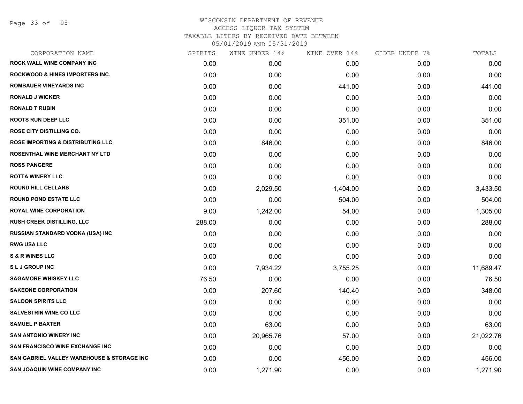Page 33 of 95

|        | WINE UNDER 14% | WINE OVER 14% | CIDER UNDER 7% | TOTALS    |
|--------|----------------|---------------|----------------|-----------|
| 0.00   | 0.00           | 0.00          | 0.00           | 0.00      |
| 0.00   | 0.00           | 0.00          | 0.00           | 0.00      |
| 0.00   | 0.00           | 441.00        | 0.00           | 441.00    |
| 0.00   | 0.00           | 0.00          | 0.00           | 0.00      |
| 0.00   | 0.00           | 0.00          | 0.00           | 0.00      |
| 0.00   | 0.00           | 351.00        | 0.00           | 351.00    |
| 0.00   | 0.00           | 0.00          | 0.00           | 0.00      |
| 0.00   | 846.00         | 0.00          | 0.00           | 846.00    |
| 0.00   | 0.00           | 0.00          | 0.00           | 0.00      |
| 0.00   | 0.00           | 0.00          | 0.00           | 0.00      |
| 0.00   | 0.00           | 0.00          | 0.00           | 0.00      |
| 0.00   | 2,029.50       | 1,404.00      | 0.00           | 3,433.50  |
| 0.00   | 0.00           | 504.00        | 0.00           | 504.00    |
| 9.00   | 1,242.00       | 54.00         | 0.00           | 1,305.00  |
| 288.00 | 0.00           | 0.00          | 0.00           | 288.00    |
| 0.00   | 0.00           | 0.00          | 0.00           | 0.00      |
| 0.00   | 0.00           | 0.00          | 0.00           | 0.00      |
| 0.00   | 0.00           | 0.00          | 0.00           | 0.00      |
| 0.00   | 7,934.22       | 3,755.25      | 0.00           | 11,689.47 |
| 76.50  | 0.00           | 0.00          | 0.00           | 76.50     |
| 0.00   | 207.60         | 140.40        | 0.00           | 348.00    |
| 0.00   | 0.00           | 0.00          | 0.00           | 0.00      |
| 0.00   | 0.00           | 0.00          | 0.00           | 0.00      |
| 0.00   | 63.00          | 0.00          | 0.00           | 63.00     |
| 0.00   | 20,965.76      | 57.00         | 0.00           | 21,022.76 |
| 0.00   | 0.00           | 0.00          | 0.00           | 0.00      |
| 0.00   | 0.00           | 456.00        | 0.00           | 456.00    |
| 0.00   | 1,271.90       | 0.00          | 0.00           | 1,271.90  |
|        | SPIRITS        |               |                |           |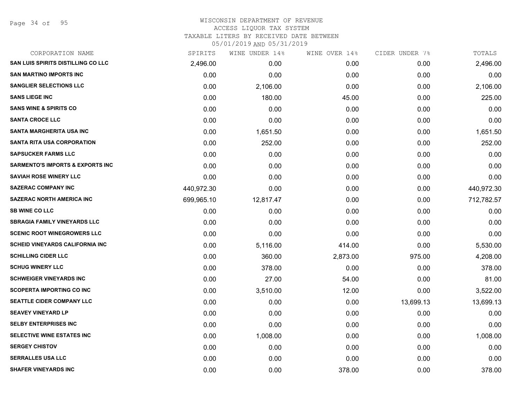Page 34 of 95

## WISCONSIN DEPARTMENT OF REVENUE ACCESS LIQUOR TAX SYSTEM TAXABLE LITERS BY RECEIVED DATE BETWEEN

| CORPORATION NAME                            | SPIRITS    | WINE UNDER 14% | WINE OVER 14% | CIDER UNDER 7% | TOTALS     |
|---------------------------------------------|------------|----------------|---------------|----------------|------------|
| SAN LUIS SPIRITS DISTILLING CO LLC          | 2,496.00   | 0.00           | 0.00          | 0.00           | 2,496.00   |
| <b>SAN MARTINO IMPORTS INC</b>              | 0.00       | 0.00           | 0.00          | 0.00           | 0.00       |
| <b>SANGLIER SELECTIONS LLC</b>              | 0.00       | 2,106.00       | 0.00          | 0.00           | 2,106.00   |
| <b>SANS LIEGE INC</b>                       | 0.00       | 180.00         | 45.00         | 0.00           | 225.00     |
| <b>SANS WINE &amp; SPIRITS CO</b>           | 0.00       | 0.00           | 0.00          | 0.00           | 0.00       |
| <b>SANTA CROCE LLC</b>                      | 0.00       | 0.00           | 0.00          | 0.00           | 0.00       |
| <b>SANTA MARGHERITA USA INC</b>             | 0.00       | 1,651.50       | 0.00          | 0.00           | 1,651.50   |
| <b>SANTA RITA USA CORPORATION</b>           | 0.00       | 252.00         | 0.00          | 0.00           | 252.00     |
| <b>SAPSUCKER FARMS LLC</b>                  | 0.00       | 0.00           | 0.00          | 0.00           | 0.00       |
| <b>SARMENTO'S IMPORTS &amp; EXPORTS INC</b> | 0.00       | 0.00           | 0.00          | 0.00           | 0.00       |
| <b>SAVIAH ROSE WINERY LLC</b>               | 0.00       | 0.00           | 0.00          | 0.00           | 0.00       |
| <b>SAZERAC COMPANY INC</b>                  | 440,972.30 | 0.00           | 0.00          | 0.00           | 440,972.30 |
| <b>SAZERAC NORTH AMERICA INC</b>            | 699,965.10 | 12,817.47      | 0.00          | 0.00           | 712,782.57 |
| <b>SB WINE CO LLC</b>                       | 0.00       | 0.00           | 0.00          | 0.00           | 0.00       |
| <b>SBRAGIA FAMILY VINEYARDS LLC</b>         | 0.00       | 0.00           | 0.00          | 0.00           | 0.00       |
| <b>SCENIC ROOT WINEGROWERS LLC</b>          | 0.00       | 0.00           | 0.00          | 0.00           | 0.00       |
| <b>SCHEID VINEYARDS CALIFORNIA INC</b>      | 0.00       | 5,116.00       | 414.00        | 0.00           | 5,530.00   |
| <b>SCHILLING CIDER LLC</b>                  | 0.00       | 360.00         | 2,873.00      | 975.00         | 4,208.00   |
| <b>SCHUG WINERY LLC</b>                     | 0.00       | 378.00         | 0.00          | 0.00           | 378.00     |
| <b>SCHWEIGER VINEYARDS INC</b>              | 0.00       | 27.00          | 54.00         | 0.00           | 81.00      |
| <b>SCOPERTA IMPORTING CO INC</b>            | 0.00       | 3,510.00       | 12.00         | 0.00           | 3,522.00   |
| SEATTLE CIDER COMPANY LLC                   | 0.00       | 0.00           | 0.00          | 13,699.13      | 13,699.13  |
| <b>SEAVEY VINEYARD LP</b>                   | 0.00       | 0.00           | 0.00          | 0.00           | 0.00       |
| <b>SELBY ENTERPRISES INC</b>                | 0.00       | 0.00           | 0.00          | 0.00           | 0.00       |
| SELECTIVE WINE ESTATES INC                  | 0.00       | 1,008.00       | 0.00          | 0.00           | 1,008.00   |
| <b>SERGEY CHISTOV</b>                       | 0.00       | 0.00           | 0.00          | 0.00           | 0.00       |
| <b>SERRALLES USA LLC</b>                    | 0.00       | 0.00           | 0.00          | 0.00           | 0.00       |
| <b>SHAFER VINEYARDS INC</b>                 | 0.00       | 0.00           | 378.00        | 0.00           | 378.00     |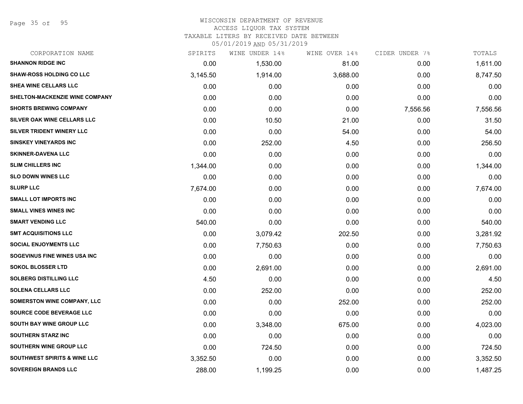Page 35 of 95

## WISCONSIN DEPARTMENT OF REVENUE

### ACCESS LIQUOR TAX SYSTEM

TAXABLE LITERS BY RECEIVED DATE BETWEEN

| CORPORATION NAME                        | SPIRITS  | WINE UNDER 14% | WINE OVER 14% | CIDER UNDER 7% | TOTALS   |
|-----------------------------------------|----------|----------------|---------------|----------------|----------|
| <b>SHANNON RIDGE INC</b>                | 0.00     | 1,530.00       | 81.00         | 0.00           | 1,611.00 |
| <b>SHAW-ROSS HOLDING CO LLC</b>         | 3,145.50 | 1,914.00       | 3,688.00      | 0.00           | 8,747.50 |
| <b>SHEA WINE CELLARS LLC</b>            | 0.00     | 0.00           | 0.00          | 0.00           | 0.00     |
| SHELTON-MACKENZIE WINE COMPANY          | 0.00     | 0.00           | 0.00          | 0.00           | 0.00     |
| <b>SHORTS BREWING COMPANY</b>           | 0.00     | 0.00           | 0.00          | 7,556.56       | 7,556.56 |
| SILVER OAK WINE CELLARS LLC             | 0.00     | 10.50          | 21.00         | 0.00           | 31.50    |
| SILVER TRIDENT WINERY LLC               | 0.00     | 0.00           | 54.00         | 0.00           | 54.00    |
| <b>SINSKEY VINEYARDS INC</b>            | 0.00     | 252.00         | 4.50          | 0.00           | 256.50   |
| <b>SKINNER-DAVENA LLC</b>               | 0.00     | 0.00           | 0.00          | 0.00           | 0.00     |
| <b>SLIM CHILLERS INC</b>                | 1,344.00 | 0.00           | 0.00          | 0.00           | 1,344.00 |
| <b>SLO DOWN WINES LLC</b>               | 0.00     | 0.00           | 0.00          | 0.00           | 0.00     |
| <b>SLURP LLC</b>                        | 7,674.00 | 0.00           | 0.00          | 0.00           | 7,674.00 |
| <b>SMALL LOT IMPORTS INC</b>            | 0.00     | 0.00           | 0.00          | 0.00           | 0.00     |
| <b>SMALL VINES WINES INC</b>            | 0.00     | 0.00           | 0.00          | 0.00           | 0.00     |
| <b>SMART VENDING LLC</b>                | 540.00   | 0.00           | 0.00          | 0.00           | 540.00   |
| <b>SMT ACQUISITIONS LLC</b>             | 0.00     | 3,079.42       | 202.50        | 0.00           | 3,281.92 |
| <b>SOCIAL ENJOYMENTS LLC</b>            | 0.00     | 7,750.63       | 0.00          | 0.00           | 7,750.63 |
| SOGEVINUS FINE WINES USA INC            | 0.00     | 0.00           | 0.00          | 0.00           | 0.00     |
| <b>SOKOL BLOSSER LTD</b>                | 0.00     | 2,691.00       | 0.00          | 0.00           | 2,691.00 |
| <b>SOLBERG DISTILLING LLC</b>           | 4.50     | 0.00           | 0.00          | 0.00           | 4.50     |
| <b>SOLENA CELLARS LLC</b>               | 0.00     | 252.00         | 0.00          | 0.00           | 252.00   |
| SOMERSTON WINE COMPANY, LLC             | 0.00     | 0.00           | 252.00        | 0.00           | 252.00   |
| SOURCE CODE BEVERAGE LLC                | 0.00     | 0.00           | 0.00          | 0.00           | 0.00     |
| SOUTH BAY WINE GROUP LLC                | 0.00     | 3,348.00       | 675.00        | 0.00           | 4,023.00 |
| <b>SOUTHERN STARZ INC</b>               | 0.00     | 0.00           | 0.00          | 0.00           | 0.00     |
| SOUTHERN WINE GROUP LLC                 | 0.00     | 724.50         | 0.00          | 0.00           | 724.50   |
| <b>SOUTHWEST SPIRITS &amp; WINE LLC</b> | 3,352.50 | 0.00           | 0.00          | 0.00           | 3,352.50 |
| <b>SOVEREIGN BRANDS LLC</b>             | 288.00   | 1,199.25       | 0.00          | 0.00           | 1,487.25 |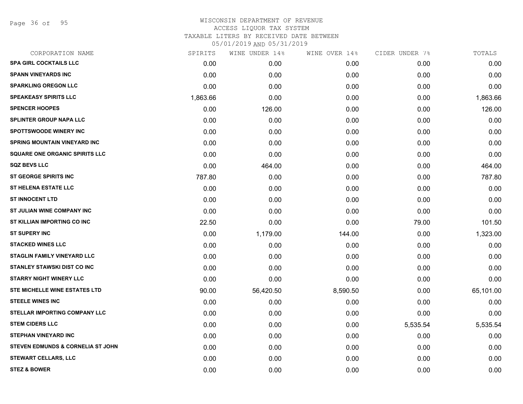Page 36 of 95

| CORPORATION NAME                             | SPIRITS  | WINE UNDER 14% | WINE OVER 14% | CIDER UNDER 7% | TOTALS    |
|----------------------------------------------|----------|----------------|---------------|----------------|-----------|
| <b>SPA GIRL COCKTAILS LLC</b>                | 0.00     | 0.00           | 0.00          | 0.00           | 0.00      |
| <b>SPANN VINEYARDS INC</b>                   | 0.00     | 0.00           | 0.00          | 0.00           | 0.00      |
| <b>SPARKLING OREGON LLC</b>                  | 0.00     | 0.00           | 0.00          | 0.00           | 0.00      |
| <b>SPEAKEASY SPIRITS LLC</b>                 | 1,863.66 | 0.00           | 0.00          | 0.00           | 1,863.66  |
| <b>SPENCER HOOPES</b>                        | 0.00     | 126.00         | 0.00          | 0.00           | 126.00    |
| <b>SPLINTER GROUP NAPA LLC</b>               | 0.00     | 0.00           | 0.00          | 0.00           | 0.00      |
| <b>SPOTTSWOODE WINERY INC</b>                | 0.00     | 0.00           | 0.00          | 0.00           | 0.00      |
| <b>SPRING MOUNTAIN VINEYARD INC</b>          | 0.00     | 0.00           | 0.00          | 0.00           | 0.00      |
| <b>SQUARE ONE ORGANIC SPIRITS LLC</b>        | 0.00     | 0.00           | 0.00          | 0.00           | 0.00      |
| <b>SQZ BEVS LLC</b>                          | 0.00     | 464.00         | 0.00          | 0.00           | 464.00    |
| <b>ST GEORGE SPIRITS INC</b>                 | 787.80   | 0.00           | 0.00          | 0.00           | 787.80    |
| <b>ST HELENA ESTATE LLC</b>                  | 0.00     | 0.00           | 0.00          | 0.00           | 0.00      |
| <b>ST INNOCENT LTD</b>                       | 0.00     | 0.00           | 0.00          | 0.00           | 0.00      |
| ST JULIAN WINE COMPANY INC                   | 0.00     | 0.00           | 0.00          | 0.00           | 0.00      |
| ST KILLIAN IMPORTING CO INC                  | 22.50    | 0.00           | 0.00          | 79.00          | 101.50    |
| <b>ST SUPERY INC</b>                         | 0.00     | 1,179.00       | 144.00        | 0.00           | 1,323.00  |
| <b>STACKED WINES LLC</b>                     | 0.00     | 0.00           | 0.00          | 0.00           | 0.00      |
| <b>STAGLIN FAMILY VINEYARD LLC</b>           | 0.00     | 0.00           | 0.00          | 0.00           | 0.00      |
| <b>STANLEY STAWSKI DIST CO INC</b>           | 0.00     | 0.00           | 0.00          | 0.00           | 0.00      |
| <b>STARRY NIGHT WINERY LLC</b>               | 0.00     | 0.00           | 0.00          | 0.00           | 0.00      |
| STE MICHELLE WINE ESTATES LTD                | 90.00    | 56,420.50      | 8,590.50      | 0.00           | 65,101.00 |
| <b>STEELE WINES INC</b>                      | 0.00     | 0.00           | 0.00          | 0.00           | 0.00      |
| <b>STELLAR IMPORTING COMPANY LLC</b>         | 0.00     | 0.00           | 0.00          | 0.00           | 0.00      |
| <b>STEM CIDERS LLC</b>                       | 0.00     | 0.00           | 0.00          | 5,535.54       | 5,535.54  |
| <b>STEPHAN VINEYARD INC</b>                  | 0.00     | 0.00           | 0.00          | 0.00           | 0.00      |
| <b>STEVEN EDMUNDS &amp; CORNELIA ST JOHN</b> | 0.00     | 0.00           | 0.00          | 0.00           | 0.00      |
| <b>STEWART CELLARS, LLC</b>                  | 0.00     | 0.00           | 0.00          | 0.00           | 0.00      |
| <b>STEZ &amp; BOWER</b>                      | 0.00     | 0.00           | 0.00          | 0.00           | 0.00      |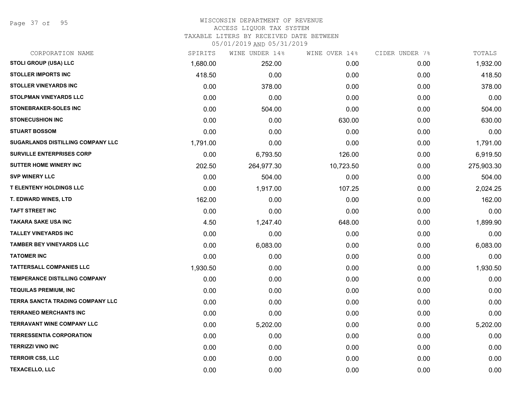Page 37 of 95

# WISCONSIN DEPARTMENT OF REVENUE

ACCESS LIQUOR TAX SYSTEM

TAXABLE LITERS BY RECEIVED DATE BETWEEN

| CORPORATION NAME                         | SPIRITS  | WINE UNDER 14% | WINE OVER 14% | CIDER UNDER 7% | TOTALS     |
|------------------------------------------|----------|----------------|---------------|----------------|------------|
| STOLI GROUP (USA) LLC                    | 1,680.00 | 252.00         | 0.00          | 0.00           | 1,932.00   |
| <b>STOLLER IMPORTS INC</b>               | 418.50   | 0.00           | 0.00          | 0.00           | 418.50     |
| <b>STOLLER VINEYARDS INC</b>             | 0.00     | 378.00         | 0.00          | 0.00           | 378.00     |
| <b>STOLPMAN VINEYARDS LLC</b>            | 0.00     | 0.00           | 0.00          | 0.00           | 0.00       |
| <b>STONEBRAKER-SOLES INC</b>             | 0.00     | 504.00         | 0.00          | 0.00           | 504.00     |
| <b>STONECUSHION INC</b>                  | 0.00     | 0.00           | 630.00        | 0.00           | 630.00     |
| <b>STUART BOSSOM</b>                     | 0.00     | 0.00           | 0.00          | 0.00           | 0.00       |
| <b>SUGARLANDS DISTILLING COMPANY LLC</b> | 1,791.00 | 0.00           | 0.00          | 0.00           | 1,791.00   |
| <b>SURVILLE ENTERPRISES CORP</b>         | 0.00     | 6,793.50       | 126.00        | 0.00           | 6,919.50   |
| <b>SUTTER HOME WINERY INC</b>            | 202.50   | 264,977.30     | 10,723.50     | 0.00           | 275,903.30 |
| <b>SVP WINERY LLC</b>                    | 0.00     | 504.00         | 0.00          | 0.00           | 504.00     |
| <b>T ELENTENY HOLDINGS LLC</b>           | 0.00     | 1,917.00       | 107.25        | 0.00           | 2,024.25   |
| <b>T. EDWARD WINES, LTD</b>              | 162.00   | 0.00           | 0.00          | 0.00           | 162.00     |
| <b>TAFT STREET INC</b>                   | 0.00     | 0.00           | 0.00          | 0.00           | 0.00       |
| <b>TAKARA SAKE USA INC</b>               | 4.50     | 1,247.40       | 648.00        | 0.00           | 1,899.90   |
| <b>TALLEY VINEYARDS INC</b>              | 0.00     | 0.00           | 0.00          | 0.00           | 0.00       |
| <b>TAMBER BEY VINEYARDS LLC</b>          | 0.00     | 6,083.00       | 0.00          | 0.00           | 6,083.00   |
| <b>TATOMER INC</b>                       | 0.00     | 0.00           | 0.00          | 0.00           | 0.00       |
| <b>TATTERSALL COMPANIES LLC</b>          | 1,930.50 | 0.00           | 0.00          | 0.00           | 1,930.50   |
| <b>TEMPERANCE DISTILLING COMPANY</b>     | 0.00     | 0.00           | 0.00          | 0.00           | 0.00       |
| <b>TEQUILAS PREMIUM, INC</b>             | 0.00     | 0.00           | 0.00          | 0.00           | 0.00       |
| TERRA SANCTA TRADING COMPANY LLC         | 0.00     | 0.00           | 0.00          | 0.00           | 0.00       |
| <b>TERRANEO MERCHANTS INC</b>            | 0.00     | 0.00           | 0.00          | 0.00           | 0.00       |
| <b>TERRAVANT WINE COMPANY LLC</b>        | 0.00     | 5,202.00       | 0.00          | 0.00           | 5,202.00   |
| <b>TERRESSENTIA CORPORATION</b>          | 0.00     | 0.00           | 0.00          | 0.00           | 0.00       |
| <b>TERRIZZI VINO INC</b>                 | 0.00     | 0.00           | 0.00          | 0.00           | 0.00       |
| <b>TERROIR CSS, LLC</b>                  | 0.00     | 0.00           | 0.00          | 0.00           | 0.00       |
| <b>TEXACELLO, LLC</b>                    | 0.00     | 0.00           | 0.00          | 0.00           | 0.00       |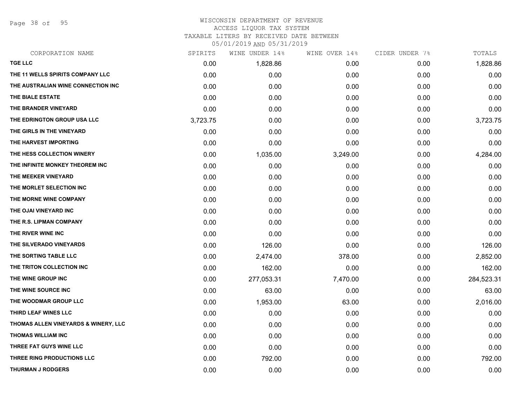Page 38 of 95

#### WISCONSIN DEPARTMENT OF REVENUE ACCESS LIQUOR TAX SYSTEM

TAXABLE LITERS BY RECEIVED DATE BETWEEN

| CORPORATION NAME                     | SPIRITS  | WINE UNDER 14% | WINE OVER 14% | CIDER UNDER 7% | TOTALS     |
|--------------------------------------|----------|----------------|---------------|----------------|------------|
| <b>TGE LLC</b>                       | 0.00     | 1,828.86       | 0.00          | 0.00           | 1,828.86   |
| THE 11 WELLS SPIRITS COMPANY LLC     | 0.00     | 0.00           | 0.00          | 0.00           | 0.00       |
| THE AUSTRALIAN WINE CONNECTION INC   | 0.00     | 0.00           | 0.00          | 0.00           | 0.00       |
| THE BIALE ESTATE                     | 0.00     | 0.00           | 0.00          | 0.00           | 0.00       |
| THE BRANDER VINEYARD                 | 0.00     | 0.00           | 0.00          | 0.00           | 0.00       |
| THE EDRINGTON GROUP USA LLC          | 3,723.75 | 0.00           | 0.00          | 0.00           | 3,723.75   |
| THE GIRLS IN THE VINEYARD            | 0.00     | 0.00           | 0.00          | 0.00           | 0.00       |
| THE HARVEST IMPORTING                | 0.00     | 0.00           | 0.00          | 0.00           | 0.00       |
| THE HESS COLLECTION WINERY           | 0.00     | 1,035.00       | 3,249.00      | 0.00           | 4,284.00   |
| THE INFINITE MONKEY THEOREM INC      | 0.00     | 0.00           | 0.00          | 0.00           | 0.00       |
| THE MEEKER VINEYARD                  | 0.00     | 0.00           | 0.00          | 0.00           | 0.00       |
| THE MORLET SELECTION INC             | 0.00     | 0.00           | 0.00          | 0.00           | 0.00       |
| THE MORNE WINE COMPANY               | 0.00     | 0.00           | 0.00          | 0.00           | 0.00       |
| THE OJAI VINEYARD INC                | 0.00     | 0.00           | 0.00          | 0.00           | 0.00       |
| THE R.S. LIPMAN COMPANY              | 0.00     | 0.00           | 0.00          | 0.00           | 0.00       |
| THE RIVER WINE INC                   | 0.00     | 0.00           | 0.00          | 0.00           | 0.00       |
| THE SILVERADO VINEYARDS              | 0.00     | 126.00         | 0.00          | 0.00           | 126.00     |
| THE SORTING TABLE LLC                | 0.00     | 2,474.00       | 378.00        | 0.00           | 2,852.00   |
| THE TRITON COLLECTION INC            | 0.00     | 162.00         | 0.00          | 0.00           | 162.00     |
| THE WINE GROUP INC                   | 0.00     | 277,053.31     | 7,470.00      | 0.00           | 284,523.31 |
| THE WINE SOURCE INC                  | 0.00     | 63.00          | 0.00          | 0.00           | 63.00      |
| THE WOODMAR GROUP LLC                | 0.00     | 1,953.00       | 63.00         | 0.00           | 2,016.00   |
| THIRD LEAF WINES LLC                 | 0.00     | 0.00           | 0.00          | 0.00           | 0.00       |
| THOMAS ALLEN VINEYARDS & WINERY, LLC | 0.00     | 0.00           | 0.00          | 0.00           | 0.00       |
| <b>THOMAS WILLIAM INC</b>            | 0.00     | 0.00           | 0.00          | 0.00           | 0.00       |
| THREE FAT GUYS WINE LLC              | 0.00     | 0.00           | 0.00          | 0.00           | 0.00       |
| THREE RING PRODUCTIONS LLC           | 0.00     | 792.00         | 0.00          | 0.00           | 792.00     |
| <b>THURMAN J RODGERS</b>             | 0.00     | 0.00           | 0.00          | 0.00           | 0.00       |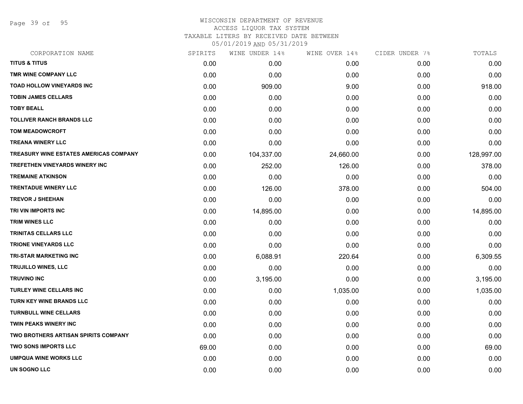Page 39 of 95

# WISCONSIN DEPARTMENT OF REVENUE ACCESS LIQUOR TAX SYSTEM TAXABLE LITERS BY RECEIVED DATE BETWEEN

| CORPORATION NAME                            | SPIRITS | WINE UNDER 14% | WINE OVER 14% | CIDER UNDER 7% | TOTALS     |
|---------------------------------------------|---------|----------------|---------------|----------------|------------|
| <b>TITUS &amp; TITUS</b>                    | 0.00    | 0.00           | 0.00          | 0.00           | 0.00       |
| TMR WINE COMPANY LLC                        | 0.00    | 0.00           | 0.00          | 0.00           | 0.00       |
| <b>TOAD HOLLOW VINEYARDS INC</b>            | 0.00    | 909.00         | 9.00          | 0.00           | 918.00     |
| <b>TOBIN JAMES CELLARS</b>                  | 0.00    | 0.00           | 0.00          | 0.00           | 0.00       |
| <b>TOBY BEALL</b>                           | 0.00    | 0.00           | 0.00          | 0.00           | 0.00       |
| <b>TOLLIVER RANCH BRANDS LLC</b>            | 0.00    | 0.00           | 0.00          | 0.00           | 0.00       |
| <b>TOM MEADOWCROFT</b>                      | 0.00    | 0.00           | 0.00          | 0.00           | 0.00       |
| <b>TREANA WINERY LLC</b>                    | 0.00    | 0.00           | 0.00          | 0.00           | 0.00       |
| TREASURY WINE ESTATES AMERICAS COMPANY      | 0.00    | 104,337.00     | 24,660.00     | 0.00           | 128,997.00 |
| <b>TREFETHEN VINEYARDS WINERY INC</b>       | 0.00    | 252.00         | 126.00        | 0.00           | 378.00     |
| <b>TREMAINE ATKINSON</b>                    | 0.00    | 0.00           | 0.00          | 0.00           | 0.00       |
| <b>TRENTADUE WINERY LLC</b>                 | 0.00    | 126.00         | 378.00        | 0.00           | 504.00     |
| <b>TREVOR J SHEEHAN</b>                     | 0.00    | 0.00           | 0.00          | 0.00           | 0.00       |
| TRI VIN IMPORTS INC                         | 0.00    | 14,895.00      | 0.00          | 0.00           | 14,895.00  |
| TRIM WINES LLC                              | 0.00    | 0.00           | 0.00          | 0.00           | 0.00       |
| TRINITAS CELLARS LLC                        | 0.00    | 0.00           | 0.00          | 0.00           | 0.00       |
| <b>TRIONE VINEYARDS LLC</b>                 | 0.00    | 0.00           | 0.00          | 0.00           | 0.00       |
| TRI-STAR MARKETING INC                      | 0.00    | 6,088.91       | 220.64        | 0.00           | 6,309.55   |
| TRUJILLO WINES, LLC                         | 0.00    | 0.00           | 0.00          | 0.00           | 0.00       |
| <b>TRUVINO INC</b>                          | 0.00    | 3,195.00       | 0.00          | 0.00           | 3,195.00   |
| <b>TURLEY WINE CELLARS INC</b>              | 0.00    | 0.00           | 1,035.00      | 0.00           | 1,035.00   |
| TURN KEY WINE BRANDS LLC                    | 0.00    | 0.00           | 0.00          | 0.00           | 0.00       |
| <b>TURNBULL WINE CELLARS</b>                | 0.00    | 0.00           | 0.00          | 0.00           | 0.00       |
| <b>TWIN PEAKS WINERY INC</b>                | 0.00    | 0.00           | 0.00          | 0.00           | 0.00       |
| <b>TWO BROTHERS ARTISAN SPIRITS COMPANY</b> | 0.00    | 0.00           | 0.00          | 0.00           | 0.00       |
| <b>TWO SONS IMPORTS LLC</b>                 | 69.00   | 0.00           | 0.00          | 0.00           | 69.00      |
| <b>UMPQUA WINE WORKS LLC</b>                | 0.00    | 0.00           | 0.00          | 0.00           | 0.00       |
| <b>UN SOGNO LLC</b>                         | 0.00    | 0.00           | 0.00          | 0.00           | 0.00       |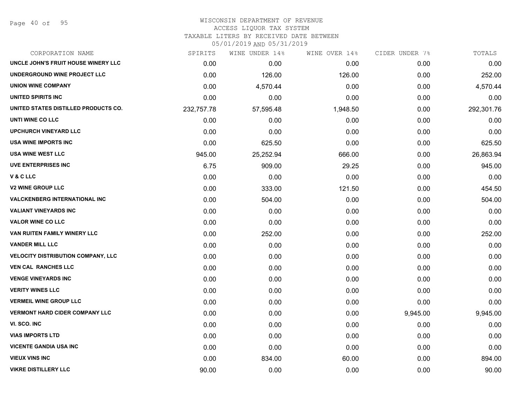Page 40 of 95

#### WISCONSIN DEPARTMENT OF REVENUE ACCESS LIQUOR TAX SYSTEM

TAXABLE LITERS BY RECEIVED DATE BETWEEN

| CORPORATION NAME                          | SPIRITS    | WINE UNDER 14% | WINE OVER 14% | CIDER UNDER 7% | TOTALS     |
|-------------------------------------------|------------|----------------|---------------|----------------|------------|
| UNCLE JOHN'S FRUIT HOUSE WINERY LLC       | 0.00       | 0.00           | 0.00          | 0.00           | 0.00       |
| UNDERGROUND WINE PROJECT LLC              | 0.00       | 126.00         | 126.00        | 0.00           | 252.00     |
| <b>UNION WINE COMPANY</b>                 | 0.00       | 4,570.44       | 0.00          | 0.00           | 4,570.44   |
| UNITED SPIRITS INC                        | 0.00       | 0.00           | 0.00          | 0.00           | 0.00       |
| UNITED STATES DISTILLED PRODUCTS CO.      | 232,757.78 | 57,595.48      | 1,948.50      | 0.00           | 292,301.76 |
| UNTI WINE CO LLC                          | 0.00       | 0.00           | 0.00          | 0.00           | 0.00       |
| <b>UPCHURCH VINEYARD LLC</b>              | 0.00       | 0.00           | 0.00          | 0.00           | 0.00       |
| <b>USA WINE IMPORTS INC</b>               | 0.00       | 625.50         | 0.00          | 0.00           | 625.50     |
| <b>USA WINE WEST LLC</b>                  | 945.00     | 25,252.94      | 666.00        | 0.00           | 26,863.94  |
| UVE ENTERPRISES INC                       | 6.75       | 909.00         | 29.25         | 0.00           | 945.00     |
| V & C LLC                                 | 0.00       | 0.00           | 0.00          | 0.00           | 0.00       |
| <b>V2 WINE GROUP LLC</b>                  | 0.00       | 333.00         | 121.50        | 0.00           | 454.50     |
| <b>VALCKENBERG INTERNATIONAL INC</b>      | 0.00       | 504.00         | 0.00          | 0.00           | 504.00     |
| <b>VALIANT VINEYARDS INC</b>              | 0.00       | 0.00           | 0.00          | 0.00           | 0.00       |
| <b>VALOR WINE CO LLC</b>                  | 0.00       | 0.00           | 0.00          | 0.00           | 0.00       |
| VAN RUITEN FAMILY WINERY LLC              | 0.00       | 252.00         | 0.00          | 0.00           | 252.00     |
| <b>VANDER MILL LLC</b>                    | 0.00       | 0.00           | 0.00          | 0.00           | 0.00       |
| <b>VELOCITY DISTRIBUTION COMPANY, LLC</b> | 0.00       | 0.00           | 0.00          | 0.00           | 0.00       |
| <b>VEN CAL RANCHES LLC</b>                | 0.00       | 0.00           | 0.00          | 0.00           | 0.00       |
| <b>VENGE VINEYARDS INC</b>                | 0.00       | 0.00           | 0.00          | 0.00           | 0.00       |
| <b>VERITY WINES LLC</b>                   | 0.00       | 0.00           | 0.00          | 0.00           | 0.00       |
| <b>VERMEIL WINE GROUP LLC</b>             | 0.00       | 0.00           | 0.00          | 0.00           | 0.00       |
| <b>VERMONT HARD CIDER COMPANY LLC</b>     | 0.00       | 0.00           | 0.00          | 9,945.00       | 9,945.00   |
| VI. SCO. INC                              | 0.00       | 0.00           | 0.00          | 0.00           | 0.00       |
| <b>VIAS IMPORTS LTD</b>                   | 0.00       | 0.00           | 0.00          | 0.00           | 0.00       |
| <b>VICENTE GANDIA USA INC</b>             | 0.00       | 0.00           | 0.00          | 0.00           | 0.00       |
| <b>VIEUX VINS INC</b>                     | 0.00       | 834.00         | 60.00         | 0.00           | 894.00     |
| <b>VIKRE DISTILLERY LLC</b>               | 90.00      | 0.00           | 0.00          | 0.00           | 90.00      |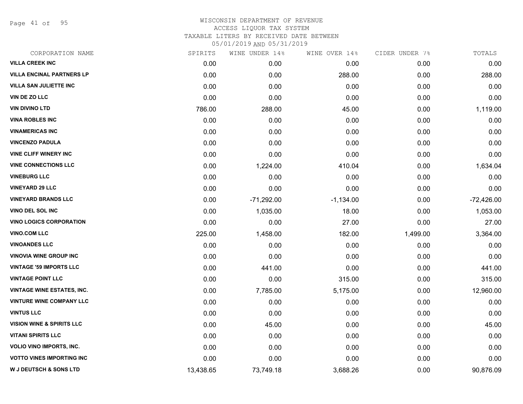Page 41 of 95

| CORPORATION NAME                     | SPIRITS   | WINE UNDER 14% | WINE OVER 14% | CIDER UNDER 7% | TOTALS       |
|--------------------------------------|-----------|----------------|---------------|----------------|--------------|
| <b>VILLA CREEK INC</b>               | 0.00      | 0.00           | 0.00          | 0.00           | 0.00         |
| <b>VILLA ENCINAL PARTNERS LP</b>     | 0.00      | 0.00           | 288.00        | 0.00           | 288.00       |
| <b>VILLA SAN JULIETTE INC</b>        | 0.00      | 0.00           | 0.00          | 0.00           | 0.00         |
| VIN DE ZO LLC                        | 0.00      | 0.00           | 0.00          | 0.00           | 0.00         |
| <b>VIN DIVINO LTD</b>                | 786.00    | 288.00         | 45.00         | 0.00           | 1,119.00     |
| <b>VINA ROBLES INC</b>               | 0.00      | 0.00           | 0.00          | 0.00           | 0.00         |
| <b>VINAMERICAS INC</b>               | 0.00      | 0.00           | 0.00          | 0.00           | 0.00         |
| <b>VINCENZO PADULA</b>               | 0.00      | 0.00           | 0.00          | 0.00           | 0.00         |
| <b>VINE CLIFF WINERY INC</b>         | 0.00      | 0.00           | 0.00          | 0.00           | 0.00         |
| <b>VINE CONNECTIONS LLC</b>          | 0.00      | 1,224.00       | 410.04        | 0.00           | 1,634.04     |
| <b>VINEBURG LLC</b>                  | 0.00      | 0.00           | 0.00          | 0.00           | 0.00         |
| <b>VINEYARD 29 LLC</b>               | 0.00      | 0.00           | 0.00          | 0.00           | 0.00         |
| <b>VINEYARD BRANDS LLC</b>           | 0.00      | $-71,292.00$   | $-1,134.00$   | 0.00           | $-72,426.00$ |
| <b>VINO DEL SOL INC</b>              | 0.00      | 1,035.00       | 18.00         | 0.00           | 1,053.00     |
| <b>VINO LOGICS CORPORATION</b>       | 0.00      | 0.00           | 27.00         | 0.00           | 27.00        |
| <b>VINO.COM LLC</b>                  | 225.00    | 1,458.00       | 182.00        | 1,499.00       | 3,364.00     |
| <b>VINOANDES LLC</b>                 | 0.00      | 0.00           | 0.00          | 0.00           | 0.00         |
| <b>VINOVIA WINE GROUP INC</b>        | 0.00      | 0.00           | 0.00          | 0.00           | 0.00         |
| <b>VINTAGE '59 IMPORTS LLC</b>       | 0.00      | 441.00         | 0.00          | 0.00           | 441.00       |
| <b>VINTAGE POINT LLC</b>             | 0.00      | 0.00           | 315.00        | 0.00           | 315.00       |
| <b>VINTAGE WINE ESTATES, INC.</b>    | 0.00      | 7,785.00       | 5,175.00      | 0.00           | 12,960.00    |
| <b>VINTURE WINE COMPANY LLC</b>      | 0.00      | 0.00           | 0.00          | 0.00           | 0.00         |
| <b>VINTUS LLC</b>                    | 0.00      | 0.00           | 0.00          | 0.00           | 0.00         |
| <b>VISION WINE &amp; SPIRITS LLC</b> | 0.00      | 45.00          | 0.00          | 0.00           | 45.00        |
| <b>VITANI SPIRITS LLC</b>            | 0.00      | 0.00           | 0.00          | 0.00           | 0.00         |
| <b>VOLIO VINO IMPORTS, INC.</b>      | 0.00      | 0.00           | 0.00          | 0.00           | 0.00         |
| <b>VOTTO VINES IMPORTING INC</b>     | 0.00      | 0.00           | 0.00          | 0.00           | 0.00         |
| <b>W J DEUTSCH &amp; SONS LTD</b>    | 13,438.65 | 73,749.18      | 3,688.26      | 0.00           | 90,876.09    |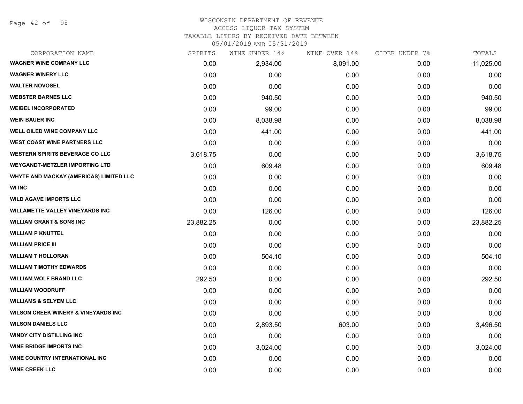# WISCONSIN DEPARTMENT OF REVENUE

#### ACCESS LIQUOR TAX SYSTEM

TAXABLE LITERS BY RECEIVED DATE BETWEEN

| CORPORATION NAME                               | SPIRITS   | WINE UNDER 14% | WINE OVER 14% | CIDER UNDER 7% | TOTALS    |
|------------------------------------------------|-----------|----------------|---------------|----------------|-----------|
| <b>WAGNER WINE COMPANY LLC</b>                 | 0.00      | 2,934.00       | 8,091.00      | 0.00           | 11,025.00 |
| <b>WAGNER WINERY LLC</b>                       | 0.00      | 0.00           | 0.00          | 0.00           | 0.00      |
| <b>WALTER NOVOSEL</b>                          | 0.00      | 0.00           | 0.00          | 0.00           | 0.00      |
| <b>WEBSTER BARNES LLC</b>                      | 0.00      | 940.50         | 0.00          | 0.00           | 940.50    |
| <b>WEIBEL INCORPORATED</b>                     | 0.00      | 99.00          | 0.00          | 0.00           | 99.00     |
| <b>WEIN BAUER INC</b>                          | 0.00      | 8,038.98       | 0.00          | 0.00           | 8,038.98  |
| WELL OILED WINE COMPANY LLC                    | 0.00      | 441.00         | 0.00          | 0.00           | 441.00    |
| <b>WEST COAST WINE PARTNERS LLC</b>            | 0.00      | 0.00           | 0.00          | 0.00           | 0.00      |
| <b>WESTERN SPIRITS BEVERAGE CO LLC</b>         | 3,618.75  | 0.00           | 0.00          | 0.00           | 3,618.75  |
| <b>WEYGANDT-METZLER IMPORTING LTD</b>          | 0.00      | 609.48         | 0.00          | 0.00           | 609.48    |
| WHYTE AND MACKAY (AMERICAS) LIMITED LLC        | 0.00      | 0.00           | 0.00          | 0.00           | 0.00      |
| <b>WI INC</b>                                  | 0.00      | 0.00           | 0.00          | 0.00           | 0.00      |
| <b>WILD AGAVE IMPORTS LLC</b>                  | 0.00      | 0.00           | 0.00          | 0.00           | 0.00      |
| <b>WILLAMETTE VALLEY VINEYARDS INC</b>         | 0.00      | 126.00         | 0.00          | 0.00           | 126.00    |
| <b>WILLIAM GRANT &amp; SONS INC</b>            | 23,882.25 | 0.00           | 0.00          | 0.00           | 23,882.25 |
| <b>WILLIAM P KNUTTEL</b>                       | 0.00      | 0.00           | 0.00          | 0.00           | 0.00      |
| <b>WILLIAM PRICE III</b>                       | 0.00      | 0.00           | 0.00          | 0.00           | 0.00      |
| <b>WILLIAM T HOLLORAN</b>                      | 0.00      | 504.10         | 0.00          | 0.00           | 504.10    |
| <b>WILLIAM TIMOTHY EDWARDS</b>                 | 0.00      | 0.00           | 0.00          | 0.00           | 0.00      |
| <b>WILLIAM WOLF BRAND LLC</b>                  | 292.50    | 0.00           | 0.00          | 0.00           | 292.50    |
| <b>WILLIAM WOODRUFF</b>                        | 0.00      | 0.00           | 0.00          | 0.00           | 0.00      |
| <b>WILLIAMS &amp; SELYEM LLC</b>               | 0.00      | 0.00           | 0.00          | 0.00           | 0.00      |
| <b>WILSON CREEK WINERY &amp; VINEYARDS INC</b> | 0.00      | 0.00           | 0.00          | 0.00           | 0.00      |
| <b>WILSON DANIELS LLC</b>                      | 0.00      | 2,893.50       | 603.00        | 0.00           | 3,496.50  |
| <b>WINDY CITY DISTILLING INC</b>               | 0.00      | 0.00           | 0.00          | 0.00           | 0.00      |
| <b>WINE BRIDGE IMPORTS INC</b>                 | 0.00      | 3,024.00       | 0.00          | 0.00           | 3,024.00  |
| <b>WINE COUNTRY INTERNATIONAL INC</b>          | 0.00      | 0.00           | 0.00          | 0.00           | 0.00      |
| <b>WINE CREEK LLC</b>                          | 0.00      | 0.00           | 0.00          | 0.00           | 0.00      |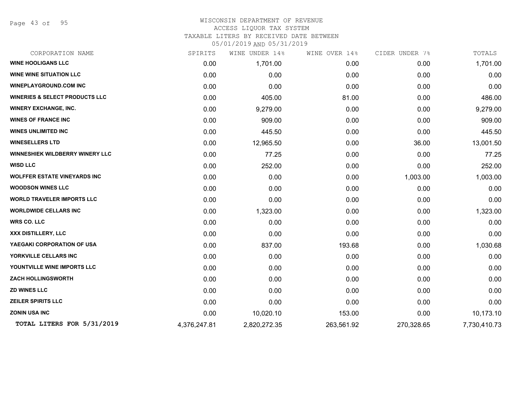Page 43 of 95

### WISCONSIN DEPARTMENT OF REVENUE ACCESS LIQUOR TAX SYSTEM TAXABLE LITERS BY RECEIVED DATE BETWEEN

| CORPORATION NAME                          | SPIRITS      | WINE UNDER 14% | WINE OVER 14% | CIDER UNDER 7% | TOTALS       |
|-------------------------------------------|--------------|----------------|---------------|----------------|--------------|
| <b>WINE HOOLIGANS LLC</b>                 | 0.00         | 1,701.00       | 0.00          | 0.00           | 1,701.00     |
| <b>WINE WINE SITUATION LLC</b>            | 0.00         | 0.00           | 0.00          | 0.00           | 0.00         |
| <b>WINEPLAYGROUND.COM INC</b>             | 0.00         | 0.00           | 0.00          | 0.00           | 0.00         |
| <b>WINERIES &amp; SELECT PRODUCTS LLC</b> | 0.00         | 405.00         | 81.00         | 0.00           | 486.00       |
| <b>WINERY EXCHANGE, INC.</b>              | 0.00         | 9,279.00       | 0.00          | 0.00           | 9,279.00     |
| <b>WINES OF FRANCE INC</b>                | 0.00         | 909.00         | 0.00          | 0.00           | 909.00       |
| <b>WINES UNLIMITED INC</b>                | 0.00         | 445.50         | 0.00          | 0.00           | 445.50       |
| <b>WINESELLERS LTD</b>                    | 0.00         | 12,965.50      | 0.00          | 36.00          | 13,001.50    |
| <b>WINNESHIEK WILDBERRY WINERY LLC</b>    | 0.00         | 77.25          | 0.00          | 0.00           | 77.25        |
| <b>WISD LLC</b>                           | 0.00         | 252.00         | 0.00          | 0.00           | 252.00       |
| <b>WOLFFER ESTATE VINEYARDS INC</b>       | 0.00         | 0.00           | 0.00          | 1,003.00       | 1,003.00     |
| <b>WOODSON WINES LLC</b>                  | 0.00         | 0.00           | 0.00          | 0.00           | 0.00         |
| <b>WORLD TRAVELER IMPORTS LLC</b>         | 0.00         | 0.00           | 0.00          | 0.00           | 0.00         |
| <b>WORLDWIDE CELLARS INC</b>              | 0.00         | 1,323.00       | 0.00          | 0.00           | 1,323.00     |
| <b>WRS CO. LLC</b>                        | 0.00         | 0.00           | 0.00          | 0.00           | 0.00         |
| <b>XXX DISTILLERY, LLC</b>                | 0.00         | 0.00           | 0.00          | 0.00           | 0.00         |
| YAEGAKI CORPORATION OF USA                | 0.00         | 837.00         | 193.68        | 0.00           | 1,030.68     |
| YORKVILLE CELLARS INC                     | 0.00         | 0.00           | 0.00          | 0.00           | 0.00         |
| YOUNTVILLE WINE IMPORTS LLC               | 0.00         | 0.00           | 0.00          | 0.00           | 0.00         |
| <b>ZACH HOLLINGSWORTH</b>                 | 0.00         | 0.00           | 0.00          | 0.00           | 0.00         |
| <b>ZD WINES LLC</b>                       | 0.00         | 0.00           | 0.00          | 0.00           | 0.00         |
| <b>ZEILER SPIRITS LLC</b>                 | 0.00         | 0.00           | 0.00          | 0.00           | 0.00         |
| <b>ZONIN USA INC</b>                      | 0.00         | 10,020.10      | 153.00        | 0.00           | 10,173.10    |
| TOTAL LITERS FOR 5/31/2019                | 4,376,247.81 | 2,820,272.35   | 263,561.92    | 270,328.65     | 7,730,410.73 |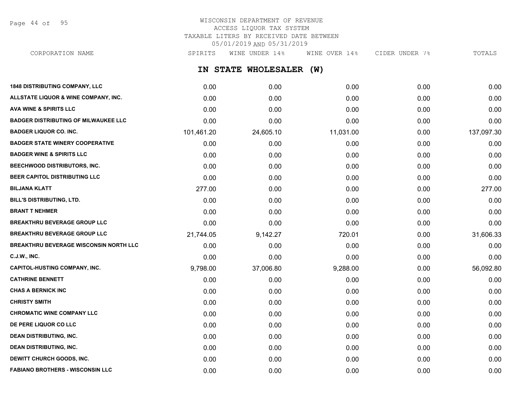Page 44 of 95

# WISCONSIN DEPARTMENT OF REVENUE ACCESS LIQUOR TAX SYSTEM TAXABLE LITERS BY RECEIVED DATE BETWEEN 05/01/2019 AND 05/31/2019

CORPORATION NAME SPIRITS WINE UNDER 14% WINE OVER 14% CIDER UNDER 7% TOTALS

**IN STATE WHOLESALER (W)**

| <b>1848 DISTRIBUTING COMPANY, LLC</b>         | 0.00       | 0.00      | 0.00      | 0.00 | 0.00       |
|-----------------------------------------------|------------|-----------|-----------|------|------------|
| ALLSTATE LIQUOR & WINE COMPANY, INC.          | 0.00       | 0.00      | 0.00      | 0.00 | 0.00       |
| <b>AVA WINE &amp; SPIRITS LLC</b>             | 0.00       | 0.00      | 0.00      | 0.00 | 0.00       |
| <b>BADGER DISTRIBUTING OF MILWAUKEE LLC</b>   | 0.00       | 0.00      | 0.00      | 0.00 | 0.00       |
| <b>BADGER LIQUOR CO. INC.</b>                 | 101,461.20 | 24,605.10 | 11,031.00 | 0.00 | 137,097.30 |
| <b>BADGER STATE WINERY COOPERATIVE</b>        | 0.00       | 0.00      | 0.00      | 0.00 | 0.00       |
| <b>BADGER WINE &amp; SPIRITS LLC</b>          | 0.00       | 0.00      | 0.00      | 0.00 | 0.00       |
| BEECHWOOD DISTRIBUTORS, INC.                  | 0.00       | 0.00      | 0.00      | 0.00 | 0.00       |
| BEER CAPITOL DISTRIBUTING LLC                 | 0.00       | 0.00      | 0.00      | 0.00 | 0.00       |
| <b>BILJANA KLATT</b>                          | 277.00     | 0.00      | 0.00      | 0.00 | 277.00     |
| BILL'S DISTRIBUTING, LTD.                     | 0.00       | 0.00      | 0.00      | 0.00 | 0.00       |
| <b>BRANT T NEHMER</b>                         | 0.00       | 0.00      | 0.00      | 0.00 | 0.00       |
| <b>BREAKTHRU BEVERAGE GROUP LLC</b>           | 0.00       | 0.00      | 0.00      | 0.00 | 0.00       |
| <b>BREAKTHRU BEVERAGE GROUP LLC</b>           | 21,744.05  | 9,142.27  | 720.01    | 0.00 | 31,606.33  |
| <b>BREAKTHRU BEVERAGE WISCONSIN NORTH LLC</b> | 0.00       | 0.00      | 0.00      | 0.00 | 0.00       |
| <b>C.J.W., INC.</b>                           | 0.00       | 0.00      | 0.00      | 0.00 | 0.00       |
| <b>CAPITOL-HUSTING COMPANY, INC.</b>          | 9,798.00   | 37,006.80 | 9,288.00  | 0.00 | 56,092.80  |
| <b>CATHRINE BENNETT</b>                       | 0.00       | 0.00      | 0.00      | 0.00 | 0.00       |
| <b>CHAS A BERNICK INC</b>                     | 0.00       | 0.00      | 0.00      | 0.00 | 0.00       |
| <b>CHRISTY SMITH</b>                          | 0.00       | 0.00      | 0.00      | 0.00 | 0.00       |
| <b>CHROMATIC WINE COMPANY LLC</b>             | 0.00       | 0.00      | 0.00      | 0.00 | 0.00       |
| DE PERE LIQUOR CO LLC                         | 0.00       | 0.00      | 0.00      | 0.00 | 0.00       |
| <b>DEAN DISTRIBUTING, INC.</b>                | 0.00       | 0.00      | 0.00      | 0.00 | 0.00       |
| <b>DEAN DISTRIBUTING, INC.</b>                | 0.00       | 0.00      | 0.00      | 0.00 | 0.00       |
| <b>DEWITT CHURCH GOODS, INC.</b>              | 0.00       | 0.00      | 0.00      | 0.00 | 0.00       |
| <b>FABIANO BROTHERS - WISCONSIN LLC</b>       | 0.00       | 0.00      | 0.00      | 0.00 | 0.00       |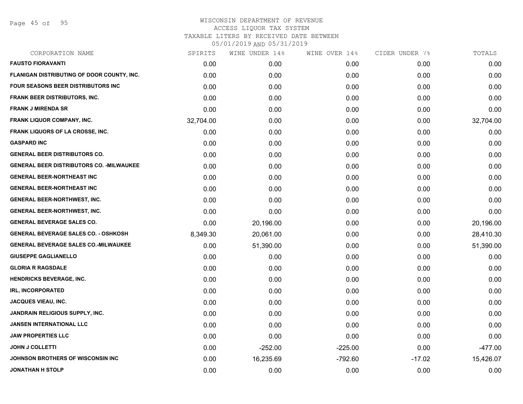Page 45 of 95

| SPIRITS   | WINE UNDER 14% | WINE OVER 14% | CIDER UNDER 7% | TOTALS    |
|-----------|----------------|---------------|----------------|-----------|
| 0.00      | 0.00           | 0.00          | 0.00           | 0.00      |
| 0.00      | 0.00           | 0.00          | 0.00           | 0.00      |
| 0.00      | 0.00           | 0.00          | 0.00           | 0.00      |
| 0.00      | 0.00           | 0.00          | 0.00           | 0.00      |
| 0.00      | 0.00           | 0.00          | 0.00           | 0.00      |
| 32,704.00 | 0.00           | 0.00          | 0.00           | 32,704.00 |
| 0.00      | 0.00           | 0.00          | 0.00           | 0.00      |
| 0.00      | 0.00           | 0.00          | 0.00           | 0.00      |
| 0.00      | 0.00           | 0.00          | 0.00           | 0.00      |
| 0.00      | 0.00           | 0.00          | 0.00           | 0.00      |
| 0.00      | 0.00           | 0.00          | 0.00           | 0.00      |
| 0.00      | 0.00           | 0.00          | 0.00           | 0.00      |
| 0.00      | 0.00           | 0.00          | 0.00           | 0.00      |
| 0.00      | 0.00           | 0.00          | 0.00           | 0.00      |
| 0.00      | 20,196.00      | 0.00          | 0.00           | 20,196.00 |
| 8,349.30  | 20,061.00      | 0.00          | 0.00           | 28,410.30 |
| 0.00      | 51,390.00      | 0.00          | 0.00           | 51,390.00 |
| 0.00      | 0.00           | 0.00          | 0.00           | 0.00      |
| 0.00      | 0.00           | 0.00          | 0.00           | 0.00      |
| 0.00      | 0.00           | 0.00          | 0.00           | 0.00      |
| 0.00      | 0.00           | 0.00          | 0.00           | 0.00      |
| 0.00      | 0.00           | 0.00          | 0.00           | 0.00      |
| 0.00      | 0.00           | 0.00          | 0.00           | 0.00      |
| 0.00      | 0.00           | 0.00          | 0.00           | 0.00      |
| 0.00      | 0.00           | 0.00          | 0.00           | 0.00      |
| 0.00      | $-252.00$      | $-225.00$     | 0.00           | $-477.00$ |
| 0.00      | 16,235.69      | $-792.60$     | $-17.02$       | 15,426.07 |
| 0.00      | 0.00           | 0.00          | 0.00           | 0.00      |
|           |                |               |                |           |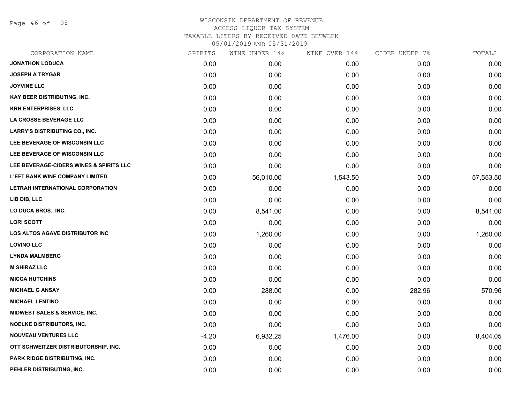Page 46 of 95

| CORPORATION NAME                        | SPIRITS | WINE UNDER 14% | WINE OVER 14% | CIDER UNDER 7% | TOTALS    |
|-----------------------------------------|---------|----------------|---------------|----------------|-----------|
| <b>JONATHON LODUCA</b>                  | 0.00    | 0.00           | 0.00          | 0.00           | 0.00      |
| <b>JOSEPH A TRYGAR</b>                  | 0.00    | 0.00           | 0.00          | 0.00           | 0.00      |
| <b>JOYVINE LLC</b>                      | 0.00    | 0.00           | 0.00          | 0.00           | 0.00      |
| <b>KAY BEER DISTRIBUTING, INC.</b>      | 0.00    | 0.00           | 0.00          | 0.00           | 0.00      |
| <b>KRH ENTERPRISES, LLC</b>             | 0.00    | 0.00           | 0.00          | 0.00           | 0.00      |
| LA CROSSE BEVERAGE LLC                  | 0.00    | 0.00           | 0.00          | 0.00           | 0.00      |
| <b>LARRY'S DISTRIBUTING CO., INC.</b>   | 0.00    | 0.00           | 0.00          | 0.00           | 0.00      |
| LEE BEVERAGE OF WISCONSIN LLC           | 0.00    | 0.00           | 0.00          | 0.00           | 0.00      |
| LEE BEVERAGE OF WISCONSIN LLC           | 0.00    | 0.00           | 0.00          | 0.00           | 0.00      |
| LEE BEVERAGE-CIDERS WINES & SPIRITS LLC | 0.00    | 0.00           | 0.00          | 0.00           | 0.00      |
| <b>L'EFT BANK WINE COMPANY LIMITED</b>  | 0.00    | 56,010.00      | 1,543.50      | 0.00           | 57,553.50 |
| LETRAH INTERNATIONAL CORPORATION        | 0.00    | 0.00           | 0.00          | 0.00           | 0.00      |
| LIB DIB, LLC                            | 0.00    | 0.00           | 0.00          | 0.00           | 0.00      |
| LO DUCA BROS., INC.                     | 0.00    | 8,541.00       | 0.00          | 0.00           | 8,541.00  |
| <b>LORI SCOTT</b>                       | 0.00    | 0.00           | 0.00          | 0.00           | 0.00      |
| <b>LOS ALTOS AGAVE DISTRIBUTOR INC</b>  | 0.00    | 1,260.00       | 0.00          | 0.00           | 1,260.00  |
| <b>LOVINO LLC</b>                       | 0.00    | 0.00           | 0.00          | 0.00           | 0.00      |
| <b>LYNDA MALMBERG</b>                   | 0.00    | 0.00           | 0.00          | 0.00           | 0.00      |
| <b>M SHIRAZ LLC</b>                     | 0.00    | 0.00           | 0.00          | 0.00           | 0.00      |
| <b>MICCA HUTCHINS</b>                   | 0.00    | 0.00           | 0.00          | 0.00           | 0.00      |
| <b>MICHAEL G ANSAY</b>                  | 0.00    | 288.00         | 0.00          | 282.96         | 570.96    |
| <b>MICHAEL LENTINO</b>                  | 0.00    | 0.00           | 0.00          | 0.00           | 0.00      |
| MIDWEST SALES & SERVICE, INC.           | 0.00    | 0.00           | 0.00          | 0.00           | 0.00      |
| <b>NOELKE DISTRIBUTORS, INC.</b>        | 0.00    | 0.00           | 0.00          | 0.00           | 0.00      |
| <b>NOUVEAU VENTURES LLC</b>             | $-4.20$ | 6,932.25       | 1,476.00      | 0.00           | 8,404.05  |
| OTT SCHWEITZER DISTRIBUTORSHIP, INC.    | 0.00    | 0.00           | 0.00          | 0.00           | 0.00      |
| <b>PARK RIDGE DISTRIBUTING, INC.</b>    | 0.00    | 0.00           | 0.00          | 0.00           | 0.00      |
| PEHLER DISTRIBUTING, INC.               | 0.00    | 0.00           | 0.00          | 0.00           | 0.00      |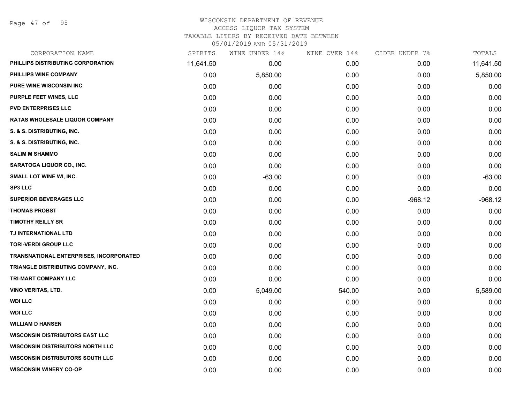Page 47 of 95

| CORPORATION NAME                        | SPIRITS   | WINE UNDER 14% | WINE OVER 14% | CIDER UNDER 7% | TOTALS    |
|-----------------------------------------|-----------|----------------|---------------|----------------|-----------|
| PHILLIPS DISTRIBUTING CORPORATION       | 11,641.50 | 0.00           | 0.00          | 0.00           | 11,641.50 |
| PHILLIPS WINE COMPANY                   | 0.00      | 5,850.00       | 0.00          | 0.00           | 5,850.00  |
| <b>PURE WINE WISCONSIN INC</b>          | 0.00      | 0.00           | 0.00          | 0.00           | 0.00      |
| PURPLE FEET WINES, LLC                  | 0.00      | 0.00           | 0.00          | 0.00           | 0.00      |
| <b>PVD ENTERPRISES LLC</b>              | 0.00      | 0.00           | 0.00          | 0.00           | 0.00      |
| RATAS WHOLESALE LIQUOR COMPANY          | 0.00      | 0.00           | 0.00          | 0.00           | 0.00      |
| S. & S. DISTRIBUTING, INC.              | 0.00      | 0.00           | 0.00          | 0.00           | 0.00      |
| S. & S. DISTRIBUTING, INC.              | 0.00      | 0.00           | 0.00          | 0.00           | 0.00      |
| <b>SALIM M SHAMMO</b>                   | 0.00      | 0.00           | 0.00          | 0.00           | 0.00      |
| <b>SARATOGA LIQUOR CO., INC.</b>        | 0.00      | 0.00           | 0.00          | 0.00           | 0.00      |
| <b>SMALL LOT WINE WI, INC.</b>          | 0.00      | $-63.00$       | 0.00          | 0.00           | $-63.00$  |
| <b>SP3 LLC</b>                          | 0.00      | 0.00           | 0.00          | 0.00           | 0.00      |
| <b>SUPERIOR BEVERAGES LLC</b>           | 0.00      | 0.00           | 0.00          | $-968.12$      | $-968.12$ |
| <b>THOMAS PROBST</b>                    | 0.00      | 0.00           | 0.00          | 0.00           | 0.00      |
| <b>TIMOTHY REILLY SR</b>                | 0.00      | 0.00           | 0.00          | 0.00           | 0.00      |
| TJ INTERNATIONAL LTD                    | 0.00      | 0.00           | 0.00          | 0.00           | 0.00      |
| <b>TORI-VERDI GROUP LLC</b>             | 0.00      | 0.00           | 0.00          | 0.00           | 0.00      |
| TRANSNATIONAL ENTERPRISES, INCORPORATED | 0.00      | 0.00           | 0.00          | 0.00           | 0.00      |
| TRIANGLE DISTRIBUTING COMPANY, INC.     | 0.00      | 0.00           | 0.00          | 0.00           | 0.00      |
| TRI-MART COMPANY LLC                    | 0.00      | 0.00           | 0.00          | 0.00           | 0.00      |
| <b>VINO VERITAS, LTD.</b>               | 0.00      | 5,049.00       | 540.00        | 0.00           | 5,589.00  |
| <b>WDI LLC</b>                          | 0.00      | 0.00           | 0.00          | 0.00           | 0.00      |
| <b>WDI LLC</b>                          | 0.00      | 0.00           | 0.00          | 0.00           | 0.00      |
| <b>WILLIAM D HANSEN</b>                 | 0.00      | 0.00           | 0.00          | 0.00           | 0.00      |
| <b>WISCONSIN DISTRIBUTORS EAST LLC</b>  | 0.00      | 0.00           | 0.00          | 0.00           | 0.00      |
| <b>WISCONSIN DISTRIBUTORS NORTH LLC</b> | 0.00      | 0.00           | 0.00          | 0.00           | 0.00      |
| <b>WISCONSIN DISTRIBUTORS SOUTH LLC</b> | 0.00      | 0.00           | 0.00          | 0.00           | 0.00      |
| <b>WISCONSIN WINERY CO-OP</b>           | 0.00      | 0.00           | 0.00          | 0.00           | 0.00      |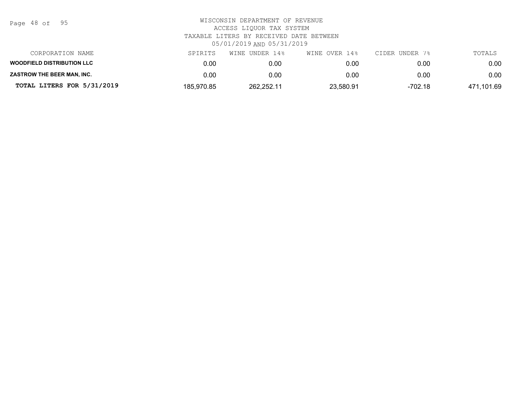| Page | 48 of |  | 95 |
|------|-------|--|----|
|------|-------|--|----|

| CORPORATION NAME                  | SPIRITS    | WINE UNDER 14% | WINE OVER 14% | CIDER UNDER 7% | TOTALS     |
|-----------------------------------|------------|----------------|---------------|----------------|------------|
| <b>WOODFIELD DISTRIBUTION LLC</b> | 0.00       | 0.00           | 0.00          | 0.00           | 0.00       |
| <b>ZASTROW THE BEER MAN. INC.</b> | 0.00       | 0.00           | 0.00          | 0.00           | 0.00       |
| TOTAL LITERS FOR 5/31/2019        | 185.970.85 | 262.252.11     | 23.580.91     | $-702.18$      | 471,101.69 |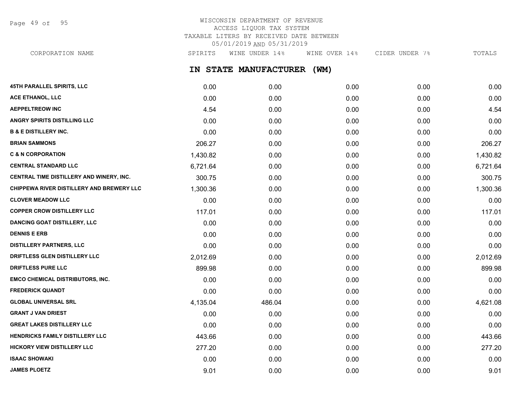Page 49 of 95

# WISCONSIN DEPARTMENT OF REVENUE ACCESS LIQUOR TAX SYSTEM TAXABLE LITERS BY RECEIVED DATE BETWEEN 05/01/2019 AND 05/31/2019

CORPORATION NAME SPIRITS WINE UNDER 14% WINE OVER 14% CIDER UNDER 7% TOTALS

**IN STATE MANUFACTURER (WM)**

| <b>45TH PARALLEL SPIRITS, LLC</b>         | 0.00     | 0.00   | 0.00 | 0.00 | 0.00     |
|-------------------------------------------|----------|--------|------|------|----------|
| ACE ETHANOL, LLC                          | 0.00     | 0.00   | 0.00 | 0.00 | 0.00     |
| <b>AEPPELTREOW INC</b>                    | 4.54     | 0.00   | 0.00 | 0.00 | 4.54     |
| <b>ANGRY SPIRITS DISTILLING LLC</b>       | 0.00     | 0.00   | 0.00 | 0.00 | 0.00     |
| <b>B &amp; E DISTILLERY INC.</b>          | 0.00     | 0.00   | 0.00 | 0.00 | 0.00     |
| <b>BRIAN SAMMONS</b>                      | 206.27   | 0.00   | 0.00 | 0.00 | 206.27   |
| <b>C &amp; N CORPORATION</b>              | 1,430.82 | 0.00   | 0.00 | 0.00 | 1,430.82 |
| <b>CENTRAL STANDARD LLC</b>               | 6,721.64 | 0.00   | 0.00 | 0.00 | 6,721.64 |
| CENTRAL TIME DISTILLERY AND WINERY, INC.  | 300.75   | 0.00   | 0.00 | 0.00 | 300.75   |
| CHIPPEWA RIVER DISTILLERY AND BREWERY LLC | 1,300.36 | 0.00   | 0.00 | 0.00 | 1,300.36 |
| <b>CLOVER MEADOW LLC</b>                  | 0.00     | 0.00   | 0.00 | 0.00 | 0.00     |
| <b>COPPER CROW DISTILLERY LLC</b>         | 117.01   | 0.00   | 0.00 | 0.00 | 117.01   |
| <b>DANCING GOAT DISTILLERY, LLC</b>       | 0.00     | 0.00   | 0.00 | 0.00 | 0.00     |
| <b>DENNIS E ERB</b>                       | 0.00     | 0.00   | 0.00 | 0.00 | 0.00     |
| <b>DISTILLERY PARTNERS, LLC</b>           | 0.00     | 0.00   | 0.00 | 0.00 | 0.00     |
| DRIFTLESS GLEN DISTILLERY LLC             | 2,012.69 | 0.00   | 0.00 | 0.00 | 2,012.69 |
| <b>DRIFTLESS PURE LLC</b>                 | 899.98   | 0.00   | 0.00 | 0.00 | 899.98   |
| <b>EMCO CHEMICAL DISTRIBUTORS, INC.</b>   | 0.00     | 0.00   | 0.00 | 0.00 | 0.00     |
| <b>FREDERICK QUANDT</b>                   | 0.00     | 0.00   | 0.00 | 0.00 | 0.00     |
| <b>GLOBAL UNIVERSAL SRL</b>               | 4,135.04 | 486.04 | 0.00 | 0.00 | 4,621.08 |
| <b>GRANT J VAN DRIEST</b>                 | 0.00     | 0.00   | 0.00 | 0.00 | 0.00     |
| <b>GREAT LAKES DISTILLERY LLC</b>         | 0.00     | 0.00   | 0.00 | 0.00 | 0.00     |
| <b>HENDRICKS FAMILY DISTILLERY LLC</b>    | 443.66   | 0.00   | 0.00 | 0.00 | 443.66   |
| <b>HICKORY VIEW DISTILLERY LLC</b>        | 277.20   | 0.00   | 0.00 | 0.00 | 277.20   |
| <b>ISAAC SHOWAKI</b>                      | 0.00     | 0.00   | 0.00 | 0.00 | 0.00     |
| <b>JAMES PLOETZ</b>                       | 9.01     | 0.00   | 0.00 | 0.00 | 9.01     |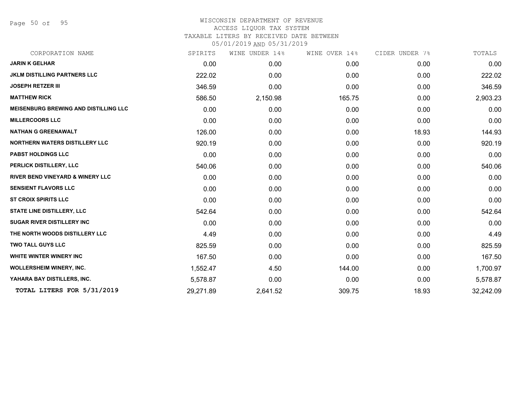Page 50 of 95

| CORPORATION NAME                             | SPIRITS   | WINE UNDER 14% | WINE OVER 14% | CIDER UNDER 7% | TOTALS    |
|----------------------------------------------|-----------|----------------|---------------|----------------|-----------|
| <b>JARIN K GELHAR</b>                        | 0.00      | 0.00           | 0.00          | 0.00           | 0.00      |
| <b>JKLM DISTILLING PARTNERS LLC</b>          | 222.02    | 0.00           | 0.00          | 0.00           | 222.02    |
| <b>JOSEPH RETZER III</b>                     | 346.59    | 0.00           | 0.00          | 0.00           | 346.59    |
| <b>MATTHEW RICK</b>                          | 586.50    | 2,150.98       | 165.75        | 0.00           | 2,903.23  |
| <b>MEISENBURG BREWING AND DISTILLING LLC</b> | 0.00      | 0.00           | 0.00          | 0.00           | 0.00      |
| <b>MILLERCOORS LLC</b>                       | 0.00      | 0.00           | 0.00          | 0.00           | 0.00      |
| <b>NATHAN G GREENAWALT</b>                   | 126.00    | 0.00           | 0.00          | 18.93          | 144.93    |
| <b>NORTHERN WATERS DISTILLERY LLC</b>        | 920.19    | 0.00           | 0.00          | 0.00           | 920.19    |
| <b>PABST HOLDINGS LLC</b>                    | 0.00      | 0.00           | 0.00          | 0.00           | 0.00      |
| PERLICK DISTILLERY, LLC                      | 540.06    | 0.00           | 0.00          | 0.00           | 540.06    |
| <b>RIVER BEND VINEYARD &amp; WINERY LLC</b>  | 0.00      | 0.00           | 0.00          | 0.00           | 0.00      |
| <b>SENSIENT FLAVORS LLC</b>                  | 0.00      | 0.00           | 0.00          | 0.00           | 0.00      |
| <b>ST CROIX SPIRITS LLC</b>                  | 0.00      | 0.00           | 0.00          | 0.00           | 0.00      |
| <b>STATE LINE DISTILLERY, LLC</b>            | 542.64    | 0.00           | 0.00          | 0.00           | 542.64    |
| <b>SUGAR RIVER DISTILLERY INC</b>            | 0.00      | 0.00           | 0.00          | 0.00           | 0.00      |
| THE NORTH WOODS DISTILLERY LLC               | 4.49      | 0.00           | 0.00          | 0.00           | 4.49      |
| <b>TWO TALL GUYS LLC</b>                     | 825.59    | 0.00           | 0.00          | 0.00           | 825.59    |
| <b>WHITE WINTER WINERY INC</b>               | 167.50    | 0.00           | 0.00          | 0.00           | 167.50    |
| <b>WOLLERSHEIM WINERY, INC.</b>              | 1,552.47  | 4.50           | 144.00        | 0.00           | 1,700.97  |
| YAHARA BAY DISTILLERS, INC.                  | 5,578.87  | 0.00           | 0.00          | 0.00           | 5,578.87  |
| TOTAL LITERS FOR 5/31/2019                   | 29,271.89 | 2,641.52       | 309.75        | 18.93          | 32,242.09 |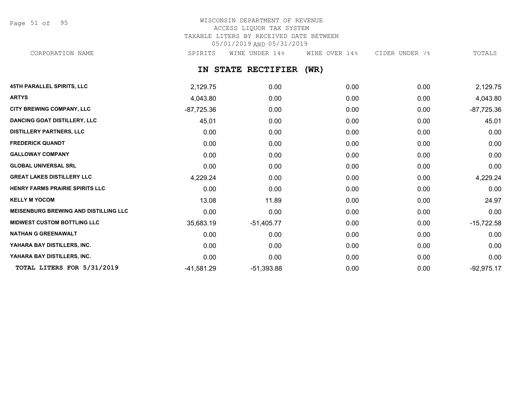Page 51 of 95

# WISCONSIN DEPARTMENT OF REVENUE ACCESS LIQUOR TAX SYSTEM TAXABLE LITERS BY RECEIVED DATE BETWEEN 05/01/2019 AND 05/31/2019

CORPORATION NAME SPIRITS WINE UNDER 14% WINE OVER 14% CIDER UNDER 7% TOTALS

**IN STATE RECTIFIER (WR)**

| <b>45TH PARALLEL SPIRITS, LLC</b>            | 2,129.75     | 0.00         | 0.00 | 0.00 | 2,129.75     |
|----------------------------------------------|--------------|--------------|------|------|--------------|
| <b>ARTYS</b>                                 | 4,043.80     | 0.00         | 0.00 | 0.00 | 4,043.80     |
| CITY BREWING COMPANY, LLC                    | $-87,725.36$ | 0.00         | 0.00 | 0.00 | $-87,725.36$ |
| <b>DANCING GOAT DISTILLERY, LLC</b>          | 45.01        | 0.00         | 0.00 | 0.00 | 45.01        |
| <b>DISTILLERY PARTNERS, LLC</b>              | 0.00         | 0.00         | 0.00 | 0.00 | 0.00         |
| <b>FREDERICK QUANDT</b>                      | 0.00         | 0.00         | 0.00 | 0.00 | 0.00         |
| <b>GALLOWAY COMPANY</b>                      | 0.00         | 0.00         | 0.00 | 0.00 | 0.00         |
| <b>GLOBAL UNIVERSAL SRL</b>                  | 0.00         | 0.00         | 0.00 | 0.00 | 0.00         |
| <b>GREAT LAKES DISTILLERY LLC</b>            | 4,229.24     | 0.00         | 0.00 | 0.00 | 4,229.24     |
| <b>HENRY FARMS PRAIRIE SPIRITS LLC</b>       | 0.00         | 0.00         | 0.00 | 0.00 | 0.00         |
| <b>KELLY M YOCOM</b>                         | 13.08        | 11.89        | 0.00 | 0.00 | 24.97        |
| <b>MEISENBURG BREWING AND DISTILLING LLC</b> | 0.00         | 0.00         | 0.00 | 0.00 | 0.00         |
| <b>MIDWEST CUSTOM BOTTLING LLC</b>           | 35,683.19    | $-51,405.77$ | 0.00 | 0.00 | $-15,722.58$ |
| <b>NATHAN G GREENAWALT</b>                   | 0.00         | 0.00         | 0.00 | 0.00 | 0.00         |
| YAHARA BAY DISTILLERS, INC.                  | 0.00         | 0.00         | 0.00 | 0.00 | 0.00         |
| YAHARA BAY DISTILLERS, INC.                  | 0.00         | 0.00         | 0.00 | 0.00 | 0.00         |
| TOTAL LITERS FOR 5/31/2019                   | $-41,581.29$ | $-51,393.88$ | 0.00 | 0.00 | $-92,975.17$ |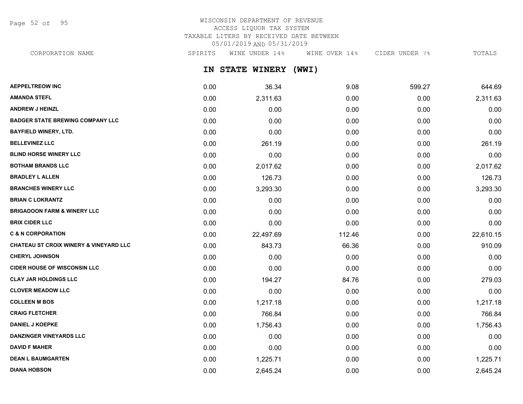Page 52 of 95

# WISCONSIN DEPARTMENT OF REVENUE ACCESS LIQUOR TAX SYSTEM TAXABLE LITERS BY RECEIVED DATE BETWEEN 05/01/2019 AND 05/31/2019

CORPORATION NAME SPIRITS WINE UNDER 14% WINE OVER 14% CIDER UNDER 7% TOTALS

**IN STATE WINERY (WWI)**

| <b>AEPPELTREOW INC</b>                            | 0.00 | 36.34     | 9.08   | 599.27 | 644.69    |
|---------------------------------------------------|------|-----------|--------|--------|-----------|
| <b>AMANDA STEFL</b>                               | 0.00 | 2,311.63  | 0.00   | 0.00   | 2,311.63  |
| <b>ANDREW J HEINZL</b>                            | 0.00 | 0.00      | 0.00   | 0.00   | 0.00      |
| <b>BADGER STATE BREWING COMPANY LLC</b>           | 0.00 | 0.00      | 0.00   | 0.00   | 0.00      |
| <b>BAYFIELD WINERY, LTD.</b>                      | 0.00 | 0.00      | 0.00   | 0.00   | 0.00      |
| <b>BELLEVINEZ LLC</b>                             | 0.00 | 261.19    | 0.00   | 0.00   | 261.19    |
| <b>BLIND HORSE WINERY LLC</b>                     | 0.00 | 0.00      | 0.00   | 0.00   | 0.00      |
| <b>BOTHAM BRANDS LLC</b>                          | 0.00 | 2,017.62  | 0.00   | 0.00   | 2,017.62  |
| <b>BRADLEY L ALLEN</b>                            | 0.00 | 126.73    | 0.00   | 0.00   | 126.73    |
| <b>BRANCHES WINERY LLC</b>                        | 0.00 | 3,293.30  | 0.00   | 0.00   | 3,293.30  |
| <b>BRIAN C LOKRANTZ</b>                           | 0.00 | 0.00      | 0.00   | 0.00   | 0.00      |
| <b>BRIGADOON FARM &amp; WINERY LLC</b>            | 0.00 | 0.00      | 0.00   | 0.00   | 0.00      |
| <b>BRIX CIDER LLC</b>                             | 0.00 | 0.00      | 0.00   | 0.00   | 0.00      |
| <b>C &amp; N CORPORATION</b>                      | 0.00 | 22,497.69 | 112.46 | 0.00   | 22,610.15 |
| <b>CHATEAU ST CROIX WINERY &amp; VINEYARD LLC</b> | 0.00 | 843.73    | 66.36  | 0.00   | 910.09    |
| <b>CHERYL JOHNSON</b>                             | 0.00 | 0.00      | 0.00   | 0.00   | 0.00      |
| <b>CIDER HOUSE OF WISCONSIN LLC</b>               | 0.00 | 0.00      | 0.00   | 0.00   | 0.00      |
| <b>CLAY JAR HOLDINGS LLC</b>                      | 0.00 | 194.27    | 84.76  | 0.00   | 279.03    |
| <b>CLOVER MEADOW LLC</b>                          | 0.00 | 0.00      | 0.00   | 0.00   | 0.00      |
| <b>COLLEEN M BOS</b>                              | 0.00 | 1,217.18  | 0.00   | 0.00   | 1,217.18  |
| <b>CRAIG FLETCHER</b>                             | 0.00 | 766.84    | 0.00   | 0.00   | 766.84    |
| <b>DANIEL J KOEPKE</b>                            | 0.00 | 1,756.43  | 0.00   | 0.00   | 1,756.43  |
| <b>DANZINGER VINEYARDS LLC</b>                    | 0.00 | 0.00      | 0.00   | 0.00   | 0.00      |
| <b>DAVID F MAHER</b>                              | 0.00 | 0.00      | 0.00   | 0.00   | 0.00      |
| <b>DEAN L BAUMGARTEN</b>                          | 0.00 | 1,225.71  | 0.00   | 0.00   | 1,225.71  |
| <b>DIANA HOBSON</b>                               | 0.00 | 2,645.24  | 0.00   | 0.00   | 2,645.24  |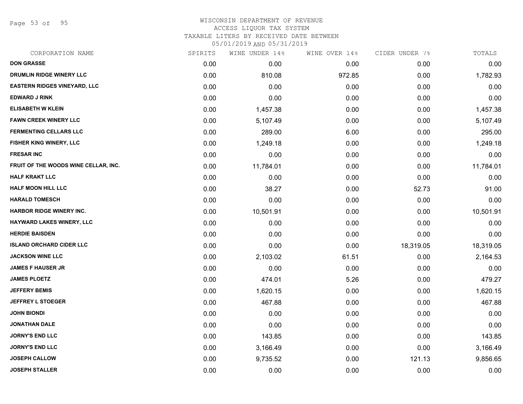Page 53 of 95

# WISCONSIN DEPARTMENT OF REVENUE ACCESS LIQUOR TAX SYSTEM

TAXABLE LITERS BY RECEIVED DATE BETWEEN

| CORPORATION NAME                     | SPIRITS | WINE UNDER 14% | WINE OVER 14% | CIDER UNDER 7% | TOTALS    |
|--------------------------------------|---------|----------------|---------------|----------------|-----------|
| <b>DON GRASSE</b>                    | 0.00    | 0.00           | 0.00          | 0.00           | 0.00      |
| <b>DRUMLIN RIDGE WINERY LLC</b>      | 0.00    | 810.08         | 972.85        | 0.00           | 1,782.93  |
| <b>EASTERN RIDGES VINEYARD, LLC</b>  | 0.00    | 0.00           | 0.00          | 0.00           | 0.00      |
| <b>EDWARD J RINK</b>                 | 0.00    | 0.00           | 0.00          | 0.00           | 0.00      |
| <b>ELISABETH W KLEIN</b>             | 0.00    | 1,457.38       | 0.00          | 0.00           | 1,457.38  |
| <b>FAWN CREEK WINERY LLC</b>         | 0.00    | 5,107.49       | 0.00          | 0.00           | 5,107.49  |
| <b>FERMENTING CELLARS LLC</b>        | 0.00    | 289.00         | 6.00          | 0.00           | 295.00    |
| FISHER KING WINERY, LLC              | 0.00    | 1,249.18       | 0.00          | 0.00           | 1,249.18  |
| <b>FRESAR INC</b>                    | 0.00    | 0.00           | 0.00          | 0.00           | 0.00      |
| FRUIT OF THE WOODS WINE CELLAR, INC. | 0.00    | 11,784.01      | 0.00          | 0.00           | 11,784.01 |
| <b>HALF KRAKT LLC</b>                | 0.00    | 0.00           | 0.00          | 0.00           | 0.00      |
| <b>HALF MOON HILL LLC</b>            | 0.00    | 38.27          | 0.00          | 52.73          | 91.00     |
| <b>HARALD TOMESCH</b>                | 0.00    | 0.00           | 0.00          | 0.00           | 0.00      |
| <b>HARBOR RIDGE WINERY INC.</b>      | 0.00    | 10,501.91      | 0.00          | 0.00           | 10,501.91 |
| HAYWARD LAKES WINERY, LLC            | 0.00    | 0.00           | 0.00          | 0.00           | 0.00      |
| <b>HERDIE BAISDEN</b>                | 0.00    | 0.00           | 0.00          | 0.00           | 0.00      |
| <b>ISLAND ORCHARD CIDER LLC</b>      | 0.00    | 0.00           | 0.00          | 18,319.05      | 18,319.05 |
| <b>JACKSON WINE LLC</b>              | 0.00    | 2,103.02       | 61.51         | 0.00           | 2,164.53  |
| <b>JAMES F HAUSER JR</b>             | 0.00    | 0.00           | 0.00          | 0.00           | 0.00      |
| <b>JAMES PLOETZ</b>                  | 0.00    | 474.01         | 5.26          | 0.00           | 479.27    |
| <b>JEFFERY BEMIS</b>                 | 0.00    | 1,620.15       | 0.00          | 0.00           | 1,620.15  |
| <b>JEFFREY L STOEGER</b>             | 0.00    | 467.88         | 0.00          | 0.00           | 467.88    |
| <b>JOHN BIONDI</b>                   | 0.00    | 0.00           | 0.00          | 0.00           | 0.00      |
| <b>JONATHAN DALE</b>                 | 0.00    | 0.00           | 0.00          | 0.00           | 0.00      |
| <b>JORNY'S END LLC</b>               | 0.00    | 143.85         | 0.00          | 0.00           | 143.85    |
| <b>JORNY'S END LLC</b>               | 0.00    | 3,166.49       | 0.00          | 0.00           | 3,166.49  |
| <b>JOSEPH CALLOW</b>                 | 0.00    | 9,735.52       | 0.00          | 121.13         | 9,856.65  |
| <b>JOSEPH STALLER</b>                | 0.00    | 0.00           | 0.00          | 0.00           | 0.00      |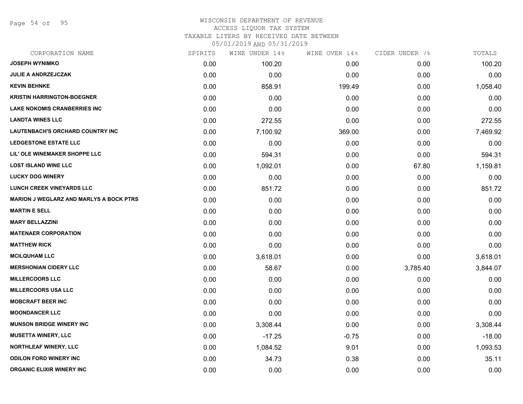Page 54 of 95

### WISCONSIN DEPARTMENT OF REVENUE ACCESS LIQUOR TAX SYSTEM TAXABLE LITERS BY RECEIVED DATE BETWEEN

| CORPORATION NAME                               | SPIRITS | WINE UNDER 14% | WINE OVER 14% | CIDER UNDER 7% | TOTALS   |
|------------------------------------------------|---------|----------------|---------------|----------------|----------|
| <b>JOSEPH WYNIMKO</b>                          | 0.00    | 100.20         | 0.00          | 0.00           | 100.20   |
| <b>JULIE A ANDRZEJCZAK</b>                     | 0.00    | 0.00           | 0.00          | 0.00           | 0.00     |
| <b>KEVIN BEHNKE</b>                            | 0.00    | 858.91         | 199.49        | 0.00           | 1,058.40 |
| <b>KRISTIN HARRINGTON-BOEGNER</b>              | 0.00    | 0.00           | 0.00          | 0.00           | 0.00     |
| <b>LAKE NOKOMIS CRANBERRIES INC</b>            | 0.00    | 0.00           | 0.00          | 0.00           | 0.00     |
| <b>LANDTA WINES LLC</b>                        | 0.00    | 272.55         | 0.00          | 0.00           | 272.55   |
| <b>LAUTENBACH'S ORCHARD COUNTRY INC</b>        | 0.00    | 7,100.92       | 369.00        | 0.00           | 7,469.92 |
| <b>LEDGESTONE ESTATE LLC</b>                   | 0.00    | 0.00           | 0.00          | 0.00           | 0.00     |
| LIL' OLE WINEMAKER SHOPPE LLC                  | 0.00    | 594.31         | 0.00          | 0.00           | 594.31   |
| <b>LOST ISLAND WINE LLC</b>                    | 0.00    | 1,092.01       | 0.00          | 67.80          | 1,159.81 |
| <b>LUCKY DOG WINERY</b>                        | 0.00    | 0.00           | 0.00          | 0.00           | 0.00     |
| <b>LUNCH CREEK VINEYARDS LLC</b>               | 0.00    | 851.72         | 0.00          | 0.00           | 851.72   |
| <b>MARION J WEGLARZ AND MARLYS A BOCK PTRS</b> | 0.00    | 0.00           | 0.00          | 0.00           | 0.00     |
| <b>MARTIN E SELL</b>                           | 0.00    | 0.00           | 0.00          | 0.00           | 0.00     |
| <b>MARY BELLAZZINI</b>                         | 0.00    | 0.00           | 0.00          | 0.00           | 0.00     |
| <b>MATENAER CORPORATION</b>                    | 0.00    | 0.00           | 0.00          | 0.00           | 0.00     |
| <b>MATTHEW RICK</b>                            | 0.00    | 0.00           | 0.00          | 0.00           | 0.00     |
| <b>MCILQUHAM LLC</b>                           | 0.00    | 3,618.01       | 0.00          | 0.00           | 3,618.01 |
| <b>MERSHONIAN CIDERY LLC</b>                   | 0.00    | 58.67          | 0.00          | 3,785.40       | 3,844.07 |
| <b>MILLERCOORS LLC</b>                         | 0.00    | 0.00           | 0.00          | 0.00           | 0.00     |
| <b>MILLERCOORS USA LLC</b>                     | 0.00    | 0.00           | 0.00          | 0.00           | 0.00     |
| <b>MOBCRAFT BEER INC</b>                       | 0.00    | 0.00           | 0.00          | 0.00           | 0.00     |
| <b>MOONDANCER LLC</b>                          | 0.00    | 0.00           | 0.00          | 0.00           | 0.00     |
| <b>MUNSON BRIDGE WINERY INC</b>                | 0.00    | 3,308.44       | 0.00          | 0.00           | 3,308.44 |
| <b>MUSETTA WINERY, LLC</b>                     | 0.00    | $-17.25$       | $-0.75$       | 0.00           | $-18.00$ |
| <b>NORTHLEAF WINERY, LLC</b>                   | 0.00    | 1,084.52       | 9.01          | 0.00           | 1,093.53 |
| <b>ODILON FORD WINERY INC</b>                  | 0.00    | 34.73          | 0.38          | 0.00           | 35.11    |
| <b>ORGANIC ELIXIR WINERY INC</b>               | 0.00    | 0.00           | 0.00          | 0.00           | 0.00     |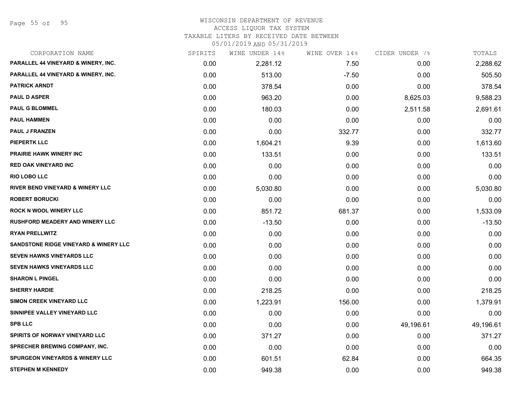Page 55 of 95

#### WISCONSIN DEPARTMENT OF REVENUE ACCESS LIQUOR TAX SYSTEM

TAXABLE LITERS BY RECEIVED DATE BETWEEN

| CORPORATION NAME                                 | SPIRITS | WINE UNDER 14% | WINE OVER 14% | CIDER UNDER 7% | TOTALS    |
|--------------------------------------------------|---------|----------------|---------------|----------------|-----------|
| PARALLEL 44 VINEYARD & WINERY, INC.              | 0.00    | 2,281.12       | 7.50          | 0.00           | 2,288.62  |
| PARALLEL 44 VINEYARD & WINERY, INC.              | 0.00    | 513.00         | $-7.50$       | 0.00           | 505.50    |
| <b>PATRICK ARNDT</b>                             | 0.00    | 378.54         | 0.00          | 0.00           | 378.54    |
| <b>PAUL D ASPER</b>                              | 0.00    | 963.20         | 0.00          | 8,625.03       | 9,588.23  |
| <b>PAUL G BLOMMEL</b>                            | 0.00    | 180.03         | 0.00          | 2,511.58       | 2,691.61  |
| <b>PAUL HAMMEN</b>                               | 0.00    | 0.00           | 0.00          | 0.00           | 0.00      |
| <b>PAUL J FRANZEN</b>                            | 0.00    | 0.00           | 332.77        | 0.00           | 332.77    |
| <b>PIEPERTK LLC</b>                              | 0.00    | 1,604.21       | 9.39          | 0.00           | 1,613.60  |
| <b>PRAIRIE HAWK WINERY INC</b>                   | 0.00    | 133.51         | 0.00          | 0.00           | 133.51    |
| <b>RED OAK VINEYARD INC</b>                      | 0.00    | 0.00           | 0.00          | 0.00           | 0.00      |
| <b>RIO LOBO LLC</b>                              | 0.00    | 0.00           | 0.00          | 0.00           | 0.00      |
| <b>RIVER BEND VINEYARD &amp; WINERY LLC</b>      | 0.00    | 5,030.80       | 0.00          | 0.00           | 5,030.80  |
| <b>ROBERT BORUCKI</b>                            | 0.00    | 0.00           | 0.00          | 0.00           | 0.00      |
| <b>ROCK N WOOL WINERY LLC</b>                    | 0.00    | 851.72         | 681.37        | 0.00           | 1,533.09  |
| <b>RUSHFORD MEADERY AND WINERY LLC</b>           | 0.00    | $-13.50$       | 0.00          | 0.00           | $-13.50$  |
| <b>RYAN PRELLWITZ</b>                            | 0.00    | 0.00           | 0.00          | 0.00           | 0.00      |
| <b>SANDSTONE RIDGE VINEYARD &amp; WINERY LLC</b> | 0.00    | 0.00           | 0.00          | 0.00           | 0.00      |
| SEVEN HAWKS VINEYARDS LLC                        | 0.00    | 0.00           | 0.00          | 0.00           | 0.00      |
| SEVEN HAWKS VINEYARDS LLC                        | 0.00    | 0.00           | 0.00          | 0.00           | 0.00      |
| <b>SHARON L PINGEL</b>                           | 0.00    | 0.00           | 0.00          | 0.00           | 0.00      |
| <b>SHERRY HARDIE</b>                             | 0.00    | 218.25         | 0.00          | 0.00           | 218.25    |
| SIMON CREEK VINEYARD LLC                         | 0.00    | 1,223.91       | 156.00        | 0.00           | 1,379.91  |
| SINNIPEE VALLEY VINEYARD LLC                     | 0.00    | 0.00           | 0.00          | 0.00           | 0.00      |
| <b>SPB LLC</b>                                   | 0.00    | 0.00           | 0.00          | 49,196.61      | 49,196.61 |
| SPIRITS OF NORWAY VINEYARD LLC                   | 0.00    | 371.27         | 0.00          | 0.00           | 371.27    |
| <b>SPRECHER BREWING COMPANY, INC.</b>            | 0.00    | 0.00           | 0.00          | 0.00           | 0.00      |
| <b>SPURGEON VINEYARDS &amp; WINERY LLC</b>       | 0.00    | 601.51         | 62.84         | 0.00           | 664.35    |
| <b>STEPHEN M KENNEDY</b>                         | 0.00    | 949.38         | 0.00          | 0.00           | 949.38    |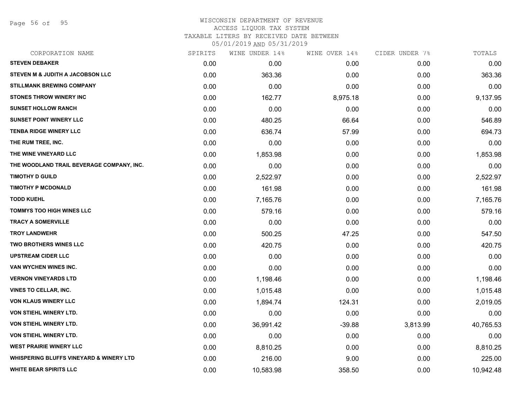Page 56 of 95

# WISCONSIN DEPARTMENT OF REVENUE ACCESS LIQUOR TAX SYSTEM TAXABLE LITERS BY RECEIVED DATE BETWEEN

| CORPORATION NAME                                   | SPIRITS | WINE UNDER 14% | WINE OVER 14% | CIDER UNDER 7% | TOTALS    |
|----------------------------------------------------|---------|----------------|---------------|----------------|-----------|
| <b>STEVEN DEBAKER</b>                              | 0.00    | 0.00           | 0.00          | 0.00           | 0.00      |
| <b>STEVEN M &amp; JUDITH A JACOBSON LLC</b>        | 0.00    | 363.36         | 0.00          | 0.00           | 363.36    |
| <b>STILLMANK BREWING COMPANY</b>                   | 0.00    | 0.00           | 0.00          | 0.00           | 0.00      |
| <b>STONES THROW WINERY INC</b>                     | 0.00    | 162.77         | 8,975.18      | 0.00           | 9,137.95  |
| <b>SUNSET HOLLOW RANCH</b>                         | 0.00    | 0.00           | 0.00          | 0.00           | 0.00      |
| <b>SUNSET POINT WINERY LLC</b>                     | 0.00    | 480.25         | 66.64         | 0.00           | 546.89    |
| <b>TENBA RIDGE WINERY LLC</b>                      | 0.00    | 636.74         | 57.99         | 0.00           | 694.73    |
| THE RUM TREE, INC.                                 | 0.00    | 0.00           | 0.00          | 0.00           | 0.00      |
| THE WINE VINEYARD LLC                              | 0.00    | 1,853.98       | 0.00          | 0.00           | 1,853.98  |
| THE WOODLAND TRAIL BEVERAGE COMPANY, INC.          | 0.00    | 0.00           | 0.00          | 0.00           | 0.00      |
| <b>TIMOTHY D GUILD</b>                             | 0.00    | 2,522.97       | 0.00          | 0.00           | 2,522.97  |
| <b>TIMOTHY P MCDONALD</b>                          | 0.00    | 161.98         | 0.00          | 0.00           | 161.98    |
| <b>TODD KUEHL</b>                                  | 0.00    | 7,165.76       | 0.00          | 0.00           | 7,165.76  |
| <b>TOMMYS TOO HIGH WINES LLC</b>                   | 0.00    | 579.16         | 0.00          | 0.00           | 579.16    |
| <b>TRACY A SOMERVILLE</b>                          | 0.00    | 0.00           | 0.00          | 0.00           | 0.00      |
| <b>TROY LANDWEHR</b>                               | 0.00    | 500.25         | 47.25         | 0.00           | 547.50    |
| <b>TWO BROTHERS WINES LLC</b>                      | 0.00    | 420.75         | 0.00          | 0.00           | 420.75    |
| <b>UPSTREAM CIDER LLC</b>                          | 0.00    | 0.00           | 0.00          | 0.00           | 0.00      |
| VAN WYCHEN WINES INC.                              | 0.00    | 0.00           | 0.00          | 0.00           | 0.00      |
| <b>VERNON VINEYARDS LTD</b>                        | 0.00    | 1,198.46       | 0.00          | 0.00           | 1,198.46  |
| <b>VINES TO CELLAR, INC.</b>                       | 0.00    | 1,015.48       | 0.00          | 0.00           | 1,015.48  |
| <b>VON KLAUS WINERY LLC</b>                        | 0.00    | 1,894.74       | 124.31        | 0.00           | 2,019.05  |
| VON STIEHL WINERY LTD.                             | 0.00    | 0.00           | 0.00          | 0.00           | 0.00      |
| VON STIEHL WINERY LTD.                             | 0.00    | 36,991.42      | $-39.88$      | 3,813.99       | 40,765.53 |
| <b>VON STIEHL WINERY LTD.</b>                      | 0.00    | 0.00           | 0.00          | 0.00           | 0.00      |
| <b>WEST PRAIRIE WINERY LLC</b>                     | 0.00    | 8,810.25       | 0.00          | 0.00           | 8,810.25  |
| <b>WHISPERING BLUFFS VINEYARD &amp; WINERY LTD</b> | 0.00    | 216.00         | 9.00          | 0.00           | 225.00    |
| <b>WHITE BEAR SPIRITS LLC</b>                      | 0.00    | 10,583.98      | 358.50        | 0.00           | 10,942.48 |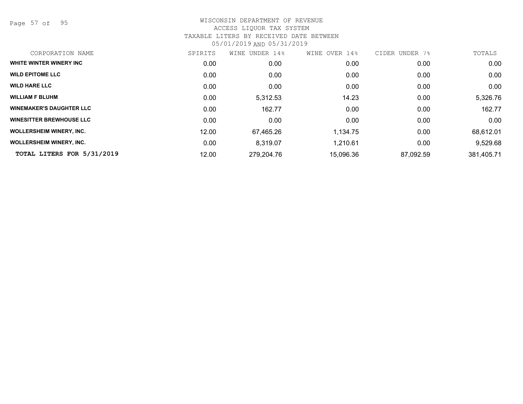Page 57 of 95

| CORPORATION NAME                | SPIRITS | UNDER 14%<br>WINE | WINE OVER 14% | CIDER UNDER<br>7% | TOTALS     |
|---------------------------------|---------|-------------------|---------------|-------------------|------------|
| WHITE WINTER WINERY INC         | 0.00    | 0.00              | 0.00          | 0.00              | 0.00       |
| <b>WILD EPITOME LLC</b>         | 0.00    | 0.00              | 0.00          | 0.00              | 0.00       |
| <b>WILD HARE LLC</b>            | 0.00    | 0.00              | 0.00          | 0.00              | 0.00       |
| <b>WILLIAM F BLUHM</b>          | 0.00    | 5,312.53          | 14.23         | 0.00              | 5,326.76   |
| <b>WINEMAKER'S DAUGHTER LLC</b> | 0.00    | 162.77            | 0.00          | 0.00              | 162.77     |
| <b>WINESITTER BREWHOUSE LLC</b> | 0.00    | 0.00              | 0.00          | 0.00              | 0.00       |
| <b>WOLLERSHEIM WINERY, INC.</b> | 12.00   | 67,465.26         | 1,134.75      | 0.00              | 68,612.01  |
| <b>WOLLERSHEIM WINERY, INC.</b> | 0.00    | 8,319.07          | 1,210.61      | 0.00              | 9,529.68   |
| TOTAL LITERS FOR 5/31/2019      | 12.00   | 279,204.76        | 15,096.36     | 87,092.59         | 381,405.71 |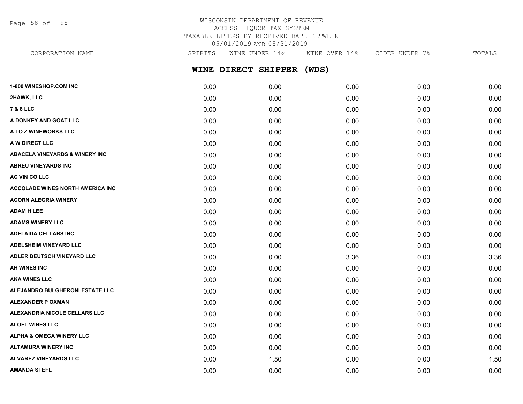Page 58 of 95

# WISCONSIN DEPARTMENT OF REVENUE ACCESS LIQUOR TAX SYSTEM TAXABLE LITERS BY RECEIVED DATE BETWEEN 05/01/2019 AND 05/31/2019

| SPIRITS | WINE UNDER 14% | WINE OVER 14%       | CIDER UNDER 7% | TOTALS |
|---------|----------------|---------------------|----------------|--------|
|         |                | (WDS)               |                |        |
| 0.00    | 0.00           | 0.00                | 0.00           | 0.00   |
| 0.00    | 0.00           | 0.00                | 0.00           | 0.00   |
| 0.00    | 0.00           | 0.00                | 0.00           | 0.00   |
| 0.00    | 0.00           | 0.00                | 0.00           | 0.00   |
| 0.00    | 0.00           | 0.00                | 0.00           | 0.00   |
| 0.00    | 0.00           | 0.00                | 0.00           | 0.00   |
| 0.00    | 0.00           | 0.00                | 0.00           | 0.00   |
| 0.00    | 0.00           | 0.00                | 0.00           | 0.00   |
| 0.00    | 0.00           | 0.00                | 0.00           | 0.00   |
| 0.00    | 0.00           | 0.00                | 0.00           | 0.00   |
| 0.00    | 0.00           | 0.00                | 0.00           | 0.00   |
| 0.00    | 0.00           | 0.00                | 0.00           | 0.00   |
| 0.00    | 0.00           | 0.00                | 0.00           | 0.00   |
| 0.00    | 0.00           | 0.00                | 0.00           | 0.00   |
| 0.00    | 0.00           | 0.00                | 0.00           | 0.00   |
| 0.00    | 0.00           | 3.36                | 0.00           | 3.36   |
| 0.00    | 0.00           | 0.00                | 0.00           | 0.00   |
| 0.00    | 0.00           | 0.00                | 0.00           | 0.00   |
|         |                | WINE DIRECT SHIPPER |                |        |

**ALEJANDRO BULGHERONI ESTATE LLC** 0.00 0.00 0.00 0.00 0.00 **ALEXANDER P OXMAN** 0.00 0.00 0.00 0.00 0.00 **ALEXANDRIA NICOLE CELLARS LLC** 0.00 0.00 0.00 0.00 0.00 **ALOFT WINES LLC** 0.00 0.00 0.00 0.00 0.00 **ALPHA & OMEGA WINERY LLC** 0.00 0.00 0.00 0.00 0.00 **ALTAMURA WINERY INC** 0.00 0.00 0.00 0.00 0.00 **ALVAREZ VINEYARDS LLC** 0.00 1.50 0.00 0.00 1.50 **AMANDA STEFL** 0.00 0.00 0.00 0.00 0.00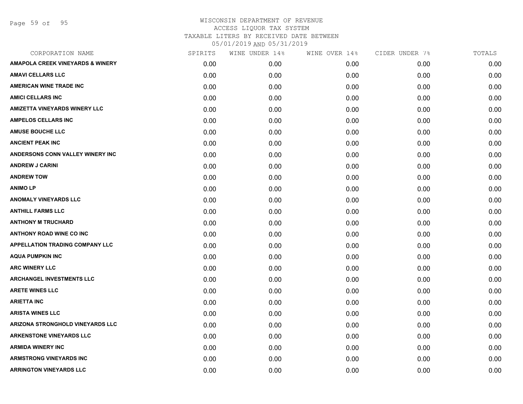Page 59 of 95

| CORPORATION NAME                            | SPIRITS | WINE UNDER 14% | WINE OVER 14% | CIDER UNDER 7% | TOTALS |
|---------------------------------------------|---------|----------------|---------------|----------------|--------|
| <b>AMAPOLA CREEK VINEYARDS &amp; WINERY</b> | 0.00    | 0.00           | 0.00          | 0.00           | 0.00   |
| <b>AMAVI CELLARS LLC</b>                    | 0.00    | 0.00           | 0.00          | 0.00           | 0.00   |
| <b>AMERICAN WINE TRADE INC</b>              | 0.00    | 0.00           | 0.00          | 0.00           | 0.00   |
| <b>AMICI CELLARS INC</b>                    | 0.00    | 0.00           | 0.00          | 0.00           | 0.00   |
| <b>AMIZETTA VINEYARDS WINERY LLC</b>        | 0.00    | 0.00           | 0.00          | 0.00           | 0.00   |
| <b>AMPELOS CELLARS INC</b>                  | 0.00    | 0.00           | 0.00          | 0.00           | 0.00   |
| <b>AMUSE BOUCHE LLC</b>                     | 0.00    | 0.00           | 0.00          | 0.00           | 0.00   |
| <b>ANCIENT PEAK INC</b>                     | 0.00    | 0.00           | 0.00          | 0.00           | 0.00   |
| ANDERSONS CONN VALLEY WINERY INC            | 0.00    | 0.00           | 0.00          | 0.00           | 0.00   |
| <b>ANDREW J CARINI</b>                      | 0.00    | 0.00           | 0.00          | 0.00           | 0.00   |
| <b>ANDREW TOW</b>                           | 0.00    | 0.00           | 0.00          | 0.00           | 0.00   |
| <b>ANIMO LP</b>                             | 0.00    | 0.00           | 0.00          | 0.00           | 0.00   |
| <b>ANOMALY VINEYARDS LLC</b>                | 0.00    | 0.00           | 0.00          | 0.00           | 0.00   |
| <b>ANTHILL FARMS LLC</b>                    | 0.00    | 0.00           | 0.00          | 0.00           | 0.00   |
| <b>ANTHONY M TRUCHARD</b>                   | 0.00    | 0.00           | 0.00          | 0.00           | 0.00   |
| <b>ANTHONY ROAD WINE CO INC</b>             | 0.00    | 0.00           | 0.00          | 0.00           | 0.00   |
| <b>APPELLATION TRADING COMPANY LLC</b>      | 0.00    | 0.00           | 0.00          | 0.00           | 0.00   |
| <b>AQUA PUMPKIN INC</b>                     | 0.00    | 0.00           | 0.00          | 0.00           | 0.00   |
| <b>ARC WINERY LLC</b>                       | 0.00    | 0.00           | 0.00          | 0.00           | 0.00   |
| <b>ARCHANGEL INVESTMENTS LLC</b>            | 0.00    | 0.00           | 0.00          | 0.00           | 0.00   |
| <b>ARETE WINES LLC</b>                      | 0.00    | 0.00           | 0.00          | 0.00           | 0.00   |
| <b>ARIETTA INC</b>                          | 0.00    | 0.00           | 0.00          | 0.00           | 0.00   |
| <b>ARISTA WINES LLC</b>                     | 0.00    | 0.00           | 0.00          | 0.00           | 0.00   |
| ARIZONA STRONGHOLD VINEYARDS LLC            | 0.00    | 0.00           | 0.00          | 0.00           | 0.00   |
| <b>ARKENSTONE VINEYARDS LLC</b>             | 0.00    | 0.00           | 0.00          | 0.00           | 0.00   |
| <b>ARMIDA WINERY INC</b>                    | 0.00    | 0.00           | 0.00          | 0.00           | 0.00   |
| <b>ARMSTRONG VINEYARDS INC</b>              | 0.00    | 0.00           | 0.00          | 0.00           | 0.00   |
| <b>ARRINGTON VINEYARDS LLC</b>              | 0.00    | 0.00           | 0.00          | 0.00           | 0.00   |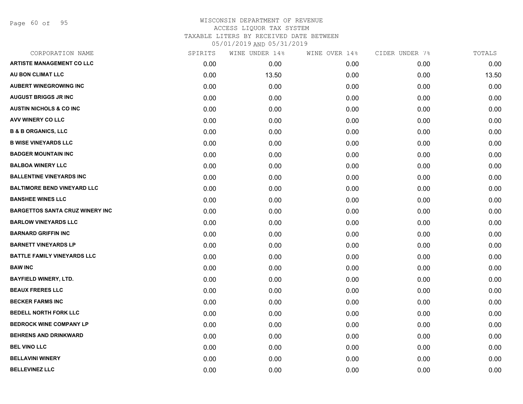Page 60 of 95

| CORPORATION NAME                       | SPIRITS | WINE UNDER 14% | WINE OVER 14% | CIDER UNDER 7% | TOTALS |
|----------------------------------------|---------|----------------|---------------|----------------|--------|
| <b>ARTISTE MANAGEMENT CO LLC</b>       | 0.00    | 0.00           | 0.00          | 0.00           | 0.00   |
| AU BON CLIMAT LLC                      | 0.00    | 13.50          | 0.00          | 0.00           | 13.50  |
| <b>AUBERT WINEGROWING INC</b>          | 0.00    | 0.00           | 0.00          | 0.00           | 0.00   |
| <b>AUGUST BRIGGS JR INC</b>            | 0.00    | 0.00           | 0.00          | 0.00           | 0.00   |
| <b>AUSTIN NICHOLS &amp; CO INC</b>     | 0.00    | 0.00           | 0.00          | 0.00           | 0.00   |
| AVV WINERY CO LLC                      | 0.00    | 0.00           | 0.00          | 0.00           | 0.00   |
| <b>B &amp; B ORGANICS, LLC</b>         | 0.00    | 0.00           | 0.00          | 0.00           | 0.00   |
| <b>B WISE VINEYARDS LLC</b>            | 0.00    | 0.00           | 0.00          | 0.00           | 0.00   |
| <b>BADGER MOUNTAIN INC</b>             | 0.00    | 0.00           | 0.00          | 0.00           | 0.00   |
| <b>BALBOA WINERY LLC</b>               | 0.00    | 0.00           | 0.00          | 0.00           | 0.00   |
| <b>BALLENTINE VINEYARDS INC</b>        | 0.00    | 0.00           | 0.00          | 0.00           | 0.00   |
| <b>BALTIMORE BEND VINEYARD LLC</b>     | 0.00    | 0.00           | 0.00          | 0.00           | 0.00   |
| <b>BANSHEE WINES LLC</b>               | 0.00    | 0.00           | 0.00          | 0.00           | 0.00   |
| <b>BARGETTOS SANTA CRUZ WINERY INC</b> | 0.00    | 0.00           | 0.00          | 0.00           | 0.00   |
| <b>BARLOW VINEYARDS LLC</b>            | 0.00    | 0.00           | 0.00          | 0.00           | 0.00   |
| <b>BARNARD GRIFFIN INC</b>             | 0.00    | 0.00           | 0.00          | 0.00           | 0.00   |
| <b>BARNETT VINEYARDS LP</b>            | 0.00    | 0.00           | 0.00          | 0.00           | 0.00   |
| <b>BATTLE FAMILY VINEYARDS LLC</b>     | 0.00    | 0.00           | 0.00          | 0.00           | 0.00   |
| <b>BAW INC</b>                         | 0.00    | 0.00           | 0.00          | 0.00           | 0.00   |
| <b>BAYFIELD WINERY, LTD.</b>           | 0.00    | 0.00           | 0.00          | 0.00           | 0.00   |
| <b>BEAUX FRERES LLC</b>                | 0.00    | 0.00           | 0.00          | 0.00           | 0.00   |
| <b>BECKER FARMS INC</b>                | 0.00    | 0.00           | 0.00          | 0.00           | 0.00   |
| <b>BEDELL NORTH FORK LLC</b>           | 0.00    | 0.00           | 0.00          | 0.00           | 0.00   |
| <b>BEDROCK WINE COMPANY LP</b>         | 0.00    | 0.00           | 0.00          | 0.00           | 0.00   |
| <b>BEHRENS AND DRINKWARD</b>           | 0.00    | 0.00           | 0.00          | 0.00           | 0.00   |
| <b>BEL VINO LLC</b>                    | 0.00    | 0.00           | 0.00          | 0.00           | 0.00   |
| <b>BELLAVINI WINERY</b>                | 0.00    | 0.00           | 0.00          | 0.00           | 0.00   |
| <b>BELLEVINEZ LLC</b>                  | 0.00    | 0.00           | 0.00          | 0.00           | 0.00   |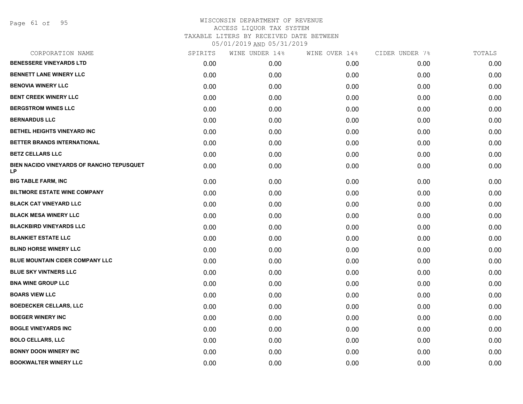Page 61 of 95

| CORPORATION NAME                                              | SPIRITS | WINE UNDER 14% | WINE OVER 14% | CIDER UNDER 7% | TOTALS |
|---------------------------------------------------------------|---------|----------------|---------------|----------------|--------|
| <b>BENESSERE VINEYARDS LTD</b>                                | 0.00    | 0.00           | 0.00          | 0.00           | 0.00   |
| <b>BENNETT LANE WINERY LLC</b>                                | 0.00    | 0.00           | 0.00          | 0.00           | 0.00   |
| <b>BENOVIA WINERY LLC</b>                                     | 0.00    | 0.00           | 0.00          | 0.00           | 0.00   |
| <b>BENT CREEK WINERY LLC</b>                                  | 0.00    | 0.00           | 0.00          | 0.00           | 0.00   |
| <b>BERGSTROM WINES LLC</b>                                    | 0.00    | 0.00           | 0.00          | 0.00           | 0.00   |
| <b>BERNARDUS LLC</b>                                          | 0.00    | 0.00           | 0.00          | 0.00           | 0.00   |
| BETHEL HEIGHTS VINEYARD INC                                   | 0.00    | 0.00           | 0.00          | 0.00           | 0.00   |
| BETTER BRANDS INTERNATIONAL                                   | 0.00    | 0.00           | 0.00          | 0.00           | 0.00   |
| <b>BETZ CELLARS LLC</b>                                       | 0.00    | 0.00           | 0.00          | 0.00           | 0.00   |
| <b>BIEN NACIDO VINEYARDS OF RANCHO TEPUSQUET</b><br><b>LP</b> | 0.00    | 0.00           | 0.00          | 0.00           | 0.00   |
| <b>BIG TABLE FARM, INC</b>                                    | 0.00    | 0.00           | 0.00          | 0.00           | 0.00   |
| <b>BILTMORE ESTATE WINE COMPANY</b>                           | 0.00    | 0.00           | 0.00          | 0.00           | 0.00   |
| <b>BLACK CAT VINEYARD LLC</b>                                 | 0.00    | 0.00           | 0.00          | 0.00           | 0.00   |
| <b>BLACK MESA WINERY LLC</b>                                  | 0.00    | 0.00           | 0.00          | 0.00           | 0.00   |
| <b>BLACKBIRD VINEYARDS LLC</b>                                | 0.00    | 0.00           | 0.00          | 0.00           | 0.00   |
| <b>BLANKIET ESTATE LLC</b>                                    | 0.00    | 0.00           | 0.00          | 0.00           | 0.00   |
| <b>BLIND HORSE WINERY LLC</b>                                 | 0.00    | 0.00           | 0.00          | 0.00           | 0.00   |
| <b>BLUE MOUNTAIN CIDER COMPANY LLC</b>                        | 0.00    | 0.00           | 0.00          | 0.00           | 0.00   |
| <b>BLUE SKY VINTNERS LLC</b>                                  | 0.00    | 0.00           | 0.00          | 0.00           | 0.00   |
| <b>BNA WINE GROUP LLC</b>                                     | 0.00    | 0.00           | 0.00          | 0.00           | 0.00   |
| <b>BOARS VIEW LLC</b>                                         | 0.00    | 0.00           | 0.00          | 0.00           | 0.00   |
| <b>BOEDECKER CELLARS, LLC</b>                                 | 0.00    | 0.00           | 0.00          | 0.00           | 0.00   |
| <b>BOEGER WINERY INC</b>                                      | 0.00    | 0.00           | 0.00          | 0.00           | 0.00   |
| <b>BOGLE VINEYARDS INC</b>                                    | 0.00    | 0.00           | 0.00          | 0.00           | 0.00   |
| <b>BOLO CELLARS, LLC</b>                                      | 0.00    | 0.00           | 0.00          | 0.00           | 0.00   |
| <b>BONNY DOON WINERY INC</b>                                  | 0.00    | 0.00           | 0.00          | 0.00           | 0.00   |
| <b>BOOKWALTER WINERY LLC</b>                                  | 0.00    | 0.00           | 0.00          | 0.00           | 0.00   |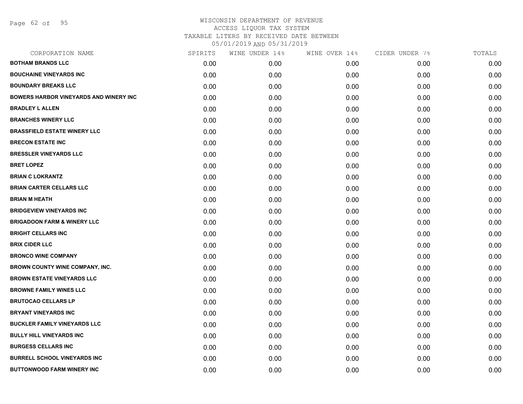Page 62 of 95

| CORPORATION NAME                              | SPIRITS | WINE UNDER 14% | WINE OVER 14% | CIDER UNDER 7% | TOTALS |
|-----------------------------------------------|---------|----------------|---------------|----------------|--------|
| <b>BOTHAM BRANDS LLC</b>                      | 0.00    | 0.00           | 0.00          | 0.00           | 0.00   |
| <b>BOUCHAINE VINEYARDS INC</b>                | 0.00    | 0.00           | 0.00          | 0.00           | 0.00   |
| <b>BOUNDARY BREAKS LLC</b>                    | 0.00    | 0.00           | 0.00          | 0.00           | 0.00   |
| <b>BOWERS HARBOR VINEYARDS AND WINERY INC</b> | 0.00    | 0.00           | 0.00          | 0.00           | 0.00   |
| <b>BRADLEY L ALLEN</b>                        | 0.00    | 0.00           | 0.00          | 0.00           | 0.00   |
| <b>BRANCHES WINERY LLC</b>                    | 0.00    | 0.00           | 0.00          | 0.00           | 0.00   |
| <b>BRASSFIELD ESTATE WINERY LLC</b>           | 0.00    | 0.00           | 0.00          | 0.00           | 0.00   |
| <b>BRECON ESTATE INC</b>                      | 0.00    | 0.00           | 0.00          | 0.00           | 0.00   |
| <b>BRESSLER VINEYARDS LLC</b>                 | 0.00    | 0.00           | 0.00          | 0.00           | 0.00   |
| <b>BRET LOPEZ</b>                             | 0.00    | 0.00           | 0.00          | 0.00           | 0.00   |
| <b>BRIAN C LOKRANTZ</b>                       | 0.00    | 0.00           | 0.00          | 0.00           | 0.00   |
| <b>BRIAN CARTER CELLARS LLC</b>               | 0.00    | 0.00           | 0.00          | 0.00           | 0.00   |
| <b>BRIAN M HEATH</b>                          | 0.00    | 0.00           | 0.00          | 0.00           | 0.00   |
| <b>BRIDGEVIEW VINEYARDS INC</b>               | 0.00    | 0.00           | 0.00          | 0.00           | 0.00   |
| <b>BRIGADOON FARM &amp; WINERY LLC</b>        | 0.00    | 0.00           | 0.00          | 0.00           | 0.00   |
| <b>BRIGHT CELLARS INC</b>                     | 0.00    | 0.00           | 0.00          | 0.00           | 0.00   |
| <b>BRIX CIDER LLC</b>                         | 0.00    | 0.00           | 0.00          | 0.00           | 0.00   |
| <b>BRONCO WINE COMPANY</b>                    | 0.00    | 0.00           | 0.00          | 0.00           | 0.00   |
| <b>BROWN COUNTY WINE COMPANY, INC.</b>        | 0.00    | 0.00           | 0.00          | 0.00           | 0.00   |
| <b>BROWN ESTATE VINEYARDS LLC</b>             | 0.00    | 0.00           | 0.00          | 0.00           | 0.00   |
| <b>BROWNE FAMILY WINES LLC</b>                | 0.00    | 0.00           | 0.00          | 0.00           | 0.00   |
| <b>BRUTOCAO CELLARS LP</b>                    | 0.00    | 0.00           | 0.00          | 0.00           | 0.00   |
| <b>BRYANT VINEYARDS INC</b>                   | 0.00    | 0.00           | 0.00          | 0.00           | 0.00   |
| <b>BUCKLER FAMILY VINEYARDS LLC</b>           | 0.00    | 0.00           | 0.00          | 0.00           | 0.00   |
| <b>BULLY HILL VINEYARDS INC</b>               | 0.00    | 0.00           | 0.00          | 0.00           | 0.00   |
| <b>BURGESS CELLARS INC</b>                    | 0.00    | 0.00           | 0.00          | 0.00           | 0.00   |
| <b>BURRELL SCHOOL VINEYARDS INC.</b>          | 0.00    | 0.00           | 0.00          | 0.00           | 0.00   |
| <b>BUTTONWOOD FARM WINERY INC</b>             | 0.00    | 0.00           | 0.00          | 0.00           | 0.00   |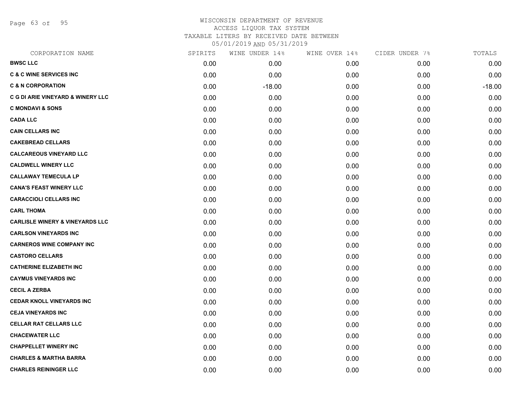Page 63 of 95

# WISCONSIN DEPARTMENT OF REVENUE ACCESS LIQUOR TAX SYSTEM

TAXABLE LITERS BY RECEIVED DATE BETWEEN

| CORPORATION NAME                           | SPIRITS | WINE UNDER 14% | WINE OVER 14% | CIDER UNDER 7% | TOTALS   |
|--------------------------------------------|---------|----------------|---------------|----------------|----------|
| <b>BWSC LLC</b>                            | 0.00    | 0.00           | 0.00          | 0.00           | 0.00     |
| <b>C &amp; C WINE SERVICES INC</b>         | 0.00    | 0.00           | 0.00          | 0.00           | 0.00     |
| <b>C &amp; N CORPORATION</b>               | 0.00    | $-18.00$       | 0.00          | 0.00           | $-18.00$ |
| C G DI ARIE VINEYARD & WINERY LLC          | 0.00    | 0.00           | 0.00          | 0.00           | 0.00     |
| <b>C MONDAVI &amp; SONS</b>                | 0.00    | 0.00           | 0.00          | 0.00           | 0.00     |
| <b>CADA LLC</b>                            | 0.00    | 0.00           | 0.00          | 0.00           | 0.00     |
| <b>CAIN CELLARS INC</b>                    | 0.00    | 0.00           | 0.00          | 0.00           | 0.00     |
| <b>CAKEBREAD CELLARS</b>                   | 0.00    | 0.00           | 0.00          | 0.00           | 0.00     |
| <b>CALCAREOUS VINEYARD LLC</b>             | 0.00    | 0.00           | 0.00          | 0.00           | 0.00     |
| <b>CALDWELL WINERY LLC</b>                 | 0.00    | 0.00           | 0.00          | 0.00           | 0.00     |
| <b>CALLAWAY TEMECULA LP</b>                | 0.00    | 0.00           | 0.00          | 0.00           | 0.00     |
| <b>CANA'S FEAST WINERY LLC</b>             | 0.00    | 0.00           | 0.00          | 0.00           | 0.00     |
| <b>CARACCIOLI CELLARS INC</b>              | 0.00    | 0.00           | 0.00          | 0.00           | 0.00     |
| <b>CARL THOMA</b>                          | 0.00    | 0.00           | 0.00          | 0.00           | 0.00     |
| <b>CARLISLE WINERY &amp; VINEYARDS LLC</b> | 0.00    | 0.00           | 0.00          | 0.00           | 0.00     |
| <b>CARLSON VINEYARDS INC</b>               | 0.00    | 0.00           | 0.00          | 0.00           | 0.00     |
| <b>CARNEROS WINE COMPANY INC</b>           | 0.00    | 0.00           | 0.00          | 0.00           | 0.00     |
| <b>CASTORO CELLARS</b>                     | 0.00    | 0.00           | 0.00          | 0.00           | 0.00     |
| <b>CATHERINE ELIZABETH INC</b>             | 0.00    | 0.00           | 0.00          | 0.00           | 0.00     |
| <b>CAYMUS VINEYARDS INC</b>                | 0.00    | 0.00           | 0.00          | 0.00           | 0.00     |
| <b>CECIL A ZERBA</b>                       | 0.00    | 0.00           | 0.00          | 0.00           | 0.00     |
| <b>CEDAR KNOLL VINEYARDS INC</b>           | 0.00    | 0.00           | 0.00          | 0.00           | 0.00     |
| <b>CEJA VINEYARDS INC</b>                  | 0.00    | 0.00           | 0.00          | 0.00           | 0.00     |
| <b>CELLAR RAT CELLARS LLC</b>              | 0.00    | 0.00           | 0.00          | 0.00           | 0.00     |
| <b>CHACEWATER LLC</b>                      | 0.00    | 0.00           | 0.00          | 0.00           | 0.00     |
| <b>CHAPPELLET WINERY INC</b>               | 0.00    | 0.00           | 0.00          | 0.00           | 0.00     |
| <b>CHARLES &amp; MARTHA BARRA</b>          | 0.00    | 0.00           | 0.00          | 0.00           | 0.00     |
| <b>CHARLES REININGER LLC</b>               | 0.00    | 0.00           | 0.00          | 0.00           | 0.00     |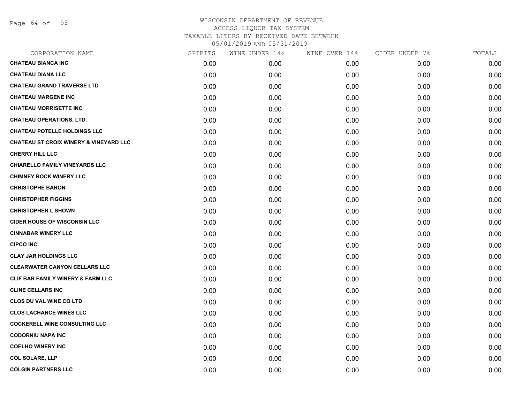Page 64 of 95

| CORPORATION NAME                                  | SPIRITS | WINE UNDER 14% | WINE OVER 14% | CIDER UNDER 7% | TOTALS |
|---------------------------------------------------|---------|----------------|---------------|----------------|--------|
| <b>CHATEAU BIANCA INC</b>                         | 0.00    | 0.00           | 0.00          | 0.00           | 0.00   |
| <b>CHATEAU DIANA LLC</b>                          | 0.00    | 0.00           | 0.00          | 0.00           | 0.00   |
| <b>CHATEAU GRAND TRAVERSE LTD</b>                 | 0.00    | 0.00           | 0.00          | 0.00           | 0.00   |
| <b>CHATEAU MARGENE INC</b>                        | 0.00    | 0.00           | 0.00          | 0.00           | 0.00   |
| <b>CHATEAU MORRISETTE INC</b>                     | 0.00    | 0.00           | 0.00          | 0.00           | 0.00   |
| <b>CHATEAU OPERATIONS, LTD.</b>                   | 0.00    | 0.00           | 0.00          | 0.00           | 0.00   |
| <b>CHATEAU POTELLE HOLDINGS LLC</b>               | 0.00    | 0.00           | 0.00          | 0.00           | 0.00   |
| <b>CHATEAU ST CROIX WINERY &amp; VINEYARD LLC</b> | 0.00    | 0.00           | 0.00          | 0.00           | 0.00   |
| <b>CHERRY HILL LLC</b>                            | 0.00    | 0.00           | 0.00          | 0.00           | 0.00   |
| <b>CHIARELLO FAMILY VINEYARDS LLC</b>             | 0.00    | 0.00           | 0.00          | 0.00           | 0.00   |
| <b>CHIMNEY ROCK WINERY LLC</b>                    | 0.00    | 0.00           | 0.00          | 0.00           | 0.00   |
| <b>CHRISTOPHE BARON</b>                           | 0.00    | 0.00           | 0.00          | 0.00           | 0.00   |
| <b>CHRISTOPHER FIGGINS</b>                        | 0.00    | 0.00           | 0.00          | 0.00           | 0.00   |
| <b>CHRISTOPHER L SHOWN</b>                        | 0.00    | 0.00           | 0.00          | 0.00           | 0.00   |
| <b>CIDER HOUSE OF WISCONSIN LLC</b>               | 0.00    | 0.00           | 0.00          | 0.00           | 0.00   |
| <b>CINNABAR WINERY LLC</b>                        | 0.00    | 0.00           | 0.00          | 0.00           | 0.00   |
| <b>CIPCO INC.</b>                                 | 0.00    | 0.00           | 0.00          | 0.00           | 0.00   |
| <b>CLAY JAR HOLDINGS LLC</b>                      | 0.00    | 0.00           | 0.00          | 0.00           | 0.00   |
| <b>CLEARWATER CANYON CELLARS LLC</b>              | 0.00    | 0.00           | 0.00          | 0.00           | 0.00   |
| <b>CLIF BAR FAMILY WINERY &amp; FARM LLC</b>      | 0.00    | 0.00           | 0.00          | 0.00           | 0.00   |
| <b>CLINE CELLARS INC</b>                          | 0.00    | 0.00           | 0.00          | 0.00           | 0.00   |
| <b>CLOS DU VAL WINE CO LTD</b>                    | 0.00    | 0.00           | 0.00          | 0.00           | 0.00   |
| <b>CLOS LACHANCE WINES LLC</b>                    | 0.00    | 0.00           | 0.00          | 0.00           | 0.00   |
| <b>COCKERELL WINE CONSULTING LLC</b>              | 0.00    | 0.00           | 0.00          | 0.00           | 0.00   |
| <b>CODORNIU NAPA INC</b>                          | 0.00    | 0.00           | 0.00          | 0.00           | 0.00   |
| <b>COELHO WINERY INC</b>                          | 0.00    | 0.00           | 0.00          | 0.00           | 0.00   |
| <b>COL SOLARE, LLP</b>                            | 0.00    | 0.00           | 0.00          | 0.00           | 0.00   |
| <b>COLGIN PARTNERS LLC</b>                        | 0.00    | 0.00           | 0.00          | 0.00           | 0.00   |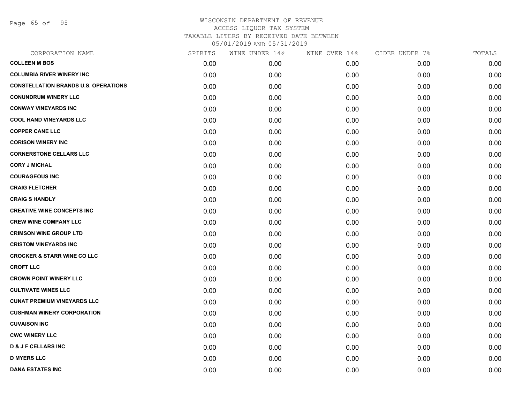Page 65 of 95

| CORPORATION NAME                            | SPIRITS | WINE UNDER 14% | WINE OVER 14% | CIDER UNDER 7% | TOTALS |
|---------------------------------------------|---------|----------------|---------------|----------------|--------|
| <b>COLLEEN M BOS</b>                        | 0.00    | 0.00           | 0.00          | 0.00           | 0.00   |
| <b>COLUMBIA RIVER WINERY INC</b>            | 0.00    | 0.00           | 0.00          | 0.00           | 0.00   |
| <b>CONSTELLATION BRANDS U.S. OPERATIONS</b> | 0.00    | 0.00           | 0.00          | 0.00           | 0.00   |
| <b>CONUNDRUM WINERY LLC</b>                 | 0.00    | 0.00           | 0.00          | 0.00           | 0.00   |
| <b>CONWAY VINEYARDS INC</b>                 | 0.00    | 0.00           | 0.00          | 0.00           | 0.00   |
| <b>COOL HAND VINEYARDS LLC</b>              | 0.00    | 0.00           | 0.00          | 0.00           | 0.00   |
| <b>COPPER CANE LLC</b>                      | 0.00    | 0.00           | 0.00          | 0.00           | 0.00   |
| <b>CORISON WINERY INC</b>                   | 0.00    | 0.00           | 0.00          | 0.00           | 0.00   |
| <b>CORNERSTONE CELLARS LLC</b>              | 0.00    | 0.00           | 0.00          | 0.00           | 0.00   |
| <b>CORY J MICHAL</b>                        | 0.00    | 0.00           | 0.00          | 0.00           | 0.00   |
| <b>COURAGEOUS INC</b>                       | 0.00    | 0.00           | 0.00          | 0.00           | 0.00   |
| <b>CRAIG FLETCHER</b>                       | 0.00    | 0.00           | 0.00          | 0.00           | 0.00   |
| <b>CRAIG S HANDLY</b>                       | 0.00    | 0.00           | 0.00          | 0.00           | 0.00   |
| <b>CREATIVE WINE CONCEPTS INC</b>           | 0.00    | 0.00           | 0.00          | 0.00           | 0.00   |
| <b>CREW WINE COMPANY LLC</b>                | 0.00    | 0.00           | 0.00          | 0.00           | 0.00   |
| <b>CRIMSON WINE GROUP LTD</b>               | 0.00    | 0.00           | 0.00          | 0.00           | 0.00   |
| <b>CRISTOM VINEYARDS INC</b>                | 0.00    | 0.00           | 0.00          | 0.00           | 0.00   |
| <b>CROCKER &amp; STARR WINE CO LLC</b>      | 0.00    | 0.00           | 0.00          | 0.00           | 0.00   |
| <b>CROFT LLC</b>                            | 0.00    | 0.00           | 0.00          | 0.00           | 0.00   |
| <b>CROWN POINT WINERY LLC</b>               | 0.00    | 0.00           | 0.00          | 0.00           | 0.00   |
| <b>CULTIVATE WINES LLC</b>                  | 0.00    | 0.00           | 0.00          | 0.00           | 0.00   |
| <b>CUNAT PREMIUM VINEYARDS LLC</b>          | 0.00    | 0.00           | 0.00          | 0.00           | 0.00   |
| <b>CUSHMAN WINERY CORPORATION</b>           | 0.00    | 0.00           | 0.00          | 0.00           | 0.00   |
| <b>CUVAISON INC</b>                         | 0.00    | 0.00           | 0.00          | 0.00           | 0.00   |
| <b>CWC WINERY LLC</b>                       | 0.00    | 0.00           | 0.00          | 0.00           | 0.00   |
| <b>D &amp; J F CELLARS INC</b>              | 0.00    | 0.00           | 0.00          | 0.00           | 0.00   |
| <b>D MYERS LLC</b>                          | 0.00    | 0.00           | 0.00          | 0.00           | 0.00   |
| <b>DANA ESTATES INC</b>                     | 0.00    | 0.00           | 0.00          | 0.00           | 0.00   |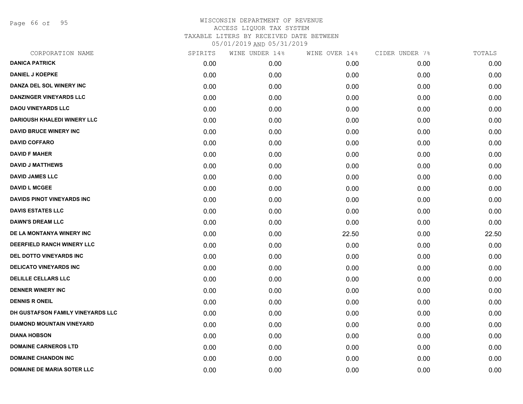Page 66 of 95

| CORPORATION NAME                   | SPIRITS | WINE UNDER 14% | WINE OVER 14% | CIDER UNDER 7% | TOTALS |
|------------------------------------|---------|----------------|---------------|----------------|--------|
| <b>DANICA PATRICK</b>              | 0.00    | 0.00           | 0.00          | 0.00           | 0.00   |
| <b>DANIEL J KOEPKE</b>             | 0.00    | 0.00           | 0.00          | 0.00           | 0.00   |
| DANZA DEL SOL WINERY INC           | 0.00    | 0.00           | 0.00          | 0.00           | 0.00   |
| <b>DANZINGER VINEYARDS LLC</b>     | 0.00    | 0.00           | 0.00          | 0.00           | 0.00   |
| <b>DAOU VINEYARDS LLC</b>          | 0.00    | 0.00           | 0.00          | 0.00           | 0.00   |
| <b>DARIOUSH KHALEDI WINERY LLC</b> | 0.00    | 0.00           | 0.00          | 0.00           | 0.00   |
| <b>DAVID BRUCE WINERY INC</b>      | 0.00    | 0.00           | 0.00          | 0.00           | 0.00   |
| <b>DAVID COFFARO</b>               | 0.00    | 0.00           | 0.00          | 0.00           | 0.00   |
| <b>DAVID F MAHER</b>               | 0.00    | 0.00           | 0.00          | 0.00           | 0.00   |
| <b>DAVID J MATTHEWS</b>            | 0.00    | 0.00           | 0.00          | 0.00           | 0.00   |
| <b>DAVID JAMES LLC</b>             | 0.00    | 0.00           | 0.00          | 0.00           | 0.00   |
| <b>DAVID L MCGEE</b>               | 0.00    | 0.00           | 0.00          | 0.00           | 0.00   |
| <b>DAVIDS PINOT VINEYARDS INC</b>  | 0.00    | 0.00           | 0.00          | 0.00           | 0.00   |
| <b>DAVIS ESTATES LLC</b>           | 0.00    | 0.00           | 0.00          | 0.00           | 0.00   |
| <b>DAWN'S DREAM LLC</b>            | 0.00    | 0.00           | 0.00          | 0.00           | 0.00   |
| DE LA MONTANYA WINERY INC          | 0.00    | 0.00           | 22.50         | 0.00           | 22.50  |
| DEERFIELD RANCH WINERY LLC         | 0.00    | 0.00           | 0.00          | 0.00           | 0.00   |
| <b>DEL DOTTO VINEYARDS INC</b>     | 0.00    | 0.00           | 0.00          | 0.00           | 0.00   |
| <b>DELICATO VINEYARDS INC</b>      | 0.00    | 0.00           | 0.00          | 0.00           | 0.00   |
| <b>DELILLE CELLARS LLC</b>         | 0.00    | 0.00           | 0.00          | 0.00           | 0.00   |
| <b>DENNER WINERY INC</b>           | 0.00    | 0.00           | 0.00          | 0.00           | 0.00   |
| <b>DENNIS R ONEIL</b>              | 0.00    | 0.00           | 0.00          | 0.00           | 0.00   |
| DH GUSTAFSON FAMILY VINEYARDS LLC  | 0.00    | 0.00           | 0.00          | 0.00           | 0.00   |
| <b>DIAMOND MOUNTAIN VINEYARD</b>   | 0.00    | 0.00           | 0.00          | 0.00           | 0.00   |
| <b>DIANA HOBSON</b>                | 0.00    | 0.00           | 0.00          | 0.00           | 0.00   |
| <b>DOMAINE CARNEROS LTD</b>        | 0.00    | 0.00           | 0.00          | 0.00           | 0.00   |
| <b>DOMAINE CHANDON INC</b>         | 0.00    | 0.00           | 0.00          | 0.00           | 0.00   |
| <b>DOMAINE DE MARIA SOTER LLC</b>  | 0.00    | 0.00           | 0.00          | 0.00           | 0.00   |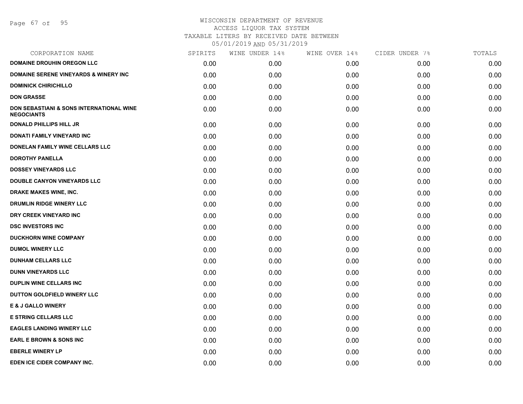Page 67 of 95

| SPIRITS | WINE UNDER 14% | WINE OVER 14% | CIDER UNDER 7% | TOTALS |
|---------|----------------|---------------|----------------|--------|
| 0.00    | 0.00           | 0.00          | 0.00           | 0.00   |
| 0.00    | 0.00           | 0.00          | 0.00           | 0.00   |
| 0.00    | 0.00           | 0.00          | 0.00           | 0.00   |
| 0.00    | 0.00           | 0.00          | 0.00           | 0.00   |
| 0.00    | 0.00           | 0.00          | 0.00           | 0.00   |
| 0.00    | 0.00           | 0.00          | 0.00           | 0.00   |
| 0.00    | 0.00           | 0.00          | 0.00           | 0.00   |
| 0.00    | 0.00           | 0.00          | 0.00           | 0.00   |
| 0.00    | 0.00           | 0.00          | 0.00           | 0.00   |
| 0.00    | 0.00           | 0.00          | 0.00           | 0.00   |
| 0.00    | 0.00           | 0.00          | 0.00           | 0.00   |
| 0.00    | 0.00           | 0.00          | 0.00           | 0.00   |
| 0.00    | 0.00           | 0.00          | 0.00           | 0.00   |
| 0.00    | 0.00           | 0.00          | 0.00           | 0.00   |
| 0.00    | 0.00           | 0.00          | 0.00           | 0.00   |
| 0.00    | 0.00           | 0.00          | 0.00           | 0.00   |
| 0.00    | 0.00           | 0.00          | 0.00           | 0.00   |
| 0.00    | 0.00           | 0.00          | 0.00           | 0.00   |
| 0.00    | 0.00           | 0.00          | 0.00           | 0.00   |
| 0.00    | 0.00           | 0.00          | 0.00           | 0.00   |
| 0.00    | 0.00           | 0.00          | 0.00           | 0.00   |
| 0.00    | 0.00           | 0.00          | 0.00           | 0.00   |
| 0.00    | 0.00           | 0.00          | 0.00           | 0.00   |
| 0.00    | 0.00           | 0.00          | 0.00           | 0.00   |
| 0.00    | 0.00           | 0.00          | 0.00           | 0.00   |
| 0.00    | 0.00           | 0.00          | 0.00           | 0.00   |
| 0.00    | 0.00           | 0.00          | 0.00           | 0.00   |
|         |                |               |                |        |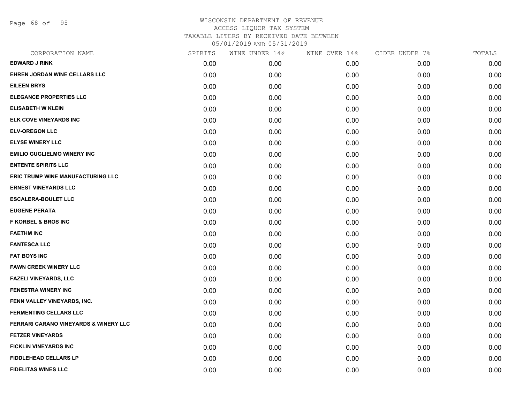Page 68 of 95

| CORPORATION NAME                                 | SPIRITS | WINE UNDER 14% | WINE OVER 14% | CIDER UNDER 7% | TOTALS |
|--------------------------------------------------|---------|----------------|---------------|----------------|--------|
| <b>EDWARD J RINK</b>                             | 0.00    | 0.00           | 0.00          | 0.00           | 0.00   |
| EHREN JORDAN WINE CELLARS LLC                    | 0.00    | 0.00           | 0.00          | 0.00           | 0.00   |
| <b>EILEEN BRYS</b>                               | 0.00    | 0.00           | 0.00          | 0.00           | 0.00   |
| <b>ELEGANCE PROPERTIES LLC</b>                   | 0.00    | 0.00           | 0.00          | 0.00           | 0.00   |
| <b>ELISABETH W KLEIN</b>                         | 0.00    | 0.00           | 0.00          | 0.00           | 0.00   |
| ELK COVE VINEYARDS INC                           | 0.00    | 0.00           | 0.00          | 0.00           | 0.00   |
| <b>ELV-OREGON LLC</b>                            | 0.00    | 0.00           | 0.00          | 0.00           | 0.00   |
| <b>ELYSE WINERY LLC</b>                          | 0.00    | 0.00           | 0.00          | 0.00           | 0.00   |
| <b>EMILIO GUGLIELMO WINERY INC</b>               | 0.00    | 0.00           | 0.00          | 0.00           | 0.00   |
| <b>ENTENTE SPIRITS LLC</b>                       | 0.00    | 0.00           | 0.00          | 0.00           | 0.00   |
| <b>ERIC TRUMP WINE MANUFACTURING LLC</b>         | 0.00    | 0.00           | 0.00          | 0.00           | 0.00   |
| <b>ERNEST VINEYARDS LLC</b>                      | 0.00    | 0.00           | 0.00          | 0.00           | 0.00   |
| <b>ESCALERA-BOULET LLC</b>                       | 0.00    | 0.00           | 0.00          | 0.00           | 0.00   |
| <b>EUGENE PERATA</b>                             | 0.00    | 0.00           | 0.00          | 0.00           | 0.00   |
| <b>F KORBEL &amp; BROS INC</b>                   | 0.00    | 0.00           | 0.00          | 0.00           | 0.00   |
| <b>FAETHM INC</b>                                | 0.00    | 0.00           | 0.00          | 0.00           | 0.00   |
| <b>FANTESCA LLC</b>                              | 0.00    | 0.00           | 0.00          | 0.00           | 0.00   |
| <b>FAT BOYS INC</b>                              | 0.00    | 0.00           | 0.00          | 0.00           | 0.00   |
| <b>FAWN CREEK WINERY LLC</b>                     | 0.00    | 0.00           | 0.00          | 0.00           | 0.00   |
| <b>FAZELI VINEYARDS, LLC</b>                     | 0.00    | 0.00           | 0.00          | 0.00           | 0.00   |
| FENESTRA WINERY INC                              | 0.00    | 0.00           | 0.00          | 0.00           | 0.00   |
| FENN VALLEY VINEYARDS, INC.                      | 0.00    | 0.00           | 0.00          | 0.00           | 0.00   |
| <b>FERMENTING CELLARS LLC</b>                    | 0.00    | 0.00           | 0.00          | 0.00           | 0.00   |
| <b>FERRARI CARANO VINEYARDS &amp; WINERY LLC</b> | 0.00    | 0.00           | 0.00          | 0.00           | 0.00   |
| <b>FETZER VINEYARDS</b>                          | 0.00    | 0.00           | 0.00          | 0.00           | 0.00   |
| <b>FICKLIN VINEYARDS INC</b>                     | 0.00    | 0.00           | 0.00          | 0.00           | 0.00   |
| <b>FIDDLEHEAD CELLARS LP</b>                     | 0.00    | 0.00           | 0.00          | 0.00           | 0.00   |
| <b>FIDELITAS WINES LLC</b>                       | 0.00    | 0.00           | 0.00          | 0.00           | 0.00   |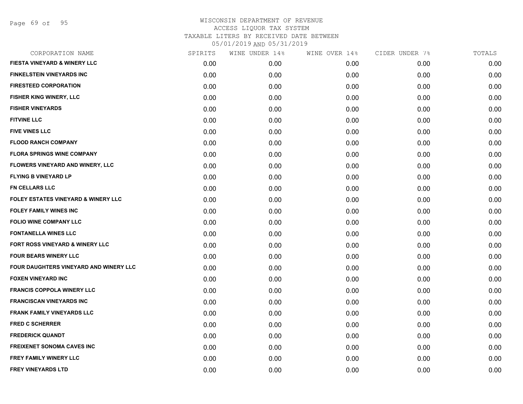Page 69 of 95

| CORPORATION NAME                               | SPIRITS | WINE UNDER 14% | WINE OVER 14% | CIDER UNDER 7% | TOTALS |
|------------------------------------------------|---------|----------------|---------------|----------------|--------|
| <b>FIESTA VINEYARD &amp; WINERY LLC</b>        | 0.00    | 0.00           | 0.00          | 0.00           | 0.00   |
| <b>FINKELSTEIN VINEYARDS INC</b>               | 0.00    | 0.00           | 0.00          | 0.00           | 0.00   |
| <b>FIRESTEED CORPORATION</b>                   | 0.00    | 0.00           | 0.00          | 0.00           | 0.00   |
| <b>FISHER KING WINERY, LLC</b>                 | 0.00    | 0.00           | 0.00          | 0.00           | 0.00   |
| <b>FISHER VINEYARDS</b>                        | 0.00    | 0.00           | 0.00          | 0.00           | 0.00   |
| <b>FITVINE LLC</b>                             | 0.00    | 0.00           | 0.00          | 0.00           | 0.00   |
| <b>FIVE VINES LLC</b>                          | 0.00    | 0.00           | 0.00          | 0.00           | 0.00   |
| <b>FLOOD RANCH COMPANY</b>                     | 0.00    | 0.00           | 0.00          | 0.00           | 0.00   |
| <b>FLORA SPRINGS WINE COMPANY</b>              | 0.00    | 0.00           | 0.00          | 0.00           | 0.00   |
| FLOWERS VINEYARD AND WINERY, LLC               | 0.00    | 0.00           | 0.00          | 0.00           | 0.00   |
| <b>FLYING B VINEYARD LP</b>                    | 0.00    | 0.00           | 0.00          | 0.00           | 0.00   |
| <b>FN CELLARS LLC</b>                          | 0.00    | 0.00           | 0.00          | 0.00           | 0.00   |
| <b>FOLEY ESTATES VINEYARD &amp; WINERY LLC</b> | 0.00    | 0.00           | 0.00          | 0.00           | 0.00   |
| <b>FOLEY FAMILY WINES INC</b>                  | 0.00    | 0.00           | 0.00          | 0.00           | 0.00   |
| <b>FOLIO WINE COMPANY LLC</b>                  | 0.00    | 0.00           | 0.00          | 0.00           | 0.00   |
| <b>FONTANELLA WINES LLC</b>                    | 0.00    | 0.00           | 0.00          | 0.00           | 0.00   |
| FORT ROSS VINEYARD & WINERY LLC                | 0.00    | 0.00           | 0.00          | 0.00           | 0.00   |
| <b>FOUR BEARS WINERY LLC</b>                   | 0.00    | 0.00           | 0.00          | 0.00           | 0.00   |
| FOUR DAUGHTERS VINEYARD AND WINERY LLC         | 0.00    | 0.00           | 0.00          | 0.00           | 0.00   |
| <b>FOXEN VINEYARD INC</b>                      | 0.00    | 0.00           | 0.00          | 0.00           | 0.00   |
| <b>FRANCIS COPPOLA WINERY LLC</b>              | 0.00    | 0.00           | 0.00          | 0.00           | 0.00   |
| <b>FRANCISCAN VINEYARDS INC</b>                | 0.00    | 0.00           | 0.00          | 0.00           | 0.00   |
| <b>FRANK FAMILY VINEYARDS LLC</b>              | 0.00    | 0.00           | 0.00          | 0.00           | 0.00   |
| <b>FRED C SCHERRER</b>                         | 0.00    | 0.00           | 0.00          | 0.00           | 0.00   |
| <b>FREDERICK QUANDT</b>                        | 0.00    | 0.00           | 0.00          | 0.00           | 0.00   |
| <b>FREIXENET SONOMA CAVES INC</b>              | 0.00    | 0.00           | 0.00          | 0.00           | 0.00   |
| <b>FREY FAMILY WINERY LLC</b>                  | 0.00    | 0.00           | 0.00          | 0.00           | 0.00   |
| <b>FREY VINEYARDS LTD</b>                      | 0.00    | 0.00           | 0.00          | 0.00           | 0.00   |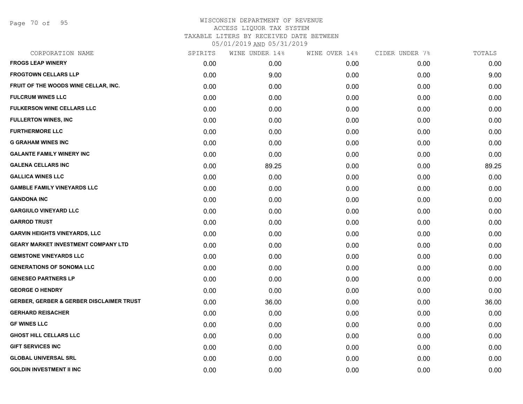Page 70 of 95

| CORPORATION NAME                                    | SPIRITS | WINE UNDER 14% | WINE OVER 14% | CIDER UNDER 7% | TOTALS |
|-----------------------------------------------------|---------|----------------|---------------|----------------|--------|
| <b>FROGS LEAP WINERY</b>                            | 0.00    | 0.00           | 0.00          | 0.00           | 0.00   |
| <b>FROGTOWN CELLARS LLP</b>                         | 0.00    | 9.00           | 0.00          | 0.00           | 9.00   |
| FRUIT OF THE WOODS WINE CELLAR, INC.                | 0.00    | 0.00           | 0.00          | 0.00           | 0.00   |
| <b>FULCRUM WINES LLC</b>                            | 0.00    | 0.00           | 0.00          | 0.00           | 0.00   |
| <b>FULKERSON WINE CELLARS LLC</b>                   | 0.00    | 0.00           | 0.00          | 0.00           | 0.00   |
| <b>FULLERTON WINES, INC</b>                         | 0.00    | 0.00           | 0.00          | 0.00           | 0.00   |
| <b>FURTHERMORE LLC</b>                              | 0.00    | 0.00           | 0.00          | 0.00           | 0.00   |
| <b>G GRAHAM WINES INC</b>                           | 0.00    | 0.00           | 0.00          | 0.00           | 0.00   |
| <b>GALANTE FAMILY WINERY INC</b>                    | 0.00    | 0.00           | 0.00          | 0.00           | 0.00   |
| <b>GALENA CELLARS INC</b>                           | 0.00    | 89.25          | 0.00          | 0.00           | 89.25  |
| <b>GALLICA WINES LLC</b>                            | 0.00    | 0.00           | 0.00          | 0.00           | 0.00   |
| <b>GAMBLE FAMILY VINEYARDS LLC</b>                  | 0.00    | 0.00           | 0.00          | 0.00           | 0.00   |
| <b>GANDONA INC</b>                                  | 0.00    | 0.00           | 0.00          | 0.00           | 0.00   |
| <b>GARGIULO VINEYARD LLC</b>                        | 0.00    | 0.00           | 0.00          | 0.00           | 0.00   |
| <b>GARROD TRUST</b>                                 | 0.00    | 0.00           | 0.00          | 0.00           | 0.00   |
| <b>GARVIN HEIGHTS VINEYARDS, LLC</b>                | 0.00    | 0.00           | 0.00          | 0.00           | 0.00   |
| <b>GEARY MARKET INVESTMENT COMPANY LTD</b>          | 0.00    | 0.00           | 0.00          | 0.00           | 0.00   |
| <b>GEMSTONE VINEYARDS LLC</b>                       | 0.00    | 0.00           | 0.00          | 0.00           | 0.00   |
| <b>GENERATIONS OF SONOMA LLC</b>                    | 0.00    | 0.00           | 0.00          | 0.00           | 0.00   |
| <b>GENESEO PARTNERS LP</b>                          | 0.00    | 0.00           | 0.00          | 0.00           | 0.00   |
| <b>GEORGE O HENDRY</b>                              | 0.00    | 0.00           | 0.00          | 0.00           | 0.00   |
| <b>GERBER, GERBER &amp; GERBER DISCLAIMER TRUST</b> | 0.00    | 36.00          | 0.00          | 0.00           | 36.00  |
| <b>GERHARD REISACHER</b>                            | 0.00    | 0.00           | 0.00          | 0.00           | 0.00   |
| <b>GF WINES LLC</b>                                 | 0.00    | 0.00           | 0.00          | 0.00           | 0.00   |
| <b>GHOST HILL CELLARS LLC</b>                       | 0.00    | 0.00           | 0.00          | 0.00           | 0.00   |
| <b>GIFT SERVICES INC</b>                            | 0.00    | 0.00           | 0.00          | 0.00           | 0.00   |
| <b>GLOBAL UNIVERSAL SRL</b>                         | 0.00    | 0.00           | 0.00          | 0.00           | 0.00   |
| <b>GOLDIN INVESTMENT II INC</b>                     | 0.00    | 0.00           | 0.00          | 0.00           | 0.00   |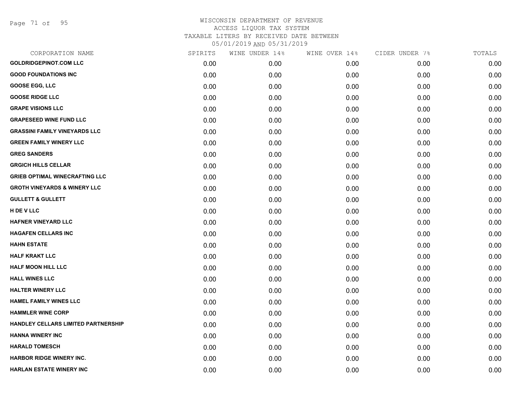Page 71 of 95

| CORPORATION NAME                        | SPIRITS | WINE UNDER 14% | WINE OVER 14% | CIDER UNDER 7% | TOTALS |
|-----------------------------------------|---------|----------------|---------------|----------------|--------|
| <b>GOLDRIDGEPINOT.COM LLC</b>           | 0.00    | 0.00           | 0.00          | 0.00           | 0.00   |
| <b>GOOD FOUNDATIONS INC</b>             | 0.00    | 0.00           | 0.00          | 0.00           | 0.00   |
| <b>GOOSE EGG, LLC</b>                   | 0.00    | 0.00           | 0.00          | 0.00           | 0.00   |
| <b>GOOSE RIDGE LLC</b>                  | 0.00    | 0.00           | 0.00          | 0.00           | 0.00   |
| <b>GRAPE VISIONS LLC</b>                | 0.00    | 0.00           | 0.00          | 0.00           | 0.00   |
| <b>GRAPESEED WINE FUND LLC</b>          | 0.00    | 0.00           | 0.00          | 0.00           | 0.00   |
| <b>GRASSINI FAMILY VINEYARDS LLC</b>    | 0.00    | 0.00           | 0.00          | 0.00           | 0.00   |
| <b>GREEN FAMILY WINERY LLC</b>          | 0.00    | 0.00           | 0.00          | 0.00           | 0.00   |
| <b>GREG SANDERS</b>                     | 0.00    | 0.00           | 0.00          | 0.00           | 0.00   |
| <b>GRGICH HILLS CELLAR</b>              | 0.00    | 0.00           | 0.00          | 0.00           | 0.00   |
| <b>GRIEB OPTIMAL WINECRAFTING LLC</b>   | 0.00    | 0.00           | 0.00          | 0.00           | 0.00   |
| <b>GROTH VINEYARDS &amp; WINERY LLC</b> | 0.00    | 0.00           | 0.00          | 0.00           | 0.00   |
| <b>GULLETT &amp; GULLETT</b>            | 0.00    | 0.00           | 0.00          | 0.00           | 0.00   |
| H DE V LLC                              | 0.00    | 0.00           | 0.00          | 0.00           | 0.00   |
| <b>HAFNER VINEYARD LLC</b>              | 0.00    | 0.00           | 0.00          | 0.00           | 0.00   |
| <b>HAGAFEN CELLARS INC</b>              | 0.00    | 0.00           | 0.00          | 0.00           | 0.00   |
| <b>HAHN ESTATE</b>                      | 0.00    | 0.00           | 0.00          | 0.00           | 0.00   |
| <b>HALF KRAKT LLC</b>                   | 0.00    | 0.00           | 0.00          | 0.00           | 0.00   |
| <b>HALF MOON HILL LLC</b>               | 0.00    | 0.00           | 0.00          | 0.00           | 0.00   |
| <b>HALL WINES LLC</b>                   | 0.00    | 0.00           | 0.00          | 0.00           | 0.00   |
| <b>HALTER WINERY LLC</b>                | 0.00    | 0.00           | 0.00          | 0.00           | 0.00   |
| <b>HAMEL FAMILY WINES LLC</b>           | 0.00    | 0.00           | 0.00          | 0.00           | 0.00   |
| <b>HAMMLER WINE CORP</b>                | 0.00    | 0.00           | 0.00          | 0.00           | 0.00   |
| HANDLEY CELLARS LIMITED PARTNERSHIP     | 0.00    | 0.00           | 0.00          | 0.00           | 0.00   |
| <b>HANNA WINERY INC</b>                 | 0.00    | 0.00           | 0.00          | 0.00           | 0.00   |
| <b>HARALD TOMESCH</b>                   | 0.00    | 0.00           | 0.00          | 0.00           | 0.00   |
| <b>HARBOR RIDGE WINERY INC.</b>         | 0.00    | 0.00           | 0.00          | 0.00           | 0.00   |
| <b>HARLAN ESTATE WINERY INC</b>         | 0.00    | 0.00           | 0.00          | 0.00           | 0.00   |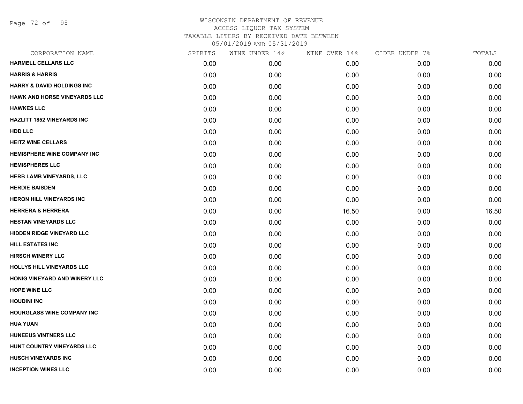Page 72 of 95

| CORPORATION NAME                      | SPIRITS | WINE UNDER 14% | WINE OVER 14% | CIDER UNDER 7% | TOTALS |
|---------------------------------------|---------|----------------|---------------|----------------|--------|
| <b>HARMELL CELLARS LLC</b>            | 0.00    | 0.00           | 0.00          | 0.00           | 0.00   |
| <b>HARRIS &amp; HARRIS</b>            | 0.00    | 0.00           | 0.00          | 0.00           | 0.00   |
| <b>HARRY &amp; DAVID HOLDINGS INC</b> | 0.00    | 0.00           | 0.00          | 0.00           | 0.00   |
| <b>HAWK AND HORSE VINEYARDS LLC</b>   | 0.00    | 0.00           | 0.00          | 0.00           | 0.00   |
| <b>HAWKES LLC</b>                     | 0.00    | 0.00           | 0.00          | 0.00           | 0.00   |
| <b>HAZLITT 1852 VINEYARDS INC</b>     | 0.00    | 0.00           | 0.00          | 0.00           | 0.00   |
| <b>HDD LLC</b>                        | 0.00    | 0.00           | 0.00          | 0.00           | 0.00   |
| <b>HEITZ WINE CELLARS</b>             | 0.00    | 0.00           | 0.00          | 0.00           | 0.00   |
| <b>HEMISPHERE WINE COMPANY INC</b>    | 0.00    | 0.00           | 0.00          | 0.00           | 0.00   |
| <b>HEMISPHERES LLC</b>                | 0.00    | 0.00           | 0.00          | 0.00           | 0.00   |
| <b>HERB LAMB VINEYARDS, LLC</b>       | 0.00    | 0.00           | 0.00          | 0.00           | 0.00   |
| <b>HERDIE BAISDEN</b>                 | 0.00    | 0.00           | 0.00          | 0.00           | 0.00   |
| <b>HERON HILL VINEYARDS INC</b>       | 0.00    | 0.00           | 0.00          | 0.00           | 0.00   |
| <b>HERRERA &amp; HERRERA</b>          | 0.00    | 0.00           | 16.50         | 0.00           | 16.50  |
| <b>HESTAN VINEYARDS LLC</b>           | 0.00    | 0.00           | 0.00          | 0.00           | 0.00   |
| <b>HIDDEN RIDGE VINEYARD LLC</b>      | 0.00    | 0.00           | 0.00          | 0.00           | 0.00   |
| <b>HILL ESTATES INC</b>               | 0.00    | 0.00           | 0.00          | 0.00           | 0.00   |
| <b>HIRSCH WINERY LLC</b>              | 0.00    | 0.00           | 0.00          | 0.00           | 0.00   |
| HOLLYS HILL VINEYARDS LLC             | 0.00    | 0.00           | 0.00          | 0.00           | 0.00   |
| HONIG VINEYARD AND WINERY LLC         | 0.00    | 0.00           | 0.00          | 0.00           | 0.00   |
| <b>HOPE WINE LLC</b>                  | 0.00    | 0.00           | 0.00          | 0.00           | 0.00   |
| <b>HOUDINI INC</b>                    | 0.00    | 0.00           | 0.00          | 0.00           | 0.00   |
| <b>HOURGLASS WINE COMPANY INC</b>     | 0.00    | 0.00           | 0.00          | 0.00           | 0.00   |
| <b>HUA YUAN</b>                       | 0.00    | 0.00           | 0.00          | 0.00           | 0.00   |
| <b>HUNEEUS VINTNERS LLC</b>           | 0.00    | 0.00           | 0.00          | 0.00           | 0.00   |
| HUNT COUNTRY VINEYARDS LLC            | 0.00    | 0.00           | 0.00          | 0.00           | 0.00   |
| <b>HUSCH VINEYARDS INC</b>            | 0.00    | 0.00           | 0.00          | 0.00           | 0.00   |
| <b>INCEPTION WINES LLC</b>            | 0.00    | 0.00           | 0.00          | 0.00           | 0.00   |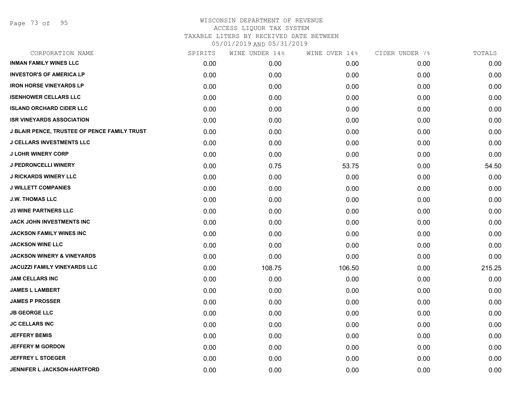Page 73 of 95

| CORPORATION NAME                                    | SPIRITS | WINE UNDER 14% | WINE OVER 14% | CIDER UNDER 7% | TOTALS |
|-----------------------------------------------------|---------|----------------|---------------|----------------|--------|
| <b>INMAN FAMILY WINES LLC</b>                       | 0.00    | 0.00           | 0.00          | 0.00           | 0.00   |
| <b>INVESTOR'S OF AMERICA LP</b>                     | 0.00    | 0.00           | 0.00          | 0.00           | 0.00   |
| <b>IRON HORSE VINEYARDS LP</b>                      | 0.00    | 0.00           | 0.00          | 0.00           | 0.00   |
| <b>ISENHOWER CELLARS LLC</b>                        | 0.00    | 0.00           | 0.00          | 0.00           | 0.00   |
| <b>ISLAND ORCHARD CIDER LLC</b>                     | 0.00    | 0.00           | 0.00          | 0.00           | 0.00   |
| <b>ISR VINEYARDS ASSOCIATION</b>                    | 0.00    | 0.00           | 0.00          | 0.00           | 0.00   |
| <b>J BLAIR PENCE, TRUSTEE OF PENCE FAMILY TRUST</b> | 0.00    | 0.00           | 0.00          | 0.00           | 0.00   |
| <b>J CELLARS INVESTMENTS LLC</b>                    | 0.00    | 0.00           | 0.00          | 0.00           | 0.00   |
| <b>J LOHR WINERY CORP</b>                           | 0.00    | 0.00           | 0.00          | 0.00           | 0.00   |
| <b>J PEDRONCELLI WINERY</b>                         | 0.00    | 0.75           | 53.75         | 0.00           | 54.50  |
| <b>J RICKARDS WINERY LLC</b>                        | 0.00    | 0.00           | 0.00          | 0.00           | 0.00   |
| <b>J WILLETT COMPANIES</b>                          | 0.00    | 0.00           | 0.00          | 0.00           | 0.00   |
| <b>J.W. THOMAS LLC</b>                              | 0.00    | 0.00           | 0.00          | 0.00           | 0.00   |
| <b>J3 WINE PARTNERS LLC</b>                         | 0.00    | 0.00           | 0.00          | 0.00           | 0.00   |
| JACK JOHN INVESTMENTS INC                           | 0.00    | 0.00           | 0.00          | 0.00           | 0.00   |
| <b>JACKSON FAMILY WINES INC</b>                     | 0.00    | 0.00           | 0.00          | 0.00           | 0.00   |
| <b>JACKSON WINE LLC</b>                             | 0.00    | 0.00           | 0.00          | 0.00           | 0.00   |
| <b>JACKSON WINERY &amp; VINEYARDS</b>               | 0.00    | 0.00           | 0.00          | 0.00           | 0.00   |
| <b>JACUZZI FAMILY VINEYARDS LLC</b>                 | 0.00    | 108.75         | 106.50        | 0.00           | 215.25 |
| <b>JAM CELLARS INC</b>                              | 0.00    | 0.00           | 0.00          | 0.00           | 0.00   |
| <b>JAMES L LAMBERT</b>                              | 0.00    | 0.00           | 0.00          | 0.00           | 0.00   |
| <b>JAMES P PROSSER</b>                              | 0.00    | 0.00           | 0.00          | 0.00           | 0.00   |
| <b>JB GEORGE LLC</b>                                | 0.00    | 0.00           | 0.00          | 0.00           | 0.00   |
| <b>JC CELLARS INC</b>                               | 0.00    | 0.00           | 0.00          | 0.00           | 0.00   |
| <b>JEFFERY BEMIS</b>                                | 0.00    | 0.00           | 0.00          | 0.00           | 0.00   |
| <b>JEFFERY M GORDON</b>                             | 0.00    | 0.00           | 0.00          | 0.00           | 0.00   |
| <b>JEFFREY L STOEGER</b>                            | 0.00    | 0.00           | 0.00          | 0.00           | 0.00   |
| <b>JENNIFER L JACKSON-HARTFORD</b>                  | 0.00    | 0.00           | 0.00          | 0.00           | 0.00   |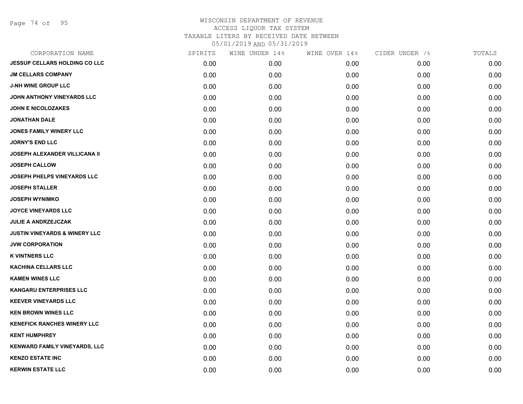Page 74 of 95

| CORPORATION NAME                         | SPIRITS | WINE UNDER 14% | WINE OVER 14% | CIDER UNDER 7% | TOTALS |
|------------------------------------------|---------|----------------|---------------|----------------|--------|
| <b>JESSUP CELLARS HOLDING CO LLC</b>     | 0.00    | 0.00           | 0.00          | 0.00           | 0.00   |
| <b>JM CELLARS COMPANY</b>                | 0.00    | 0.00           | 0.00          | 0.00           | 0.00   |
| <b>J-NH WINE GROUP LLC</b>               | 0.00    | 0.00           | 0.00          | 0.00           | 0.00   |
| JOHN ANTHONY VINEYARDS LLC               | 0.00    | 0.00           | 0.00          | 0.00           | 0.00   |
| <b>JOHN E NICOLOZAKES</b>                | 0.00    | 0.00           | 0.00          | 0.00           | 0.00   |
| <b>JONATHAN DALE</b>                     | 0.00    | 0.00           | 0.00          | 0.00           | 0.00   |
| JONES FAMILY WINERY LLC                  | 0.00    | 0.00           | 0.00          | 0.00           | 0.00   |
| <b>JORNY'S END LLC</b>                   | 0.00    | 0.00           | 0.00          | 0.00           | 0.00   |
| <b>JOSEPH ALEXANDER VILLICANA II</b>     | 0.00    | 0.00           | 0.00          | 0.00           | 0.00   |
| <b>JOSEPH CALLOW</b>                     | 0.00    | 0.00           | 0.00          | 0.00           | 0.00   |
| <b>JOSEPH PHELPS VINEYARDS LLC</b>       | 0.00    | 0.00           | 0.00          | 0.00           | 0.00   |
| <b>JOSEPH STALLER</b>                    | 0.00    | 0.00           | 0.00          | 0.00           | 0.00   |
| <b>JOSEPH WYNIMKO</b>                    | 0.00    | 0.00           | 0.00          | 0.00           | 0.00   |
| <b>JOYCE VINEYARDS LLC</b>               | 0.00    | 0.00           | 0.00          | 0.00           | 0.00   |
| <b>JULIE A ANDRZEJCZAK</b>               | 0.00    | 0.00           | 0.00          | 0.00           | 0.00   |
| <b>JUSTIN VINEYARDS &amp; WINERY LLC</b> | 0.00    | 0.00           | 0.00          | 0.00           | 0.00   |
| <b>JVW CORPORATION</b>                   | 0.00    | 0.00           | 0.00          | 0.00           | 0.00   |
| <b>K VINTNERS LLC</b>                    | 0.00    | 0.00           | 0.00          | 0.00           | 0.00   |
| <b>KACHINA CELLARS LLC</b>               | 0.00    | 0.00           | 0.00          | 0.00           | 0.00   |
| <b>KAMEN WINES LLC</b>                   | 0.00    | 0.00           | 0.00          | 0.00           | 0.00   |
| <b>KANGARU ENTERPRISES LLC</b>           | 0.00    | 0.00           | 0.00          | 0.00           | 0.00   |
| <b>KEEVER VINEYARDS LLC</b>              | 0.00    | 0.00           | 0.00          | 0.00           | 0.00   |
| <b>KEN BROWN WINES LLC</b>               | 0.00    | 0.00           | 0.00          | 0.00           | 0.00   |
| <b>KENEFICK RANCHES WINERY LLC</b>       | 0.00    | 0.00           | 0.00          | 0.00           | 0.00   |
| <b>KENT HUMPHREY</b>                     | 0.00    | 0.00           | 0.00          | 0.00           | 0.00   |
| <b>KENWARD FAMILY VINEYARDS, LLC</b>     | 0.00    | 0.00           | 0.00          | 0.00           | 0.00   |
| <b>KENZO ESTATE INC</b>                  | 0.00    | 0.00           | 0.00          | 0.00           | 0.00   |
| <b>KERWIN ESTATE LLC</b>                 | 0.00    | 0.00           | 0.00          | 0.00           | 0.00   |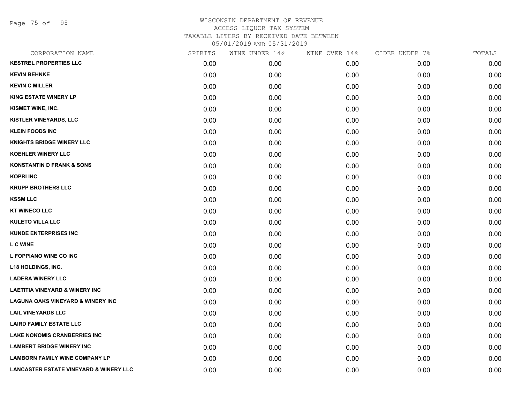Page 75 of 95

| CORPORATION NAME                                  | SPIRITS | WINE UNDER 14% | WINE OVER 14% | CIDER UNDER 7% | TOTALS |
|---------------------------------------------------|---------|----------------|---------------|----------------|--------|
| <b>KESTREL PROPERTIES LLC</b>                     | 0.00    | 0.00           | 0.00          | 0.00           | 0.00   |
| <b>KEVIN BEHNKE</b>                               | 0.00    | 0.00           | 0.00          | 0.00           | 0.00   |
| <b>KEVIN C MILLER</b>                             | 0.00    | 0.00           | 0.00          | 0.00           | 0.00   |
| <b>KING ESTATE WINERY LP</b>                      | 0.00    | 0.00           | 0.00          | 0.00           | 0.00   |
| KISMET WINE, INC.                                 | 0.00    | 0.00           | 0.00          | 0.00           | 0.00   |
| KISTLER VINEYARDS, LLC                            | 0.00    | 0.00           | 0.00          | 0.00           | 0.00   |
| <b>KLEIN FOODS INC</b>                            | 0.00    | 0.00           | 0.00          | 0.00           | 0.00   |
| <b>KNIGHTS BRIDGE WINERY LLC</b>                  | 0.00    | 0.00           | 0.00          | 0.00           | 0.00   |
| KOEHLER WINERY LLC                                | 0.00    | 0.00           | 0.00          | 0.00           | 0.00   |
| <b>KONSTANTIN D FRANK &amp; SONS</b>              | 0.00    | 0.00           | 0.00          | 0.00           | 0.00   |
| <b>KOPRI INC</b>                                  | 0.00    | 0.00           | 0.00          | 0.00           | 0.00   |
| <b>KRUPP BROTHERS LLC</b>                         | 0.00    | 0.00           | 0.00          | 0.00           | 0.00   |
| <b>KSSM LLC</b>                                   | 0.00    | 0.00           | 0.00          | 0.00           | 0.00   |
| <b>KT WINECO LLC</b>                              | 0.00    | 0.00           | 0.00          | 0.00           | 0.00   |
| <b>KULETO VILLA LLC</b>                           | 0.00    | 0.00           | 0.00          | 0.00           | 0.00   |
| <b>KUNDE ENTERPRISES INC</b>                      | 0.00    | 0.00           | 0.00          | 0.00           | 0.00   |
| <b>LCWINE</b>                                     | 0.00    | 0.00           | 0.00          | 0.00           | 0.00   |
| L FOPPIANO WINE CO INC                            | 0.00    | 0.00           | 0.00          | 0.00           | 0.00   |
| <b>L18 HOLDINGS, INC.</b>                         | 0.00    | 0.00           | 0.00          | 0.00           | 0.00   |
| <b>LADERA WINERY LLC</b>                          | 0.00    | 0.00           | 0.00          | 0.00           | 0.00   |
| <b>LAETITIA VINEYARD &amp; WINERY INC</b>         | 0.00    | 0.00           | 0.00          | 0.00           | 0.00   |
| <b>LAGUNA OAKS VINEYARD &amp; WINERY INC</b>      | 0.00    | 0.00           | 0.00          | 0.00           | 0.00   |
| <b>LAIL VINEYARDS LLC</b>                         | 0.00    | 0.00           | 0.00          | 0.00           | 0.00   |
| <b>LAIRD FAMILY ESTATE LLC</b>                    | 0.00    | 0.00           | 0.00          | 0.00           | 0.00   |
| <b>LAKE NOKOMIS CRANBERRIES INC</b>               | 0.00    | 0.00           | 0.00          | 0.00           | 0.00   |
| <b>LAMBERT BRIDGE WINERY INC</b>                  | 0.00    | 0.00           | 0.00          | 0.00           | 0.00   |
| <b>LAMBORN FAMILY WINE COMPANY LP</b>             | 0.00    | 0.00           | 0.00          | 0.00           | 0.00   |
| <b>LANCASTER ESTATE VINEYARD &amp; WINERY LLC</b> | 0.00    | 0.00           | 0.00          | 0.00           | 0.00   |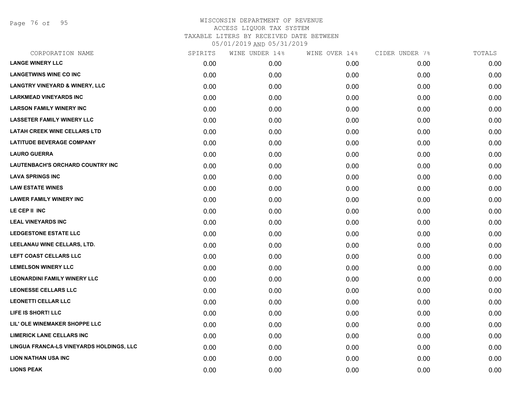Page 76 of 95

| CORPORATION NAME                          | SPIRITS | WINE UNDER 14% | WINE OVER 14% | CIDER UNDER 7% | TOTALS |
|-------------------------------------------|---------|----------------|---------------|----------------|--------|
| <b>LANGE WINERY LLC</b>                   | 0.00    | 0.00           | 0.00          | 0.00           | 0.00   |
| <b>LANGETWINS WINE CO INC</b>             | 0.00    | 0.00           | 0.00          | 0.00           | 0.00   |
| <b>LANGTRY VINEYARD &amp; WINERY, LLC</b> | 0.00    | 0.00           | 0.00          | 0.00           | 0.00   |
| <b>LARKMEAD VINEYARDS INC</b>             | 0.00    | 0.00           | 0.00          | 0.00           | 0.00   |
| <b>LARSON FAMILY WINERY INC</b>           | 0.00    | 0.00           | 0.00          | 0.00           | 0.00   |
| <b>LASSETER FAMILY WINERY LLC</b>         | 0.00    | 0.00           | 0.00          | 0.00           | 0.00   |
| <b>LATAH CREEK WINE CELLARS LTD</b>       | 0.00    | 0.00           | 0.00          | 0.00           | 0.00   |
| <b>LATITUDE BEVERAGE COMPANY</b>          | 0.00    | 0.00           | 0.00          | 0.00           | 0.00   |
| <b>LAURO GUERRA</b>                       | 0.00    | 0.00           | 0.00          | 0.00           | 0.00   |
| LAUTENBACH'S ORCHARD COUNTRY INC          | 0.00    | 0.00           | 0.00          | 0.00           | 0.00   |
| <b>LAVA SPRINGS INC</b>                   | 0.00    | 0.00           | 0.00          | 0.00           | 0.00   |
| <b>LAW ESTATE WINES</b>                   | 0.00    | 0.00           | 0.00          | 0.00           | 0.00   |
| <b>LAWER FAMILY WINERY INC</b>            | 0.00    | 0.00           | 0.00          | 0.00           | 0.00   |
| LE CEP II INC                             | 0.00    | 0.00           | 0.00          | 0.00           | 0.00   |
| <b>LEAL VINEYARDS INC</b>                 | 0.00    | 0.00           | 0.00          | 0.00           | 0.00   |
| LEDGESTONE ESTATE LLC                     | 0.00    | 0.00           | 0.00          | 0.00           | 0.00   |
| LEELANAU WINE CELLARS, LTD.               | 0.00    | 0.00           | 0.00          | 0.00           | 0.00   |
| LEFT COAST CELLARS LLC                    | 0.00    | 0.00           | 0.00          | 0.00           | 0.00   |
| <b>LEMELSON WINERY LLC</b>                | 0.00    | 0.00           | 0.00          | 0.00           | 0.00   |
| <b>LEONARDINI FAMILY WINERY LLC</b>       | 0.00    | 0.00           | 0.00          | 0.00           | 0.00   |
| <b>LEONESSE CELLARS LLC</b>               | 0.00    | 0.00           | 0.00          | 0.00           | 0.00   |
| <b>LEONETTI CELLAR LLC</b>                | 0.00    | 0.00           | 0.00          | 0.00           | 0.00   |
| LIFE IS SHORT! LLC                        | 0.00    | 0.00           | 0.00          | 0.00           | 0.00   |
| LIL' OLE WINEMAKER SHOPPE LLC             | 0.00    | 0.00           | 0.00          | 0.00           | 0.00   |
| <b>LIMERICK LANE CELLARS INC</b>          | 0.00    | 0.00           | 0.00          | 0.00           | 0.00   |
| LINGUA FRANCA-LS VINEYARDS HOLDINGS, LLC  | 0.00    | 0.00           | 0.00          | 0.00           | 0.00   |
| <b>LION NATHAN USA INC</b>                | 0.00    | 0.00           | 0.00          | 0.00           | 0.00   |
| <b>LIONS PEAK</b>                         | 0.00    | 0.00           | 0.00          | 0.00           | 0.00   |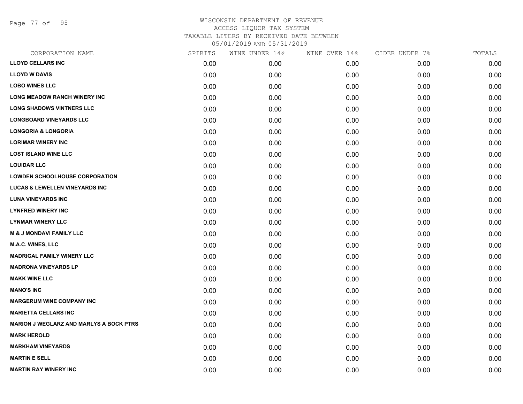Page 77 of 95

| CORPORATION NAME                               | SPIRITS | WINE UNDER 14% | WINE OVER 14% | CIDER UNDER 7% | TOTALS |
|------------------------------------------------|---------|----------------|---------------|----------------|--------|
| <b>LLOYD CELLARS INC</b>                       | 0.00    | 0.00           | 0.00          | 0.00           | 0.00   |
| <b>LLOYD W DAVIS</b>                           | 0.00    | 0.00           | 0.00          | 0.00           | 0.00   |
| <b>LOBO WINES LLC</b>                          | 0.00    | 0.00           | 0.00          | 0.00           | 0.00   |
| <b>LONG MEADOW RANCH WINERY INC</b>            | 0.00    | 0.00           | 0.00          | 0.00           | 0.00   |
| <b>LONG SHADOWS VINTNERS LLC</b>               | 0.00    | 0.00           | 0.00          | 0.00           | 0.00   |
| <b>LONGBOARD VINEYARDS LLC</b>                 | 0.00    | 0.00           | 0.00          | 0.00           | 0.00   |
| <b>LONGORIA &amp; LONGORIA</b>                 | 0.00    | 0.00           | 0.00          | 0.00           | 0.00   |
| <b>LORIMAR WINERY INC</b>                      | 0.00    | 0.00           | 0.00          | 0.00           | 0.00   |
| <b>LOST ISLAND WINE LLC</b>                    | 0.00    | 0.00           | 0.00          | 0.00           | 0.00   |
| <b>LOUIDAR LLC</b>                             | 0.00    | 0.00           | 0.00          | 0.00           | 0.00   |
| <b>LOWDEN SCHOOLHOUSE CORPORATION</b>          | 0.00    | 0.00           | 0.00          | 0.00           | 0.00   |
| <b>LUCAS &amp; LEWELLEN VINEYARDS INC</b>      | 0.00    | 0.00           | 0.00          | 0.00           | 0.00   |
| <b>LUNA VINEYARDS INC</b>                      | 0.00    | 0.00           | 0.00          | 0.00           | 0.00   |
| <b>LYNFRED WINERY INC</b>                      | 0.00    | 0.00           | 0.00          | 0.00           | 0.00   |
| <b>LYNMAR WINERY LLC</b>                       | 0.00    | 0.00           | 0.00          | 0.00           | 0.00   |
| <b>M &amp; J MONDAVI FAMILY LLC</b>            | 0.00    | 0.00           | 0.00          | 0.00           | 0.00   |
| <b>M.A.C. WINES, LLC</b>                       | 0.00    | 0.00           | 0.00          | 0.00           | 0.00   |
| <b>MADRIGAL FAMILY WINERY LLC</b>              | 0.00    | 0.00           | 0.00          | 0.00           | 0.00   |
| <b>MADRONA VINEYARDS LP</b>                    | 0.00    | 0.00           | 0.00          | 0.00           | 0.00   |
| <b>MAKK WINE LLC</b>                           | 0.00    | 0.00           | 0.00          | 0.00           | 0.00   |
| <b>MANO'S INC</b>                              | 0.00    | 0.00           | 0.00          | 0.00           | 0.00   |
| <b>MARGERUM WINE COMPANY INC</b>               | 0.00    | 0.00           | 0.00          | 0.00           | 0.00   |
| <b>MARIETTA CELLARS INC</b>                    | 0.00    | 0.00           | 0.00          | 0.00           | 0.00   |
| <b>MARION J WEGLARZ AND MARLYS A BOCK PTRS</b> | 0.00    | 0.00           | 0.00          | 0.00           | 0.00   |
| <b>MARK HEROLD</b>                             | 0.00    | 0.00           | 0.00          | 0.00           | 0.00   |
| <b>MARKHAM VINEYARDS</b>                       | 0.00    | 0.00           | 0.00          | 0.00           | 0.00   |
| <b>MARTIN E SELL</b>                           | 0.00    | 0.00           | 0.00          | 0.00           | 0.00   |
| <b>MARTIN RAY WINERY INC</b>                   | 0.00    | 0.00           | 0.00          | 0.00           | 0.00   |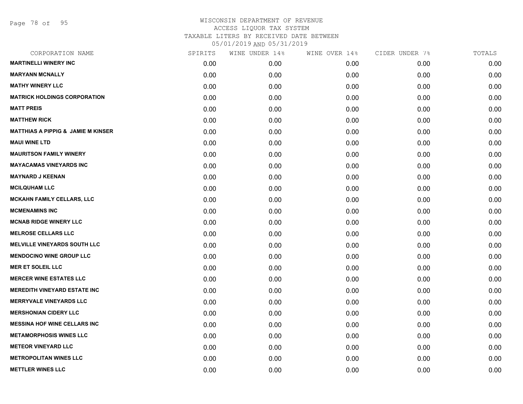Page 78 of 95

| CORPORATION NAME                              | SPIRITS | WINE UNDER 14% | WINE OVER 14% | CIDER UNDER 7% | TOTALS |
|-----------------------------------------------|---------|----------------|---------------|----------------|--------|
| <b>MARTINELLI WINERY INC</b>                  | 0.00    | 0.00           | 0.00          | 0.00           | 0.00   |
| <b>MARYANN MCNALLY</b>                        | 0.00    | 0.00           | 0.00          | 0.00           | 0.00   |
| <b>MATHY WINERY LLC</b>                       | 0.00    | 0.00           | 0.00          | 0.00           | 0.00   |
| <b>MATRICK HOLDINGS CORPORATION</b>           | 0.00    | 0.00           | 0.00          | 0.00           | 0.00   |
| <b>MATT PREIS</b>                             | 0.00    | 0.00           | 0.00          | 0.00           | 0.00   |
| <b>MATTHEW RICK</b>                           | 0.00    | 0.00           | 0.00          | 0.00           | 0.00   |
| <b>MATTHIAS A PIPPIG &amp; JAMIE M KINSER</b> | 0.00    | 0.00           | 0.00          | 0.00           | 0.00   |
| <b>MAUI WINE LTD</b>                          | 0.00    | 0.00           | 0.00          | 0.00           | 0.00   |
| <b>MAURITSON FAMILY WINERY</b>                | 0.00    | 0.00           | 0.00          | 0.00           | 0.00   |
| <b>MAYACAMAS VINEYARDS INC</b>                | 0.00    | 0.00           | 0.00          | 0.00           | 0.00   |
| <b>MAYNARD J KEENAN</b>                       | 0.00    | 0.00           | 0.00          | 0.00           | 0.00   |
| <b>MCILQUHAM LLC</b>                          | 0.00    | 0.00           | 0.00          | 0.00           | 0.00   |
| <b>MCKAHN FAMILY CELLARS, LLC</b>             | 0.00    | 0.00           | 0.00          | 0.00           | 0.00   |
| <b>MCMENAMINS INC</b>                         | 0.00    | 0.00           | 0.00          | 0.00           | 0.00   |
| <b>MCNAB RIDGE WINERY LLC</b>                 | 0.00    | 0.00           | 0.00          | 0.00           | 0.00   |
| <b>MELROSE CELLARS LLC</b>                    | 0.00    | 0.00           | 0.00          | 0.00           | 0.00   |
| <b>MELVILLE VINEYARDS SOUTH LLC</b>           | 0.00    | 0.00           | 0.00          | 0.00           | 0.00   |
| <b>MENDOCINO WINE GROUP LLC</b>               | 0.00    | 0.00           | 0.00          | 0.00           | 0.00   |
| <b>MER ET SOLEIL LLC</b>                      | 0.00    | 0.00           | 0.00          | 0.00           | 0.00   |
| <b>MERCER WINE ESTATES LLC</b>                | 0.00    | 0.00           | 0.00          | 0.00           | 0.00   |
| <b>MEREDITH VINEYARD ESTATE INC</b>           | 0.00    | 0.00           | 0.00          | 0.00           | 0.00   |
| <b>MERRYVALE VINEYARDS LLC</b>                | 0.00    | 0.00           | 0.00          | 0.00           | 0.00   |
| <b>MERSHONIAN CIDERY LLC</b>                  | 0.00    | 0.00           | 0.00          | 0.00           | 0.00   |
| <b>MESSINA HOF WINE CELLARS INC</b>           | 0.00    | 0.00           | 0.00          | 0.00           | 0.00   |
| <b>METAMORPHOSIS WINES LLC</b>                | 0.00    | 0.00           | 0.00          | 0.00           | 0.00   |
| <b>METEOR VINEYARD LLC</b>                    | 0.00    | 0.00           | 0.00          | 0.00           | 0.00   |
| <b>METROPOLITAN WINES LLC</b>                 | 0.00    | 0.00           | 0.00          | 0.00           | 0.00   |
| <b>METTLER WINES LLC</b>                      | 0.00    | 0.00           | 0.00          | 0.00           | 0.00   |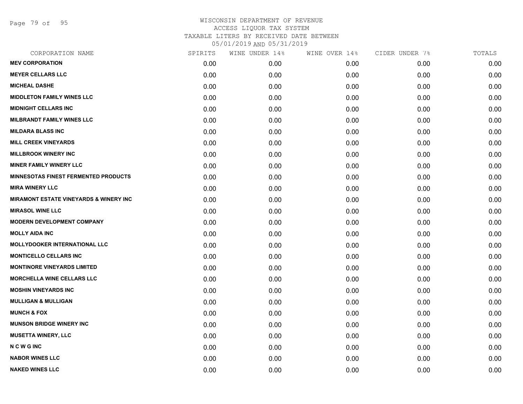Page 79 of 95

| CORPORATION NAME                                  | SPIRITS | WINE UNDER 14% | WINE OVER 14% | CIDER UNDER 7% | TOTALS |
|---------------------------------------------------|---------|----------------|---------------|----------------|--------|
| <b>MEV CORPORATION</b>                            | 0.00    | 0.00           | 0.00          | 0.00           | 0.00   |
| <b>MEYER CELLARS LLC</b>                          | 0.00    | 0.00           | 0.00          | 0.00           | 0.00   |
| <b>MICHEAL DASHE</b>                              | 0.00    | 0.00           | 0.00          | 0.00           | 0.00   |
| <b>MIDDLETON FAMILY WINES LLC</b>                 | 0.00    | 0.00           | 0.00          | 0.00           | 0.00   |
| <b>MIDNIGHT CELLARS INC</b>                       | 0.00    | 0.00           | 0.00          | 0.00           | 0.00   |
| <b>MILBRANDT FAMILY WINES LLC</b>                 | 0.00    | 0.00           | 0.00          | 0.00           | 0.00   |
| <b>MILDARA BLASS INC</b>                          | 0.00    | 0.00           | 0.00          | 0.00           | 0.00   |
| <b>MILL CREEK VINEYARDS</b>                       | 0.00    | 0.00           | 0.00          | 0.00           | 0.00   |
| <b>MILLBROOK WINERY INC</b>                       | 0.00    | 0.00           | 0.00          | 0.00           | 0.00   |
| <b>MINER FAMILY WINERY LLC</b>                    | 0.00    | 0.00           | 0.00          | 0.00           | 0.00   |
| <b>MINNESOTAS FINEST FERMENTED PRODUCTS</b>       | 0.00    | 0.00           | 0.00          | 0.00           | 0.00   |
| <b>MIRA WINERY LLC</b>                            | 0.00    | 0.00           | 0.00          | 0.00           | 0.00   |
| <b>MIRAMONT ESTATE VINEYARDS &amp; WINERY INC</b> | 0.00    | 0.00           | 0.00          | 0.00           | 0.00   |
| <b>MIRASOL WINE LLC</b>                           | 0.00    | 0.00           | 0.00          | 0.00           | 0.00   |
| <b>MODERN DEVELOPMENT COMPANY</b>                 | 0.00    | 0.00           | 0.00          | 0.00           | 0.00   |
| <b>MOLLY AIDA INC</b>                             | 0.00    | 0.00           | 0.00          | 0.00           | 0.00   |
| <b>MOLLYDOOKER INTERNATIONAL LLC</b>              | 0.00    | 0.00           | 0.00          | 0.00           | 0.00   |
| <b>MONTICELLO CELLARS INC</b>                     | 0.00    | 0.00           | 0.00          | 0.00           | 0.00   |
| <b>MONTINORE VINEYARDS LIMITED</b>                | 0.00    | 0.00           | 0.00          | 0.00           | 0.00   |
| <b>MORCHELLA WINE CELLARS LLC</b>                 | 0.00    | 0.00           | 0.00          | 0.00           | 0.00   |
| <b>MOSHIN VINEYARDS INC</b>                       | 0.00    | 0.00           | 0.00          | 0.00           | 0.00   |
| <b>MULLIGAN &amp; MULLIGAN</b>                    | 0.00    | 0.00           | 0.00          | 0.00           | 0.00   |
| <b>MUNCH &amp; FOX</b>                            | 0.00    | 0.00           | 0.00          | 0.00           | 0.00   |
| <b>MUNSON BRIDGE WINERY INC</b>                   | 0.00    | 0.00           | 0.00          | 0.00           | 0.00   |
| <b>MUSETTA WINERY, LLC</b>                        | 0.00    | 0.00           | 0.00          | 0.00           | 0.00   |
| <b>NCWGINC</b>                                    | 0.00    | 0.00           | 0.00          | 0.00           | 0.00   |
| <b>NABOR WINES LLC</b>                            | 0.00    | 0.00           | 0.00          | 0.00           | 0.00   |
| <b>NAKED WINES LLC</b>                            | 0.00    | 0.00           | 0.00          | 0.00           | 0.00   |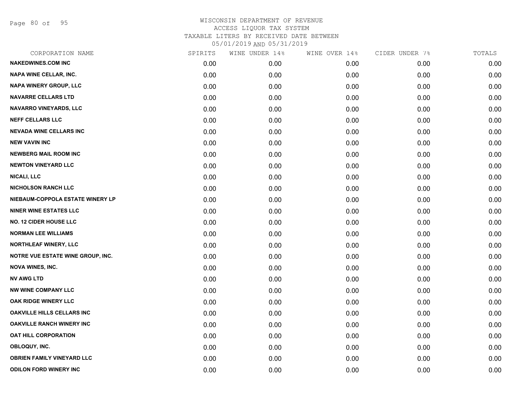Page 80 of 95

| CORPORATION NAME                  | SPIRITS | WINE UNDER 14% | WINE OVER 14% | CIDER UNDER 7% | TOTALS |
|-----------------------------------|---------|----------------|---------------|----------------|--------|
| <b>NAKEDWINES.COM INC</b>         | 0.00    | 0.00           | 0.00          | 0.00           | 0.00   |
| <b>NAPA WINE CELLAR, INC.</b>     | 0.00    | 0.00           | 0.00          | 0.00           | 0.00   |
| <b>NAPA WINERY GROUP, LLC</b>     | 0.00    | 0.00           | 0.00          | 0.00           | 0.00   |
| <b>NAVARRE CELLARS LTD</b>        | 0.00    | 0.00           | 0.00          | 0.00           | 0.00   |
| <b>NAVARRO VINEYARDS, LLC</b>     | 0.00    | 0.00           | 0.00          | 0.00           | 0.00   |
| <b>NEFF CELLARS LLC</b>           | 0.00    | 0.00           | 0.00          | 0.00           | 0.00   |
| <b>NEVADA WINE CELLARS INC</b>    | 0.00    | 0.00           | 0.00          | 0.00           | 0.00   |
| <b>NEW VAVIN INC</b>              | 0.00    | 0.00           | 0.00          | 0.00           | 0.00   |
| <b>NEWBERG MAIL ROOM INC</b>      | 0.00    | 0.00           | 0.00          | 0.00           | 0.00   |
| <b>NEWTON VINEYARD LLC</b>        | 0.00    | 0.00           | 0.00          | 0.00           | 0.00   |
| <b>NICALI, LLC</b>                | 0.00    | 0.00           | 0.00          | 0.00           | 0.00   |
| <b>NICHOLSON RANCH LLC</b>        | 0.00    | 0.00           | 0.00          | 0.00           | 0.00   |
| NIEBAUM-COPPOLA ESTATE WINERY LP  | 0.00    | 0.00           | 0.00          | 0.00           | 0.00   |
| <b>NINER WINE ESTATES LLC</b>     | 0.00    | 0.00           | 0.00          | 0.00           | 0.00   |
| <b>NO. 12 CIDER HOUSE LLC</b>     | 0.00    | 0.00           | 0.00          | 0.00           | 0.00   |
| <b>NORMAN LEE WILLIAMS</b>        | 0.00    | 0.00           | 0.00          | 0.00           | 0.00   |
| NORTHLEAF WINERY, LLC             | 0.00    | 0.00           | 0.00          | 0.00           | 0.00   |
| NOTRE VUE ESTATE WINE GROUP, INC. | 0.00    | 0.00           | 0.00          | 0.00           | 0.00   |
| <b>NOVA WINES, INC.</b>           | 0.00    | 0.00           | 0.00          | 0.00           | 0.00   |
| <b>NV AWG LTD</b>                 | 0.00    | 0.00           | 0.00          | 0.00           | 0.00   |
| <b>NW WINE COMPANY LLC</b>        | 0.00    | 0.00           | 0.00          | 0.00           | 0.00   |
| OAK RIDGE WINERY LLC              | 0.00    | 0.00           | 0.00          | 0.00           | 0.00   |
| <b>OAKVILLE HILLS CELLARS INC</b> | 0.00    | 0.00           | 0.00          | 0.00           | 0.00   |
| <b>OAKVILLE RANCH WINERY INC</b>  | 0.00    | 0.00           | 0.00          | 0.00           | 0.00   |
| OAT HILL CORPORATION              | 0.00    | 0.00           | 0.00          | 0.00           | 0.00   |
| OBLOQUY, INC.                     | 0.00    | 0.00           | 0.00          | 0.00           | 0.00   |
| <b>OBRIEN FAMILY VINEYARD LLC</b> | 0.00    | 0.00           | 0.00          | 0.00           | 0.00   |
| <b>ODILON FORD WINERY INC</b>     | 0.00    | 0.00           | 0.00          | 0.00           | 0.00   |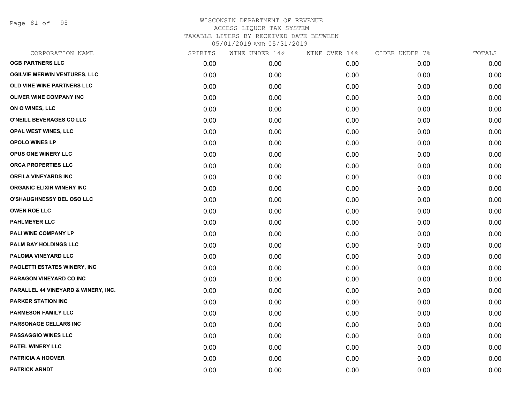Page 81 of 95

| CORPORATION NAME                    | SPIRITS | WINE UNDER 14% | WINE OVER 14% | CIDER UNDER 7% | TOTALS |
|-------------------------------------|---------|----------------|---------------|----------------|--------|
| <b>OGB PARTNERS LLC</b>             | 0.00    | 0.00           | 0.00          | 0.00           | 0.00   |
| <b>OGILVIE MERWIN VENTURES, LLC</b> | 0.00    | 0.00           | 0.00          | 0.00           | 0.00   |
| OLD VINE WINE PARTNERS LLC          | 0.00    | 0.00           | 0.00          | 0.00           | 0.00   |
| <b>OLIVER WINE COMPANY INC</b>      | 0.00    | 0.00           | 0.00          | 0.00           | 0.00   |
| ON Q WINES, LLC                     | 0.00    | 0.00           | 0.00          | 0.00           | 0.00   |
| O'NEILL BEVERAGES CO LLC            | 0.00    | 0.00           | 0.00          | 0.00           | 0.00   |
| OPAL WEST WINES, LLC                | 0.00    | 0.00           | 0.00          | 0.00           | 0.00   |
| <b>OPOLO WINES LP</b>               | 0.00    | 0.00           | 0.00          | 0.00           | 0.00   |
| OPUS ONE WINERY LLC                 | 0.00    | 0.00           | 0.00          | 0.00           | 0.00   |
| <b>ORCA PROPERTIES LLC</b>          | 0.00    | 0.00           | 0.00          | 0.00           | 0.00   |
| <b>ORFILA VINEYARDS INC</b>         | 0.00    | 0.00           | 0.00          | 0.00           | 0.00   |
| ORGANIC ELIXIR WINERY INC           | 0.00    | 0.00           | 0.00          | 0.00           | 0.00   |
| O'SHAUGHNESSY DEL OSO LLC           | 0.00    | 0.00           | 0.00          | 0.00           | 0.00   |
| <b>OWEN ROE LLC</b>                 | 0.00    | 0.00           | 0.00          | 0.00           | 0.00   |
| <b>PAHLMEYER LLC</b>                | 0.00    | 0.00           | 0.00          | 0.00           | 0.00   |
| PALI WINE COMPANY LP                | 0.00    | 0.00           | 0.00          | 0.00           | 0.00   |
| <b>PALM BAY HOLDINGS LLC</b>        | 0.00    | 0.00           | 0.00          | 0.00           | 0.00   |
| PALOMA VINEYARD LLC                 | 0.00    | 0.00           | 0.00          | 0.00           | 0.00   |
| <b>PAOLETTI ESTATES WINERY, INC</b> | 0.00    | 0.00           | 0.00          | 0.00           | 0.00   |
| PARAGON VINEYARD CO INC             | 0.00    | 0.00           | 0.00          | 0.00           | 0.00   |
| PARALLEL 44 VINEYARD & WINERY, INC. | 0.00    | 0.00           | 0.00          | 0.00           | 0.00   |
| <b>PARKER STATION INC</b>           | 0.00    | 0.00           | 0.00          | 0.00           | 0.00   |
| <b>PARMESON FAMILY LLC</b>          | 0.00    | 0.00           | 0.00          | 0.00           | 0.00   |
| PARSONAGE CELLARS INC               | 0.00    | 0.00           | 0.00          | 0.00           | 0.00   |
| <b>PASSAGGIO WINES LLC</b>          | 0.00    | 0.00           | 0.00          | 0.00           | 0.00   |
| PATEL WINERY LLC                    | 0.00    | 0.00           | 0.00          | 0.00           | 0.00   |
| <b>PATRICIA A HOOVER</b>            | 0.00    | 0.00           | 0.00          | 0.00           | 0.00   |
| <b>PATRICK ARNDT</b>                | 0.00    | 0.00           | 0.00          | 0.00           | 0.00   |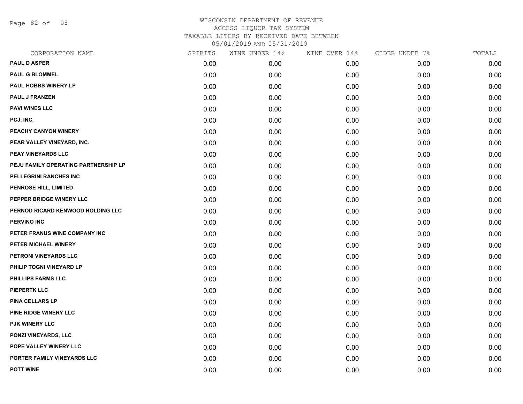Page 82 of 95

| CORPORATION NAME                     | SPIRITS | WINE UNDER 14% | WINE OVER 14% | CIDER UNDER 7% | TOTALS |
|--------------------------------------|---------|----------------|---------------|----------------|--------|
| <b>PAUL D ASPER</b>                  | 0.00    | 0.00           | 0.00          | 0.00           | 0.00   |
| <b>PAUL G BLOMMEL</b>                | 0.00    | 0.00           | 0.00          | 0.00           | 0.00   |
| PAUL HOBBS WINERY LP                 | 0.00    | 0.00           | 0.00          | 0.00           | 0.00   |
| <b>PAUL J FRANZEN</b>                | 0.00    | 0.00           | 0.00          | 0.00           | 0.00   |
| <b>PAVI WINES LLC</b>                | 0.00    | 0.00           | 0.00          | 0.00           | 0.00   |
| PCJ, INC.                            | 0.00    | 0.00           | 0.00          | 0.00           | 0.00   |
| PEACHY CANYON WINERY                 | 0.00    | 0.00           | 0.00          | 0.00           | 0.00   |
| PEAR VALLEY VINEYARD, INC.           | 0.00    | 0.00           | 0.00          | 0.00           | 0.00   |
| PEAY VINEYARDS LLC                   | 0.00    | 0.00           | 0.00          | 0.00           | 0.00   |
| PEJU FAMILY OPERATING PARTNERSHIP LP | 0.00    | 0.00           | 0.00          | 0.00           | 0.00   |
| PELLEGRINI RANCHES INC               | 0.00    | 0.00           | 0.00          | 0.00           | 0.00   |
| PENROSE HILL, LIMITED                | 0.00    | 0.00           | 0.00          | 0.00           | 0.00   |
| PEPPER BRIDGE WINERY LLC             | 0.00    | 0.00           | 0.00          | 0.00           | 0.00   |
| PERNOD RICARD KENWOOD HOLDING LLC    | 0.00    | 0.00           | 0.00          | 0.00           | 0.00   |
| <b>PERVINO INC</b>                   | 0.00    | 0.00           | 0.00          | 0.00           | 0.00   |
| PETER FRANUS WINE COMPANY INC        | 0.00    | 0.00           | 0.00          | 0.00           | 0.00   |
| PETER MICHAEL WINERY                 | 0.00    | 0.00           | 0.00          | 0.00           | 0.00   |
| PETRONI VINEYARDS LLC                | 0.00    | 0.00           | 0.00          | 0.00           | 0.00   |
| PHILIP TOGNI VINEYARD LP             | 0.00    | 0.00           | 0.00          | 0.00           | 0.00   |
| PHILLIPS FARMS LLC                   | 0.00    | 0.00           | 0.00          | 0.00           | 0.00   |
| <b>PIEPERTK LLC</b>                  | 0.00    | 0.00           | 0.00          | 0.00           | 0.00   |
| PINA CELLARS LP                      | 0.00    | 0.00           | 0.00          | 0.00           | 0.00   |
| PINE RIDGE WINERY LLC                | 0.00    | 0.00           | 0.00          | 0.00           | 0.00   |
| <b>PJK WINERY LLC</b>                | 0.00    | 0.00           | 0.00          | 0.00           | 0.00   |
| PONZI VINEYARDS, LLC                 | 0.00    | 0.00           | 0.00          | 0.00           | 0.00   |
| POPE VALLEY WINERY LLC               | 0.00    | 0.00           | 0.00          | 0.00           | 0.00   |
| PORTER FAMILY VINEYARDS LLC          | 0.00    | 0.00           | 0.00          | 0.00           | 0.00   |
| <b>POTT WINE</b>                     | 0.00    | 0.00           | 0.00          | 0.00           | 0.00   |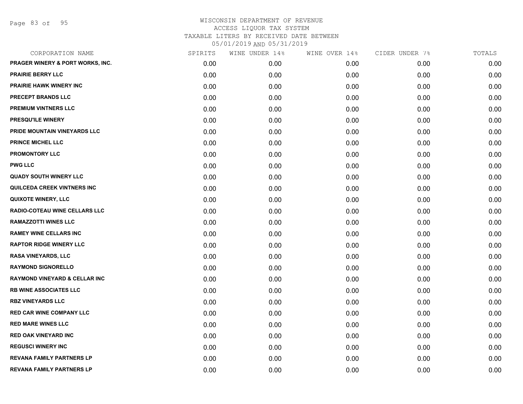Page 83 of 95

| CORPORATION NAME                     | SPIRITS | WINE UNDER 14% | WINE OVER 14% | CIDER UNDER 7% | TOTALS |
|--------------------------------------|---------|----------------|---------------|----------------|--------|
| PRAGER WINERY & PORT WORKS, INC.     | 0.00    | 0.00           | 0.00          | 0.00           | 0.00   |
| <b>PRAIRIE BERRY LLC</b>             | 0.00    | 0.00           | 0.00          | 0.00           | 0.00   |
| PRAIRIE HAWK WINERY INC              | 0.00    | 0.00           | 0.00          | 0.00           | 0.00   |
| PRECEPT BRANDS LLC                   | 0.00    | 0.00           | 0.00          | 0.00           | 0.00   |
| <b>PREMIUM VINTNERS LLC</b>          | 0.00    | 0.00           | 0.00          | 0.00           | 0.00   |
| PRESQU'ILE WINERY                    | 0.00    | 0.00           | 0.00          | 0.00           | 0.00   |
| PRIDE MOUNTAIN VINEYARDS LLC         | 0.00    | 0.00           | 0.00          | 0.00           | 0.00   |
| <b>PRINCE MICHEL LLC</b>             | 0.00    | 0.00           | 0.00          | 0.00           | 0.00   |
| <b>PROMONTORY LLC</b>                | 0.00    | 0.00           | 0.00          | 0.00           | 0.00   |
| <b>PWG LLC</b>                       | 0.00    | 0.00           | 0.00          | 0.00           | 0.00   |
| <b>QUADY SOUTH WINERY LLC</b>        | 0.00    | 0.00           | 0.00          | 0.00           | 0.00   |
| QUILCEDA CREEK VINTNERS INC          | 0.00    | 0.00           | 0.00          | 0.00           | 0.00   |
| <b>QUIXOTE WINERY, LLC</b>           | 0.00    | 0.00           | 0.00          | 0.00           | 0.00   |
| <b>RADIO-COTEAU WINE CELLARS LLC</b> | 0.00    | 0.00           | 0.00          | 0.00           | 0.00   |
| <b>RAMAZZOTTI WINES LLC</b>          | 0.00    | 0.00           | 0.00          | 0.00           | 0.00   |
| <b>RAMEY WINE CELLARS INC</b>        | 0.00    | 0.00           | 0.00          | 0.00           | 0.00   |
| <b>RAPTOR RIDGE WINERY LLC</b>       | 0.00    | 0.00           | 0.00          | 0.00           | 0.00   |
| <b>RASA VINEYARDS, LLC</b>           | 0.00    | 0.00           | 0.00          | 0.00           | 0.00   |
| <b>RAYMOND SIGNORELLO</b>            | 0.00    | 0.00           | 0.00          | 0.00           | 0.00   |
| RAYMOND VINEYARD & CELLAR INC        | 0.00    | 0.00           | 0.00          | 0.00           | 0.00   |
| <b>RB WINE ASSOCIATES LLC</b>        | 0.00    | 0.00           | 0.00          | 0.00           | 0.00   |
| <b>RBZ VINEYARDS LLC</b>             | 0.00    | 0.00           | 0.00          | 0.00           | 0.00   |
| <b>RED CAR WINE COMPANY LLC</b>      | 0.00    | 0.00           | 0.00          | 0.00           | 0.00   |
| <b>RED MARE WINES LLC</b>            | 0.00    | 0.00           | 0.00          | 0.00           | 0.00   |
| <b>RED OAK VINEYARD INC</b>          | 0.00    | 0.00           | 0.00          | 0.00           | 0.00   |
| <b>REGUSCI WINERY INC</b>            | 0.00    | 0.00           | 0.00          | 0.00           | 0.00   |
| <b>REVANA FAMILY PARTNERS LP</b>     | 0.00    | 0.00           | 0.00          | 0.00           | 0.00   |
| <b>REVANA FAMILY PARTNERS LP</b>     | 0.00    | 0.00           | 0.00          | 0.00           | 0.00   |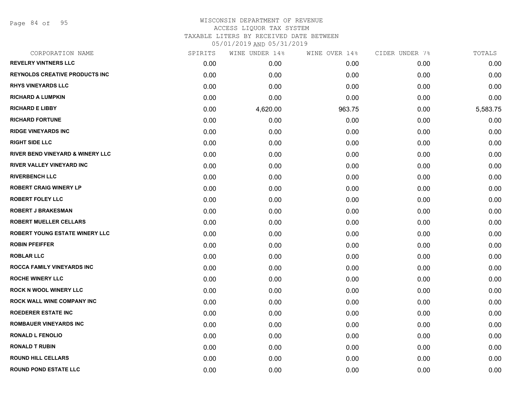Page 84 of 95

# WISCONSIN DEPARTMENT OF REVENUE ACCESS LIQUOR TAX SYSTEM TAXABLE LITERS BY RECEIVED DATE BETWEEN

05/01/2019 AND 05/31/2019

| CORPORATION NAME                            | SPIRITS | WINE UNDER 14% | WINE OVER 14% | CIDER UNDER 7% | TOTALS   |
|---------------------------------------------|---------|----------------|---------------|----------------|----------|
| <b>REVELRY VINTNERS LLC</b>                 | 0.00    | 0.00           | 0.00          | 0.00           | 0.00     |
| <b>REYNOLDS CREATIVE PRODUCTS INC</b>       | 0.00    | 0.00           | 0.00          | 0.00           | 0.00     |
| <b>RHYS VINEYARDS LLC</b>                   | 0.00    | 0.00           | 0.00          | 0.00           | 0.00     |
| <b>RICHARD A LUMPKIN</b>                    | 0.00    | 0.00           | 0.00          | 0.00           | 0.00     |
| <b>RICHARD E LIBBY</b>                      | 0.00    | 4,620.00       | 963.75        | 0.00           | 5,583.75 |
| <b>RICHARD FORTUNE</b>                      | 0.00    | 0.00           | 0.00          | 0.00           | 0.00     |
| <b>RIDGE VINEYARDS INC</b>                  | 0.00    | 0.00           | 0.00          | 0.00           | 0.00     |
| <b>RIGHT SIDE LLC</b>                       | 0.00    | 0.00           | 0.00          | 0.00           | 0.00     |
| <b>RIVER BEND VINEYARD &amp; WINERY LLC</b> | 0.00    | 0.00           | 0.00          | 0.00           | 0.00     |
| RIVER VALLEY VINEYARD INC                   | 0.00    | 0.00           | 0.00          | 0.00           | 0.00     |
| <b>RIVERBENCH LLC</b>                       | 0.00    | 0.00           | 0.00          | 0.00           | 0.00     |
| <b>ROBERT CRAIG WINERY LP</b>               | 0.00    | 0.00           | 0.00          | 0.00           | 0.00     |
| <b>ROBERT FOLEY LLC</b>                     | 0.00    | 0.00           | 0.00          | 0.00           | 0.00     |
| <b>ROBERT J BRAKESMAN</b>                   | 0.00    | 0.00           | 0.00          | 0.00           | 0.00     |
| <b>ROBERT MUELLER CELLARS</b>               | 0.00    | 0.00           | 0.00          | 0.00           | 0.00     |
| ROBERT YOUNG ESTATE WINERY LLC              | 0.00    | 0.00           | 0.00          | 0.00           | 0.00     |
| <b>ROBIN PFEIFFER</b>                       | 0.00    | 0.00           | 0.00          | 0.00           | 0.00     |
| <b>ROBLAR LLC</b>                           | 0.00    | 0.00           | 0.00          | 0.00           | 0.00     |
| ROCCA FAMILY VINEYARDS INC                  | 0.00    | 0.00           | 0.00          | 0.00           | 0.00     |
| <b>ROCHE WINERY LLC</b>                     | 0.00    | 0.00           | 0.00          | 0.00           | 0.00     |
| <b>ROCK N WOOL WINERY LLC</b>               | 0.00    | 0.00           | 0.00          | 0.00           | 0.00     |
| ROCK WALL WINE COMPANY INC                  | 0.00    | 0.00           | 0.00          | 0.00           | 0.00     |
| <b>ROEDERER ESTATE INC</b>                  | 0.00    | 0.00           | 0.00          | 0.00           | 0.00     |
| <b>ROMBAUER VINEYARDS INC</b>               | 0.00    | 0.00           | 0.00          | 0.00           | 0.00     |
| <b>RONALD L FENOLIO</b>                     | 0.00    | 0.00           | 0.00          | 0.00           | 0.00     |
| <b>RONALD T RUBIN</b>                       | 0.00    | 0.00           | 0.00          | 0.00           | 0.00     |
| <b>ROUND HILL CELLARS</b>                   | 0.00    | 0.00           | 0.00          | 0.00           | 0.00     |
| <b>ROUND POND ESTATE LLC</b>                | 0.00    | 0.00           | 0.00          | 0.00           | 0.00     |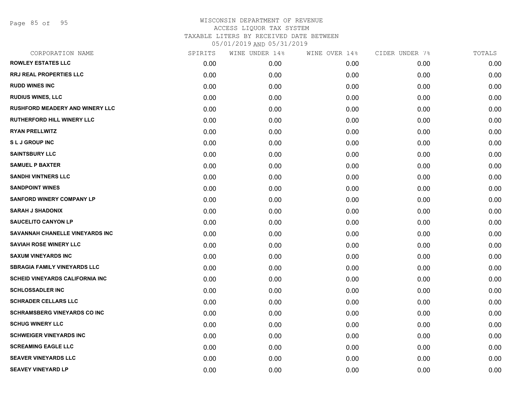Page 85 of 95

### WISCONSIN DEPARTMENT OF REVENUE ACCESS LIQUOR TAX SYSTEM TAXABLE LITERS BY RECEIVED DATE BETWEEN

05/01/2019 AND 05/31/2019

| CORPORATION NAME                       | SPIRITS | WINE UNDER 14% | WINE OVER 14% | CIDER UNDER 7% | TOTALS |
|----------------------------------------|---------|----------------|---------------|----------------|--------|
| <b>ROWLEY ESTATES LLC</b>              | 0.00    | 0.00           | 0.00          | 0.00           | 0.00   |
| <b>RRJ REAL PROPERTIES LLC</b>         | 0.00    | 0.00           | 0.00          | 0.00           | 0.00   |
| <b>RUDD WINES INC</b>                  | 0.00    | 0.00           | 0.00          | 0.00           | 0.00   |
| <b>RUDIUS WINES, LLC</b>               | 0.00    | 0.00           | 0.00          | 0.00           | 0.00   |
| <b>RUSHFORD MEADERY AND WINERY LLC</b> | 0.00    | 0.00           | 0.00          | 0.00           | 0.00   |
| <b>RUTHERFORD HILL WINERY LLC</b>      | 0.00    | 0.00           | 0.00          | 0.00           | 0.00   |
| <b>RYAN PRELLWITZ</b>                  | 0.00    | 0.00           | 0.00          | 0.00           | 0.00   |
| <b>SLJ GROUP INC</b>                   | 0.00    | 0.00           | 0.00          | 0.00           | 0.00   |
| <b>SAINTSBURY LLC</b>                  | 0.00    | 0.00           | 0.00          | 0.00           | 0.00   |
| <b>SAMUEL P BAXTER</b>                 | 0.00    | 0.00           | 0.00          | 0.00           | 0.00   |
| <b>SANDHI VINTNERS LLC</b>             | 0.00    | 0.00           | 0.00          | 0.00           | 0.00   |
| <b>SANDPOINT WINES</b>                 | 0.00    | 0.00           | 0.00          | 0.00           | 0.00   |
| <b>SANFORD WINERY COMPANY LP</b>       | 0.00    | 0.00           | 0.00          | 0.00           | 0.00   |
| <b>SARAH J SHADONIX</b>                | 0.00    | 0.00           | 0.00          | 0.00           | 0.00   |
| <b>SAUCELITO CANYON LP</b>             | 0.00    | 0.00           | 0.00          | 0.00           | 0.00   |
| SAVANNAH CHANELLE VINEYARDS INC        | 0.00    | 0.00           | 0.00          | 0.00           | 0.00   |
| <b>SAVIAH ROSE WINERY LLC</b>          | 0.00    | 0.00           | 0.00          | 0.00           | 0.00   |
| <b>SAXUM VINEYARDS INC</b>             | 0.00    | 0.00           | 0.00          | 0.00           | 0.00   |
| <b>SBRAGIA FAMILY VINEYARDS LLC</b>    | 0.00    | 0.00           | 0.00          | 0.00           | 0.00   |
| <b>SCHEID VINEYARDS CALIFORNIA INC</b> | 0.00    | 0.00           | 0.00          | 0.00           | 0.00   |
| <b>SCHLOSSADLER INC</b>                | 0.00    | 0.00           | 0.00          | 0.00           | 0.00   |
| <b>SCHRADER CELLARS LLC</b>            | 0.00    | 0.00           | 0.00          | 0.00           | 0.00   |
| <b>SCHRAMSBERG VINEYARDS CO INC</b>    | 0.00    | 0.00           | 0.00          | 0.00           | 0.00   |
| <b>SCHUG WINERY LLC</b>                | 0.00    | 0.00           | 0.00          | 0.00           | 0.00   |
| <b>SCHWEIGER VINEYARDS INC</b>         | 0.00    | 0.00           | 0.00          | 0.00           | 0.00   |
| <b>SCREAMING EAGLE LLC</b>             | 0.00    | 0.00           | 0.00          | 0.00           | 0.00   |
| <b>SEAVER VINEYARDS LLC</b>            | 0.00    | 0.00           | 0.00          | 0.00           | 0.00   |
| <b>SEAVEY VINEYARD LP</b>              | 0.00    | 0.00           | 0.00          | 0.00           | 0.00   |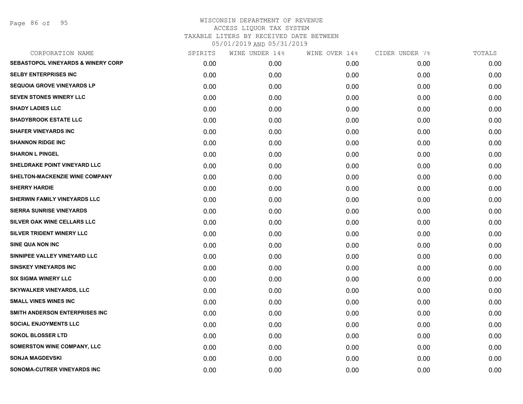Page 86 of 95

| CORPORATION NAME                              | SPIRITS | WINE UNDER 14% | WINE OVER 14% | CIDER UNDER 7% | TOTALS |
|-----------------------------------------------|---------|----------------|---------------|----------------|--------|
| <b>SEBASTOPOL VINEYARDS &amp; WINERY CORP</b> | 0.00    | 0.00           | 0.00          | 0.00           | 0.00   |
| <b>SELBY ENTERPRISES INC</b>                  | 0.00    | 0.00           | 0.00          | 0.00           | 0.00   |
| <b>SEQUOIA GROVE VINEYARDS LP</b>             | 0.00    | 0.00           | 0.00          | 0.00           | 0.00   |
| <b>SEVEN STONES WINERY LLC</b>                | 0.00    | 0.00           | 0.00          | 0.00           | 0.00   |
| <b>SHADY LADIES LLC</b>                       | 0.00    | 0.00           | 0.00          | 0.00           | 0.00   |
| <b>SHADYBROOK ESTATE LLC</b>                  | 0.00    | 0.00           | 0.00          | 0.00           | 0.00   |
| <b>SHAFER VINEYARDS INC</b>                   | 0.00    | 0.00           | 0.00          | 0.00           | 0.00   |
| <b>SHANNON RIDGE INC</b>                      | 0.00    | 0.00           | 0.00          | 0.00           | 0.00   |
| <b>SHARON L PINGEL</b>                        | 0.00    | 0.00           | 0.00          | 0.00           | 0.00   |
| SHELDRAKE POINT VINEYARD LLC                  | 0.00    | 0.00           | 0.00          | 0.00           | 0.00   |
| SHELTON-MACKENZIE WINE COMPANY                | 0.00    | 0.00           | 0.00          | 0.00           | 0.00   |
| <b>SHERRY HARDIE</b>                          | 0.00    | 0.00           | 0.00          | 0.00           | 0.00   |
| SHERWIN FAMILY VINEYARDS LLC                  | 0.00    | 0.00           | 0.00          | 0.00           | 0.00   |
| <b>SIERRA SUNRISE VINEYARDS</b>               | 0.00    | 0.00           | 0.00          | 0.00           | 0.00   |
| <b>SILVER OAK WINE CELLARS LLC</b>            | 0.00    | 0.00           | 0.00          | 0.00           | 0.00   |
| SILVER TRIDENT WINERY LLC                     | 0.00    | 0.00           | 0.00          | 0.00           | 0.00   |
| <b>SINE QUA NON INC</b>                       | 0.00    | 0.00           | 0.00          | 0.00           | 0.00   |
| SINNIPEE VALLEY VINEYARD LLC                  | 0.00    | 0.00           | 0.00          | 0.00           | 0.00   |
| <b>SINSKEY VINEYARDS INC</b>                  | 0.00    | 0.00           | 0.00          | 0.00           | 0.00   |
| <b>SIX SIGMA WINERY LLC</b>                   | 0.00    | 0.00           | 0.00          | 0.00           | 0.00   |
| <b>SKYWALKER VINEYARDS, LLC</b>               | 0.00    | 0.00           | 0.00          | 0.00           | 0.00   |
| <b>SMALL VINES WINES INC</b>                  | 0.00    | 0.00           | 0.00          | 0.00           | 0.00   |
| SMITH ANDERSON ENTERPRISES INC                | 0.00    | 0.00           | 0.00          | 0.00           | 0.00   |
| <b>SOCIAL ENJOYMENTS LLC</b>                  | 0.00    | 0.00           | 0.00          | 0.00           | 0.00   |
| <b>SOKOL BLOSSER LTD</b>                      | 0.00    | 0.00           | 0.00          | 0.00           | 0.00   |
| <b>SOMERSTON WINE COMPANY, LLC</b>            | 0.00    | 0.00           | 0.00          | 0.00           | 0.00   |
| <b>SONJA MAGDEVSKI</b>                        | 0.00    | 0.00           | 0.00          | 0.00           | 0.00   |
| SONOMA-CUTRER VINEYARDS INC                   | 0.00    | 0.00           | 0.00          | 0.00           | 0.00   |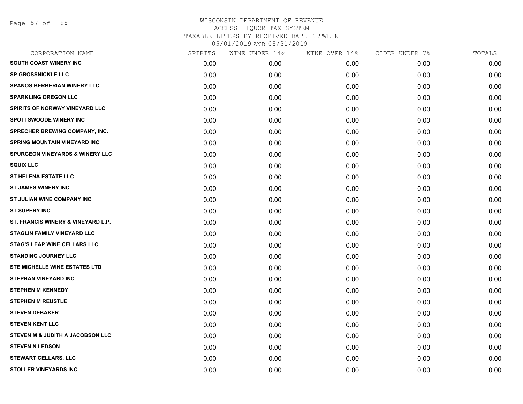Page 87 of 95

| CORPORATION NAME                           | SPIRITS | WINE UNDER 14% | WINE OVER 14% | CIDER UNDER 7% | TOTALS |
|--------------------------------------------|---------|----------------|---------------|----------------|--------|
| SOUTH COAST WINERY INC                     | 0.00    | 0.00           | 0.00          | 0.00           | 0.00   |
| SP GROSSNICKLE LLC                         | 0.00    | 0.00           | 0.00          | 0.00           | 0.00   |
| <b>SPANOS BERBERIAN WINERY LLC</b>         | 0.00    | 0.00           | 0.00          | 0.00           | 0.00   |
| <b>SPARKLING OREGON LLC</b>                | 0.00    | 0.00           | 0.00          | 0.00           | 0.00   |
| SPIRITS OF NORWAY VINEYARD LLC             | 0.00    | 0.00           | 0.00          | 0.00           | 0.00   |
| <b>SPOTTSWOODE WINERY INC</b>              | 0.00    | 0.00           | 0.00          | 0.00           | 0.00   |
| SPRECHER BREWING COMPANY, INC.             | 0.00    | 0.00           | 0.00          | 0.00           | 0.00   |
| <b>SPRING MOUNTAIN VINEYARD INC</b>        | 0.00    | 0.00           | 0.00          | 0.00           | 0.00   |
| <b>SPURGEON VINEYARDS &amp; WINERY LLC</b> | 0.00    | 0.00           | 0.00          | 0.00           | 0.00   |
| <b>SQUIX LLC</b>                           | 0.00    | 0.00           | 0.00          | 0.00           | 0.00   |
| <b>ST HELENA ESTATE LLC</b>                | 0.00    | 0.00           | 0.00          | 0.00           | 0.00   |
| <b>ST JAMES WINERY INC</b>                 | 0.00    | 0.00           | 0.00          | 0.00           | 0.00   |
| ST JULIAN WINE COMPANY INC                 | 0.00    | 0.00           | 0.00          | 0.00           | 0.00   |
| <b>ST SUPERY INC</b>                       | 0.00    | 0.00           | 0.00          | 0.00           | 0.00   |
| ST. FRANCIS WINERY & VINEYARD L.P.         | 0.00    | 0.00           | 0.00          | 0.00           | 0.00   |
| <b>STAGLIN FAMILY VINEYARD LLC</b>         | 0.00    | 0.00           | 0.00          | 0.00           | 0.00   |
| <b>STAG'S LEAP WINE CELLARS LLC</b>        | 0.00    | 0.00           | 0.00          | 0.00           | 0.00   |
| <b>STANDING JOURNEY LLC</b>                | 0.00    | 0.00           | 0.00          | 0.00           | 0.00   |
| STE MICHELLE WINE ESTATES LTD              | 0.00    | 0.00           | 0.00          | 0.00           | 0.00   |
| <b>STEPHAN VINEYARD INC</b>                | 0.00    | 0.00           | 0.00          | 0.00           | 0.00   |
| <b>STEPHEN M KENNEDY</b>                   | 0.00    | 0.00           | 0.00          | 0.00           | 0.00   |
| <b>STEPHEN M REUSTLE</b>                   | 0.00    | 0.00           | 0.00          | 0.00           | 0.00   |
| <b>STEVEN DEBAKER</b>                      | 0.00    | 0.00           | 0.00          | 0.00           | 0.00   |
| <b>STEVEN KENT LLC</b>                     | 0.00    | 0.00           | 0.00          | 0.00           | 0.00   |
| STEVEN M & JUDITH A JACOBSON LLC           | 0.00    | 0.00           | 0.00          | 0.00           | 0.00   |
| <b>STEVEN N LEDSON</b>                     | 0.00    | 0.00           | 0.00          | 0.00           | 0.00   |
| <b>STEWART CELLARS, LLC</b>                | 0.00    | 0.00           | 0.00          | 0.00           | 0.00   |
| <b>STOLLER VINEYARDS INC</b>               | 0.00    | 0.00           | 0.00          | 0.00           | 0.00   |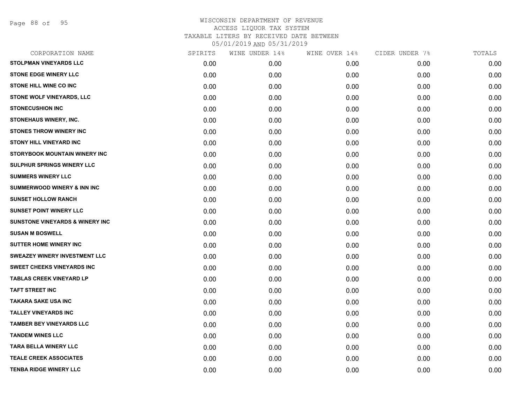Page 88 of 95

| CORPORATION NAME                           | SPIRITS | WINE UNDER 14% | WINE OVER 14% | CIDER UNDER 7% | TOTALS |
|--------------------------------------------|---------|----------------|---------------|----------------|--------|
| <b>STOLPMAN VINEYARDS LLC</b>              | 0.00    | 0.00           | 0.00          | 0.00           | 0.00   |
| <b>STONE EDGE WINERY LLC</b>               | 0.00    | 0.00           | 0.00          | 0.00           | 0.00   |
| <b>STONE HILL WINE CO INC</b>              | 0.00    | 0.00           | 0.00          | 0.00           | 0.00   |
| STONE WOLF VINEYARDS, LLC                  | 0.00    | 0.00           | 0.00          | 0.00           | 0.00   |
| <b>STONECUSHION INC</b>                    | 0.00    | 0.00           | 0.00          | 0.00           | 0.00   |
| <b>STONEHAUS WINERY, INC.</b>              | 0.00    | 0.00           | 0.00          | 0.00           | 0.00   |
| <b>STONES THROW WINERY INC</b>             | 0.00    | 0.00           | 0.00          | 0.00           | 0.00   |
| <b>STONY HILL VINEYARD INC</b>             | 0.00    | 0.00           | 0.00          | 0.00           | 0.00   |
| STORYBOOK MOUNTAIN WINERY INC              | 0.00    | 0.00           | 0.00          | 0.00           | 0.00   |
| <b>SULPHUR SPRINGS WINERY LLC</b>          | 0.00    | 0.00           | 0.00          | 0.00           | 0.00   |
| <b>SUMMERS WINERY LLC</b>                  | 0.00    | 0.00           | 0.00          | 0.00           | 0.00   |
| <b>SUMMERWOOD WINERY &amp; INN INC</b>     | 0.00    | 0.00           | 0.00          | 0.00           | 0.00   |
| <b>SUNSET HOLLOW RANCH</b>                 | 0.00    | 0.00           | 0.00          | 0.00           | 0.00   |
| <b>SUNSET POINT WINERY LLC</b>             | 0.00    | 0.00           | 0.00          | 0.00           | 0.00   |
| <b>SUNSTONE VINEYARDS &amp; WINERY INC</b> | 0.00    | 0.00           | 0.00          | 0.00           | 0.00   |
| <b>SUSAN M BOSWELL</b>                     | 0.00    | 0.00           | 0.00          | 0.00           | 0.00   |
| <b>SUTTER HOME WINERY INC</b>              | 0.00    | 0.00           | 0.00          | 0.00           | 0.00   |
| SWEAZEY WINERY INVESTMENT LLC              | 0.00    | 0.00           | 0.00          | 0.00           | 0.00   |
| <b>SWEET CHEEKS VINEYARDS INC</b>          | 0.00    | 0.00           | 0.00          | 0.00           | 0.00   |
| <b>TABLAS CREEK VINEYARD LP</b>            | 0.00    | 0.00           | 0.00          | 0.00           | 0.00   |
| <b>TAFT STREET INC</b>                     | 0.00    | 0.00           | 0.00          | 0.00           | 0.00   |
| <b>TAKARA SAKE USA INC</b>                 | 0.00    | 0.00           | 0.00          | 0.00           | 0.00   |
| <b>TALLEY VINEYARDS INC</b>                | 0.00    | 0.00           | 0.00          | 0.00           | 0.00   |
| <b>TAMBER BEY VINEYARDS LLC</b>            | 0.00    | 0.00           | 0.00          | 0.00           | 0.00   |
| <b>TANDEM WINES LLC</b>                    | 0.00    | 0.00           | 0.00          | 0.00           | 0.00   |
| <b>TARA BELLA WINERY LLC</b>               | 0.00    | 0.00           | 0.00          | 0.00           | 0.00   |
| <b>TEALE CREEK ASSOCIATES</b>              | 0.00    | 0.00           | 0.00          | 0.00           | 0.00   |
| <b>TENBA RIDGE WINERY LLC</b>              | 0.00    | 0.00           | 0.00          | 0.00           | 0.00   |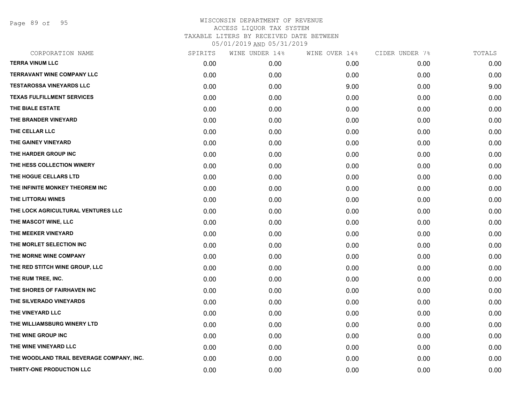Page 89 of 95

| CORPORATION NAME                          | SPIRITS | WINE UNDER 14% | WINE OVER 14% | CIDER UNDER 7% | TOTALS |
|-------------------------------------------|---------|----------------|---------------|----------------|--------|
| <b>TERRA VINUM LLC</b>                    | 0.00    | 0.00           | 0.00          | 0.00           | 0.00   |
| <b>TERRAVANT WINE COMPANY LLC</b>         | 0.00    | 0.00           | 0.00          | 0.00           | 0.00   |
| <b>TESTAROSSA VINEYARDS LLC</b>           | 0.00    | 0.00           | 9.00          | 0.00           | 9.00   |
| <b>TEXAS FULFILLMENT SERVICES</b>         | 0.00    | 0.00           | 0.00          | 0.00           | 0.00   |
| THE BIALE ESTATE                          | 0.00    | 0.00           | 0.00          | 0.00           | 0.00   |
| THE BRANDER VINEYARD                      | 0.00    | 0.00           | 0.00          | 0.00           | 0.00   |
| THE CELLAR LLC                            | 0.00    | 0.00           | 0.00          | 0.00           | 0.00   |
| THE GAINEY VINEYARD                       | 0.00    | 0.00           | 0.00          | 0.00           | 0.00   |
| THE HARDER GROUP INC                      | 0.00    | 0.00           | 0.00          | 0.00           | 0.00   |
| THE HESS COLLECTION WINERY                | 0.00    | 0.00           | 0.00          | 0.00           | 0.00   |
| THE HOGUE CELLARS LTD                     | 0.00    | 0.00           | 0.00          | 0.00           | 0.00   |
| THE INFINITE MONKEY THEOREM INC           | 0.00    | 0.00           | 0.00          | 0.00           | 0.00   |
| THE LITTORAI WINES                        | 0.00    | 0.00           | 0.00          | 0.00           | 0.00   |
| THE LOCK AGRICULTURAL VENTURES LLC        | 0.00    | 0.00           | 0.00          | 0.00           | 0.00   |
| THE MASCOT WINE, LLC                      | 0.00    | 0.00           | 0.00          | 0.00           | 0.00   |
| THE MEEKER VINEYARD                       | 0.00    | 0.00           | 0.00          | 0.00           | 0.00   |
| THE MORLET SELECTION INC                  | 0.00    | 0.00           | 0.00          | 0.00           | 0.00   |
| THE MORNE WINE COMPANY                    | 0.00    | 0.00           | 0.00          | 0.00           | 0.00   |
| THE RED STITCH WINE GROUP, LLC            | 0.00    | 0.00           | 0.00          | 0.00           | 0.00   |
| THE RUM TREE, INC.                        | 0.00    | 0.00           | 0.00          | 0.00           | 0.00   |
| THE SHORES OF FAIRHAVEN INC               | 0.00    | 0.00           | 0.00          | 0.00           | 0.00   |
| THE SILVERADO VINEYARDS                   | 0.00    | 0.00           | 0.00          | 0.00           | 0.00   |
| THE VINEYARD LLC                          | 0.00    | 0.00           | 0.00          | 0.00           | 0.00   |
| THE WILLIAMSBURG WINERY LTD               | 0.00    | 0.00           | 0.00          | 0.00           | 0.00   |
| THE WINE GROUP INC                        | 0.00    | 0.00           | 0.00          | 0.00           | 0.00   |
| THE WINE VINEYARD LLC                     | 0.00    | 0.00           | 0.00          | 0.00           | 0.00   |
| THE WOODLAND TRAIL BEVERAGE COMPANY, INC. | 0.00    | 0.00           | 0.00          | 0.00           | 0.00   |
| THIRTY-ONE PRODUCTION LLC                 | 0.00    | 0.00           | 0.00          | 0.00           | 0.00   |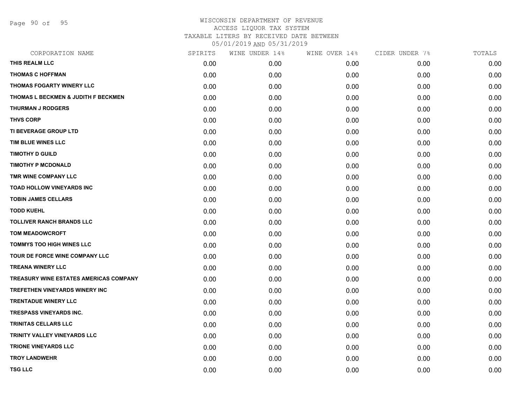Page 90 of 95

| CORPORATION NAME                               | SPIRITS | WINE UNDER 14% | WINE OVER 14% | CIDER UNDER 7% | TOTALS |
|------------------------------------------------|---------|----------------|---------------|----------------|--------|
| THIS REALM LLC                                 | 0.00    | 0.00           | 0.00          | 0.00           | 0.00   |
| <b>THOMAS C HOFFMAN</b>                        | 0.00    | 0.00           | 0.00          | 0.00           | 0.00   |
| THOMAS FOGARTY WINERY LLC                      | 0.00    | 0.00           | 0.00          | 0.00           | 0.00   |
| <b>THOMAS L BECKMEN &amp; JUDITH F BECKMEN</b> | 0.00    | 0.00           | 0.00          | 0.00           | 0.00   |
| <b>THURMAN J RODGERS</b>                       | 0.00    | 0.00           | 0.00          | 0.00           | 0.00   |
| <b>THVS CORP</b>                               | 0.00    | 0.00           | 0.00          | 0.00           | 0.00   |
| TI BEVERAGE GROUP LTD                          | 0.00    | 0.00           | 0.00          | 0.00           | 0.00   |
| TIM BLUE WINES LLC                             | 0.00    | 0.00           | 0.00          | 0.00           | 0.00   |
| <b>TIMOTHY D GUILD</b>                         | 0.00    | 0.00           | 0.00          | 0.00           | 0.00   |
| <b>TIMOTHY P MCDONALD</b>                      | 0.00    | 0.00           | 0.00          | 0.00           | 0.00   |
| TMR WINE COMPANY LLC                           | 0.00    | 0.00           | 0.00          | 0.00           | 0.00   |
| <b>TOAD HOLLOW VINEYARDS INC</b>               | 0.00    | 0.00           | 0.00          | 0.00           | 0.00   |
| <b>TOBIN JAMES CELLARS</b>                     | 0.00    | 0.00           | 0.00          | 0.00           | 0.00   |
| <b>TODD KUEHL</b>                              | 0.00    | 0.00           | 0.00          | 0.00           | 0.00   |
| <b>TOLLIVER RANCH BRANDS LLC</b>               | 0.00    | 0.00           | 0.00          | 0.00           | 0.00   |
| <b>TOM MEADOWCROFT</b>                         | 0.00    | 0.00           | 0.00          | 0.00           | 0.00   |
| <b>TOMMYS TOO HIGH WINES LLC</b>               | 0.00    | 0.00           | 0.00          | 0.00           | 0.00   |
| TOUR DE FORCE WINE COMPANY LLC                 | 0.00    | 0.00           | 0.00          | 0.00           | 0.00   |
| <b>TREANA WINERY LLC</b>                       | 0.00    | 0.00           | 0.00          | 0.00           | 0.00   |
| <b>TREASURY WINE ESTATES AMERICAS COMPANY</b>  | 0.00    | 0.00           | 0.00          | 0.00           | 0.00   |
| TREFETHEN VINEYARDS WINERY INC                 | 0.00    | 0.00           | 0.00          | 0.00           | 0.00   |
| <b>TRENTADUE WINERY LLC</b>                    | 0.00    | 0.00           | 0.00          | 0.00           | 0.00   |
| TRESPASS VINEYARDS INC.                        | 0.00    | 0.00           | 0.00          | 0.00           | 0.00   |
| <b>TRINITAS CELLARS LLC</b>                    | 0.00    | 0.00           | 0.00          | 0.00           | 0.00   |
| TRINITY VALLEY VINEYARDS LLC                   | 0.00    | 0.00           | 0.00          | 0.00           | 0.00   |
| TRIONE VINEYARDS LLC                           | 0.00    | 0.00           | 0.00          | 0.00           | 0.00   |
| <b>TROY LANDWEHR</b>                           | 0.00    | 0.00           | 0.00          | 0.00           | 0.00   |
| <b>TSG LLC</b>                                 | 0.00    | 0.00           | 0.00          | 0.00           | 0.00   |
|                                                |         |                |               |                |        |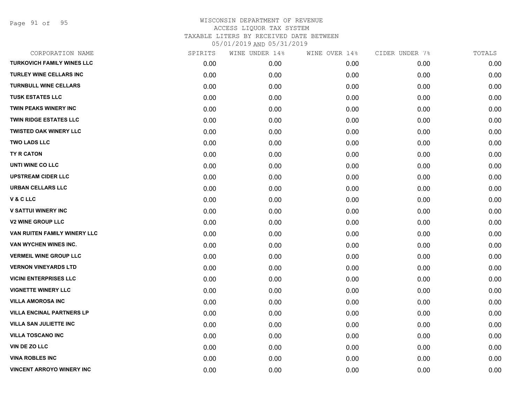Page 91 of 95

| CORPORATION NAME                  | SPIRITS | WINE UNDER 14% | WINE OVER 14% | CIDER UNDER 7% | TOTALS |
|-----------------------------------|---------|----------------|---------------|----------------|--------|
| <b>TURKOVICH FAMILY WINES LLC</b> | 0.00    | 0.00           | 0.00          | 0.00           | 0.00   |
| <b>TURLEY WINE CELLARS INC</b>    | 0.00    | 0.00           | 0.00          | 0.00           | 0.00   |
| <b>TURNBULL WINE CELLARS</b>      | 0.00    | 0.00           | 0.00          | 0.00           | 0.00   |
| <b>TUSK ESTATES LLC</b>           | 0.00    | 0.00           | 0.00          | 0.00           | 0.00   |
| <b>TWIN PEAKS WINERY INC</b>      | 0.00    | 0.00           | 0.00          | 0.00           | 0.00   |
| <b>TWIN RIDGE ESTATES LLC</b>     | 0.00    | 0.00           | 0.00          | 0.00           | 0.00   |
| <b>TWISTED OAK WINERY LLC</b>     | 0.00    | 0.00           | 0.00          | 0.00           | 0.00   |
| <b>TWO LADS LLC</b>               | 0.00    | 0.00           | 0.00          | 0.00           | 0.00   |
| <b>TY R CATON</b>                 | 0.00    | 0.00           | 0.00          | 0.00           | 0.00   |
| UNTI WINE CO LLC                  | 0.00    | 0.00           | 0.00          | 0.00           | 0.00   |
| <b>UPSTREAM CIDER LLC</b>         | 0.00    | 0.00           | 0.00          | 0.00           | 0.00   |
| <b>URBAN CELLARS LLC</b>          | 0.00    | 0.00           | 0.00          | 0.00           | 0.00   |
| V & C LLC                         | 0.00    | 0.00           | 0.00          | 0.00           | 0.00   |
| <b>V SATTUI WINERY INC</b>        | 0.00    | 0.00           | 0.00          | 0.00           | 0.00   |
| <b>V2 WINE GROUP LLC</b>          | 0.00    | 0.00           | 0.00          | 0.00           | 0.00   |
| VAN RUITEN FAMILY WINERY LLC      | 0.00    | 0.00           | 0.00          | 0.00           | 0.00   |
| VAN WYCHEN WINES INC.             | 0.00    | 0.00           | 0.00          | 0.00           | 0.00   |
| <b>VERMEIL WINE GROUP LLC</b>     | 0.00    | 0.00           | 0.00          | 0.00           | 0.00   |
| <b>VERNON VINEYARDS LTD</b>       | 0.00    | 0.00           | 0.00          | 0.00           | 0.00   |
| <b>VICINI ENTERPRISES LLC</b>     | 0.00    | 0.00           | 0.00          | 0.00           | 0.00   |
| <b>VIGNETTE WINERY LLC</b>        | 0.00    | 0.00           | 0.00          | 0.00           | 0.00   |
| <b>VILLA AMOROSA INC</b>          | 0.00    | 0.00           | 0.00          | 0.00           | 0.00   |
| <b>VILLA ENCINAL PARTNERS LP</b>  | 0.00    | 0.00           | 0.00          | 0.00           | 0.00   |
| <b>VILLA SAN JULIETTE INC</b>     | 0.00    | 0.00           | 0.00          | 0.00           | 0.00   |
| <b>VILLA TOSCANO INC</b>          | 0.00    | 0.00           | 0.00          | 0.00           | 0.00   |
| VIN DE ZO LLC                     | 0.00    | 0.00           | 0.00          | 0.00           | 0.00   |
| <b>VINA ROBLES INC</b>            | 0.00    | 0.00           | 0.00          | 0.00           | 0.00   |
| <b>VINCENT ARROYO WINERY INC</b>  | 0.00    | 0.00           | 0.00          | 0.00           | 0.00   |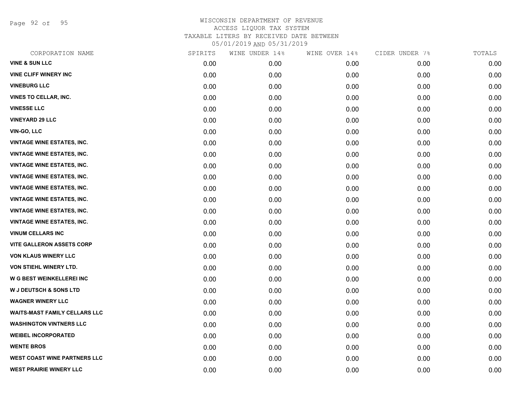Page 92 of 95

| CORPORATION NAME                     | SPIRITS | WINE UNDER 14% | WINE OVER 14% | CIDER UNDER 7% | TOTALS |
|--------------------------------------|---------|----------------|---------------|----------------|--------|
| <b>VINE &amp; SUN LLC</b>            | 0.00    | 0.00           | 0.00          | 0.00           | 0.00   |
| <b>VINE CLIFF WINERY INC</b>         | 0.00    | 0.00           | 0.00          | 0.00           | 0.00   |
| <b>VINEBURG LLC</b>                  | 0.00    | 0.00           | 0.00          | 0.00           | 0.00   |
| VINES TO CELLAR, INC.                | 0.00    | 0.00           | 0.00          | 0.00           | 0.00   |
| <b>VINESSE LLC</b>                   | 0.00    | 0.00           | 0.00          | 0.00           | 0.00   |
| <b>VINEYARD 29 LLC</b>               | 0.00    | 0.00           | 0.00          | 0.00           | 0.00   |
| <b>VIN-GO, LLC</b>                   | 0.00    | 0.00           | 0.00          | 0.00           | 0.00   |
| <b>VINTAGE WINE ESTATES, INC.</b>    | 0.00    | 0.00           | 0.00          | 0.00           | 0.00   |
| <b>VINTAGE WINE ESTATES, INC.</b>    | 0.00    | 0.00           | 0.00          | 0.00           | 0.00   |
| <b>VINTAGE WINE ESTATES, INC.</b>    | 0.00    | 0.00           | 0.00          | 0.00           | 0.00   |
| <b>VINTAGE WINE ESTATES, INC.</b>    | 0.00    | 0.00           | 0.00          | 0.00           | 0.00   |
| <b>VINTAGE WINE ESTATES, INC.</b>    | 0.00    | 0.00           | 0.00          | 0.00           | 0.00   |
| <b>VINTAGE WINE ESTATES, INC.</b>    | 0.00    | 0.00           | 0.00          | 0.00           | 0.00   |
| <b>VINTAGE WINE ESTATES, INC.</b>    | 0.00    | 0.00           | 0.00          | 0.00           | 0.00   |
| <b>VINTAGE WINE ESTATES, INC.</b>    | 0.00    | 0.00           | 0.00          | 0.00           | 0.00   |
| <b>VINUM CELLARS INC</b>             | 0.00    | 0.00           | 0.00          | 0.00           | 0.00   |
| <b>VITE GALLERON ASSETS CORP</b>     | 0.00    | 0.00           | 0.00          | 0.00           | 0.00   |
| <b>VON KLAUS WINERY LLC</b>          | 0.00    | 0.00           | 0.00          | 0.00           | 0.00   |
| VON STIEHL WINERY LTD.               | 0.00    | 0.00           | 0.00          | 0.00           | 0.00   |
| W G BEST WEINKELLEREI INC            | 0.00    | 0.00           | 0.00          | 0.00           | 0.00   |
| <b>W J DEUTSCH &amp; SONS LTD</b>    | 0.00    | 0.00           | 0.00          | 0.00           | 0.00   |
| <b>WAGNER WINERY LLC</b>             | 0.00    | 0.00           | 0.00          | 0.00           | 0.00   |
| <b>WAITS-MAST FAMILY CELLARS LLC</b> | 0.00    | 0.00           | 0.00          | 0.00           | 0.00   |
| <b>WASHINGTON VINTNERS LLC</b>       | 0.00    | 0.00           | 0.00          | 0.00           | 0.00   |
| <b>WEIBEL INCORPORATED</b>           | 0.00    | 0.00           | 0.00          | 0.00           | 0.00   |
| <b>WENTE BROS</b>                    | 0.00    | 0.00           | 0.00          | 0.00           | 0.00   |
| <b>WEST COAST WINE PARTNERS LLC</b>  | 0.00    | 0.00           | 0.00          | 0.00           | 0.00   |
| <b>WEST PRAIRIE WINERY LLC</b>       | 0.00    | 0.00           | 0.00          | 0.00           | 0.00   |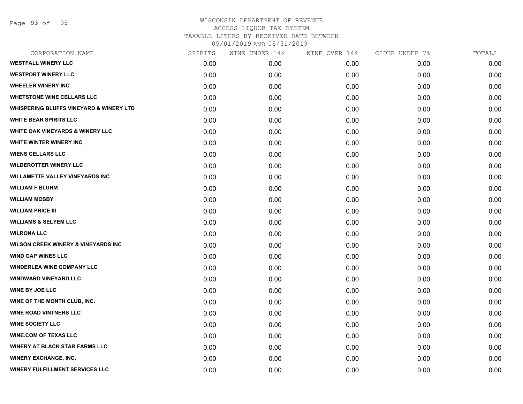#### WISCONSIN DEPARTMENT OF REVENUE ACCESS LIQUOR TAX SYSTEM TAXABLE LITERS BY RECEIVED DATE BETWEEN

05/01/2019 AND 05/31/2019

| CORPORATION NAME                                   | SPIRITS | WINE UNDER 14% | WINE OVER 14% | CIDER UNDER 7% | TOTALS |
|----------------------------------------------------|---------|----------------|---------------|----------------|--------|
| <b>WESTFALL WINERY LLC</b>                         | 0.00    | 0.00           | 0.00          | 0.00           | 0.00   |
| <b>WESTPORT WINERY LLC</b>                         | 0.00    | 0.00           | 0.00          | 0.00           | 0.00   |
| <b>WHEELER WINERY INC</b>                          | 0.00    | 0.00           | 0.00          | 0.00           | 0.00   |
| <b>WHETSTONE WINE CELLARS LLC</b>                  | 0.00    | 0.00           | 0.00          | 0.00           | 0.00   |
| <b>WHISPERING BLUFFS VINEYARD &amp; WINERY LTD</b> | 0.00    | 0.00           | 0.00          | 0.00           | 0.00   |
| <b>WHITE BEAR SPIRITS LLC</b>                      | 0.00    | 0.00           | 0.00          | 0.00           | 0.00   |
| <b>WHITE OAK VINEYARDS &amp; WINERY LLC</b>        | 0.00    | 0.00           | 0.00          | 0.00           | 0.00   |
| WHITE WINTER WINERY INC                            | 0.00    | 0.00           | 0.00          | 0.00           | 0.00   |
| <b>WIENS CELLARS LLC</b>                           | 0.00    | 0.00           | 0.00          | 0.00           | 0.00   |
| <b>WILDEROTTER WINERY LLC</b>                      | 0.00    | 0.00           | 0.00          | 0.00           | 0.00   |
| <b>WILLAMETTE VALLEY VINEYARDS INC</b>             | 0.00    | 0.00           | 0.00          | 0.00           | 0.00   |
| <b>WILLIAM F BLUHM</b>                             | 0.00    | 0.00           | 0.00          | 0.00           | 0.00   |
| <b>WILLIAM MOSBY</b>                               | 0.00    | 0.00           | 0.00          | 0.00           | 0.00   |
| <b>WILLIAM PRICE III</b>                           | 0.00    | 0.00           | 0.00          | 0.00           | 0.00   |
| <b>WILLIAMS &amp; SELYEM LLC</b>                   | 0.00    | 0.00           | 0.00          | 0.00           | 0.00   |
| <b>WILRONA LLC</b>                                 | 0.00    | 0.00           | 0.00          | 0.00           | 0.00   |
| <b>WILSON CREEK WINERY &amp; VINEYARDS INC</b>     | 0.00    | 0.00           | 0.00          | 0.00           | 0.00   |
| <b>WIND GAP WINES LLC</b>                          | 0.00    | 0.00           | 0.00          | 0.00           | 0.00   |
| <b>WINDERLEA WINE COMPANY LLC</b>                  | 0.00    | 0.00           | 0.00          | 0.00           | 0.00   |
| <b>WINDWARD VINEYARD LLC</b>                       | 0.00    | 0.00           | 0.00          | 0.00           | 0.00   |
| <b>WINE BY JOE LLC</b>                             | 0.00    | 0.00           | 0.00          | 0.00           | 0.00   |
| WINE OF THE MONTH CLUB, INC.                       | 0.00    | 0.00           | 0.00          | 0.00           | 0.00   |
| <b>WINE ROAD VINTNERS LLC</b>                      | 0.00    | 0.00           | 0.00          | 0.00           | 0.00   |
| <b>WINE SOCIETY LLC</b>                            | 0.00    | 0.00           | 0.00          | 0.00           | 0.00   |
| <b>WINE.COM OF TEXAS LLC</b>                       | 0.00    | 0.00           | 0.00          | 0.00           | 0.00   |
| <b>WINERY AT BLACK STAR FARMS LLC</b>              | 0.00    | 0.00           | 0.00          | 0.00           | 0.00   |
| <b>WINERY EXCHANGE, INC.</b>                       | 0.00    | 0.00           | 0.00          | 0.00           | 0.00   |
| <b>WINERY FULFILLMENT SERVICES LLC</b>             | 0.00    | 0.00           | 0.00          | 0.00           | 0.00   |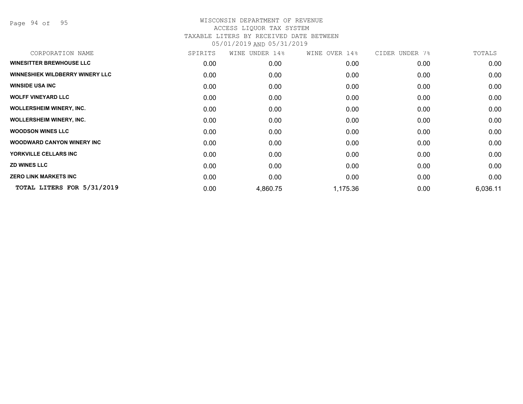Page 94 of 95

| CORPORATION NAME                       | SPIRITS | WINE UNDER 14% | WINE OVER 14% | CIDER UNDER 7% | TOTALS   |
|----------------------------------------|---------|----------------|---------------|----------------|----------|
| <b>WINESITTER BREWHOUSE LLC</b>        | 0.00    | 0.00           | 0.00          | 0.00           | 0.00     |
| <b>WINNESHIEK WILDBERRY WINERY LLC</b> | 0.00    | 0.00           | 0.00          | 0.00           | 0.00     |
| <b>WINSIDE USA INC</b>                 | 0.00    | 0.00           | 0.00          | 0.00           | 0.00     |
| <b>WOLFF VINEYARD LLC</b>              | 0.00    | 0.00           | 0.00          | 0.00           | 0.00     |
| <b>WOLLERSHEIM WINERY, INC.</b>        | 0.00    | 0.00           | 0.00          | 0.00           | 0.00     |
| <b>WOLLERSHEIM WINERY, INC.</b>        | 0.00    | 0.00           | 0.00          | 0.00           | 0.00     |
| <b>WOODSON WINES LLC</b>               | 0.00    | 0.00           | 0.00          | 0.00           | 0.00     |
| <b>WOODWARD CANYON WINERY INC</b>      | 0.00    | 0.00           | 0.00          | 0.00           | 0.00     |
| YORKVILLE CELLARS INC                  | 0.00    | 0.00           | 0.00          | 0.00           | 0.00     |
| <b>ZD WINES LLC</b>                    | 0.00    | 0.00           | 0.00          | 0.00           | 0.00     |
| <b>ZERO LINK MARKETS INC</b>           | 0.00    | 0.00           | 0.00          | 0.00           | 0.00     |
| TOTAL LITERS FOR 5/31/2019             | 0.00    | 4,860.75       | 1,175.36      | 0.00           | 6,036.11 |